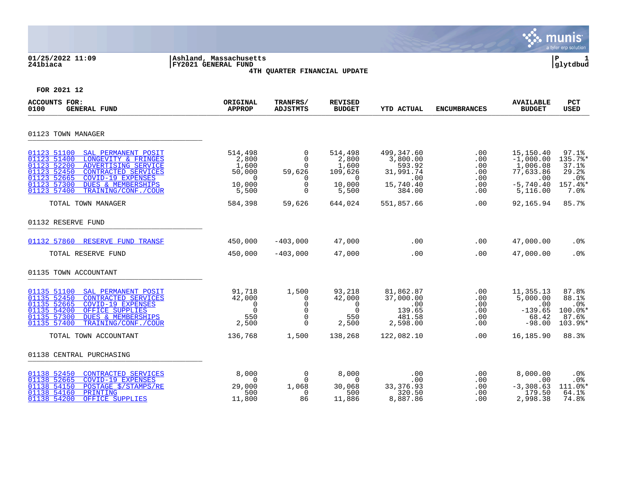|                                                                                                                                                                                                                                                                                |                                                                        |                                                                           |                                                                        |                                                                                  |                                               |                                                                                     | munis<br>a tyler erp solution                                                                       |
|--------------------------------------------------------------------------------------------------------------------------------------------------------------------------------------------------------------------------------------------------------------------------------|------------------------------------------------------------------------|---------------------------------------------------------------------------|------------------------------------------------------------------------|----------------------------------------------------------------------------------|-----------------------------------------------|-------------------------------------------------------------------------------------|-----------------------------------------------------------------------------------------------------|
| 01/25/2022 11:09<br>241biaca                                                                                                                                                                                                                                                   | Ashland, Massachusetts<br>FY2021 GENERAL FUND                          | 4TH QUARTER FINANCIAL UPDATE                                              |                                                                        |                                                                                  |                                               |                                                                                     | ΙP<br>glytdbud                                                                                      |
| FOR 2021 12                                                                                                                                                                                                                                                                    |                                                                        |                                                                           |                                                                        |                                                                                  |                                               |                                                                                     |                                                                                                     |
| <b>ACCOUNTS FOR:</b><br>0100<br><b>GENERAL FUND</b>                                                                                                                                                                                                                            | ORIGINAL<br><b>APPROP</b>                                              | TRANFRS/<br><b>ADJSTMTS</b>                                               | <b>REVISED</b><br><b>BUDGET</b>                                        | YTD ACTUAL                                                                       | <b>ENCUMBRANCES</b>                           | <b>AVAILABLE</b><br><b>BUDGET</b>                                                   | <b>PCT</b><br>USED                                                                                  |
| 01123 TOWN MANAGER                                                                                                                                                                                                                                                             |                                                                        |                                                                           |                                                                        |                                                                                  |                                               |                                                                                     |                                                                                                     |
| 01123 51100<br>SAL PERMANENT POSIT<br>01123 51400<br>LONGEVITY & FRINGES<br>01123 52200<br>ADVERTISING SERVICE<br>01123 52450<br>CONTRACTED SERVICES<br>01123 52665<br>COVID-19 EXPENSES<br>01123 57300<br><b>DUES &amp; MEMBERSHIPS</b><br>01123 57400<br>TRAINING/CONF./COUR | 514,498<br>2,800<br>1,600<br>50,000<br>$\Omega$<br>10,000<br>5,500     | 0<br>$\mathbf 0$<br>0<br>59,626<br>0<br>$\Omega$<br>$\Omega$              | 514,498<br>2,800<br>1,600<br>109,626<br>$\Omega$<br>10,000<br>5,500    | 499,347.60<br>3,800.00<br>593.92<br>31,991.74<br>$.00 \,$<br>15,740.40<br>384.00 | .00<br>.00<br>.00<br>.00<br>.00<br>.00<br>.00 | 15,150.40<br>$-1,000.00$<br>1,006.08<br>77,633.86<br>.00<br>$-5,740.40$<br>5,116.00 | 97.1%<br>135.7%*<br>37.1%<br>29.2%<br>.0 <sub>8</sub><br>157.4%*<br>7.0%                            |
| TOTAL TOWN MANAGER                                                                                                                                                                                                                                                             | 584,398                                                                | 59,626                                                                    | 644,024                                                                | 551,857.66                                                                       | .00                                           | 92,165.94                                                                           | 85.7%                                                                                               |
| 01132 RESERVE FUND                                                                                                                                                                                                                                                             |                                                                        |                                                                           |                                                                        |                                                                                  |                                               |                                                                                     |                                                                                                     |
| 01132 57860<br>RESERVE FUND TRANSF                                                                                                                                                                                                                                             | 450,000                                                                | $-403,000$                                                                | 47,000                                                                 | .00                                                                              | .00                                           | 47,000.00                                                                           | .0 <sub>8</sub>                                                                                     |
| TOTAL RESERVE FUND                                                                                                                                                                                                                                                             | 450,000                                                                | $-403,000$                                                                | 47,000                                                                 | .00                                                                              | .00                                           | 47,000.00                                                                           | .0%                                                                                                 |
| 01135 TOWN ACCOUNTANT                                                                                                                                                                                                                                                          |                                                                        |                                                                           |                                                                        |                                                                                  |                                               |                                                                                     |                                                                                                     |
| 01135 51100<br>SAL PERMANENT POSIT<br>01135 52450<br>CONTRACTED SERVICES<br>01135 52665<br><b>COVID-19 EXPENSES</b><br>01135 54200<br>OFFICE SUPPLIES<br>01135 57300<br><b>DUES &amp; MEMBERSHIPS</b><br>01135 57400<br>TRAINING/CONF./COUR<br>TOTAL TOWN ACCOUNTANT           | 91,718<br>42,000<br>$\Omega$<br>$\mathbf 0$<br>550<br>2,500<br>136,768 | 1,500<br>0<br>$\mathbf 0$<br>$\mathbf 0$<br>$\Omega$<br>$\Omega$<br>1,500 | 93,218<br>42,000<br>$\Omega$<br>$\mathbf 0$<br>550<br>2,500<br>138,268 | 81,862.87<br>37,000.00<br>.00<br>139.65<br>481.58<br>2,598.00<br>122,082.10      | .00<br>.00<br>.00<br>.00<br>.00<br>.00<br>.00 | 11,355.13<br>5,000.00<br>.00<br>$-139.65$<br>68.42<br>$-98.00$<br>16,185.90         | 87.8%<br>88.1%<br>.0 <sub>8</sub><br>$100.0$ <sup>*</sup><br>87.6%<br>$103.9$ <sup>*</sup><br>88.3% |
|                                                                                                                                                                                                                                                                                |                                                                        |                                                                           |                                                                        |                                                                                  |                                               |                                                                                     |                                                                                                     |
| 01138 CENTRAL PURCHASING                                                                                                                                                                                                                                                       |                                                                        |                                                                           |                                                                        |                                                                                  |                                               |                                                                                     |                                                                                                     |
| 01138 52450<br>CONTRACTED SERVICES<br>01138 52665<br><b>COVID-19 EXPENSES</b><br>01138 54150<br>POSTAGE \$/STAMPS/RE<br>01138 54160<br>PRINTING<br>01138 54200<br>OFFICE SUPPLIES                                                                                              | 8,000<br>$\Omega$<br>29,000<br>500<br>11,800                           | $\mathbf 0$<br>$\mathbf 0$<br>1,068<br>$\Omega$<br>86                     | 8,000<br>$\Omega$<br>30,068<br>500<br>11,886                           | .00<br>.00<br>33,376.93<br>320.50<br>8,887.86                                    | .00<br>.00<br>.00<br>.00<br>.00               | 8,000.00<br>.00<br>$-3,308.63$<br>179.50<br>2,998.38                                | .0%<br>.0%<br>$111.0$ %*<br>64.1%<br>74.8%                                                          |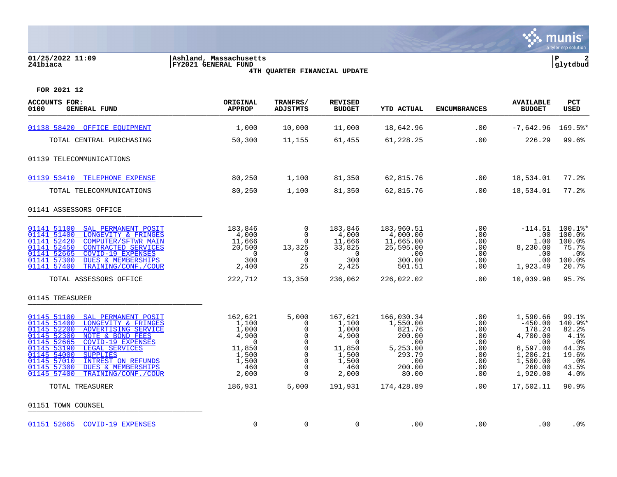# **01/25/2022 11:09 |Ashland, Massachusetts |P 2 241biaca |FY2021 GENERAL FUND |glytdbud**



**4TH QUARTER FINANCIAL UPDATE**

| <b>ACCOUNTS FOR:</b><br>0100<br><b>GENERAL FUND</b>                                                                                                                                                                                                                                                                                                                                    | ORIGINAL<br><b>APPROP</b>                                                                  | <b>TRANFRS/</b><br><b>ADJSTMTS</b>                                                              | <b>REVISED</b><br><b>BUDGET</b>                                                                  | YTD ACTUAL                                                                                        | <b>ENCUMBRANCES</b>                                                      | <b>AVAILABLE</b><br><b>BUDGET</b>                                                                            | <b>PCT</b><br>USED                                                                    |
|----------------------------------------------------------------------------------------------------------------------------------------------------------------------------------------------------------------------------------------------------------------------------------------------------------------------------------------------------------------------------------------|--------------------------------------------------------------------------------------------|-------------------------------------------------------------------------------------------------|--------------------------------------------------------------------------------------------------|---------------------------------------------------------------------------------------------------|--------------------------------------------------------------------------|--------------------------------------------------------------------------------------------------------------|---------------------------------------------------------------------------------------|
| 01138 58420<br>OFFICE EOUIPMENT                                                                                                                                                                                                                                                                                                                                                        | 1,000                                                                                      | 10,000                                                                                          | 11,000                                                                                           | 18,642.96                                                                                         | .00                                                                      | $-7,642.96$                                                                                                  | 169.5%*                                                                               |
| TOTAL CENTRAL PURCHASING                                                                                                                                                                                                                                                                                                                                                               | 50,300                                                                                     | 11,155                                                                                          | 61,455                                                                                           | 61,228.25                                                                                         | .00                                                                      | 226.29                                                                                                       | 99.6%                                                                                 |
| 01139 TELECOMMUNICATIONS                                                                                                                                                                                                                                                                                                                                                               |                                                                                            |                                                                                                 |                                                                                                  |                                                                                                   |                                                                          |                                                                                                              |                                                                                       |
| 01139 53410<br>TELEPHONE EXPENSE                                                                                                                                                                                                                                                                                                                                                       | 80,250                                                                                     | 1,100                                                                                           | 81,350                                                                                           | 62,815.76                                                                                         | .00                                                                      | 18,534.01                                                                                                    | $77.2$ $%$                                                                            |
| TOTAL TELECOMMUNICATIONS                                                                                                                                                                                                                                                                                                                                                               | 80,250                                                                                     | 1,100                                                                                           | 81,350                                                                                           | 62,815.76                                                                                         | .00                                                                      | 18,534.01                                                                                                    | $77.2$ $%$                                                                            |
| 01141 ASSESSORS OFFICE                                                                                                                                                                                                                                                                                                                                                                 |                                                                                            |                                                                                                 |                                                                                                  |                                                                                                   |                                                                          |                                                                                                              |                                                                                       |
| 01141 51100<br>SAL PERMANENT POSIT<br>01141 51400<br>LONGEVITY & FRINGES<br>01141 52420<br><b>COMPUTER/SFTWR MAIN</b><br>01141 52450<br><b>CONTRACTED SERVICES</b><br>01141 52665<br><b>COVID-19 EXPENSES</b><br>01141 57300<br><b>DUES &amp; MEMBERSHIPS</b><br>01141 57400<br>TRAINING/CONF./COUR                                                                                    | 183,846<br>4,000<br>11,666<br>20,500<br>$\Omega$<br>300<br>2,400                           | $\mathbf 0$<br>$\Omega$<br>$\Omega$<br>13,325<br>0<br>$\Omega$<br>25                            | 183,846<br>4,000<br>11,666<br>33,825<br>$\overline{0}$<br>300<br>2,425                           | 183,960.51<br>4,000.00<br>11,665.00<br>25,595.00<br>.00<br>300.00<br>501.51                       | .00<br>.00.<br>.00<br>.00<br>.00<br>.00.<br>.00                          | $-114.51$<br>.00<br>1.00<br>8,230.00<br>.00<br>.00<br>1,923.49                                               | $100.1$ %*<br>$100.0$ <sup>8</sup><br>100.0%<br>75.7%<br>.0%<br>100.0%<br>20.7%       |
| TOTAL ASSESSORS OFFICE                                                                                                                                                                                                                                                                                                                                                                 | 222,712                                                                                    | 13,350                                                                                          | 236,062                                                                                          | 226,022.02                                                                                        | .00                                                                      | 10,039.98                                                                                                    | 95.7%                                                                                 |
| 01145 TREASURER                                                                                                                                                                                                                                                                                                                                                                        |                                                                                            |                                                                                                 |                                                                                                  |                                                                                                   |                                                                          |                                                                                                              |                                                                                       |
| 01145 51100<br>SAL PERMANENT POSIT<br>01145 51400<br>LONGEVITY & FRINGES<br>01145 52200<br>ADVERTISING SERVICE<br>01145 52300<br>NOTE & BOND FEES<br>01145 52665<br><b>COVID-19 EXPENSES</b><br>01145 53190<br>LEGAL SERVICES<br>01145 54000<br><b>SUPPLIES</b><br>01145 57010<br><b>INTREST ON REFUNDS</b><br>01145 57300<br>DUES & MEMBERSHIPS<br>01145 57400<br>TRAINING/CONF./COUR | 162,621<br>1,100<br>1,000<br>4,900<br>$\Omega$<br>11,850<br>1,500<br>1,500<br>460<br>2,000 | 5,000<br>$\Omega$<br>0<br>0<br>$\Omega$<br>$\mathbf 0$<br>$\Omega$<br>0<br>$\Omega$<br>$\Omega$ | 167,621<br>1,100<br>1,000<br>4,900<br>$\overline{0}$<br>11,850<br>1,500<br>1,500<br>460<br>2,000 | 166,030.34<br>1,550.00<br>821.76<br>200.00<br>.00<br>5,253.00<br>293.79<br>.00<br>200.00<br>80.00 | .00<br>.00.<br>.00<br>.00<br>.00<br>.00<br>.00<br>.00<br>$.00 \,$<br>.00 | 1,590.66<br>$-450.00$<br>178.24<br>4,700.00<br>.00<br>6,597.00<br>1,206.21<br>1,500.00<br>260.00<br>1,920.00 | 99.1%<br>140.9%*<br>82.2%<br>4.1%<br>.0%<br>44.3%<br>19.6%<br>$.0\%$<br>43.5%<br>4.0% |
| TOTAL TREASURER                                                                                                                                                                                                                                                                                                                                                                        | 186,931                                                                                    | 5,000                                                                                           | 191,931                                                                                          | 174,428.89                                                                                        | $.00 \,$                                                                 | 17,502.11                                                                                                    | 90.9%                                                                                 |
| 01151 TOWN COUNSEL                                                                                                                                                                                                                                                                                                                                                                     |                                                                                            |                                                                                                 |                                                                                                  |                                                                                                   |                                                                          |                                                                                                              |                                                                                       |
| 01151 52665<br>COVID-19 EXPENSES                                                                                                                                                                                                                                                                                                                                                       | 0                                                                                          | 0                                                                                               | 0                                                                                                | $.00 \,$                                                                                          | $.00 \,$                                                                 | .00                                                                                                          | $.0\%$                                                                                |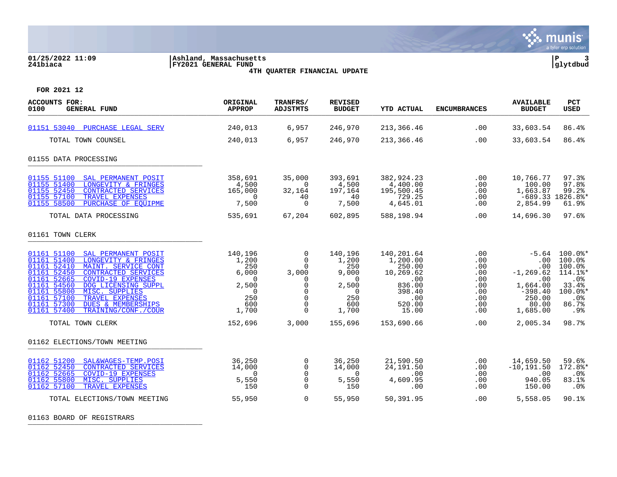

# **01/25/2022 11:09 |Ashland, Massachusetts |P 3 241biaca |FY2021 GENERAL FUND |glytdbud**



**4TH QUARTER FINANCIAL UPDATE**

**FOR 2021 12**

| <b>AVAILABLE</b><br>PCT<br><b>USED</b>                                                                                                                                                              |
|-----------------------------------------------------------------------------------------------------------------------------------------------------------------------------------------------------|
| 86.4%<br>33,603.54                                                                                                                                                                                  |
| 86.4%<br>33,603.54                                                                                                                                                                                  |
|                                                                                                                                                                                                     |
| 97.3%<br>10,766.77<br>97.8%<br>100.00<br>99.2%<br>1,663.87<br>$-689.33$ 1826.8%*<br>2,854.99<br>61.9%<br>97.6%<br>14,696.30                                                                         |
|                                                                                                                                                                                                     |
| $-5.64$ 100.0 $*$<br>.00<br>$100.0$ <sup>8</sup><br>100.0%<br>.00<br>$-1, 269.62$<br>114.1%*<br>.0%<br>.00<br>33.4%<br>1,664.00<br>$-398.40$<br>$100.0$ *<br>250.00<br>.0%<br>80.00<br>86.7%<br>.9% |
| 98.7%                                                                                                                                                                                               |
|                                                                                                                                                                                                     |
| 59.6%<br>172.8%*<br>$.0\%$<br>83.1%<br>.0%<br>90.1%                                                                                                                                                 |
| 1,685.00<br>2,005.34<br>14,659.50<br>$-10, 191.50$<br>.00<br>940.05<br>150.00<br>5,558.05                                                                                                           |

01163 BOARD OF REGISTRARS \_\_\_\_\_\_\_\_\_\_\_\_\_\_\_\_\_\_\_\_\_\_\_\_\_\_\_\_\_\_\_\_\_\_\_\_\_\_\_\_\_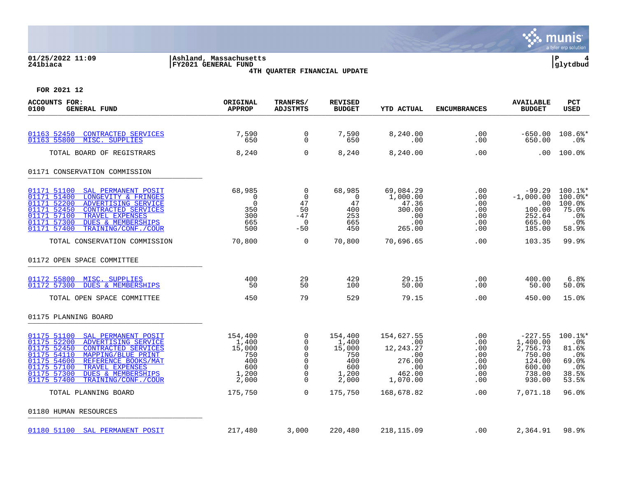

# **01/25/2022 11:09 |Ashland, Massachusetts |P 4 241biaca |FY2021 GENERAL FUND |glytdbud 4TH QUARTER FINANCIAL UPDATE**



| <b>ACCOUNTS FOR:</b><br>0100<br><b>GENERAL FUND</b>                                                                                                                                                                                                                                                                      | ORIGINAL<br><b>APPROP</b>                                         | TRANFRS/<br><b>ADJSTMTS</b>                                                | <b>REVISED</b><br><b>BUDGET</b>                                   | <b>YTD ACTUAL</b>                                                            | <b>ENCUMBRANCES</b>                                                      | <b>AVAILABLE</b><br><b>BUDGET</b>                                                   | <b>PCT</b><br>USED                                                                                      |
|--------------------------------------------------------------------------------------------------------------------------------------------------------------------------------------------------------------------------------------------------------------------------------------------------------------------------|-------------------------------------------------------------------|----------------------------------------------------------------------------|-------------------------------------------------------------------|------------------------------------------------------------------------------|--------------------------------------------------------------------------|-------------------------------------------------------------------------------------|---------------------------------------------------------------------------------------------------------|
| 01163 52450<br><b>CONTRACTED SERVICES</b><br>01163 55800<br>MISC. SUPPLIES                                                                                                                                                                                                                                               | 7,590<br>650                                                      | 0<br>$\Omega$                                                              | 7,590<br>650                                                      | 8,240.00<br>.00                                                              | .00<br>.00                                                               | $-650.00$<br>650.00                                                                 | 108.6%*<br>. 0 %                                                                                        |
| TOTAL BOARD OF REGISTRARS                                                                                                                                                                                                                                                                                                | 8,240                                                             | $\mathbf 0$                                                                | 8,240                                                             | 8,240.00                                                                     | .00                                                                      | .00                                                                                 | 100.0%                                                                                                  |
| 01171 CONSERVATION COMMISSION                                                                                                                                                                                                                                                                                            |                                                                   |                                                                            |                                                                   |                                                                              |                                                                          |                                                                                     |                                                                                                         |
| 01171 51100<br>SAL PERMANENT POSIT<br>01171 51400<br>LONGEVITY & FRINGES<br>01171 52200<br>ADVERTISING SERVICE<br>01171 52450<br>CONTRACTED SERVICES<br>01171 57100<br>TRAVEL EXPENSES<br>01171 57300<br><b>DUES &amp; MEMBERSHIPS</b><br>01171 57400<br>TRAINING/CONF./COUR                                             | 68,985<br>$\mathbf 0$<br>$\Omega$<br>350<br>300<br>665<br>500     | $\mathbf 0$<br>$\mathbf 0$<br>47<br>50<br>$-47$<br>$\overline{0}$<br>$-50$ | 68,985<br>$\overline{0}$<br>47<br>400<br>253<br>665<br>450        | 69,084.29<br>1,000.00<br>47.36<br>300.00<br>.00<br>.00<br>265.00             | $.00 \,$<br>.00<br>.00<br>.00<br>$.00 \,$<br>.00<br>.00                  | $-99.29$<br>$-1,000.00$<br>.00<br>100.00<br>252.64<br>665.00<br>185.00              | $100.1$ %*<br>$100.0$ *<br>100.0%<br>75.0%<br>.0%<br>.0%<br>58.9%                                       |
| TOTAL CONSERVATION COMMISSION                                                                                                                                                                                                                                                                                            | 70,800                                                            | 0                                                                          | 70,800                                                            | 70,696.65                                                                    | .00                                                                      | 103.35                                                                              | 99.9%                                                                                                   |
| 01172 OPEN SPACE COMMITTEE                                                                                                                                                                                                                                                                                               |                                                                   |                                                                            |                                                                   |                                                                              |                                                                          |                                                                                     |                                                                                                         |
| 01172 55800 MISC. SUPPLIES<br>01172 57300<br><b>DUES &amp; MEMBERSHIPS</b>                                                                                                                                                                                                                                               | 400<br>50                                                         | 29<br>50                                                                   | 429<br>100                                                        | 29.15<br>50.00                                                               | .00<br>.00                                                               | 400.00<br>50.00                                                                     | 6.8%<br>50.0%                                                                                           |
| TOTAL OPEN SPACE COMMITTEE                                                                                                                                                                                                                                                                                               | 450                                                               | 79                                                                         | 529                                                               | 79.15                                                                        | .00                                                                      | 450.00                                                                              | 15.0%                                                                                                   |
| 01175 PLANNING BOARD                                                                                                                                                                                                                                                                                                     |                                                                   |                                                                            |                                                                   |                                                                              |                                                                          |                                                                                     |                                                                                                         |
| 01175 51100<br>SAL PERMANENT POSIT<br>01175 52200<br>ADVERTISING SERVICE<br>01175 52450<br><b>CONTRACTED SERVICES</b><br>01175 54110<br>MAPPING/BLUE PRINT<br>01175 54600<br>REFERENCE BOOKS/MAT<br>01175 57100<br>TRAVEL EXPENSES<br>01175 57300<br><b>DUES &amp; MEMBERSHIPS</b><br>01175 57400<br>TRAINING/CONF./COUR | 154,400<br>1,400<br>15,000<br>750<br>400<br>600<br>1,200<br>2,000 | 0<br>0<br>0<br>0<br>$\mathbf 0$<br>0<br>$\Omega$<br>0                      | 154,400<br>1,400<br>15,000<br>750<br>400<br>600<br>1,200<br>2,000 | 154,627.55<br>.00<br>12,243.27<br>.00<br>276.00<br>.00<br>462.00<br>1,070.00 | $.00 \,$<br>.00<br>.00<br>.00<br>.00<br>$.00 \,$<br>$.00 \,$<br>$.00 \,$ | $-227.55$<br>1,400.00<br>2,756.73<br>750.00<br>124.00<br>600.00<br>738.00<br>930.00 | $100.1$ %*<br>.0 <sub>8</sub><br>81.6%<br>.0 <sub>8</sub><br>69.0%<br>.0 <sub>8</sub><br>38.5%<br>53.5% |
| TOTAL PLANNING BOARD                                                                                                                                                                                                                                                                                                     | 175,750                                                           | $\Omega$                                                                   | 175,750                                                           | 168,678.82                                                                   | $.00 \,$                                                                 | 7,071.18                                                                            | 96.0%                                                                                                   |
| 01180 HUMAN RESOURCES                                                                                                                                                                                                                                                                                                    |                                                                   |                                                                            |                                                                   |                                                                              |                                                                          |                                                                                     |                                                                                                         |
| 01180 51100 SAL PERMANENT POSIT                                                                                                                                                                                                                                                                                          | 217,480                                                           | 3,000                                                                      | 220,480                                                           | 218,115.09                                                                   | .00                                                                      | 2,364.91                                                                            | 98.9%                                                                                                   |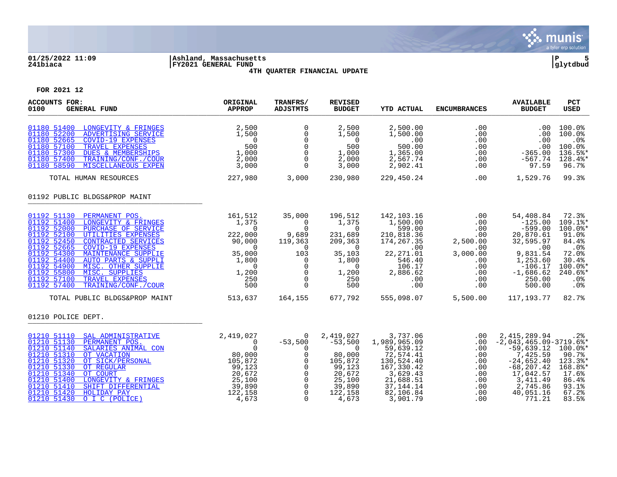

### **01/25/2022 11:09 |Ashland, Massachusetts |P 5 241biaca |FY2021 GENERAL FUND |glytdbud 4TH QUARTER FINANCIAL UPDATE**



| <b>ACCOUNTS FOR:</b><br>0100<br><b>GENERAL FUND</b>                                                                                                                                                                                                                                                                                                                                                                                                     | ORIGINAL<br><b>APPROP</b>                                                                                                 | TRANFRS/<br><b>ADJSTMTS</b>                                                                                                               | <b>REVISED</b><br><b>BUDGET</b>                                                                                                        | <b>YTD ACTUAL</b>                                                                                                                               | <b>ENCUMBRANCES</b>                                                                             | <b>AVAILABLE</b><br><b>BUDGET</b>                                                                                                                                                  | <b>PCT</b><br><b>USED</b>                                                                                          |
|---------------------------------------------------------------------------------------------------------------------------------------------------------------------------------------------------------------------------------------------------------------------------------------------------------------------------------------------------------------------------------------------------------------------------------------------------------|---------------------------------------------------------------------------------------------------------------------------|-------------------------------------------------------------------------------------------------------------------------------------------|----------------------------------------------------------------------------------------------------------------------------------------|-------------------------------------------------------------------------------------------------------------------------------------------------|-------------------------------------------------------------------------------------------------|------------------------------------------------------------------------------------------------------------------------------------------------------------------------------------|--------------------------------------------------------------------------------------------------------------------|
| 01180 51400 LONGEVITY & FRINGES<br>01180 52200<br>ADVERTISING SERVICE<br>01180 52665<br><b>COVID-19 EXPENSES</b><br>01180 57100<br>TRAVEL EXPENSES<br>01180 57300<br><b>DUES &amp; MEMBERSHIPS</b><br>01180 57400<br>TRAINING/CONF./COUR<br>01180 58590<br>MISCELLANEOUS EXPEN                                                                                                                                                                          | 2,500<br>1,500<br>$\overline{0}$<br>500<br>1,000<br>2,000<br>3,000                                                        | $\mathbf 0$<br>0<br>$\mathbf 0$<br>$\overline{0}$<br>$\mathbf 0$<br>$\Omega$<br>$\Omega$                                                  | 2,500<br>1,500<br>$\sim$ 0<br>500<br>1,000<br>2,000<br>3,000                                                                           | 2,500.00<br>1,500.00<br>.00<br>500.00<br>1,365.00<br>2,567.74<br>2,902.41                                                                       | .00<br>.00<br>.00<br>.00<br>.00<br>.00<br>.00                                                   | .00<br>.00<br>.00<br>.00<br>$-365.00$<br>$-567.74$<br>97.59                                                                                                                        | 100.0%<br>100.0%<br>.0%<br>100.0%<br>136.5%*<br>128.4%*<br>96.7%                                                   |
| TOTAL HUMAN RESOURCES                                                                                                                                                                                                                                                                                                                                                                                                                                   | 227,980                                                                                                                   | 3,000                                                                                                                                     | 230,980                                                                                                                                | 229,450.24                                                                                                                                      | .00                                                                                             | 1,529.76                                                                                                                                                                           | 99.3%                                                                                                              |
| 01192 PUBLIC BLDGS&PROP MAINT                                                                                                                                                                                                                                                                                                                                                                                                                           |                                                                                                                           |                                                                                                                                           |                                                                                                                                        |                                                                                                                                                 |                                                                                                 |                                                                                                                                                                                    |                                                                                                                    |
| 01192 51130 PERMANENT POS.<br>01192 51400<br>LONGEVITY & FRINGES<br>01192 52000<br>PURCHASE OF SERVICE<br>01192 52100<br>UTILITIES EXPENSES<br>01192 52450<br>CONTRACTED SERVICES<br>01192 52665<br><b>COVID-19 EXPENSES</b><br>01192 54300<br>MAINTENANCE SUPPLIE<br>01192 54400<br>AUTO PARTS & SUPPLI<br>01192 54900<br>MISC. OTHER SUPPLIE<br>01192 55800<br>MISC. SUPPLIES<br>01192 57100<br>TRAVEL EXPENSES<br>01192 57400<br>TRAINING/CONF./COUR | 161,512<br>1,375<br>$\overline{0}$<br>222,000<br>90,000<br>$\Omega$<br>35,000<br>1,800<br>$\Omega$<br>1,200<br>250<br>500 | 35,000<br>$\overline{0}$<br>$\Omega$<br>9,689<br>119,363<br>0<br>103<br>$\mathbf 0$<br>$\Omega$<br>$\mathbf 0$<br>$\Omega$<br>$\Omega$    | 196,512<br>1,375<br>$\overline{0}$<br>231,689<br>209,363<br>$\overline{0}$<br>35,103<br>1,800<br>$\overline{0}$<br>1,200<br>250<br>500 | 142,103.16<br>1,500.00<br>599.00<br>210,818.36<br>174, 267.35<br>$\sim 00$<br>22,271.01<br>546.40<br>106.17<br>2,886.62<br>.00<br>.00           | $.00 \,$<br>.00<br>.00<br>.00<br>2,500.00<br>.00<br>3,000.00<br>.00<br>.00<br>.00<br>.00<br>.00 | 54,408.84<br>$-125.00$<br>$-599.00$<br>20,870.61<br>32,595.97<br>.00<br>9,831.54<br>1,253.60<br>$-106.17$<br>$-1,686.62$<br>250.00<br>500.00                                       | 72.3%<br>$109.1$ %*<br>100.0%*<br>91.0%<br>84.4%<br>$.0\%$<br>72.0%<br>30.4%<br>$100.0$ *<br>240.6%*<br>.0%<br>.0% |
| TOTAL PUBLIC BLDGS&PROP MAINT                                                                                                                                                                                                                                                                                                                                                                                                                           | 513,637                                                                                                                   | 164,155                                                                                                                                   | 677.792                                                                                                                                | 555,098.07                                                                                                                                      | 5,500.00                                                                                        | 117,193.77                                                                                                                                                                         | 82.7%                                                                                                              |
| 01210 POLICE DEPT.                                                                                                                                                                                                                                                                                                                                                                                                                                      |                                                                                                                           |                                                                                                                                           |                                                                                                                                        |                                                                                                                                                 |                                                                                                 |                                                                                                                                                                                    |                                                                                                                    |
| 01210 51110 SAL ADMINISTRATIVE<br>01210 51130<br>PERMANENT POS.<br>01210 51140<br>SALARIES ANIMAL CON<br>01210 51310<br>OT VACATION<br>01210 51320<br>OT SICK/PERSONAL<br>01210 51330<br>OT REGULAR<br>01210 51340<br>OT COURT<br>01210 51400<br>LONGEVITY & FRINGES<br>01210 51410<br>SHIFT DIFFERENTIAL<br>01210 51420<br>HOLIDAY PAY<br>01210 51430<br>O I C (POLICE)                                                                                | 2,419,027<br>$6.27,02$<br>0<br>80,000<br>105,872<br>99.100<br>20,672<br>25,100<br>39,890<br>122,158<br>4,673              | 0<br>$-53,500$<br>$\Omega$<br>$\overline{0}$<br>$\mathbf 0$<br>$\Omega$<br>$\mathbf 0$<br>$\Omega$<br>$\mathbf 0$<br>$\Omega$<br>$\Omega$ | 2,419,027<br>$-53,500$<br>$\overline{0}$<br>80,000<br>105,872<br>99,123<br>20,672<br>25,100<br>39,890<br>122,158<br>4,673              | 3,737.06<br>1,989,965.09<br>59,639.12<br>72,574.41<br>130,524.40<br>167,330.42<br>3,629.43<br>21,688.51<br>37, 144. 14<br>82,106.84<br>3,901.79 | $.00 \,$<br>.00<br>.00<br>.00<br>.00<br>.00<br>.00<br>.00<br>.00<br>.00                         | 2,415,289.94<br>$.00 - 2,043,465.09 - 3719.6$ <sup>*</sup><br>-59,639.12<br>7,425.59<br>$-24,652.40$<br>$-68, 207.42$<br>17,042.57<br>3, 411.49<br>2,745.86<br>40,051.16<br>771.21 | .2%<br>$100.0$ $*$<br>90.7%<br>123.3%*<br>168.8%*<br>17.6%<br>86.4%<br>93.1%<br>67.2%<br>83.5%                     |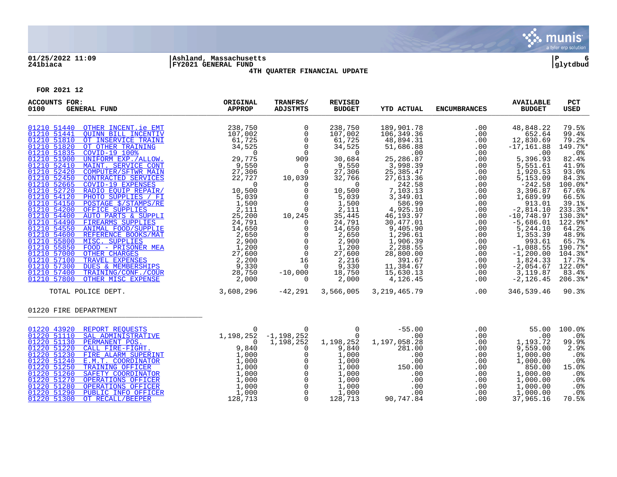

# **01/25/2022 11:09 |Ashland, Massachusetts |P 6 241biaca |FY2021 GENERAL FUND |glytdbud**



**4TH QUARTER FINANCIAL UPDATE**

| <b>ACCOUNTS FOR:</b><br>0100<br><b>GENERAL FUND</b> | ORIGINAL<br>APPROP | TRANFRS/<br><b>ADJSTMTS</b>                                                                                                                                                                                                                                                                                                                  | <b>REVISED</b><br><b>BUDGET</b>                                                                                                                                                                                                                                                    | <b>YTD ACTUAL</b>                                                                                                                                                                                                                                                                                           | <b>ENCUMBRANCES</b>                                                                                                                                                                                                                                                                                                                                    | <b>AVAILABLE</b><br><b>BUDGET</b>                                                                                                                                                                                                                                                                                            | PCT<br><b>USED</b>                                                                                                                                                                                                                              |
|-----------------------------------------------------|--------------------|----------------------------------------------------------------------------------------------------------------------------------------------------------------------------------------------------------------------------------------------------------------------------------------------------------------------------------------------|------------------------------------------------------------------------------------------------------------------------------------------------------------------------------------------------------------------------------------------------------------------------------------|-------------------------------------------------------------------------------------------------------------------------------------------------------------------------------------------------------------------------------------------------------------------------------------------------------------|--------------------------------------------------------------------------------------------------------------------------------------------------------------------------------------------------------------------------------------------------------------------------------------------------------------------------------------------------------|------------------------------------------------------------------------------------------------------------------------------------------------------------------------------------------------------------------------------------------------------------------------------------------------------------------------------|-------------------------------------------------------------------------------------------------------------------------------------------------------------------------------------------------------------------------------------------------|
|                                                     |                    | $\begin{array}{c} 0 \\ 0 \\ 0 \\ 0 \\ 0 \\ 0 \\ 90 \\ 9 \end{array}$<br>$\begin{matrix} 0 \\ 0 \end{matrix}$<br>10,039<br>$\overline{0}$<br>$\mathsf{O}$<br>$\overline{0}$<br>$\overline{0}$<br>$\Omega$<br>10,245<br>$\overline{0}$<br>$\frac{0}{16}$<br>$-10,000$<br>$\Omega$                                                              | 238,750<br>107,002<br>61,725<br>34,525<br>$\sim$ 0<br>30,684<br>9,550<br>27,306<br>32,766<br>$\sim$ 0<br>10,500<br>5,039<br>$5, 0.5$<br>$1, 500$<br>2,111<br>35,445<br>24,791<br>14,650<br>2,650<br>2,900<br>$2,900$<br>$1,200$<br>$27,600$<br>$2,216$<br>9,330<br>18,750<br>2,000 | 189,901.78<br>106,349.36<br>48,894.31<br>51,686.88<br>.00<br>25,286.87<br>3,998.39<br>25,385.47<br>27,613.36<br>242.58<br>7,103.13<br>3,349.01<br>586.99<br>4,925.10<br>46,193.97<br>30,477.01<br>9,405.90<br>1,296.61<br>1,906.39<br>2,288.55<br>28,800.00<br>391.67<br>11,384.67<br>15,630.13<br>4,126.45 | $\begin{array}{cccc} & . & 00 & . & 00 & . & 00 & . & 00 & . & 00 & . & 00 & . & 00 & . & 00 & . & 00 & . & 00 & . & 00 & . & 00 & . & 00 & . & 00 & . & 00 & . & 00 & . & 00 & . & 00 & . & 00 & . & 00 & . & 00 & . & 00 & . & 00 & . & 00 & . & 00 & . & 00 & . & 00 & . & 00 & . & 00 & . & 00 & . & 00 & . & 00 & . & 00 & . & 00 & . & 00 & . &$ | 48,848.22<br>652.64<br>12,830.69<br>$-17, 161.88$<br>.00<br>5,396.93<br>5,551.61<br>1,920.53<br>5,153.09<br>$-242.58$<br>3,396.87<br>1,689.99<br>913.01<br>$-2,814.10$<br>$-10,748.97$<br>$-5,686.01$<br>5,244.10<br>1,353.39<br>993.61<br>$-1,088.55$<br>$-1, 200.00$<br>1,824.33<br>$-2,054.67$<br>3,119.87<br>$-2,126.45$ | 79.5%<br>99.4%<br>79.2%<br>149.7%*<br>.0%<br>82.4%<br>41.9%<br>93.0%<br>84.3%<br>100.0%*<br>67.6%<br>66.5%<br>39.1%<br>233.3%*<br>130.3%*<br>122.9%*<br>64.2%<br>48.9%<br>65.7%<br>190.7%*<br>104.3%*<br>17.7%<br>122.0%*<br>83.4%<br>$206.3$ * |
| TOTAL POLICE DEPT.                                  | 3,608,296          |                                                                                                                                                                                                                                                                                                                                              | $-42,291$ 3,566,005                                                                                                                                                                                                                                                                | 3, 219, 465. 79                                                                                                                                                                                                                                                                                             | .00                                                                                                                                                                                                                                                                                                                                                    | 346,539.46                                                                                                                                                                                                                                                                                                                   | 90.3%                                                                                                                                                                                                                                           |
| 01220 FIRE DEPARTMENT                               |                    |                                                                                                                                                                                                                                                                                                                                              |                                                                                                                                                                                                                                                                                    |                                                                                                                                                                                                                                                                                                             |                                                                                                                                                                                                                                                                                                                                                        |                                                                                                                                                                                                                                                                                                                              |                                                                                                                                                                                                                                                 |
| 01220 43920 REPORT REQUESTS                         | $\overline{0}$     | 1,198,252<br>$\begin{bmatrix} 1 & 1 & 0 & 0 & 0 \\ 0 & 0 & 0 & 0 \\ 0 & 0 & 0 & 0 \\ 0 & 0 & 0 & 0 \\ 0 & 0 & 0 & 0 \\ 0 & 0 & 0 & 0 \\ 0 & 0 & 0 & 0 \\ 0 & 0 & 0 & 0 \\ 0 & 0 & 0 & 0 \\ 0 & 0 & 0 & 0 \\ 0 & 0 & 0 & 0 \\ 0 & 0 & 0 & 0 \\ 0 & 0 & 0 & 0 \\ 0 & 0 & 0 & 0 \\ 0 & 0 & 0 & 0 \\ 0 & 0 & 0 & 0 \\ 0 & 0 & 0 & 0 \\ 0 & 0 & $ | 9,840<br>1,000<br>1,000<br>1,000<br>1,000<br>1,000<br>1,000<br>1,000<br>128,713                                                                                                                                                                                                    | $-1, 198, 252$ $0$ $-55.00$<br>00<br>1, 198, 252 1, 197, 058. 28<br>281.00<br>$\begin{array}{c} 0.00 \ 150.00 \ 0.00 \ 0.0 \end{array}$<br>.00<br>00 .<br>00 .<br>90 ,747 .84                                                                                                                               | .00<br>.00<br>.00<br>.00<br>.00<br>.00<br>.00<br>.00<br>.00<br>.00<br>.00                                                                                                                                                                                                                                                                              | .00<br>55.00<br>.00<br>1,193.72<br>9,559.00<br>1,000.00<br>1,000.00<br>850.00<br>1,000.00<br>1,000.00<br>1,000.00<br>1,000.00<br>37,965.16                                                                                                                                                                                   | 100.0%<br>.0%<br>99.9%<br>2.9%<br>.0%<br>$.0\%$<br>15.0%<br>$.0\%$<br>.0%<br>.0%<br>$.0\%$<br>70.5%                                                                                                                                             |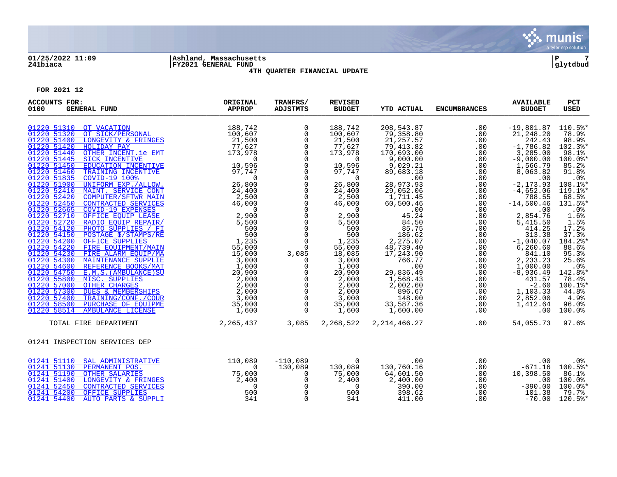

# **01/25/2022 11:09 |Ashland, Massachusetts |P 7 241biaca |FY2021 GENERAL FUND |glytdbud**



**4TH QUARTER FINANCIAL UPDATE**

| <b>ACCOUNTS FOR:</b><br><b>GENERAL FUND</b><br>0100                                                                                                                                                                                                                                                                                                                                                                                                                                                                                                                                                                                                                                                                                                                                                                                                                                                                                                                                  | ORIGINAL<br>APPROP                                                                                                                                                                                                                                                                                                                                                                                                                                                                                                                                                                                      | TRANFRS/<br><b>ADJSTMTS</b>                                                                                                                                                                                                                                                                                                                                     | <b>REVISED</b><br><b>BUDGET</b>                                                                                                                                                                                                                                                                            | <b>YTD ACTUAL</b>                                                                                                                                                                                                                                                                                                                          | <b>ENCUMBRANCES</b>                                                                                                                                                                                     | <b>AVAILABLE</b><br><b>BUDGET</b>                                                                                                                                                                                                                                                                                                                              | PCT<br>USED                                                                                                                                                                                                                                                                              |
|--------------------------------------------------------------------------------------------------------------------------------------------------------------------------------------------------------------------------------------------------------------------------------------------------------------------------------------------------------------------------------------------------------------------------------------------------------------------------------------------------------------------------------------------------------------------------------------------------------------------------------------------------------------------------------------------------------------------------------------------------------------------------------------------------------------------------------------------------------------------------------------------------------------------------------------------------------------------------------------|---------------------------------------------------------------------------------------------------------------------------------------------------------------------------------------------------------------------------------------------------------------------------------------------------------------------------------------------------------------------------------------------------------------------------------------------------------------------------------------------------------------------------------------------------------------------------------------------------------|-----------------------------------------------------------------------------------------------------------------------------------------------------------------------------------------------------------------------------------------------------------------------------------------------------------------------------------------------------------------|------------------------------------------------------------------------------------------------------------------------------------------------------------------------------------------------------------------------------------------------------------------------------------------------------------|--------------------------------------------------------------------------------------------------------------------------------------------------------------------------------------------------------------------------------------------------------------------------------------------------------------------------------------------|---------------------------------------------------------------------------------------------------------------------------------------------------------------------------------------------------------|----------------------------------------------------------------------------------------------------------------------------------------------------------------------------------------------------------------------------------------------------------------------------------------------------------------------------------------------------------------|------------------------------------------------------------------------------------------------------------------------------------------------------------------------------------------------------------------------------------------------------------------------------------------|
| 01220 51310 OT VACATION<br>01220 51320 OT SICK/PERSONAL<br>01220 51400<br>LONGEVITY & FRINGES<br>01220 51420 HOLIDAY PAY<br>01220 51440<br>OTHER INCENT. ie EMT<br>01220 51445 SICK INCENTIVE<br>01220 51450 EDUCATION INCENTIVE<br>01220 51460 TRAINING INCENTIVE<br>01220 51835 COVID-19 100%<br>01220 51900 UNIFORM EXP./ALLOW.<br>01220 52410<br>MAINT. SERVICE CONT<br>01220 52420<br><b>COMPUTER/SFTWR MAIN</b><br>01220 52450<br>CONTRACTED SERVICES<br>01220 52665<br><b>COVID-19 EXPENSES</b><br>01220 52710<br>OFFICE EQUIP LEASE<br>01220 52720<br>RADIO EQUIP REPAIR/<br>01220 54120<br>PHOTO SUPPLIES / FI<br>POSTAGE \$/STAMPS/RE<br>01220 54150<br>01220 54200 OFFICE SUPPLIES<br>01220 54220<br>FIRE EOUIPMENT/MAIN<br>01220 54230 FIRE ELARM EQUIP/MA<br>01220 54230 FIRE ELARM EQUIP/MA<br>01220 54300 MAINTENANCE SUPPLIE<br>01220 54600 REFERENCE BOOKS/MAT<br>01220 55600 MISC. SUPPLIE<br>20,900<br>01220 55600 MISC. SUPPLIES<br>20,000<br>01220 57300 DUES & | 188,742<br>$100, 607$<br>$21, 500$<br>$77, 627$<br>$\begin{tabular}{ll} \hline \multicolumn{2}{c} {\bf EMT} & \multicolumn{2}{c} {\bf 77,627} \\ \hline \multicolumn{2}{c} {\bf EMT} & \multicolumn{2}{c} {\bf 173,978} \\ \hline {\bf TIVE} & \multicolumn{2}{c} {\bf 10,596} \\ \hline \hline \textbf{IVE} & \multicolumn{2}{c} {\bf 97,747} \\ \hline \textbf{LOW.} & \multicolumn{2}{c} {\bf 26,800} \\ \textbf{MATN} & \multicolumn{2}{c} {\bf 27,747} \\ \hline \end{tabular}$<br>$\begin{array}{r} 24,400\ 46,000\ 9 \ 2,900\ 5,5000\ 5,5000\ 1,2335\ 55,000\ 15,000\ 3,000\ 3,000\ \end{array}$ | 0<br>$\mathsf{O}$<br>$\overline{0}$<br>$\mathsf{O}$<br>$\mathsf{O}$<br>$\mathsf{O}$<br>$\mathsf 0$<br>$\overline{0}$<br>0<br>$\overline{0}$<br>0<br>$\overline{0}$<br>$\mathsf 0$<br>$\mathsf{O}$<br>$\mathsf{O}$<br>$\overline{0}$<br>$\overline{0}$<br>$\overline{0}$<br>$\mathsf 0$<br>3,085<br>$\mathsf{O}$<br>$\mathsf{O}$<br>$\frac{1}{2}$<br>$\mathsf 0$ | 188,742<br>100,607<br>21,500<br>77,627<br>173,978<br>$\overline{0}$<br>10,596<br>97,747<br>$\overline{0}$<br>26,800<br>24,400<br>2,500<br>46,000<br>$\overline{0}$<br>2,900<br>5,500<br>500<br>500<br>1, 235<br>55,000<br>18,085<br>3,000<br>1,000<br>20,900<br>2,000<br>2,000<br>2,000<br>3,000<br>35,000 | 208,543.87<br>79,358.80<br>21, 257.57<br>79,413.82<br>170,693.00<br>9,000.00<br>9,029.21<br>89,683.18<br>.00<br>28,973.93<br>29,052.06<br>1,711.45<br>60,500.46<br>45.00<br>45.24<br>84.50<br>85.75<br>186.62<br>2,275.07<br>48,739.40<br>17,243.90<br>766.77<br>.00<br>29,836.49<br>1,568.43<br>2,002.60<br>896.67<br>148.00<br>33,587.36 | .00<br>.00<br>.00<br>.00<br>.00<br>.00<br>.00<br>.00<br>.00<br>.00<br>.00<br>.00<br>.00<br>.00<br>.00<br>.00<br>.00<br>.00<br>.00<br>.00<br>.00<br>.00<br>.00<br>.00<br>.00<br>.00<br>.00<br>.00<br>.00 | $-19,801.87$<br>21,248.20<br>242.43<br>$-1,786.82$<br>3,285.00<br>$-9,000.00$<br>1,566.79<br>8,063.82<br>.00<br>$-2, 173.93$<br>$-4,652.06$<br>788.55<br>$-14,500.46$<br>.00<br>2,854.76<br>5,415.50<br>414.25<br>$313.38$<br>-1,040.07<br>6, 260.60<br>841.10<br>2,233.23<br>1,000.00<br>$-8,936.49$<br>431.57<br>$-2.60$<br>1,103.33<br>2,852.00<br>1,412.64 | 110.5%*<br>78.9%<br>98.9%<br>102.3%*<br>98.1%<br>100.0%*<br>85.2%<br>91.8%<br>.0 <sup>8</sup><br>108.1%*<br>$119.1$ *<br>68.5%<br>131.5%*<br>.0%<br>1.6%<br>1.5%<br>17.2%<br>37.3%<br>184.2%*<br>88.6%<br>95.3%<br>25.6%<br>.0%<br>142.8%*<br>78.4%<br>100.1%*<br>44.8%<br>4.9%<br>96.0% |
| TOTAL FIRE DEPARTMENT                                                                                                                                                                                                                                                                                                                                                                                                                                                                                                                                                                                                                                                                                                                                                                                                                                                                                                                                                                | 2,265,437                                                                                                                                                                                                                                                                                                                                                                                                                                                                                                                                                                                               | $\overline{0}$<br>3,085                                                                                                                                                                                                                                                                                                                                         | 1,600<br>2,268,522                                                                                                                                                                                                                                                                                         | 1,600.00<br>2,214,466.27                                                                                                                                                                                                                                                                                                                   | .00<br>$.00 \,$                                                                                                                                                                                         | .00<br>54,055.73                                                                                                                                                                                                                                                                                                                                               | 100.0%<br>97.6%                                                                                                                                                                                                                                                                          |
| 01241 INSPECTION SERVICES DEP                                                                                                                                                                                                                                                                                                                                                                                                                                                                                                                                                                                                                                                                                                                                                                                                                                                                                                                                                        |                                                                                                                                                                                                                                                                                                                                                                                                                                                                                                                                                                                                         |                                                                                                                                                                                                                                                                                                                                                                 |                                                                                                                                                                                                                                                                                                            |                                                                                                                                                                                                                                                                                                                                            |                                                                                                                                                                                                         |                                                                                                                                                                                                                                                                                                                                                                |                                                                                                                                                                                                                                                                                          |
| 01241 51110 SAL ADMINISTRATIVE<br>01241 51130 PERMANENT POS.<br>01241 51190 OTHER SALARIES<br>01241 51400 LONGEVITY & FRINGES<br>01241 52450<br>CONTRACTED SERVICES<br>01241 54200<br>OFFICE SUPPLIES<br>01241 54400<br>AUTO PARTS & SUPPLI                                                                                                                                                                                                                                                                                                                                                                                                                                                                                                                                                                                                                                                                                                                                          | 110,089<br><u>NGES</u><br>T <sub>15</sub> ,000<br>T <sub>15</sub> ,000<br>75,000<br>2,400<br>2,400<br>500<br>500<br>341                                                                                                                                                                                                                                                                                                                                                                                                                                                                                 | $-110,089$<br>130,089<br>$\overline{0}$<br>$\overline{0}$<br>$\overline{0}$<br>$\overline{0}$<br>0                                                                                                                                                                                                                                                              | $\sim$ 0<br>130,089<br>75,000<br>2,400<br>$\overline{0}$<br>500<br>341                                                                                                                                                                                                                                     | .00<br>130,760.16<br>64,601.50<br>2,400.00<br>390.00<br>398.62<br>411.00                                                                                                                                                                                                                                                                   | .00<br>.00<br>.00<br>.00<br>.00<br>$.00 \,$<br>.00                                                                                                                                                      | .00<br>$-671.16$ 100.5%*<br>10,398.50<br>$-390.00$<br>101.38<br>$-70.00$                                                                                                                                                                                                                                                                                       | .0 <sub>8</sub><br>86.1%<br>.00 100.08<br>100.0%*<br>79.7%<br>120.5%*                                                                                                                                                                                                                    |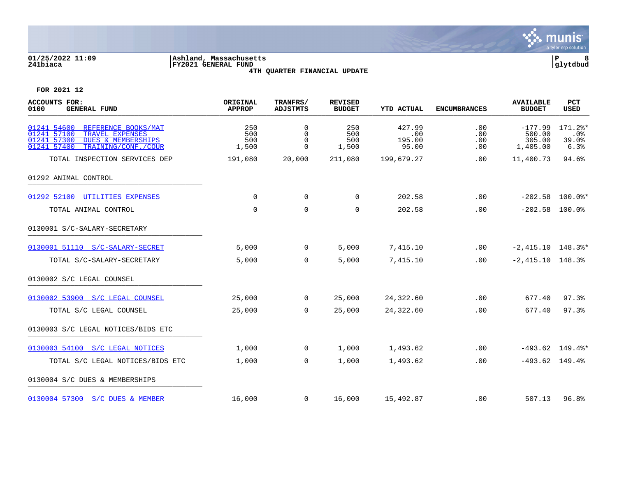

### **01/25/2022 11:09 |Ashland, Massachusetts |P 8 241biaca |FY2021 GENERAL FUND |glytdbud 4TH QUARTER FINANCIAL UPDATE**

| <b>ACCOUNTS FOR:</b><br>0100<br><b>GENERAL FUND</b>                                                                                                        | ORIGINAL<br><b>APPROP</b>  | TRANFRS/<br><b>ADJSTMTS</b>                     | <b>REVISED</b><br><b>BUDGET</b> | <b>YTD ACTUAL</b>                | <b>ENCUMBRANCES</b>      | <b>AVAILABLE</b><br><b>BUDGET</b>         | PCT<br>USED                          |
|------------------------------------------------------------------------------------------------------------------------------------------------------------|----------------------------|-------------------------------------------------|---------------------------------|----------------------------------|--------------------------|-------------------------------------------|--------------------------------------|
| 01241 54600<br>REFERENCE BOOKS/MAT<br>01241 57100<br>TRAVEL EXPENSES<br>01241 57300<br><b>DUES &amp; MEMBERSHIPS</b><br>01241 57400<br>TRAINING/CONF./COUR | 250<br>500<br>500<br>1,500 | $\Omega$<br>$\mathbf 0$<br>$\Omega$<br>$\Omega$ | 250<br>500<br>500<br>1,500      | 427.99<br>.00<br>195.00<br>95.00 | .00<br>.00<br>.00<br>.00 | $-177.99$<br>500.00<br>305.00<br>1,405.00 | $171.2$ *<br>$.0\%$<br>39.0%<br>6.3% |
| TOTAL INSPECTION SERVICES DEP                                                                                                                              | 191,080                    | 20,000                                          | 211,080                         | 199,679.27                       | .00                      | 11,400.73                                 | 94.6%                                |
| 01292 ANIMAL CONTROL                                                                                                                                       |                            |                                                 |                                 |                                  |                          |                                           |                                      |
| 01292 52100 UTILITIES EXPENSES                                                                                                                             | 0                          | 0                                               | 0                               | 202.58                           | .00                      |                                           | $-202.58$ 100.0%*                    |
| TOTAL ANIMAL CONTROL                                                                                                                                       | $\mathbf 0$                | $\mathbf 0$                                     | $\mathbf 0$                     | 202.58                           | .00                      | $-202.58$ 100.0%                          |                                      |
| 0130001 S/C-SALARY-SECRETARY                                                                                                                               |                            |                                                 |                                 |                                  |                          |                                           |                                      |
| 0130001 51110 S/C-SALARY-SECRET                                                                                                                            | 5,000                      | $\overline{0}$                                  | 5,000                           | 7,415.10                         | .00                      | $-2,415.10$ 148.3%*                       |                                      |
| TOTAL S/C-SALARY-SECRETARY                                                                                                                                 | 5,000                      | $\mathbf{0}$                                    | 5,000                           | 7,415.10                         | .00                      | $-2,415.10$ 148.3%                        |                                      |
| 0130002 S/C LEGAL COUNSEL                                                                                                                                  |                            |                                                 |                                 |                                  |                          |                                           |                                      |
| 0130002 53900 S/C LEGAL COUNSEL                                                                                                                            | 25,000                     | $\mathsf{O}$                                    | 25,000                          | 24,322.60                        | .00                      | 677.40                                    | 97.3%                                |
| TOTAL S/C LEGAL COUNSEL                                                                                                                                    | 25,000                     | $\mathbf 0$                                     | 25,000                          | 24,322.60                        | .00                      | 677.40                                    | 97.3%                                |
| 0130003 S/C LEGAL NOTICES/BIDS ETC                                                                                                                         |                            |                                                 |                                 |                                  |                          |                                           |                                      |
| 0130003 54100 S/C LEGAL NOTICES                                                                                                                            | 1,000                      | $\overline{0}$                                  | 1,000                           | 1,493.62                         | .00                      |                                           | $-493.62$ 149.4%*                    |
| TOTAL S/C LEGAL NOTICES/BIDS ETC                                                                                                                           | 1,000                      | $\mathbf{0}$                                    | 1,000                           | 1,493.62                         | .00                      | $-493.62$ 149.4%                          |                                      |
| 0130004 S/C DUES & MEMBERSHIPS                                                                                                                             |                            |                                                 |                                 |                                  |                          |                                           |                                      |
| 0130004 57300 S/C DUES & MEMBER                                                                                                                            | 16,000                     | $\overline{0}$                                  | 16,000                          | 15,492.87                        | .00                      | 507.13                                    | 96.8%                                |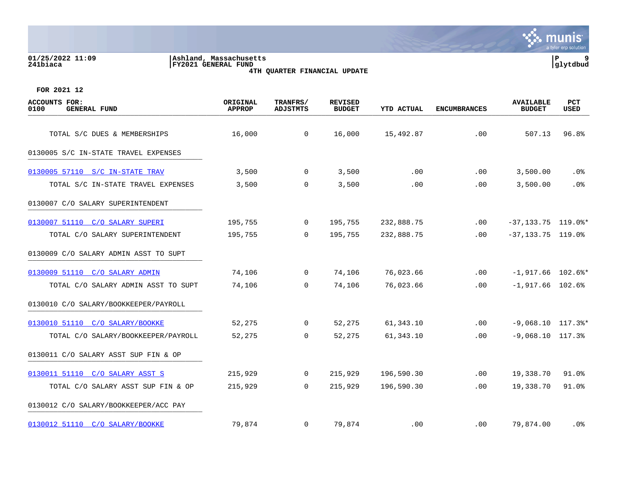#### **01/25/2022 11:09 |Ashland, Massachusetts |P 9 241biaca |FY2021 GENERAL FUND |glytdbud 4TH QUARTER FINANCIAL UPDATE**



| <b>ACCOUNTS FOR:</b><br>0100<br><b>GENERAL FUND</b> | ORIGINAL<br><b>APPROP</b> | TRANFRS/<br><b>ADJSTMTS</b> | <b>REVISED</b><br><b>BUDGET</b> | <b>YTD ACTUAL</b> | <b>ENCUMBRANCES</b> | <b>AVAILABLE</b><br><b>BUDGET</b> | <b>PCT</b><br>USED |
|-----------------------------------------------------|---------------------------|-----------------------------|---------------------------------|-------------------|---------------------|-----------------------------------|--------------------|
| TOTAL S/C DUES & MEMBERSHIPS                        | 16,000                    | $\mathbf 0$                 | 16,000                          | 15,492.87         | .00                 | 507.13                            | 96.8%              |
| 0130005 S/C IN-STATE TRAVEL EXPENSES                |                           |                             |                                 |                   |                     |                                   |                    |
| 0130005 57110 S/C IN-STATE TRAV                     | 3,500                     | $\mathbf 0$                 | 3,500                           | .00               | $.00 \,$            | 3,500.00                          | $.0\%$             |
| TOTAL S/C IN-STATE TRAVEL EXPENSES                  | 3,500                     | 0                           | 3,500                           | .00               | .00                 | 3,500.00                          | .0%                |
| 0130007 C/O SALARY SUPERINTENDENT                   |                           |                             |                                 |                   |                     |                                   |                    |
| 0130007 51110 C/O SALARY SUPERI                     | 195,755                   | $\mathbf 0$                 | 195,755                         | 232,888.75        | .00                 | $-37, 133.75$ 119.0%*             |                    |
| TOTAL C/O SALARY SUPERINTENDENT                     | 195,755                   | $\Omega$                    | 195,755                         | 232,888.75        | $.00 \,$            | $-37, 133.75$ 119.0%              |                    |
| 0130009 C/O SALARY ADMIN ASST TO SUPT               |                           |                             |                                 |                   |                     |                                   |                    |
| 0130009 51110 C/O SALARY ADMIN                      | 74,106                    | $\overline{0}$              | 74,106                          | 76,023.66         | .00                 | $-1,917.66$ 102.6%*               |                    |
| TOTAL C/O SALARY ADMIN ASST TO SUPT                 | 74,106                    | $\Omega$                    | 74,106                          | 76,023.66         | .00.                | $-1,917.66$ 102.6%                |                    |
| 0130010 C/O SALARY/BOOKKEEPER/PAYROLL               |                           |                             |                                 |                   |                     |                                   |                    |
| 0130010 51110 C/O SALARY/BOOKKE                     | 52,275                    | $\mathbf{0}$                | 52,275                          | 61,343.10         | .00                 | $-9,068.10$ 117.3%*               |                    |
| TOTAL C/O SALARY/BOOKKEEPER/PAYROLL                 | 52,275                    | $\overline{0}$              | 52,275                          | 61,343.10         | .00                 | $-9,068.10$ 117.3%                |                    |
| 0130011 C/O SALARY ASST SUP FIN & OP                |                           |                             |                                 |                   |                     |                                   |                    |
| 0130011 51110 C/O SALARY ASST S                     | 215,929                   | $\mathbf{0}$                | 215,929                         | 196,590.30        | .00                 | 19,338.70                         | 91.0%              |
| TOTAL C/O SALARY ASST SUP FIN & OP                  | 215,929                   | $\overline{0}$              | 215,929                         | 196,590.30        | .00                 | 19,338.70                         | 91.0%              |
| 0130012 C/O SALARY/BOOKKEEPER/ACC PAY               |                           |                             |                                 |                   |                     |                                   |                    |
| 0130012 51110 C/O SALARY/BOOKKE                     | 79,874                    | $\mathbf{0}$                | 79,874                          | .00               | $.00 \,$            | 79,874.00                         | . 0%               |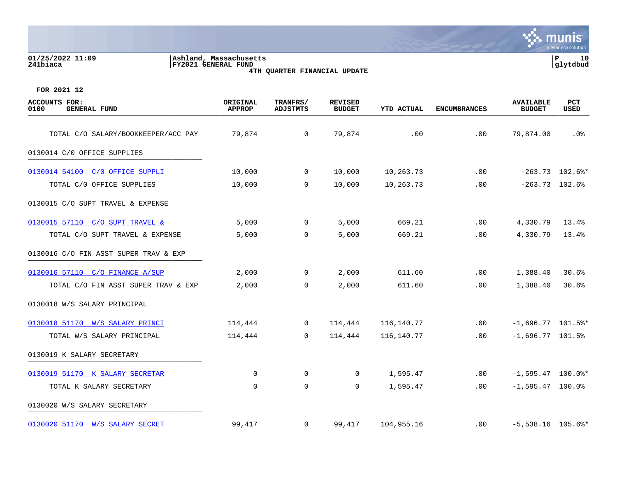| 01/25/2022 11:09<br>241biaca                        | Ashland, Massachusetts<br>FY2021 GENERAL FUND | 4TH QUARTER FINANCIAL UPDATE |                                 |            |                     |                                   |                   |
|-----------------------------------------------------|-----------------------------------------------|------------------------------|---------------------------------|------------|---------------------|-----------------------------------|-------------------|
| FOR 2021 12                                         |                                               |                              |                                 |            |                     |                                   |                   |
| <b>ACCOUNTS FOR:</b><br><b>GENERAL FUND</b><br>0100 | ORIGINAL<br><b>APPROP</b>                     | TRANFRS/<br><b>ADJSTMTS</b>  | <b>REVISED</b><br><b>BUDGET</b> | YTD ACTUAL | <b>ENCUMBRANCES</b> | <b>AVAILABLE</b><br><b>BUDGET</b> | PCT<br>USED       |
| TOTAL C/O SALARY/BOOKKEEPER/ACC PAY                 | 79,874                                        | $\mathbf 0$                  | 79,874                          | .00        | .00                 | 79,874.00                         | .0 <sup>8</sup>   |
| 0130014 C/0 OFFICE SUPPLIES                         |                                               |                              |                                 |            |                     |                                   |                   |
| 0130014 54100 C/O OFFICE SUPPLI                     | 10,000                                        | 0                            | 10,000                          | 10,263.73  | .00                 |                                   | $-263.73$ 102.6%* |
| TOTAL C/0 OFFICE SUPPLIES                           | 10,000                                        | $\mathbf 0$                  | 10,000                          | 10,263.73  | .00                 |                                   | $-263.73$ 102.6%  |
| 0130015 C/O SUPT TRAVEL & EXPENSE                   |                                               |                              |                                 |            |                     |                                   |                   |
| 0130015 57110 C/O SUPT TRAVEL &                     | 5,000                                         | 0                            | 5,000                           | 669.21     | .00                 | 4,330.79                          | 13.4%             |
| TOTAL C/O SUPT TRAVEL & EXPENSE                     | 5,000                                         | $\mathbf 0$                  | 5,000                           | 669.21     | .00                 | 4,330.79                          | 13.4%             |
| 0130016 C/O FIN ASST SUPER TRAV & EXP               |                                               |                              |                                 |            |                     |                                   |                   |
| 0130016 57110 C/O FINANCE A/SUP                     | 2,000                                         | 0                            | 2,000                           | 611.60     | .00                 | 1,388.40                          | 30.6%             |
| TOTAL C/O FIN ASST SUPER TRAV & EXP                 | 2,000                                         | 0                            | 2,000                           | 611.60     | .00                 | 1,388.40                          | 30.6%             |
| 0130018 W/S SALARY PRINCIPAL                        |                                               |                              |                                 |            |                     |                                   |                   |
| 0130018 51170 W/S SALARY PRINCI                     | 114,444                                       | 0                            | 114,444                         | 116,140.77 | .00                 | $-1,696.77$ 101.5%*               |                   |
| TOTAL W/S SALARY PRINCIPAL                          | 114,444                                       | 0                            | 114,444                         | 116,140.77 | .00                 | $-1,696.77$ 101.5%                |                   |
| 0130019 K SALARY SECRETARY                          |                                               |                              |                                 |            |                     |                                   |                   |
| 0130019 51170 K SALARY SECRETAR                     | 0                                             | 0                            | 0                               | 1,595.47   | .00                 | $-1,595.47$ 100.0%*               |                   |
| TOTAL K SALARY SECRETARY                            | $\mathbf 0$                                   | $\mathbf 0$                  | 0                               | 1,595.47   | .00                 | $-1,595.47$ 100.0%                |                   |
| 0130020 W/S SALARY SECRETARY                        |                                               |                              |                                 |            |                     |                                   |                   |

[0130020 51170 W/S SALARY SECRET](https://yvwlndash063.tylertech.com/sites/mu0241/LIVE/_layouts/15/DashboardMunisV6.3/PassThru.aspx?-E=GbtpLfgq7NbxTw6ce1Bt%2BBI/4fMHw3aBURpFunX4cO/Kf5hF/XV4AHHOU%2BhhebqK&) 39,417 0 99,417 104,955.16 .00 -5,538.16 105.6%\*

**Society MUNIS**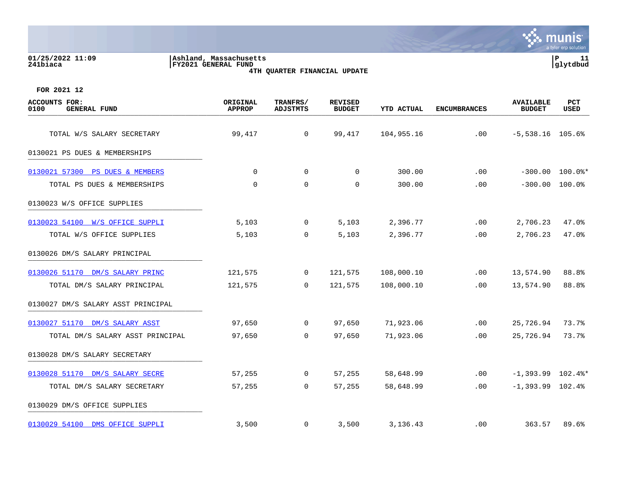| 01/25/2022 11:09<br>241biaca                        | Ashland, Massachusetts<br>FY2021 GENERAL FUND | 4TH QUARTER FINANCIAL UPDATE |                                 |            |                     |                                   | ${\bf P}$<br>11<br>glytdbud |
|-----------------------------------------------------|-----------------------------------------------|------------------------------|---------------------------------|------------|---------------------|-----------------------------------|-----------------------------|
| FOR 2021 12                                         |                                               |                              |                                 |            |                     |                                   |                             |
| <b>ACCOUNTS FOR:</b><br><b>GENERAL FUND</b><br>0100 | ORIGINAL<br><b>APPROP</b>                     | TRANFRS/<br><b>ADJSTMTS</b>  | <b>REVISED</b><br><b>BUDGET</b> | YTD ACTUAL | <b>ENCUMBRANCES</b> | <b>AVAILABLE</b><br><b>BUDGET</b> | PCT<br><b>USED</b>          |
| TOTAL W/S SALARY SECRETARY                          | 99,417                                        | $\mathsf{O}$                 | 99,417                          | 104,955.16 | .00                 | $-5,538.16$ 105.6%                |                             |
| 0130021 PS DUES & MEMBERSHIPS                       |                                               |                              |                                 |            |                     |                                   |                             |
| 0130021 57300 PS DUES & MEMBERS                     | 0                                             | 0                            | 0                               | 300.00     | .00                 |                                   | $-300.00$ $100.0$ *         |
| TOTAL PS DUES & MEMBERSHIPS                         | $\mathbf 0$                                   | $\mathbf 0$                  | 0                               | 300.00     | .00                 |                                   | $-300.00$ $100.0$           |
| 0130023 W/S OFFICE SUPPLIES                         |                                               |                              |                                 |            |                     |                                   |                             |
| 0130023 54100 W/S OFFICE SUPPLI                     | 5,103                                         | $\mathbf 0$                  | 5,103                           | 2,396.77   | .00                 | 2,706.23                          | 47.0%                       |
| TOTAL W/S OFFICE SUPPLIES                           | 5,103                                         | 0                            | 5,103                           | 2,396.77   | .00                 | 2,706.23                          | 47.0%                       |
| 0130026 DM/S SALARY PRINCIPAL                       |                                               |                              |                                 |            |                     |                                   |                             |
| 0130026 51170 DM/S SALARY PRINC                     | 121,575                                       | $\mathbf 0$                  | 121,575                         | 108,000.10 | .00                 | 13,574.90                         | 88.8%                       |
| TOTAL DM/S SALARY PRINCIPAL                         | 121,575                                       | $\mathbf 0$                  | 121,575                         | 108,000.10 | .00                 | 13,574.90                         | 88.8%                       |
| 0130027 DM/S SALARY ASST PRINCIPAL                  |                                               |                              |                                 |            |                     |                                   |                             |
| 0130027 51170 DM/S SALARY ASST                      | 97,650                                        | 0                            | 97,650                          | 71,923.06  | .00                 | 25,726.94                         | 73.7%                       |
| TOTAL DM/S SALARY ASST PRINCIPAL                    | 97,650                                        | $\mathbf 0$                  | 97,650                          | 71,923.06  | .00                 | 25,726.94                         | 73.7%                       |
| 0130028 DM/S SALARY SECRETARY                       |                                               |                              |                                 |            |                     |                                   |                             |
| 0130028 51170 DM/S SALARY SECRE                     | 57,255                                        | 0                            | 57,255                          | 58,648.99  | .00                 | $-1,393.99$ $102.4$ <sup>*</sup>  |                             |
| TOTAL DM/S SALARY SECRETARY                         | 57,255                                        | 0                            | 57,255                          | 58,648.99  | .00                 | $-1,393.99$ $102.4%$              |                             |

0130029 DM/S OFFICE SUPPLIES

[0130029 54100 DMS OFFICE SUPPLI](https://yvwlndash063.tylertech.com/sites/mu0241/LIVE/_layouts/15/DashboardMunisV6.3/PassThru.aspx?-E=0/r8%2B/qOYLrfPWbK5br%2Bd39bsX3Zm%2BAykIpKebdK/PS10NjH68LzHoTKLHF7MEDf&) 3,500 0 3,500 3,136.43 .00 363.57 89.6%

**∵ munis** 

a tyler erp solutior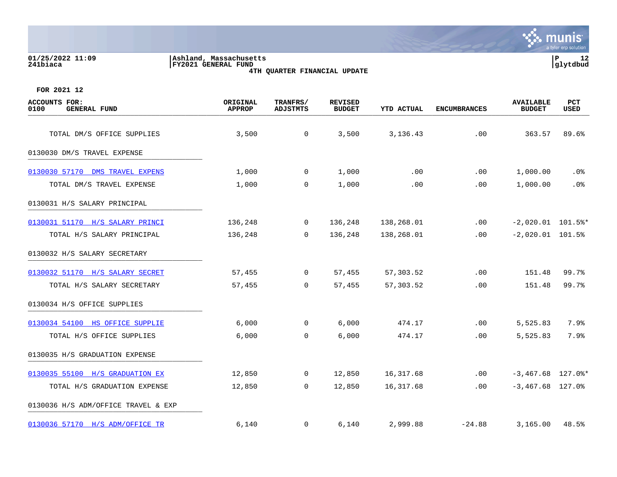#### **01/25/2022 11:09 |Ashland, Massachusetts |P 12 241biaca |FY2021 GENERAL FUND |glytdbud 4TH QUARTER FINANCIAL UPDATE**



| <b>ACCOUNTS FOR:</b><br>0100<br><b>GENERAL FUND</b> | ORIGINAL<br><b>APPROP</b> | TRANFRS/<br><b>ADJSTMTS</b> | <b>REVISED</b><br><b>BUDGET</b> | <b>YTD ACTUAL</b> | <b>ENCUMBRANCES</b> | <b>AVAILABLE</b><br><b>BUDGET</b> | PCT<br>USED |
|-----------------------------------------------------|---------------------------|-----------------------------|---------------------------------|-------------------|---------------------|-----------------------------------|-------------|
| TOTAL DM/S OFFICE SUPPLIES                          | 3,500                     | $\overline{0}$              | 3,500                           | 3,136.43          | .00                 | 363.57                            | 89.6%       |
| 0130030 DM/S TRAVEL EXPENSE                         |                           |                             |                                 |                   |                     |                                   |             |
| 0130030 57170 DMS TRAVEL EXPENS                     | 1,000                     | $\mathbf 0$                 | 1,000                           | .00               | .00                 | 1,000.00                          | $.0\%$      |
| TOTAL DM/S TRAVEL EXPENSE                           | 1,000                     | 0                           | 1,000                           | .00               | .00                 | 1,000.00                          | .0%         |
| 0130031 H/S SALARY PRINCIPAL                        |                           |                             |                                 |                   |                     |                                   |             |
| 0130031 51170 H/S SALARY PRINCI                     | 136,248                   | $\mathbf 0$                 | 136,248                         | 138,268.01        | .00                 | $-2,020.01$ 101.5%*               |             |
| TOTAL H/S SALARY PRINCIPAL                          | 136,248                   | $\overline{0}$              | 136,248                         | 138,268.01        | .00                 | $-2,020.01$ 101.5%                |             |
| 0130032 H/S SALARY SECRETARY                        |                           |                             |                                 |                   |                     |                                   |             |
| 0130032 51170 H/S SALARY SECRET                     | 57,455                    | $\overline{0}$              | 57,455                          | 57,303.52         | .00                 | 151.48                            | 99.7%       |
| TOTAL H/S SALARY SECRETARY                          | 57,455                    | $\overline{0}$              | 57,455                          | 57,303.52         | .00                 | 151.48                            | 99.7%       |
| 0130034 H/S OFFICE SUPPLIES                         |                           |                             |                                 |                   |                     |                                   |             |
| 0130034 54100 HS OFFICE SUPPLIE                     | 6,000                     | $\mathbf{0}$                | 6,000                           | 474.17            | .00                 | 5,525.83                          | 7.9%        |
| TOTAL H/S OFFICE SUPPLIES                           | 6,000                     | 0                           | 6,000                           | 474.17            | .00                 | 5,525.83                          | 7.9%        |
| 0130035 H/S GRADUATION EXPENSE                      |                           |                             |                                 |                   |                     |                                   |             |
| 0130035 55100 H/S GRADUATION EX                     | 12,850                    | $\mathbf 0$                 | 12,850                          | 16,317.68         | .00                 | $-3,467.68$ 127.0 $*$             |             |
| TOTAL H/S GRADUATION EXPENSE                        | 12,850                    | $\mathsf{O}$                | 12,850                          | 16,317.68         | .00                 | $-3,467.68$ 127.0%                |             |
| 0130036 H/S ADM/OFFICE TRAVEL & EXP                 |                           |                             |                                 |                   |                     |                                   |             |
| 0130036 57170 H/S ADM/OFFICE TR                     | 6,140                     | $\mathbf{0}$                | 6,140                           | 2,999.88          | $-24.88$            | 3,165.00                          | 48.5%       |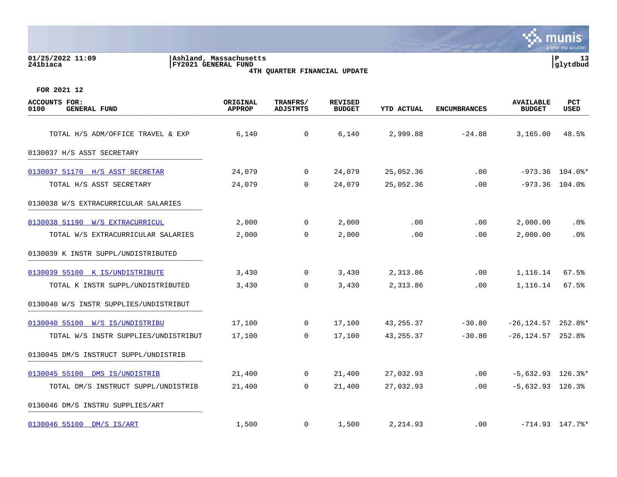| 01/25/2022 11:09<br>241biaca                        | Ashland, Massachusetts<br>FY2021 GENERAL FUND | 4TH QUARTER FINANCIAL UPDATE |                                 |                   |                     |                                   | P<br>13<br> glytdbud           |
|-----------------------------------------------------|-----------------------------------------------|------------------------------|---------------------------------|-------------------|---------------------|-----------------------------------|--------------------------------|
| FOR 2021 12                                         |                                               |                              |                                 |                   |                     |                                   |                                |
| <b>ACCOUNTS FOR:</b><br>0100<br><b>GENERAL FUND</b> | ORIGINAL<br><b>APPROP</b>                     | TRANFRS/<br><b>ADJSTMTS</b>  | <b>REVISED</b><br><b>BUDGET</b> | <b>YTD ACTUAL</b> | <b>ENCUMBRANCES</b> | <b>AVAILABLE</b><br><b>BUDGET</b> | PCT<br>USED                    |
| TOTAL H/S ADM/OFFICE TRAVEL & EXP                   | 6,140                                         | 0                            | 6,140                           | 2,999.88          | $-24.88$            | 3,165.00                          | 48.5%                          |
| 0130037 H/S ASST SECRETARY                          |                                               |                              |                                 |                   |                     |                                   |                                |
| 0130037 51170 H/S ASST SECRETAR                     | 24,079                                        | 0                            | 24,079                          | 25,052.36         | .00                 |                                   | $-973.36$ 104.0%*              |
| TOTAL H/S ASST SECRETARY                            | 24,079                                        | 0                            | 24,079                          | 25,052.36         | .00                 |                                   | $-973.36$ 104.0%               |
| 0130038 W/S EXTRACURRICULAR SALARIES                |                                               |                              |                                 |                   |                     |                                   |                                |
| 0130038 51190 W/S EXTRACURRICUL                     | 2,000                                         | 0                            | 2,000                           | .00               | .00                 | 2,000.00                          | $.0\%$                         |
| TOTAL W/S EXTRACURRICULAR SALARIES                  | 2,000                                         | 0                            | 2,000                           | .00               | .00                 | 2,000.00                          | .0 <sub>8</sub>                |
| 0130039 K INSTR SUPPL/UNDISTRIBUTED                 |                                               |                              |                                 |                   |                     |                                   |                                |
| 0130039 55100 K IS/UNDISTRIBUTE                     | 3,430                                         | 0                            | 3,430                           | 2,313.86          | .00                 | 1,116.14                          | 67.5%                          |
| TOTAL K INSTR SUPPL/UNDISTRIBUTED                   | 3,430                                         | 0                            | 3,430                           | 2,313.86          | .00                 | 1,116.14                          | 67.5%                          |
| 0130040 W/S INSTR SUPPLIES/UNDISTRIBUT              |                                               |                              |                                 |                   |                     |                                   |                                |
| 0130040 55100 W/S IS/UNDISTRIBU                     | 17,100                                        | 0                            | 17,100                          | 43, 255.37        | $-30.80$            | $-26, 124.57$ 252.8%*             |                                |
| TOTAL W/S INSTR SUPPLIES/UNDISTRIBUT                | 17,100                                        | 0                            | 17,100                          | 43, 255.37        | $-30.80$            | $-26, 124.57$ 252.8%              |                                |
| 0130045 DM/S INSTRUCT SUPPL/UNDISTRIB               |                                               |                              |                                 |                   |                     |                                   |                                |
| 0130045 55100 DMS IS/UNDISTRIB                      | 21,400                                        | 0                            | 21,400                          | 27,032.93         | .00                 |                                   | $-5,632.93$ 126.3%*            |
| TOTAL DM/S INSTRUCT SUPPL/UNDISTRIB                 | 21,400                                        | 0                            | 21,400                          | 27,032.93         | .00                 | $-5,632.93$ 126.3%                |                                |
| 0130046 DM/S INSTRU SUPPLIES/ART                    |                                               |                              |                                 |                   |                     |                                   |                                |
| 0130046 55100 DM/S IS/ART                           | 1,500                                         | 0                            | 1,500                           | 2,214.93          | .00                 |                                   | $-714.93$ $147.7$ <sup>*</sup> |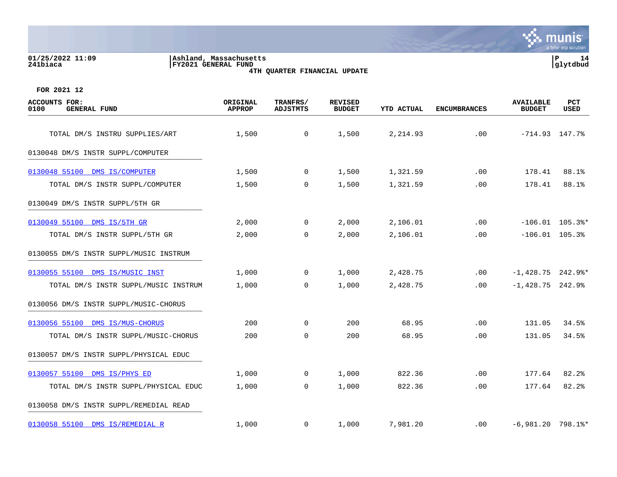#### **01/25/2022 11:09 |Ashland, Massachusetts |P 14 241biaca |FY2021 GENERAL FUND |glytdbud 4TH QUARTER FINANCIAL UPDATE**



| <b>ACCOUNTS FOR:</b><br><b>GENERAL FUND</b><br>0100 | ORIGINAL<br><b>APPROP</b> | TRANFRS/<br><b>ADJSTMTS</b> | <b>REVISED</b><br><b>BUDGET</b> | <b>YTD ACTUAL</b> | <b>ENCUMBRANCES</b> | <b>AVAILABLE</b><br><b>BUDGET</b> | PCT<br>USED       |
|-----------------------------------------------------|---------------------------|-----------------------------|---------------------------------|-------------------|---------------------|-----------------------------------|-------------------|
| TOTAL DM/S INSTRU SUPPLIES/ART                      | 1,500                     | $\overline{0}$              | 1,500                           | 2,214.93          | .00                 | $-714.93$ $147.7$ <sup>8</sup>    |                   |
|                                                     |                           |                             |                                 |                   |                     |                                   |                   |
| 0130048 DM/S INSTR SUPPL/COMPUTER                   |                           |                             |                                 |                   |                     |                                   |                   |
| 0130048 55100 DMS IS/COMPUTER                       | 1,500                     | $\overline{0}$              | 1,500                           | 1,321.59          | .00                 | 178.41                            | 88.1%             |
| TOTAL DM/S INSTR SUPPL/COMPUTER                     | 1,500                     | $\mathbf 0$                 | 1,500                           | 1,321.59          | .00                 | 178.41                            | 88.1%             |
| 0130049 DM/S INSTR SUPPL/5TH GR                     |                           |                             |                                 |                   |                     |                                   |                   |
| 0130049 55100 DMS IS/5TH GR                         | 2,000                     | $\mathbf 0$                 | 2,000                           | 2,106.01          | .00                 |                                   | $-106.01$ 105.3%* |
| TOTAL DM/S INSTR SUPPL/5TH GR                       | 2,000                     | $\overline{0}$              | 2,000                           | 2,106.01          | .00                 | $-106.01$ 105.3%                  |                   |
| 0130055 DM/S INSTR SUPPL/MUSIC INSTRUM              |                           |                             |                                 |                   |                     |                                   |                   |
| 0130055 55100 DMS IS/MUSIC INST                     | 1,000                     | $\overline{0}$              | 1,000                           | 2,428.75          | .00                 | $-1,428.75$ 242.9%*               |                   |
| TOTAL DM/S INSTR SUPPL/MUSIC INSTRUM                | 1,000                     | $\Omega$                    | 1,000                           | 2,428.75          | $.00 \,$            | $-1,428.75$ 242.9%                |                   |
| 0130056 DM/S INSTR SUPPL/MUSIC-CHORUS               |                           |                             |                                 |                   |                     |                                   |                   |
| 0130056 55100 DMS IS/MUS-CHORUS                     | 200                       | $\Omega$                    | 200                             | 68.95             | .00                 | 131.05                            | 34.5%             |
| TOTAL DM/S INSTR SUPPL/MUSIC-CHORUS                 | 200                       | $\mathbf 0$                 | 200                             | 68.95             | .00                 | 131.05                            | 34.5%             |
| 0130057 DM/S INSTR SUPPL/PHYSICAL EDUC              |                           |                             |                                 |                   |                     |                                   |                   |
| 0130057 55100 DMS IS/PHYS ED                        | 1,000                     | $\mathbf 0$                 | 1,000                           | 822.36            | .00                 | 177.64                            | 82.2%             |
| TOTAL DM/S INSTR SUPPL/PHYSICAL EDUC                | 1,000                     | $\overline{0}$              | 1,000                           | 822.36            | .00                 | 177.64                            | 82.2%             |
| 0130058 DM/S INSTR SUPPL/REMEDIAL READ              |                           |                             |                                 |                   |                     |                                   |                   |
| 0130058 55100 DMS IS/REMEDIAL R                     | 1,000                     | $\mathbf{0}$                | 1,000                           | 7,981.20          | $.00 \,$            | $-6,981.20$ 798.1%*               |                   |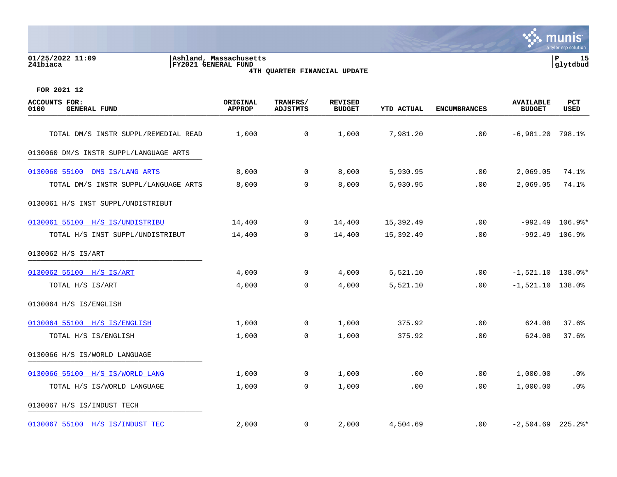#### **01/25/2022 11:09 |Ashland, Massachusetts |P 15 241biaca |FY2021 GENERAL FUND |glytdbud 4TH QUARTER FINANCIAL UPDATE**



| <b>ACCOUNTS FOR:</b><br>0100<br><b>GENERAL FUND</b> | ORIGINAL<br><b>APPROP</b> | TRANFRS/<br><b>ADJSTMTS</b> | <b>REVISED</b><br><b>BUDGET</b> | <b>YTD ACTUAL</b> | <b>ENCUMBRANCES</b> | <b>AVAILABLE</b><br><b>BUDGET</b> | PCT<br>USED       |
|-----------------------------------------------------|---------------------------|-----------------------------|---------------------------------|-------------------|---------------------|-----------------------------------|-------------------|
| TOTAL DM/S INSTR SUPPL/REMEDIAL READ                | 1,000                     | $\overline{0}$              | 1,000                           | 7,981.20          | .00                 | $-6,981.20$ 798.1%                |                   |
|                                                     |                           |                             |                                 |                   |                     |                                   |                   |
| 0130060 DM/S INSTR SUPPL/LANGUAGE ARTS              |                           |                             |                                 |                   |                     |                                   |                   |
| 0130060 55100 DMS IS/LANG ARTS                      | 8,000                     | $\overline{0}$              | 8,000                           | 5,930.95          | .00                 | 2,069.05                          | 74.1%             |
| TOTAL DM/S INSTR SUPPL/LANGUAGE ARTS                | 8,000                     | $\mathbf 0$                 | 8,000                           | 5,930.95          | .00                 | 2,069.05                          | 74.1%             |
| 0130061 H/S INST SUPPL/UNDISTRIBUT                  |                           |                             |                                 |                   |                     |                                   |                   |
| 0130061 55100 H/S IS/UNDISTRIBU                     | 14,400                    | $\mathbf 0$                 | 14,400                          | 15,392.49         | .00                 |                                   | $-992.49$ 106.9%* |
| TOTAL H/S INST SUPPL/UNDISTRIBUT                    | 14,400                    | $\overline{0}$              | 14,400                          | 15,392.49         | .00                 | $-992.49$ 106.9%                  |                   |
| 0130062 H/S IS/ART                                  |                           |                             |                                 |                   |                     |                                   |                   |
| 0130062 55100 H/S IS/ART                            | 4,000                     | $\overline{0}$              | 4,000                           | 5,521.10          | .00                 | $-1,521.10$ 138.0%*               |                   |
| TOTAL H/S IS/ART                                    | 4,000                     | $\overline{0}$              | 4,000                           | 5,521.10          | .00                 | $-1,521.10$ 138.0%                |                   |
| 0130064 H/S IS/ENGLISH                              |                           |                             |                                 |                   |                     |                                   |                   |
| 0130064 55100 H/S IS/ENGLISH                        | 1,000                     | $\Omega$                    | 1,000                           | 375.92            | .00                 | 624.08                            | 37.6%             |
| TOTAL H/S IS/ENGLISH                                | 1,000                     | $\mathbf 0$                 | 1,000                           | 375.92            | .00                 | 624.08                            | 37.6%             |
| 0130066 H/S IS/WORLD LANGUAGE                       |                           |                             |                                 |                   |                     |                                   |                   |
| 0130066 55100 H/S IS/WORLD LANG                     | 1,000                     | $\mathbf 0$                 | 1,000                           | .00               | .00                 | 1,000.00                          | $.0\%$            |
| TOTAL H/S IS/WORLD LANGUAGE                         | 1,000                     | $\mathbf 0$                 | 1,000                           | .00               | .00                 | 1,000.00                          | .0%               |
| 0130067 H/S IS/INDUST TECH                          |                           |                             |                                 |                   |                     |                                   |                   |
| 0130067 55100 H/S IS/INDUST TEC                     | 2,000                     | 0                           | 2,000                           | 4,504.69          | $.00 \,$            | $-2,504.69$ 225.2%*               |                   |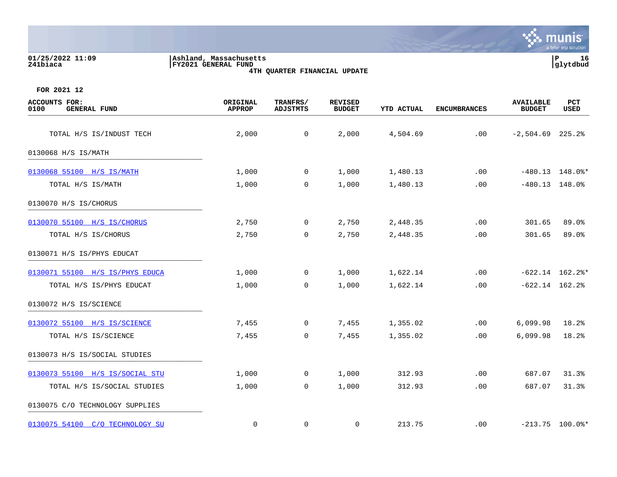| 01/25/2022 11:09<br>241biaca                 | Ashland, Massachusetts<br><b>FY2021 GENERAL FUND</b> | 4TH QUARTER FINANCIAL UPDATE |                                 |                   |                     |                                   | ΙP<br>16<br>glytdbud |
|----------------------------------------------|------------------------------------------------------|------------------------------|---------------------------------|-------------------|---------------------|-----------------------------------|----------------------|
| FOR 2021 12                                  |                                                      |                              |                                 |                   |                     |                                   |                      |
| ACCOUNTS FOR:<br>0100<br><b>GENERAL FUND</b> | ORIGINAL<br><b>APPROP</b>                            | TRANFRS/<br><b>ADJSTMTS</b>  | <b>REVISED</b><br><b>BUDGET</b> | <b>YTD ACTUAL</b> | <b>ENCUMBRANCES</b> | <b>AVAILABLE</b><br><b>BUDGET</b> | PCT<br>USED          |
| TOTAL H/S IS/INDUST TECH                     | 2,000                                                | $\Omega$                     | 2,000                           | 4,504.69          | .00                 | $-2,504.69$ 225.2%                |                      |
| 0130068 H/S IS/MATH                          |                                                      |                              |                                 |                   |                     |                                   |                      |
| 0130068 55100 H/S IS/MATH                    | 1,000                                                | 0                            | 1,000                           | 1,480.13          | .00                 | $-480.13$                         | 148.0%*              |
| TOTAL H/S IS/MATH                            | 1,000                                                | $\mathbf 0$                  | 1,000                           | 1,480.13          | .00                 | $-480.13$                         | 148.0%               |
| 0130070 H/S IS/CHORUS                        |                                                      |                              |                                 |                   |                     |                                   |                      |
| 0130070 55100 H/S IS/CHORUS                  | 2,750                                                | $\Omega$                     | 2,750                           | 2,448.35          | .00                 | 301.65                            | 89.0%                |
| TOTAL H/S IS/CHORUS                          | 2,750                                                | $\mathbf 0$                  | 2,750                           | 2,448.35          | .00                 | 301.65                            | 89.0%                |
| 0130071 H/S IS/PHYS EDUCAT                   |                                                      |                              |                                 |                   |                     |                                   |                      |
| 0130071 55100 H/S IS/PHYS EDUCA              | 1,000                                                | 0                            | 1,000                           | 1,622.14          | .00                 |                                   | $-622.14$ 162.2%*    |

TOTAL H/S IS/PHYS EDUCAT 1,000 0 1,000 1,622.14 .00 -622.14 162.2%

TOTAL H/S IS/SCIENCE  $\begin{array}{ccccccccc}\n7,455 & 0 & 7,455 & 1,355.02 & 0 & 6,099.98 & 18.2\end{array}$ 

TOTAL H/S IS/SOCIAL STUDIES 1,000 0 1,000 312.93 .00 687.07 31.3%

[0130072 55100 H/S IS/SCIENCE](https://yvwlndash063.tylertech.com/sites/mu0241/LIVE/_layouts/15/DashboardMunisV6.3/PassThru.aspx?-E=ZE8MoFZC%2BXlLbq/%2BQPg1XklMsmbP/uaXOK3CDlVYDRpobqDMEvJUCe5On7WMGeKT&) 28 7,455 0 7,455 1,355.02 .00 6,099.98 18.2%

[0130073 55100 H/S IS/SOCIAL STU](https://yvwlndash063.tylertech.com/sites/mu0241/LIVE/_layouts/15/DashboardMunisV6.3/PassThru.aspx?-E=f84MLAf64ZY8ltSlzFOqVH4mTswXQRnZngrtTxoNIdTKgPRQIu2KoLXOuBv4wFnD&) 1,000 0 1,000 312.93 .00 687.07 31.3%

[0130075 54100 C/O TECHNOLOGY SU](https://yvwlndash063.tylertech.com/sites/mu0241/LIVE/_layouts/15/DashboardMunisV6.3/PassThru.aspx?-E=MheskBbwex1w7AI1A5Elf7RZbrUvLe1KoW83CBmF86%2BsZbUGh0JwYe5wjQerMHo0&) 0 0 0 213.75 .00 -213.75 100.0%\*

0130072 H/S IS/SCIENCE \_\_\_\_\_\_\_\_\_\_\_\_\_\_\_\_\_\_\_\_\_\_\_\_\_\_\_\_\_\_\_\_\_\_\_\_\_\_\_\_\_

0130073 H/S IS/SOCIAL STUDIES

0130075 C/O TECHNOLOGY SUPPLIES \_\_\_\_\_\_\_\_\_\_\_\_\_\_\_\_\_\_\_\_\_\_\_\_\_\_\_\_\_\_\_\_\_\_\_\_\_\_\_\_\_

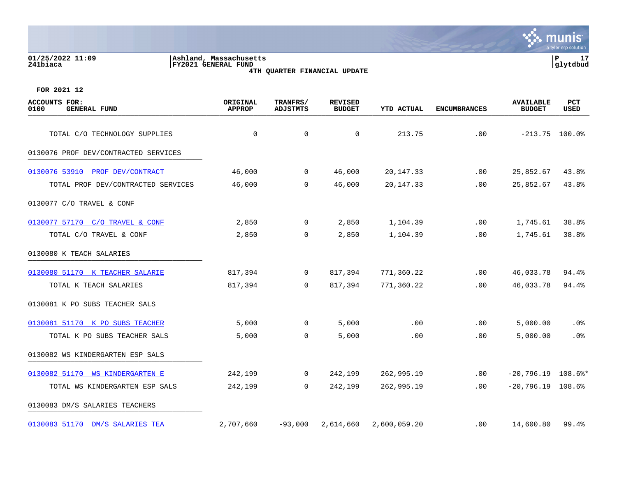| ASIIIdilu, Massachusetts<br>FY2021 GENERAL FUND |                                                                                                                                             |                                 |                   |                              |                                   | <b>T</b><br>glytdbud                                                                 |
|-------------------------------------------------|---------------------------------------------------------------------------------------------------------------------------------------------|---------------------------------|-------------------|------------------------------|-----------------------------------|--------------------------------------------------------------------------------------|
|                                                 |                                                                                                                                             |                                 |                   |                              |                                   |                                                                                      |
| ORIGINAL<br><b>APPROP</b>                       | TRANFRS/<br><b>ADJSTMTS</b>                                                                                                                 | <b>REVISED</b><br><b>BUDGET</b> | <b>YTD ACTUAL</b> | <b>ENCUMBRANCES</b>          | <b>AVAILABLE</b><br><b>BUDGET</b> | PCT<br>USED                                                                          |
| 0                                               | $\mathsf{O}$                                                                                                                                | 0                               | 213.75            | .00                          |                                   | $-213.75$ 100.0%                                                                     |
|                                                 |                                                                                                                                             |                                 |                   |                              |                                   |                                                                                      |
| 46,000                                          | $\overline{0}$                                                                                                                              | 46,000                          | 20,147.33         | .00                          |                                   | 43.8%                                                                                |
| 46,000                                          | $\overline{0}$                                                                                                                              | 46,000                          | 20, 147. 33       | .00                          |                                   | 43.8%                                                                                |
|                                                 |                                                                                                                                             |                                 |                   |                              |                                   |                                                                                      |
| 2,850                                           | $\overline{0}$                                                                                                                              | 2,850                           | 1,104.39          | .00                          |                                   | 38.8%                                                                                |
| 2,850                                           | $\overline{0}$                                                                                                                              | 2,850                           | 1,104.39          | .00                          |                                   | 38.8%                                                                                |
|                                                 |                                                                                                                                             |                                 |                   |                              |                                   |                                                                                      |
| 817,394                                         | $\overline{0}$                                                                                                                              | 817,394                         | 771,360.22        | .00                          |                                   | 94.4%                                                                                |
| 817,394                                         | $\Omega$                                                                                                                                    | 817,394                         | 771,360.22        | .00                          |                                   | 94.4%                                                                                |
|                                                 |                                                                                                                                             |                                 |                   |                              |                                   |                                                                                      |
| 5,000                                           | $\mathbf 0$                                                                                                                                 | 5,000                           | .00               | .00                          |                                   | .0%                                                                                  |
| 5,000                                           | $\overline{0}$                                                                                                                              | 5,000                           | .00               | .00                          | 5,000.00                          | .0%                                                                                  |
|                                                 |                                                                                                                                             |                                 |                   |                              |                                   |                                                                                      |
|                                                 | TOTAL C/O TECHNOLOGY SUPPLIES<br>0130076 PROF DEV/CONTRACTED SERVICES<br>TOTAL PROF DEV/CONTRACTED SERVICES<br>TOTAL K PO SUBS TEACHER SALS |                                 |                   | 4TH QUARTER FINANCIAL UPDATE |                                   | 25,852.67<br>25,852.67<br>1,745.61<br>1,745.61<br>46,033.78<br>46,033.78<br>5,000.00 |

# **01/25/2022 11:09 |Ashland, Massachusetts |P 17**



[0130083 51170 DM/S SALARIES TEA](https://yvwlndash063.tylertech.com/sites/mu0241/LIVE/_layouts/15/DashboardMunisV6.3/PassThru.aspx?-E=UpxRBcXJHu%2BNav02Ld%2BsjqikNk/tuv41a/bnuVNzo5YVrVoC4eQwvy5BCs4HNRC1&) 2,707,660 -93,000 2,614,660 2,600,059.20 .00 14,600.80 99.4%

0130083 DM/S SALARIES TEACHERS \_\_\_\_\_\_\_\_\_\_\_\_\_\_\_\_\_\_\_\_\_\_\_\_\_\_\_\_\_\_\_\_\_\_\_\_\_\_\_\_\_

[0130082 51170 WS KINDERGARTEN E](https://yvwlndash063.tylertech.com/sites/mu0241/LIVE/_layouts/15/DashboardMunisV6.3/PassThru.aspx?-E=/gmWzvpIcHjdj6o9WFsrnHm/kr8UDQ2Q2o1z5vU%2B95k1suXjd0xH8kNxrVw%2BN10i&) 242,199 0 242,199 262,995.19 .00 -20,796.19 108.6%\* TOTAL WS KINDERGARTEN ESP SALS 242,199 0 242,199 262,995.19 .00 -20,796.19 108.6%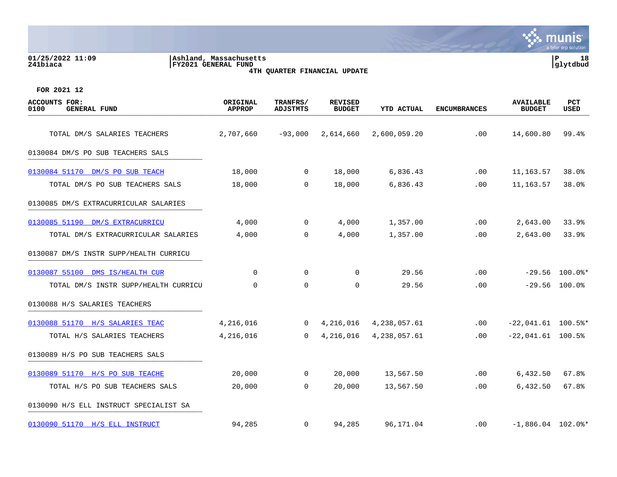#### **01/25/2022 11:09 |Ashland, Massachusetts |P 18 241biaca |FY2021 GENERAL FUND |glytdbud 4TH QUARTER FINANCIAL UPDATE**



| <b>ACCOUNTS FOR:</b><br>0100<br><b>GENERAL FUND</b> | ORIGINAL<br><b>APPROP</b> | TRANFRS/<br><b>ADJSTMTS</b> | <b>REVISED</b><br><b>BUDGET</b> | <b>YTD ACTUAL</b> | <b>ENCUMBRANCES</b> | <b>AVAILABLE</b><br><b>BUDGET</b> | <b>PCT</b><br><b>USED</b> |
|-----------------------------------------------------|---------------------------|-----------------------------|---------------------------------|-------------------|---------------------|-----------------------------------|---------------------------|
| TOTAL DM/S SALARIES TEACHERS                        | 2,707,660                 | $-93,000$                   | 2,614,660                       | 2,600,059.20      | .00                 | 14,600.80                         | 99.4%                     |
| 0130084 DM/S PO SUB TEACHERS SALS                   |                           |                             |                                 |                   |                     |                                   |                           |
| 0130084 51170 DM/S PO SUB TEACH                     | 18,000                    | $\mathbf 0$                 | 18,000                          | 6,836.43          | .00                 | 11,163.57                         | 38.0%                     |
| TOTAL DM/S PO SUB TEACHERS SALS                     | 18,000                    | $\mathbf 0$                 | 18,000                          | 6,836.43          | .00                 | 11,163.57                         | 38.0%                     |
| 0130085 DM/S EXTRACURRICULAR SALARIES               |                           |                             |                                 |                   |                     |                                   |                           |
| 0130085 51190 DM/S EXTRACURRICU                     | 4,000                     | $\overline{0}$              | 4,000                           | 1,357.00          | .00                 | 2,643.00                          | 33.9%                     |
| TOTAL DM/S EXTRACURRICULAR SALARIES                 | 4,000                     | $\Omega$                    | 4,000                           | 1,357.00          | .00                 | 2,643.00                          | 33.9%                     |
| 0130087 DM/S INSTR SUPP/HEALTH CURRICU              |                           |                             |                                 |                   |                     |                                   |                           |
| 0130087 55100 DMS IS/HEALTH CUR                     | $\mathbf 0$               | 0                           | 0                               | 29.56             | .00                 |                                   | $-29.56$ 100.0%*          |
| TOTAL DM/S INSTR SUPP/HEALTH CURRICU                | $\Omega$                  | $\Omega$                    | $\Omega$                        | 29.56             | .00                 |                                   | $-29.56$ 100.0%           |
| 0130088 H/S SALARIES TEACHERS                       |                           |                             |                                 |                   |                     |                                   |                           |
| 0130088 51170 H/S SALARIES TEAC                     | 4,216,016                 | $\mathbf 0$                 | 4,216,016                       | 4,238,057.61      | .00                 | $-22,041.61$ 100.5%*              |                           |
| TOTAL H/S SALARIES TEACHERS                         | 4,216,016                 | $\Omega$                    | 4,216,016                       | 4,238,057.61      | .00                 | $-22,041.61$ 100.5%               |                           |
| 0130089 H/S PO SUB TEACHERS SALS                    |                           |                             |                                 |                   |                     |                                   |                           |
| 0130089 51170 H/S PO SUB TEACHE                     | 20,000                    | $\mathbf 0$                 | 20,000                          | 13,567.50         | $.00 \ \rm$         | 6,432.50                          | 67.8%                     |
| TOTAL H/S PO SUB TEACHERS SALS                      | 20,000                    | $\Omega$                    | 20,000                          | 13,567.50         | .00                 | 6,432.50                          | 67.8%                     |
| 0130090 H/S ELL INSTRUCT SPECIALIST SA              |                           |                             |                                 |                   |                     |                                   |                           |
| 0130090 51170 H/S ELL INSTRUCT                      | 94,285                    | $\mathbf 0$                 | 94,285                          | 96,171.04         | $.00 \,$            | $-1,886.04$ 102.0%*               |                           |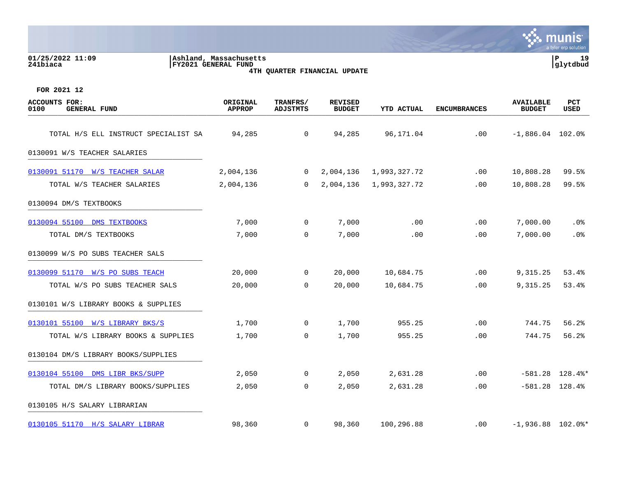| 01/25/2022 11:09<br>241biaca                        | Ashland, Massachusetts<br><b>FY2021 GENERAL FUND</b> |                             | 4TH QUARTER FINANCIAL UPDATE    |              |                     |                            | P<br>19<br>glytdbud            |
|-----------------------------------------------------|------------------------------------------------------|-----------------------------|---------------------------------|--------------|---------------------|----------------------------|--------------------------------|
| FOR 2021 12                                         |                                                      |                             |                                 |              |                     |                            |                                |
| <b>ACCOUNTS FOR:</b><br><b>GENERAL FUND</b><br>0100 | ORIGINAL<br><b>APPROP</b>                            | TRANFRS/<br><b>ADJSTMTS</b> | <b>REVISED</b><br><b>BUDGET</b> | YTD ACTUAL   | <b>ENCUMBRANCES</b> | AVAILABLE<br><b>BUDGET</b> | <b>PCT</b><br>USED             |
| TOTAL H/S ELL INSTRUCT SPECIALIST SA                | 94,285                                               | 0                           | 94,285                          | 96,171.04    | .00                 | $-1,886.04$ 102.0%         |                                |
| 0130091 W/S TEACHER SALARIES                        |                                                      |                             |                                 |              |                     |                            |                                |
| 0130091 51170 W/S TEACHER SALAR                     | 2,004,136                                            | $\mathbf 0$                 | 2,004,136                       | 1,993,327.72 | .00                 | 10,808.28                  | 99.5%                          |
| TOTAL W/S TEACHER SALARIES                          | 2,004,136                                            | $\mathbf 0$                 | 2,004,136                       | 1,993,327.72 | .00                 | 10,808.28                  | 99.5%                          |
| 0130094 DM/S TEXTBOOKS                              |                                                      |                             |                                 |              |                     |                            |                                |
| 0130094 55100 DMS TEXTBOOKS                         | 7,000                                                | 0                           | 7,000                           | .00          | .00                 | 7,000.00                   | $.0\%$                         |
| TOTAL DM/S TEXTBOOKS                                | 7,000                                                | $\mathbf 0$                 | 7,000                           | .00          | .00                 | 7,000.00                   | .0%                            |
| 0130099 W/S PO SUBS TEACHER SALS                    |                                                      |                             |                                 |              |                     |                            |                                |
| 0130099 51170 W/S PO SUBS TEACH                     | 20,000                                               | 0                           | 20,000                          | 10,684.75    | .00                 | 9,315.25                   | 53.4%                          |
| TOTAL W/S PO SUBS TEACHER SALS                      | 20,000                                               | 0                           | 20,000                          | 10,684.75    | .00                 | 9,315.25                   | 53.4%                          |
| 0130101 W/S LIBRARY BOOKS & SUPPLIES                |                                                      |                             |                                 |              |                     |                            |                                |
| 0130101 55100 W/S LIBRARY BKS/S                     | 1,700                                                | 0                           | 1,700                           | 955.25       | .00                 | 744.75                     | 56.2%                          |
| TOTAL W/S LIBRARY BOOKS & SUPPLIES                  | 1,700                                                | 0                           | 1,700                           | 955.25       | .00                 | 744.75                     | 56.2%                          |
| 0130104 DM/S LIBRARY BOOKS/SUPPLIES                 |                                                      |                             |                                 |              |                     |                            |                                |
| 0130104 55100 DMS LIBR BKS/SUPP                     | 2,050                                                | $\mathbf 0$                 | 2,050                           | 2,631.28     | .00                 |                            | $-581.28$ $128.4$ <sup>*</sup> |
| TOTAL DM/S LIBRARY BOOKS/SUPPLIES                   | 2,050                                                | $\mathbf 0$                 | 2,050                           | 2,631.28     | .00                 |                            | $-581.28$ 128.4%               |
| 0130105 H/S SALARY LIBRARIAN                        |                                                      |                             |                                 |              |                     |                            |                                |
| 0130105 51170 H/S SALARY LIBRAR                     | 98,360                                               | 0                           | 98,360                          | 100,296.88   | .00                 | $-1,936.88$ 102.0%*        |                                |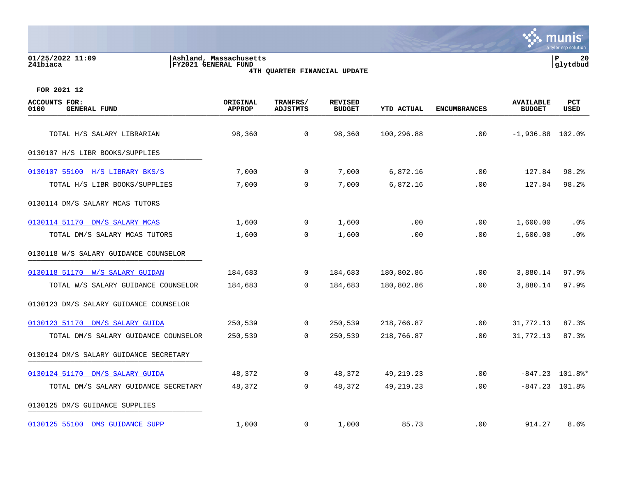#### **01/25/2022 11:09 |Ashland, Massachusetts |P 20 241biaca |FY2021 GENERAL FUND |glytdbud 4TH QUARTER FINANCIAL UPDATE**



| <b>ACCOUNTS FOR:</b><br>0100<br><b>GENERAL FUND</b> | ORIGINAL<br><b>APPROP</b> | TRANFRS/<br><b>ADJSTMTS</b> | <b>REVISED</b><br><b>BUDGET</b> | <b>YTD ACTUAL</b> | <b>ENCUMBRANCES</b> | <b>AVAILABLE</b><br><b>BUDGET</b> | PCT<br>USED       |
|-----------------------------------------------------|---------------------------|-----------------------------|---------------------------------|-------------------|---------------------|-----------------------------------|-------------------|
| TOTAL H/S SALARY LIBRARIAN                          | 98,360                    | $\mathbf 0$                 | 98,360                          | 100,296.88        | .00                 | $-1,936.88$ 102.0%                |                   |
| 0130107 H/S LIBR BOOKS/SUPPLIES                     |                           |                             |                                 |                   |                     |                                   |                   |
| 0130107 55100 H/S LIBRARY BKS/S                     | 7,000                     | $\mathbf 0$                 | 7,000                           | 6,872.16          | .00                 | 127.84                            | 98.2%             |
| TOTAL H/S LIBR BOOKS/SUPPLIES                       | 7,000                     | $\mathbf 0$                 | 7,000                           | 6,872.16          | .00                 | 127.84                            | 98.2%             |
| 0130114 DM/S SALARY MCAS TUTORS                     |                           |                             |                                 |                   |                     |                                   |                   |
| 0130114 51170 DM/S SALARY MCAS                      | 1,600                     | 0                           | 1,600                           | .00               | .00                 | 1,600.00                          | $.0\%$            |
| TOTAL DM/S SALARY MCAS TUTORS                       | 1,600                     | $\mathbf 0$                 | 1,600                           | .00               | .00                 | 1,600.00                          | .0%               |
| 0130118 W/S SALARY GUIDANCE COUNSELOR               |                           |                             |                                 |                   |                     |                                   |                   |
| 0130118 51170 W/S SALARY GUIDAN                     | 184,683                   | $\mathbf 0$                 | 184,683                         | 180,802.86        | .00                 | 3,880.14                          | 97.9%             |
| TOTAL W/S SALARY GUIDANCE COUNSELOR                 | 184,683                   | $\Omega$                    | 184,683                         | 180,802.86        | .00                 | 3,880.14                          | 97.9%             |
| 0130123 DM/S SALARY GUIDANCE COUNSELOR              |                           |                             |                                 |                   |                     |                                   |                   |
| 0130123 51170 DM/S SALARY GUIDA                     | 250,539                   | $\mathbf 0$                 | 250,539                         | 218,766.87        | .00                 | 31,772.13                         | 87.3%             |
| TOTAL DM/S SALARY GUIDANCE COUNSELOR                | 250,539                   | $\mathbf 0$                 | 250,539                         | 218,766.87        | .00                 | 31,772.13                         | 87.3%             |
| 0130124 DM/S SALARY GUIDANCE SECRETARY              |                           |                             |                                 |                   |                     |                                   |                   |
| 0130124 51170 DM/S SALARY GUIDA                     | 48,372                    | 0                           | 48,372                          | 49,219.23         | .00                 |                                   | $-847.23$ 101.8%* |
| TOTAL DM/S SALARY GUIDANCE SECRETARY                | 48,372                    | 0                           | 48,372                          | 49, 219. 23       | .00                 | $-847.23$ 101.8%                  |                   |
| 0130125 DM/S GUIDANCE SUPPLIES                      |                           |                             |                                 |                   |                     |                                   |                   |
| 0130125 55100 DMS GUIDANCE SUPP                     | 1,000                     | 0                           | 1,000                           | 85.73             | $.00 \,$            | 914.27                            | 8.6%              |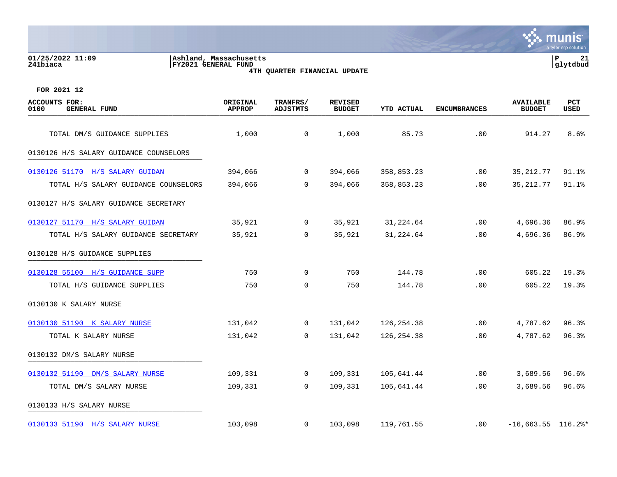| 01/25/2022 11:09<br>241biaca                        | Ashland, Massachusetts<br><b>FY2021 GENERAL FUND</b> | 4TH QUARTER FINANCIAL UPDATE |                                 |                   |                     |                                   | P.<br>21<br>glytdbud |
|-----------------------------------------------------|------------------------------------------------------|------------------------------|---------------------------------|-------------------|---------------------|-----------------------------------|----------------------|
| FOR 2021 12                                         |                                                      |                              |                                 |                   |                     |                                   |                      |
| <b>ACCOUNTS FOR:</b><br>0100<br><b>GENERAL FUND</b> | ORIGINAL<br><b>APPROP</b>                            | TRANFRS/<br><b>ADJSTMTS</b>  | <b>REVISED</b><br><b>BUDGET</b> | <b>YTD ACTUAL</b> | <b>ENCUMBRANCES</b> | <b>AVAILABLE</b><br><b>BUDGET</b> | PCT<br><b>USED</b>   |
| TOTAL DM/S GUIDANCE SUPPLIES                        | 1,000                                                | 0                            | 1,000                           | 85.73             | .00                 | 914.27                            | 8.6%                 |
| 0130126 H/S SALARY GUIDANCE COUNSELORS              |                                                      |                              |                                 |                   |                     |                                   |                      |
| 0130126 51170 H/S SALARY GUIDAN                     | 394,066                                              | 0                            | 394,066                         | 358,853.23        | .00                 | 35, 212.77                        | 91.1%                |
| TOTAL H/S SALARY GUIDANCE COUNSELORS                | 394,066                                              | $\Omega$                     | 394,066                         | 358,853.23        | .00                 | 35, 212.77                        | 91.1%                |
| 0130127 H/S SALARY GUIDANCE SECRETARY               |                                                      |                              |                                 |                   |                     |                                   |                      |
| 0130127 51170 H/S SALARY GUIDAN                     | 35,921                                               | 0                            | 35,921                          | 31,224.64         | .00                 | 4,696.36                          | 86.9%                |
| TOTAL H/S SALARY GUIDANCE SECRETARY                 | 35,921                                               | 0                            | 35,921                          | 31,224.64         | .00                 | 4,696.36                          | 86.9%                |
| 0130128 H/S GUIDANCE SUPPLIES                       |                                                      |                              |                                 |                   |                     |                                   |                      |
| 0130128 55100 H/S GUIDANCE SUPP                     | 750                                                  | $\mathbf 0$                  | 750                             | 144.78            | .00                 | 605.22                            | 19.3%                |
| TOTAL H/S GUIDANCE SUPPLIES                         | 750                                                  | 0                            | 750                             | 144.78            | .00                 | 605.22                            | 19.3%                |
| 0130130 K SALARY NURSE                              |                                                      |                              |                                 |                   |                     |                                   |                      |
| 0130130 51190 K SALARY NURSE                        | 131,042                                              | $\mathbf 0$                  | 131,042                         | 126,254.38        | .00                 | 4,787.62                          | 96.3%                |
| TOTAL K SALARY NURSE                                | 131,042                                              | 0                            | 131,042                         | 126, 254. 38      | .00                 | 4,787.62                          | 96.3%                |
| 0130132 DM/S SALARY NURSE                           |                                                      |                              |                                 |                   |                     |                                   |                      |
| 0130132 51190 DM/S SALARY NURSE                     | 109,331                                              | 0                            | 109,331                         | 105,641.44        | .00                 | 3,689.56                          | 96.6%                |
| TOTAL DM/S SALARY NURSE                             | 109,331                                              | 0                            | 109,331                         | 105,641.44        | .00                 | 3,689.56                          | 96.6%                |
| 0130133 H/S SALARY NURSE                            |                                                      |                              |                                 |                   |                     |                                   |                      |
| 0130133 51190 H/S SALARY NURSE                      | 103,098                                              | $\mathbf 0$                  | 103,098                         | 119,761.55        | .00                 | $-16,663.55$ 116.2%*              |                      |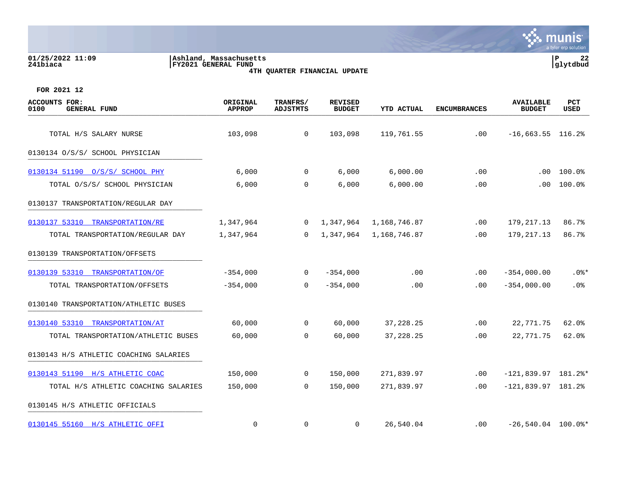#### **01/25/2022 11:09 |Ashland, Massachusetts |P 22 241biaca |FY2021 GENERAL FUND |glytdbud 4TH QUARTER FINANCIAL UPDATE**



| <b>ACCOUNTS FOR:</b><br><b>GENERAL FUND</b><br>0100 | ORIGINAL<br><b>APPROP</b> | TRANFRS/<br><b>ADJSTMTS</b> | <b>REVISED</b><br><b>BUDGET</b> | YTD ACTUAL   | <b>ENCUMBRANCES</b> | <b>AVAILABLE</b><br><b>BUDGET</b> | <b>PCT</b><br>USED |
|-----------------------------------------------------|---------------------------|-----------------------------|---------------------------------|--------------|---------------------|-----------------------------------|--------------------|
| TOTAL H/S SALARY NURSE                              | 103,098                   | $\overline{0}$              | 103,098                         | 119,761.55   | .00                 | $-16,663.55$ 116.2%               |                    |
| 0130134 O/S/S/ SCHOOL PHYSICIAN                     |                           |                             |                                 |              |                     |                                   |                    |
| 0130134 51190 0/S/S/ SCHOOL PHY                     | 6,000                     | $\mathbf 0$                 | 6,000                           | 6,000.00     | .00                 | $.00 \,$                          | 100.0%             |
| TOTAL 0/S/S/ SCHOOL PHYSICIAN                       | 6,000                     | 0                           | 6,000                           | 6,000.00     | .00                 | .00                               | 100.0%             |
| 0130137 TRANSPORTATION/REGULAR DAY                  |                           |                             |                                 |              |                     |                                   |                    |
| 0130137 53310<br>TRANSPORTATION/RE                  | 1,347,964                 | $\mathbf 0$                 | 1,347,964                       | 1,168,746.87 | .00                 | 179, 217. 13                      | 86.7%              |
| TOTAL TRANSPORTATION/REGULAR DAY                    | 1,347,964                 | $\Omega$                    | 1,347,964                       | 1,168,746.87 | .00                 | 179, 217. 13                      | 86.7%              |
| 0130139 TRANSPORTATION/OFFSETS                      |                           |                             |                                 |              |                     |                                   |                    |
| 0130139 53310 TRANSPORTATION/OF                     | $-354,000$                | $\mathbf{0}$                | $-354,000$                      | .00          | $.00 \,$            | $-354,000.00$                     | $.0$ %*            |
| TOTAL TRANSPORTATION/OFFSETS                        | $-354,000$                | $\Omega$                    | $-354,000$                      | .00          | $.00 \,$            | $-354,000.00$                     | . 0%               |
| 0130140 TRANSPORTATION/ATHLETIC BUSES               |                           |                             |                                 |              |                     |                                   |                    |
| 0130140 53310 TRANSPORTATION/AT                     | 60,000                    | $\mathbf{0}$                | 60,000                          | 37, 228. 25  | .00                 | 22,771.75                         | 62.0%              |
| TOTAL TRANSPORTATION/ATHLETIC BUSES                 | 60,000                    | 0                           | 60,000                          | 37, 228. 25  | .00                 | 22,771.75                         | $62.0$ $%$         |
| 0130143 H/S ATHLETIC COACHING SALARIES              |                           |                             |                                 |              |                     |                                   |                    |
| 0130143 51190 H/S ATHLETIC COAC                     | 150,000                   | $\mathbf{0}$                | 150,000                         | 271,839.97   | .00                 | $-121,839.97$ 181.2%*             |                    |
| TOTAL H/S ATHLETIC COACHING SALARIES                | 150,000                   | $\mathbf 0$                 | 150,000                         | 271,839.97   | .00                 | $-121,839.97$ 181.2%              |                    |
| 0130145 H/S ATHLETIC OFFICIALS                      |                           |                             |                                 |              |                     |                                   |                    |
| 0130145 55160 H/S ATHLETIC OFFI                     | 0                         | 0                           | 0                               | 26,540.04    | $.00 \,$            | $-26,540.04$ 100.0%*              |                    |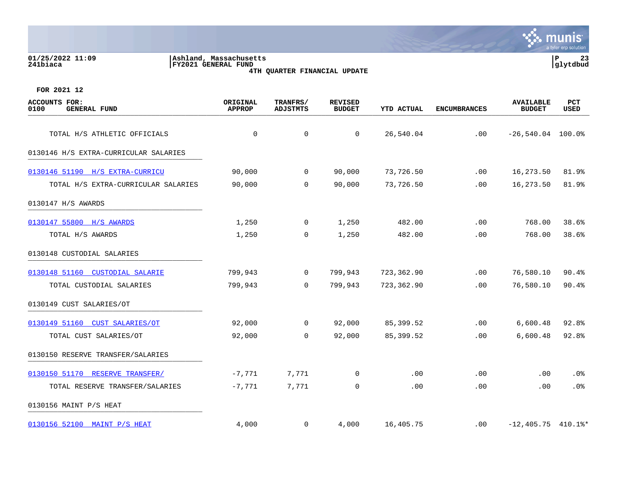|                                                     |                                                |                              |                                 |            |                     |                                   | munis<br>a tyler erp solution |
|-----------------------------------------------------|------------------------------------------------|------------------------------|---------------------------------|------------|---------------------|-----------------------------------|-------------------------------|
| 01/25/2022 11:09<br>241biaca                        | Ashland, Massachusetts <br>FY2021 GENERAL FUND | 4TH QUARTER FINANCIAL UPDATE |                                 |            |                     |                                   | P<br>23<br>glytdbud           |
| FOR 2021 12                                         |                                                |                              |                                 |            |                     |                                   |                               |
| <b>ACCOUNTS FOR:</b><br>0100<br><b>GENERAL FUND</b> | ORIGINAL<br><b>APPROP</b>                      | TRANFRS/<br><b>ADJSTMTS</b>  | <b>REVISED</b><br><b>BUDGET</b> | YTD ACTUAL | <b>ENCUMBRANCES</b> | <b>AVAILABLE</b><br><b>BUDGET</b> | PCT<br><b>USED</b>            |
| TOTAL H/S ATHLETIC OFFICIALS                        | 0                                              | 0                            | 0                               | 26,540.04  | .00                 | $-26,540.04$ 100.0%               |                               |
| 0130146 H/S EXTRA-CURRICULAR SALARIES               |                                                |                              |                                 |            |                     |                                   |                               |
| 0130146 51190 H/S EXTRA-CURRICU                     | 90,000                                         | 0                            | 90,000                          | 73,726.50  | .00                 | 16,273.50                         | 81.9%                         |
| TOTAL H/S EXTRA-CURRICULAR SALARIES                 | 90,000                                         | $\Omega$                     | 90,000                          | 73,726.50  | .00                 | 16,273.50                         | 81.9%                         |
| 0130147 H/S AWARDS                                  |                                                |                              |                                 |            |                     |                                   |                               |
| 0130147 55800 H/S AWARDS                            | 1,250                                          | 0                            | 1,250                           | 482.00     | .00                 | 768.00                            | 38.6%                         |
| TOTAL H/S AWARDS                                    | 1,250                                          | $\mathbf 0$                  | 1,250                           | 482.00     | .00                 | 768.00                            | 38.6%                         |
| 0130148 CUSTODIAL SALARIES                          |                                                |                              |                                 |            |                     |                                   |                               |
| 0130148 51160 CUSTODIAL SALARIE                     | 799,943                                        | 0                            | 799,943                         | 723,362.90 | .00                 | 76,580.10                         | 90.4%                         |
| TOTAL CUSTODIAL SALARIES                            | 799,943                                        | 0                            | 799,943                         | 723,362.90 | .00                 | 76,580.10                         | 90.4%                         |
| 0130149 CUST SALARIES/OT                            |                                                |                              |                                 |            |                     |                                   |                               |
| 0130149 51160 CUST SALARIES/OT                      | 92,000                                         | $\mathbf 0$                  | 92,000                          | 85,399.52  | .00                 | 6,600.48                          | 92.8%                         |
| TOTAL CUST SALARIES/OT                              | 92,000                                         | $\mathbf 0$                  | 92,000                          | 85,399.52  | .00                 | 6,600.48                          | 92.8%                         |
| 0130150 RESERVE TRANSFER/SALARIES                   |                                                |                              |                                 |            |                     |                                   |                               |
| 0130150 51170 RESERVE TRANSFER/                     | $-7,771$                                       | 7,771                        | 0                               | .00        | .00                 | .00                               | .0%                           |
| TOTAL RESERVE TRANSFER/SALARIES                     | $-7,771$                                       | 7,771                        | 0                               | .00        | .00                 | .00                               | .0%                           |
| 0130156 MAINT P/S HEAT                              |                                                |                              |                                 |            |                     |                                   |                               |
| 0130156 52100 MAINT P/S HEAT                        | 4,000                                          | 0                            | 4,000                           | 16,405.75  | .00                 | $-12,405.75$ 410.1%*              |                               |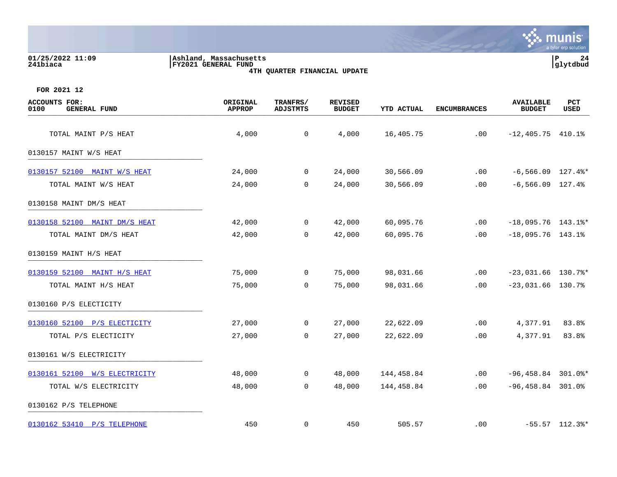| 01/25/2022 11:09<br>241biaca                        | Ashland, Massachusetts<br><b>FY2021 GENERAL FUND</b> | 4TH QUARTER FINANCIAL UPDATE |                                 |                   |                     |                                   | $\mathbf P$<br>24<br>glytdbud |
|-----------------------------------------------------|------------------------------------------------------|------------------------------|---------------------------------|-------------------|---------------------|-----------------------------------|-------------------------------|
| FOR 2021 12                                         |                                                      |                              |                                 |                   |                     |                                   |                               |
| <b>ACCOUNTS FOR:</b><br>0100<br><b>GENERAL FUND</b> | ORIGINAL<br><b>APPROP</b>                            | TRANFRS/<br><b>ADJSTMTS</b>  | <b>REVISED</b><br><b>BUDGET</b> | <b>YTD ACTUAL</b> | <b>ENCUMBRANCES</b> | <b>AVAILABLE</b><br><b>BUDGET</b> | PCT<br>USED                   |
| TOTAL MAINT P/S HEAT                                | 4,000                                                | 0                            | 4,000                           | 16,405.75         | .00                 | $-12,405.75$ $410.1%$             |                               |
| 0130157 MAINT W/S HEAT                              |                                                      |                              |                                 |                   |                     |                                   |                               |
| 0130157 52100 MAINT W/S HEAT                        | 24,000                                               | $\mathbf{0}$                 | 24,000                          | 30,566.09         | .00                 | $-6,566.09$ 127.4%*               |                               |
| TOTAL MAINT W/S HEAT                                | 24,000                                               | $\overline{0}$               | 24,000                          | 30,566.09         | .00                 | $-6, 566.09$ 127.4%               |                               |
| 0130158 MAINT DM/S HEAT                             |                                                      |                              |                                 |                   |                     |                                   |                               |
| 0130158 52100 MAINT DM/S HEAT                       | 42,000                                               | $\mathbf{0}$                 | 42,000                          | 60,095.76         | .00                 | $-18,095.76$ 143.1%*              |                               |
| TOTAL MAINT DM/S HEAT                               | 42,000                                               | $\mathbf{0}$                 | 42,000                          | 60,095.76         | .00                 | $-18,095.76$ 143.1%               |                               |
| 0130159 MAINT H/S HEAT                              |                                                      |                              |                                 |                   |                     |                                   |                               |
| 0130159 52100 MAINT H/S HEAT                        | 75,000                                               | $\overline{0}$               | 75,000                          | 98,031.66         | .00                 | $-23,031.66$ 130.7%*              |                               |
| TOTAL MAINT H/S HEAT                                | 75,000                                               | $\mathbf 0$                  | 75,000                          | 98,031.66         | .00                 | $-23,031.66$ 130.7%               |                               |
| 0130160 P/S ELECTICITY                              |                                                      |                              |                                 |                   |                     |                                   |                               |
| 0130160 52100 P/S ELECTICITY                        | 27,000                                               | $\mathbf 0$                  | 27,000                          | 22,622.09         | .00                 | 4,377.91                          | 83.8%                         |

 $\mathbf{\ddot{\cdot}}$ : munis

a tyler erp solutic

0130161 W/S ELECTRICITY \_\_\_\_\_\_\_\_\_\_\_\_\_\_\_\_\_\_\_\_\_\_\_\_\_\_\_\_\_\_\_\_\_\_\_\_\_\_\_\_\_

[0130161 52100 W/S ELECTRICITY](https://yvwlndash063.tylertech.com/sites/mu0241/LIVE/_layouts/15/DashboardMunisV6.3/PassThru.aspx?-E=SMID5D9jwl2UdGcsr7X2A4QrXA2/TVT3fBbymrwDMxtWn%2B9rudSQZ4zzzsD/Ee00&) 48,000 0 48,000 144,458.84 .00 -96,458.84 301.0%\* TOTAL W/S ELECTRICITY 48,000 0 48,000 144,458.84 .00 -96,458.84 301.0% 0130162 P/S TELEPHONE \_\_\_\_\_\_\_\_\_\_\_\_\_\_\_\_\_\_\_\_\_\_\_\_\_\_\_\_\_\_\_\_\_\_\_\_\_\_\_\_\_ [0130162 53410 P/S TELEPHONE](https://yvwlndash063.tylertech.com/sites/mu0241/LIVE/_layouts/15/DashboardMunisV6.3/PassThru.aspx?-E=n%2BjIbl5AMQrOE8YGB0trdy7emfelaOPhyxwULigPMct751dGrgLHzHGUOJLpLwkK&) 450 0 450 505.57 .00 -55.57 112.3%\*

TOTAL P/S ELECTICITY 27,000 0 27,000 22,622.09 .00 4,377.91 83.8%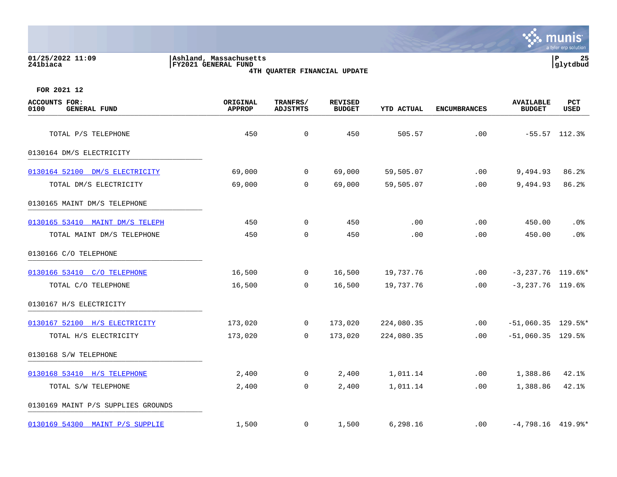| 01/25/2022 11:09<br>241biaca                        | Ashland, Massachusetts<br>FY2021 GENERAL FUND | 4TH QUARTER FINANCIAL UPDATE |                                 |                   |                     |                                   | P<br>25<br>glytdbud |
|-----------------------------------------------------|-----------------------------------------------|------------------------------|---------------------------------|-------------------|---------------------|-----------------------------------|---------------------|
| FOR 2021 12                                         |                                               |                              |                                 |                   |                     |                                   |                     |
| <b>ACCOUNTS FOR:</b><br><b>GENERAL FUND</b><br>0100 | ORIGINAL<br><b>APPROP</b>                     | TRANFRS/<br><b>ADJSTMTS</b>  | <b>REVISED</b><br><b>BUDGET</b> | <b>YTD ACTUAL</b> | <b>ENCUMBRANCES</b> | <b>AVAILABLE</b><br><b>BUDGET</b> | <b>PCT</b><br>USED  |
| TOTAL P/S TELEPHONE                                 | 450                                           | $\mathbf 0$                  | 450                             | 505.57            | .00                 |                                   | $-55.57$ 112.3%     |
| 0130164 DM/S ELECTRICITY                            |                                               |                              |                                 |                   |                     |                                   |                     |
| 0130164 52100 DM/S ELECTRICITY                      | 69,000                                        | 0                            | 69,000                          | 59,505.07         | .00                 | 9,494.93                          | 86.2%               |
| TOTAL DM/S ELECTRICITY                              | 69,000                                        | $\mathbf 0$                  | 69,000                          | 59,505.07         | .00                 | 9,494.93                          | 86.2%               |
| 0130165 MAINT DM/S TELEPHONE                        |                                               |                              |                                 |                   |                     |                                   |                     |
| 0130165 53410 MAINT DM/S TELEPH                     | 450                                           | $\mathbf 0$                  | 450                             | .00               | .00                 | 450.00                            | .0%                 |
| TOTAL MAINT DM/S TELEPHONE                          | 450                                           | $\mathbf 0$                  | 450                             | .00               | .00                 | 450.00                            | .0 <sub>8</sub>     |
| 0130166 C/O TELEPHONE                               |                                               |                              |                                 |                   |                     |                                   |                     |
| 0130166 53410 C/O TELEPHONE                         | 16,500                                        | 0                            | 16,500                          | 19,737.76         | .00                 |                                   | $-3,237.76$ 119.6%* |
| TOTAL C/O TELEPHONE                                 | 16,500                                        | 0                            | 16,500                          | 19,737.76         | .00                 | $-3,237.76$ 119.6%                |                     |
| 0130167 H/S ELECTRICITY                             |                                               |                              |                                 |                   |                     |                                   |                     |
| 0130167 52100 H/S ELECTRICITY                       | 173,020                                       | 0                            | 173,020                         | 224,080.35        | .00                 | $-51,060.35$ 129.5%*              |                     |
| TOTAL H/S ELECTRICITY                               | 173,020                                       | $\mathbf 0$                  | 173,020                         | 224,080.35        | .00                 | $-51,060.35$ 129.5%               |                     |
| 0130168 S/W TELEPHONE                               |                                               |                              |                                 |                   |                     |                                   |                     |
| 0130168 53410 H/S TELEPHONE                         | 2,400                                         | 0                            | 2,400                           | 1,011.14          | .00                 | 1,388.86                          | 42.1%               |
| TOTAL S/W TELEPHONE                                 | 2,400                                         | 0                            | 2,400                           | 1,011.14          | .00                 | 1,388.86                          | 42.1%               |
| 0130169 MAINT P/S SUPPLIES GROUNDS                  |                                               |                              |                                 |                   |                     |                                   |                     |

[0130169 54300 MAINT P/S SUPPLIE](https://yvwlndash063.tylertech.com/sites/mu0241/LIVE/_layouts/15/DashboardMunisV6.3/PassThru.aspx?-E=zHSYEmJbyTOGkcmvqwZ2oDe1ibQpp6RdA0IO3vjBjrngBOZnFCgHU3/JuXwy%2BtGP&) 1,500 0 1,500 6,298.16 .00 -4,798.16 419.9%\*

**Second Munits**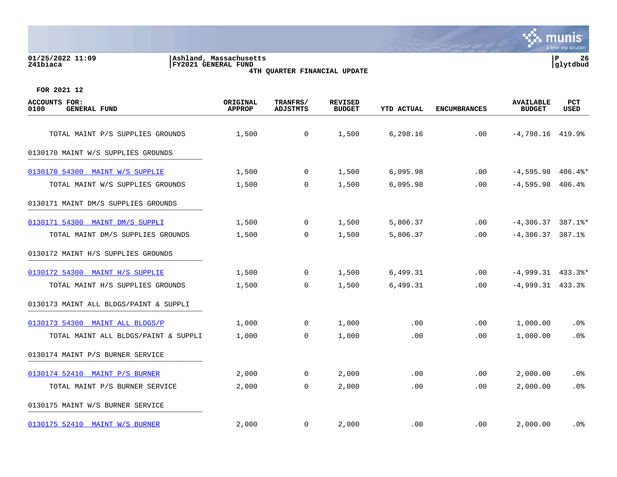#### **01/25/2022 11:09 |Ashland, Massachusetts |P 26 241biaca |FY2021 GENERAL FUND |glytdbud 4TH QUARTER FINANCIAL UPDATE**



| <b>ACCOUNTS FOR:</b><br>0100<br><b>GENERAL FUND</b> | ORIGINAL<br><b>APPROP</b> | TRANFRS/<br><b>ADJSTMTS</b> | <b>REVISED</b><br><b>BUDGET</b> | <b>YTD ACTUAL</b> | <b>ENCUMBRANCES</b> | <b>AVAILABLE</b><br><b>BUDGET</b> | PCT<br>USED |
|-----------------------------------------------------|---------------------------|-----------------------------|---------------------------------|-------------------|---------------------|-----------------------------------|-------------|
| TOTAL MAINT P/S SUPPLIES GROUNDS                    | 1,500                     | $\mathsf{O}$                | 1,500                           | 6,298.16          | .00                 | $-4,798.16$ $419.9$ <sup>*</sup>  |             |
| 0130170 MAINT W/S SUPPLIES GROUNDS                  |                           |                             |                                 |                   |                     |                                   |             |
| 0130170 54300 MAINT W/S SUPPLIE                     | 1,500                     | 0                           | 1,500                           | 6,095.98          | .00                 | $-4,595.98$ 406.4%*               |             |
| TOTAL MAINT W/S SUPPLIES GROUNDS                    | 1,500                     | 0                           | 1,500                           | 6,095.98          | .00                 | $-4,595.98$ 406.4%                |             |
| 0130171 MAINT DM/S SUPPLIES GROUNDS                 |                           |                             |                                 |                   |                     |                                   |             |
| 0130171 54300 MAINT DM/S SUPPLI                     | 1,500                     | 0                           | 1,500                           | 5,806.37          | .00                 | $-4,306.37$ 387.1%*               |             |
| TOTAL MAINT DM/S SUPPLIES GROUNDS                   | 1,500                     | 0                           | 1,500                           | 5,806.37          | .00                 | $-4,306.37$ 387.1%                |             |
| 0130172 MAINT H/S SUPPLIES GROUNDS                  |                           |                             |                                 |                   |                     |                                   |             |
| 0130172 54300 MAINT H/S SUPPLIE                     | 1,500                     | 0                           | 1,500                           | 6,499.31          | .00                 | $-4,999.31$ $433.3$ <sup>*</sup>  |             |
| TOTAL MAINT H/S SUPPLIES GROUNDS                    | 1,500                     | $\mathbf 0$                 | 1,500                           | 6,499.31          | .00                 | $-4,999.31$ $433.3%$              |             |
| 0130173 MAINT ALL BLDGS/PAINT & SUPPLI              |                           |                             |                                 |                   |                     |                                   |             |
| 0130173 54300 MAINT ALL BLDGS/P                     | 1,000                     | 0                           | 1,000                           | .00               | .00                 | 1,000.00                          | .0%         |
| TOTAL MAINT ALL BLDGS/PAINT & SUPPLI                | 1,000                     | $\mathbf 0$                 | 1,000                           | .00               | .00                 | 1,000.00                          | .0%         |
| 0130174 MAINT P/S BURNER SERVICE                    |                           |                             |                                 |                   |                     |                                   |             |
| 0130174 52410 MAINT P/S BURNER                      | 2,000                     | 0                           | 2,000                           | .00               | .00                 | 2,000.00                          | . 0%        |
| TOTAL MAINT P/S BURNER SERVICE                      | 2,000                     | $\mathbf 0$                 | 2,000                           | .00               | .00                 | 2,000.00                          | .0%         |
| 0130175 MAINT W/S BURNER SERVICE                    |                           |                             |                                 |                   |                     |                                   |             |
| 0130175 52410 MAINT W/S BURNER                      | 2,000                     | 0                           | 2,000                           | .00               | $.00 \,$            | 2,000.00                          | . 0%        |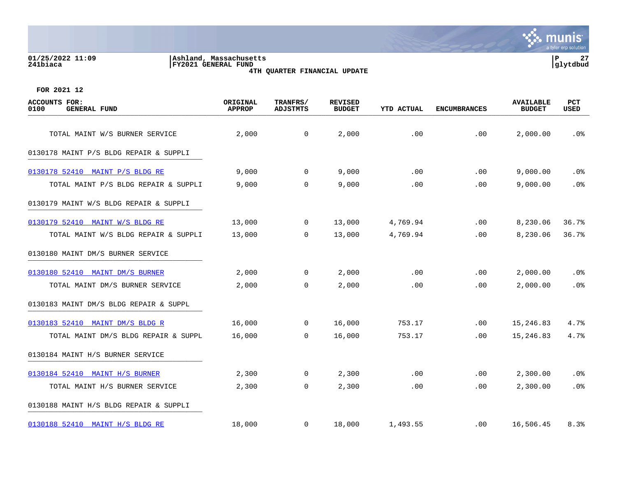#### **01/25/2022 11:09 |Ashland, Massachusetts |P 27 241biaca |FY2021 GENERAL FUND |glytdbud 4TH QUARTER FINANCIAL UPDATE**



| <b>ACCOUNTS FOR:</b><br>0100<br><b>GENERAL FUND</b> | ORIGINAL<br><b>APPROP</b> | TRANFRS/<br><b>ADJSTMTS</b> | <b>REVISED</b><br><b>BUDGET</b> | <b>YTD ACTUAL</b> | <b>ENCUMBRANCES</b> | <b>AVAILABLE</b><br><b>BUDGET</b> | <b>PCT</b><br>USED |
|-----------------------------------------------------|---------------------------|-----------------------------|---------------------------------|-------------------|---------------------|-----------------------------------|--------------------|
| TOTAL MAINT W/S BURNER SERVICE                      | 2,000                     | $\mathsf{O}$                | 2,000                           | .00               | .00                 | 2,000.00                          | .0%                |
| 0130178 MAINT P/S BLDG REPAIR & SUPPLI              |                           |                             |                                 |                   |                     |                                   |                    |
|                                                     |                           |                             |                                 |                   |                     |                                   |                    |
| 0130178 52410 MAINT P/S BLDG RE                     | 9,000                     | $\mathbf 0$                 | 9,000                           | .00               | .00                 | 9,000.00                          | .0%                |
| TOTAL MAINT P/S BLDG REPAIR & SUPPLI                | 9,000                     | $\mathbf 0$                 | 9,000                           | .00               | .00                 | 9,000.00                          | .0%                |
| 0130179 MAINT W/S BLDG REPAIR & SUPPLI              |                           |                             |                                 |                   |                     |                                   |                    |
| 0130179 52410 MAINT W/S BLDG RE                     | 13,000                    | $\mathbf 0$                 | 13,000                          | 4,769.94          | .00                 | 8,230.06                          | 36.7%              |
| TOTAL MAINT W/S BLDG REPAIR & SUPPLI                | 13,000                    | $\Omega$                    | 13,000                          | 4,769.94          | .00                 | 8,230.06                          | 36.7%              |
| 0130180 MAINT DM/S BURNER SERVICE                   |                           |                             |                                 |                   |                     |                                   |                    |
| 0130180 52410 MAINT DM/S BURNER                     | 2,000                     | $\mathsf{O}$                | 2,000                           | .00               | .00                 | 2,000.00                          | .0%                |
| TOTAL MAINT DM/S BURNER SERVICE                     | 2,000                     | $\Omega$                    | 2,000                           | .00               | .00                 | 2,000.00                          | .0%                |
| 0130183 MAINT DM/S BLDG REPAIR & SUPPL              |                           |                             |                                 |                   |                     |                                   |                    |
| 0130183 52410 MAINT DM/S BLDG R                     | 16,000                    | $\mathbf 0$                 | 16,000                          | 753.17            | .00                 | 15,246.83                         | 4.7%               |
| TOTAL MAINT DM/S BLDG REPAIR & SUPPL                | 16,000                    | $\mathbf 0$                 | 16,000                          | 753.17            | .00                 | 15,246.83                         | 4.7%               |
| 0130184 MAINT H/S BURNER SERVICE                    |                           |                             |                                 |                   |                     |                                   |                    |
| 0130184 52410 MAINT H/S BURNER                      | 2,300                     | 0                           | 2,300                           | .00               | .00                 | 2,300.00                          | $.0\%$             |
| TOTAL MAINT H/S BURNER SERVICE                      | 2,300                     | $\mathbf 0$                 | 2,300                           | .00               | .00                 | 2,300.00                          | .0%                |
| 0130188 MAINT H/S BLDG REPAIR & SUPPLI              |                           |                             |                                 |                   |                     |                                   |                    |
| 0130188 52410 MAINT H/S BLDG RE                     | 18,000                    | 0                           | 18,000                          | 1,493.55          | $.00 \,$            | 16,506.45                         | 8.3%               |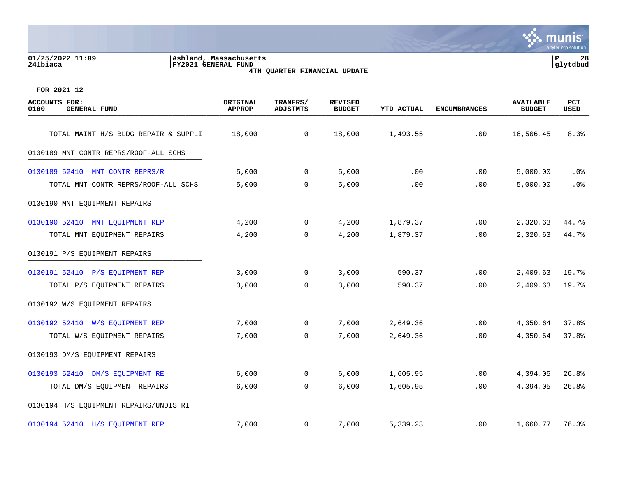#### **01/25/2022 11:09 |Ashland, Massachusetts |P 28 241biaca |FY2021 GENERAL FUND |glytdbud 4TH QUARTER FINANCIAL UPDATE**



| <b>ACCOUNTS FOR:</b><br>0100<br><b>GENERAL FUND</b> | ORIGINAL<br><b>APPROP</b> | TRANFRS/<br><b>ADJSTMTS</b> | <b>REVISED</b><br><b>BUDGET</b> | <b>YTD ACTUAL</b> | <b>ENCUMBRANCES</b> | <b>AVAILABLE</b><br><b>BUDGET</b> | <b>PCT</b><br>USED |
|-----------------------------------------------------|---------------------------|-----------------------------|---------------------------------|-------------------|---------------------|-----------------------------------|--------------------|
| TOTAL MAINT H/S BLDG REPAIR & SUPPLI                | 18,000                    | $\mathsf{O}$                | 18,000                          | 1,493.55          | .00                 | 16,506.45                         | 8.3%               |
| 0130189 MNT CONTR REPRS/ROOF-ALL SCHS               |                           |                             |                                 |                   |                     |                                   |                    |
| 0130189 52410 MNT CONTR REPRS/R                     | 5,000                     | $\mathbf 0$                 | 5,000                           | .00               | .00                 | 5,000.00                          | .0%                |
| TOTAL MNT CONTR REPRS/ROOF-ALL SCHS                 | 5,000                     | $\mathbf 0$                 | 5,000                           | .00               | .00                 | 5,000.00                          | .0%                |
| 0130190 MNT EQUIPMENT REPAIRS                       |                           |                             |                                 |                   |                     |                                   |                    |
| 0130190 52410 MNT EOUIPMENT REP                     | 4,200                     | 0                           | 4,200                           | 1,879.37          | .00                 | 2,320.63                          | 44.7%              |
| TOTAL MNT EQUIPMENT REPAIRS                         | 4,200                     | $\mathbf 0$                 | 4,200                           | 1,879.37          | .00                 | 2,320.63                          | 44.7%              |
| 0130191 P/S EQUIPMENT REPAIRS                       |                           |                             |                                 |                   |                     |                                   |                    |
| 0130191 52410 P/S EOUIPMENT REP                     | 3,000                     | 0                           | 3,000                           | 590.37            | .00                 | 2,409.63                          | 19.7%              |
| TOTAL P/S EQUIPMENT REPAIRS                         | 3,000                     | $\Omega$                    | 3,000                           | 590.37            | .00.                | 2,409.63                          | 19.7%              |
| 0130192 W/S EQUIPMENT REPAIRS                       |                           |                             |                                 |                   |                     |                                   |                    |
| 0130192 52410 W/S EOUIPMENT REP                     | 7,000                     | $\mathbf 0$                 | 7,000                           | 2,649.36          | .00                 | 4,350.64                          | 37.8%              |
| TOTAL W/S EQUIPMENT REPAIRS                         | 7,000                     | $\mathbf 0$                 | 7,000                           | 2,649.36          | .00                 | 4,350.64                          | 37.8%              |
| 0130193 DM/S EQUIPMENT REPAIRS                      |                           |                             |                                 |                   |                     |                                   |                    |
| 0130193 52410 DM/S EQUIPMENT RE                     | 6,000                     | 0                           | 6,000                           | 1,605.95          | .00                 | 4,394.05                          | 26.8%              |
| TOTAL DM/S EQUIPMENT REPAIRS                        | 6,000                     | $\mathbf 0$                 | 6,000                           | 1,605.95          | .00                 | 4,394.05                          | 26.8%              |
| 0130194 H/S EQUIPMENT REPAIRS/UNDISTRI              |                           |                             |                                 |                   |                     |                                   |                    |
| 0130194 52410 H/S EQUIPMENT REP                     | 7,000                     | $\mathbf 0$                 | 7,000                           | 5,339.23          | .00                 | 1,660.77                          | 76.3%              |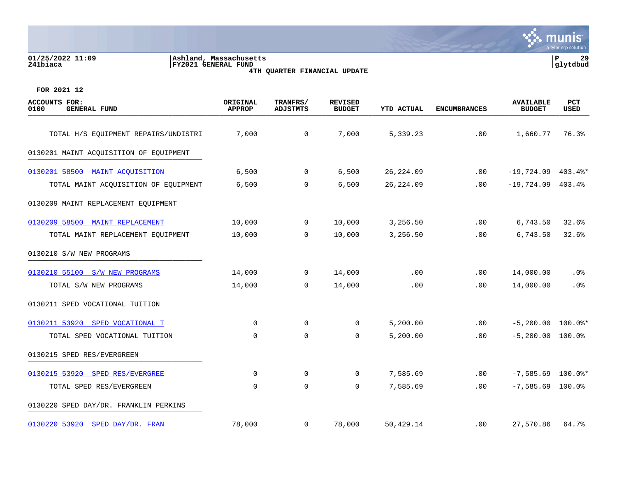#### **01/25/2022 11:09 |Ashland, Massachusetts |P 29 241biaca |FY2021 GENERAL FUND |glytdbud 4TH QUARTER FINANCIAL UPDATE**



| <b>ACCOUNTS FOR:</b><br>0100<br><b>GENERAL FUND</b> | ORIGINAL<br><b>APPROP</b> | TRANFRS/<br><b>ADJSTMTS</b> | <b>REVISED</b><br><b>BUDGET</b> | YTD ACTUAL | <b>ENCUMBRANCES</b> | <b>AVAILABLE</b><br><b>BUDGET</b> | PCT<br>USED |
|-----------------------------------------------------|---------------------------|-----------------------------|---------------------------------|------------|---------------------|-----------------------------------|-------------|
| TOTAL H/S EQUIPMENT REPAIRS/UNDISTRI                | 7,000                     | 0                           | 7,000                           | 5,339.23   | .00                 | 1,660.77                          | 76.3%       |
|                                                     |                           |                             |                                 |            |                     |                                   |             |
| 0130201 MAINT ACQUISITION OF EQUIPMENT              |                           |                             |                                 |            |                     |                                   |             |
| 0130201 58500 MAINT ACQUISITION                     | 6,500                     | $\overline{0}$              | 6,500                           | 26, 224.09 | .00                 | $-19,724.09$ 403.4%*              |             |
| TOTAL MAINT ACQUISITION OF EQUIPMENT                | 6,500                     | $\mathbf 0$                 | 6,500                           | 26, 224.09 | .00                 | $-19,724.09$ 403.4%               |             |
| 0130209 MAINT REPLACEMENT EQUIPMENT                 |                           |                             |                                 |            |                     |                                   |             |
| 0130209 58500 MAINT REPLACEMENT                     | 10,000                    | $\mathbf 0$                 | 10,000                          | 3,256.50   | .00                 | 6,743.50                          | 32.6%       |
| TOTAL MAINT REPLACEMENT EQUIPMENT                   | 10,000                    | 0                           | 10,000                          | 3,256.50   | .00                 | 6,743.50                          | 32.6%       |
| 0130210 S/W NEW PROGRAMS                            |                           |                             |                                 |            |                     |                                   |             |
| 0130210 55100 S/W NEW PROGRAMS                      | 14,000                    | $\overline{0}$              | 14,000                          | .00        | .00                 | 14,000.00                         | .0%         |
| TOTAL S/W NEW PROGRAMS                              | 14,000                    | $\mathbf 0$                 | 14,000                          | .00        | .00                 | 14,000.00                         | .0%         |
| 0130211 SPED VOCATIONAL TUITION                     |                           |                             |                                 |            |                     |                                   |             |
| 0130211 53920 SPED VOCATIONAL T                     | $\Omega$                  | $\Omega$                    | $\mathbf 0$                     | 5,200.00   | .00                 | $-5,200.00$ 100.0%*               |             |
| TOTAL SPED VOCATIONAL TUITION                       | $\mathbf 0$               | $\mathbf 0$                 | $\mathbf 0$                     | 5,200.00   | .00                 | $-5, 200.00$                      | $100.0$ %   |
| 0130215 SPED RES/EVERGREEN                          |                           |                             |                                 |            |                     |                                   |             |
| 0130215 53920 SPED RES/EVERGREE                     | 0                         | 0                           | 0                               | 7,585.69   | .00                 | $-7,585.69$ 100.0%*               |             |
| TOTAL SPED RES/EVERGREEN                            | $\mathbf 0$               | $\mathbf 0$                 | $\mathbf 0$                     | 7,585.69   | .00                 | $-7,585.69$ 100.0%                |             |
| 0130220 SPED DAY/DR. FRANKLIN PERKINS               |                           |                             |                                 |            |                     |                                   |             |
| 0130220 53920 SPED DAY/DR. FRAN                     | 78,000                    | 0                           | 78,000                          | 50,429.14  | .00                 | 27,570.86                         | 64.7%       |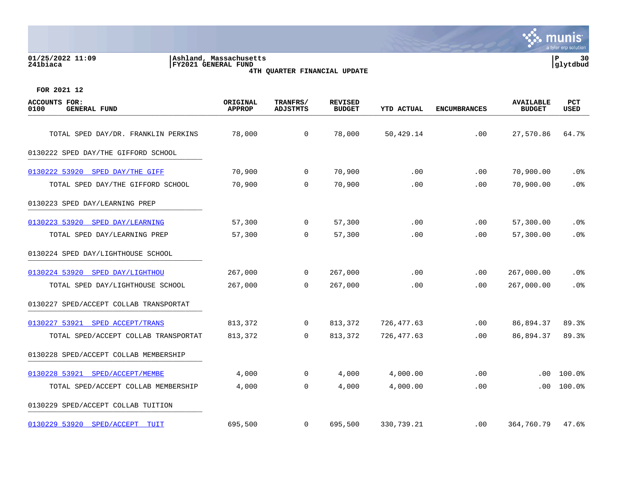#### **01/25/2022 11:09 |Ashland, Massachusetts |P 30 241biaca |FY2021 GENERAL FUND |glytdbud 4TH QUARTER FINANCIAL UPDATE**



| <b>ACCOUNTS FOR:</b><br><b>GENERAL FUND</b><br>0100 | ORIGINAL<br><b>APPROP</b> | TRANFRS/<br><b>ADJSTMTS</b> | <b>REVISED</b><br><b>BUDGET</b> | <b>YTD ACTUAL</b> | <b>ENCUMBRANCES</b> | <b>AVAILABLE</b><br><b>BUDGET</b> | PCT<br><b>USED</b> |
|-----------------------------------------------------|---------------------------|-----------------------------|---------------------------------|-------------------|---------------------|-----------------------------------|--------------------|
| TOTAL SPED DAY/DR. FRANKLIN PERKINS                 | 78,000                    | $\overline{0}$              | 78,000                          | 50,429.14         | .00                 | 27,570.86                         | 64.7%              |
| 0130222 SPED DAY/THE GIFFORD SCHOOL                 |                           |                             |                                 |                   |                     |                                   |                    |
| 0130222 53920 SPED DAY/THE GIFF                     | 70,900                    | $\mathbf{0}$                | 70,900                          | .00               | .00                 | 70,900.00                         | . 0%               |
| TOTAL SPED DAY/THE GIFFORD SCHOOL                   | 70,900                    | 0                           | 70,900                          | .00               | .00                 | 70,900.00                         | .0%                |
| 0130223 SPED DAY/LEARNING PREP                      |                           |                             |                                 |                   |                     |                                   |                    |
| 0130223 53920 SPED DAY/LEARNING                     | 57,300                    | $\mathbf{0}$                | 57,300                          | .00               | .00                 | 57,300.00                         | .0%                |
| TOTAL SPED DAY/LEARNING PREP                        | 57,300                    | $\Omega$                    | 57,300                          | .00               | .00                 | 57,300.00                         | .0%                |
| 0130224 SPED DAY/LIGHTHOUSE SCHOOL                  |                           |                             |                                 |                   |                     |                                   |                    |
| 0130224 53920 SPED DAY/LIGHTHOU                     | 267,000                   | 0                           | 267,000                         | .00               | .00                 | 267,000.00                        | .0%                |
| TOTAL SPED DAY/LIGHTHOUSE SCHOOL                    | 267,000                   | $\overline{0}$              | 267,000                         | .00               | .00.                | 267,000.00                        | .0%                |
| 0130227 SPED/ACCEPT COLLAB TRANSPORTAT              |                           |                             |                                 |                   |                     |                                   |                    |
| 0130227 53921 SPED ACCEPT/TRANS                     | 813,372                   | $\mathbf{0}$                | 813,372                         | 726,477.63        | .00                 | 86,894.37                         | 89.3%              |
| TOTAL SPED/ACCEPT COLLAB TRANSPORTAT                | 813,372                   | $\mathbf 0$                 | 813,372                         | 726,477.63        | .00                 | 86,894.37                         | 89.3%              |
| 0130228 SPED/ACCEPT COLLAB MEMBERSHIP               |                           |                             |                                 |                   |                     |                                   |                    |
| 0130228 53921 SPED/ACCEPT/MEMBE                     | 4,000                     | $\mathbf{0}$                | 4,000                           | 4,000.00          | .00                 | .00                               | 100.0%             |
| TOTAL SPED/ACCEPT COLLAB MEMBERSHIP                 | 4,000                     | $\overline{0}$              | 4,000                           | 4,000.00          | .00                 | .00                               | 100.0%             |
| 0130229 SPED/ACCEPT COLLAB TUITION                  |                           |                             |                                 |                   |                     |                                   |                    |
| 0130229 53920 SPED/ACCEPT<br>TUIT                   | 695,500                   | $\overline{0}$              | 695,500                         | 330,739.21        | .00                 | 364,760.79                        | 47.6%              |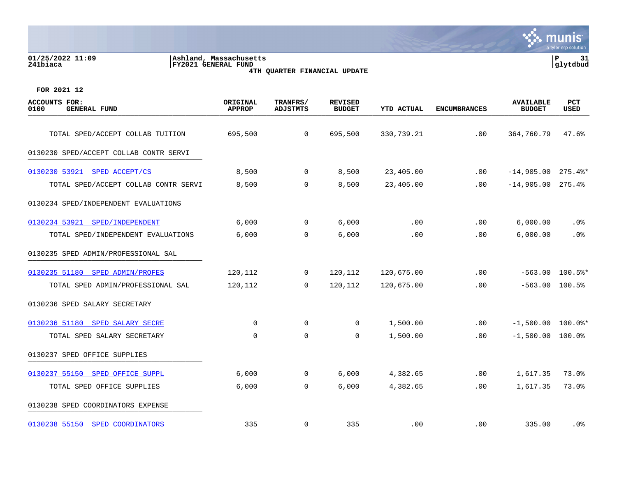#### **01/25/2022 11:09 |Ashland, Massachusetts |P 31 241biaca |FY2021 GENERAL FUND |glytdbud 4TH QUARTER FINANCIAL UPDATE**



| <b>ACCOUNTS FOR:</b><br><b>GENERAL FUND</b><br>0100 | ORIGINAL<br><b>APPROP</b> | TRANFRS/<br><b>ADJSTMTS</b> | <b>REVISED</b><br><b>BUDGET</b> | YTD ACTUAL | <b>ENCUMBRANCES</b> | <b>AVAILABLE</b><br><b>BUDGET</b> | PCT<br>USED |
|-----------------------------------------------------|---------------------------|-----------------------------|---------------------------------|------------|---------------------|-----------------------------------|-------------|
| TOTAL SPED/ACCEPT COLLAB TUITION                    | 695,500                   | $\overline{0}$              | 695,500                         | 330,739.21 | .00                 | 364,760.79                        | 47.6%       |
| 0130230 SPED/ACCEPT COLLAB CONTR SERVI              |                           |                             |                                 |            |                     |                                   |             |
| 0130230 53921 SPED ACCEPT/CS                        | 8,500                     | $\mathbf 0$                 | 8,500                           | 23,405.00  | .00                 | $-14,905.00$ 275.4%*              |             |
| TOTAL SPED/ACCEPT COLLAB CONTR SERVI                | 8,500                     | 0                           | 8,500                           | 23,405.00  | .00                 | $-14,905.00$ 275.4%               |             |
| 0130234 SPED/INDEPENDENT EVALUATIONS                |                           |                             |                                 |            |                     |                                   |             |
| 0130234 53921<br>SPED/INDEPENDENT                   | 6,000                     | $\mathbf{0}$                | 6,000                           | .00        | .00                 | 6,000.00                          | $.0\%$      |
| TOTAL SPED/INDEPENDENT EVALUATIONS                  | 6,000                     | $\mathbf 0$                 | 6,000                           | .00        | .00                 | 6,000.00                          | .0%         |
| 0130235 SPED ADMIN/PROFESSIONAL SAL                 |                           |                             |                                 |            |                     |                                   |             |
| 0130235 51180 SPED ADMIN/PROFES                     | 120,112                   | 0                           | 120,112                         | 120,675.00 | .00                 | $-563.00$                         | $100.5$ %*  |
| TOTAL SPED ADMIN/PROFESSIONAL SAL                   | 120,112                   | $\overline{0}$              | 120,112                         | 120,675.00 | .00                 | $-563.00$ 100.5%                  |             |
| 0130236 SPED SALARY SECRETARY                       |                           |                             |                                 |            |                     |                                   |             |
| 0130236 51180 SPED SALARY SECRE                     | $\mathbf 0$               | $\mathbf 0$                 | 0                               | 1,500.00   | .00                 | $-1,500.00$ 100.0%*               |             |
| TOTAL SPED SALARY SECRETARY                         | 0                         | 0                           | 0                               | 1,500.00   | .00                 | $-1,500.00$ 100.0%                |             |
| 0130237 SPED OFFICE SUPPLIES                        |                           |                             |                                 |            |                     |                                   |             |
| 0130237 55150 SPED OFFICE SUPPL                     | 6,000                     | $\mathbf 0$                 | 6,000                           | 4,382.65   | .00                 | 1,617.35                          | 73.0%       |
| TOTAL SPED OFFICE SUPPLIES                          | 6,000                     | $\mathsf{O}$                | 6,000                           | 4,382.65   | .00                 | 1,617.35                          | 73.0%       |
| 0130238 SPED COORDINATORS EXPENSE                   |                           |                             |                                 |            |                     |                                   |             |
| 0130238 55150 SPED COORDINATORS                     | 335                       | $\mathbf 0$                 | 335                             | .00        | .00                 | 335.00                            | $.0\%$      |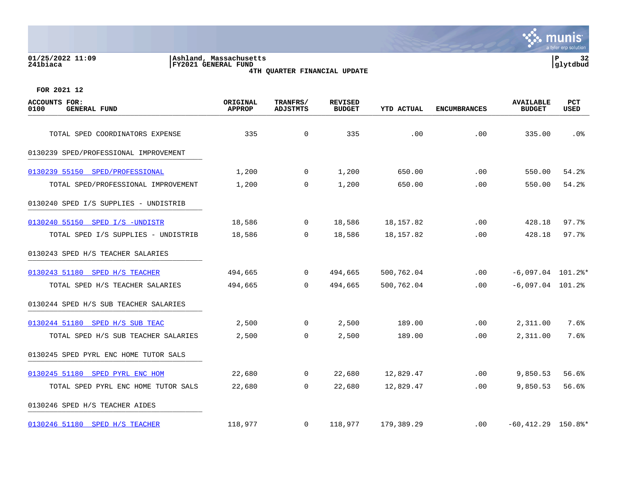**01/25/2022 11:09 |Ashland, Massachusetts |P 32 241biaca |FY2021 GENERAL FUND |glytdbud**





| <b>ACCOUNTS FOR:</b><br>0100<br><b>GENERAL FUND</b> | ORIGINAL<br><b>APPROP</b> | TRANFRS/<br><b>ADJSTMTS</b> | <b>REVISED</b><br><b>BUDGET</b> | <b>YTD ACTUAL</b> | <b>ENCUMBRANCES</b> | <b>AVAILABLE</b><br><b>BUDGET</b> | <b>PCT</b><br>USED |
|-----------------------------------------------------|---------------------------|-----------------------------|---------------------------------|-------------------|---------------------|-----------------------------------|--------------------|
| TOTAL SPED COORDINATORS EXPENSE                     | 335                       | $\mathsf{O}$                | 335                             | .00               | .00                 | 335.00                            | .0%                |
| 0130239 SPED/PROFESSIONAL IMPROVEMENT               |                           |                             |                                 |                   |                     |                                   |                    |
|                                                     |                           |                             |                                 |                   |                     |                                   |                    |
| 0130239 55150 SPED/PROFESSIONAL                     | 1,200                     | $\Omega$                    | 1,200                           | 650.00            | .00                 | 550.00                            | 54.2%              |
| TOTAL SPED/PROFESSIONAL IMPROVEMENT                 | 1,200                     | $\overline{0}$              | 1,200                           | 650.00            | .00                 | 550.00                            | 54.2%              |
| 0130240 SPED I/S SUPPLIES - UNDISTRIB               |                           |                             |                                 |                   |                     |                                   |                    |
| 0130240 55150 SPED I/S -UNDISTR                     | 18,586                    | $\overline{0}$              | 18,586                          | 18,157.82         | $.00 \ \rm$         | 428.18                            | 97.7%              |
| TOTAL SPED I/S SUPPLIES - UNDISTRIB                 | 18,586                    | $\mathbf 0$                 | 18,586                          | 18,157.82         | .00                 | 428.18                            | 97.7%              |
| 0130243 SPED H/S TEACHER SALARIES                   |                           |                             |                                 |                   |                     |                                   |                    |
| 0130243 51180 SPED H/S TEACHER                      | 494,665                   | $\overline{0}$              | 494,665                         | 500,762.04        | .00                 | $-6,097.04$ 101.2%*               |                    |
| TOTAL SPED H/S TEACHER SALARIES                     | 494,665                   | $\Omega$                    | 494,665                         | 500,762.04        | $.00 \,$            | $-6,097.04$ 101.2%                |                    |
| 0130244 SPED H/S SUB TEACHER SALARIES               |                           |                             |                                 |                   |                     |                                   |                    |
| 0130244 51180 SPED H/S SUB TEAC                     | 2,500                     | $\Omega$                    | 2,500                           | 189.00            | .00                 | 2,311.00                          | 7.6%               |
| TOTAL SPED H/S SUB TEACHER SALARIES                 | 2,500                     | 0                           | 2,500                           | 189.00            | $.00 \,$            | 2,311.00                          | 7.6%               |
| 0130245 SPED PYRL ENC HOME TUTOR SALS               |                           |                             |                                 |                   |                     |                                   |                    |
| 0130245 51180 SPED PYRL ENC HOM                     | 22,680                    | $\mathbf 0$                 | 22,680                          | 12,829.47         | $.00 \ \rm$         | 9,850.53                          | 56.6%              |
| TOTAL SPED PYRL ENC HOME TUTOR SALS                 | 22,680                    | $\mathbf 0$                 | 22,680                          | 12,829.47         | $.00 \,$            | 9,850.53                          | 56.6%              |
| 0130246 SPED H/S TEACHER AIDES                      |                           |                             |                                 |                   |                     |                                   |                    |
| 0130246 51180 SPED H/S TEACHER                      | 118,977                   | $\overline{0}$              | 118,977                         | 179,389.29        | $.00 \,$            | $-60,412.29$ 150.8%*              |                    |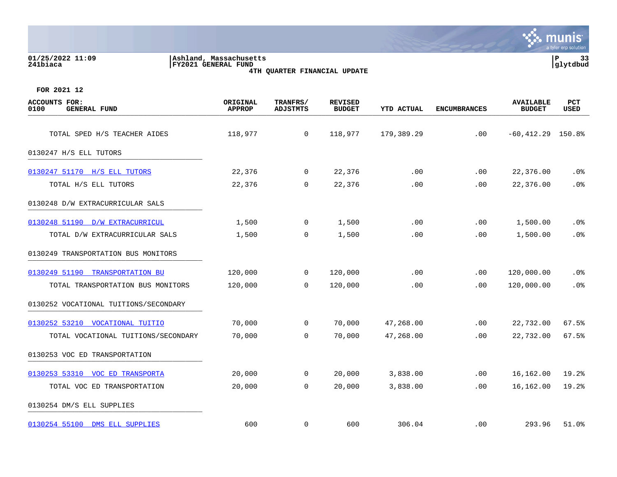| 01/25/2022 11:09<br>241biaca                        | Ashland, Massachusetts<br>FY2021 GENERAL FUND<br>4TH QUARTER FINANCIAL UPDATE |                             |                                 | P<br>33<br>glytdbud |                     |                                   |                 |
|-----------------------------------------------------|-------------------------------------------------------------------------------|-----------------------------|---------------------------------|---------------------|---------------------|-----------------------------------|-----------------|
| FOR 2021 12                                         |                                                                               |                             |                                 |                     |                     |                                   |                 |
| <b>ACCOUNTS FOR:</b><br>0100<br><b>GENERAL FUND</b> | ORIGINAL<br><b>APPROP</b>                                                     | <b>TRANFRS/</b><br>ADJSTMTS | <b>REVISED</b><br><b>BUDGET</b> | YTD ACTUAL          | <b>ENCUMBRANCES</b> | <b>AVAILABLE</b><br><b>BUDGET</b> | PCT<br>USED     |
| TOTAL SPED H/S TEACHER AIDES                        | 118,977                                                                       | $\mathbf 0$                 | 118,977                         | 179,389.29          | .00                 | $-60,412.29$ 150.8%               |                 |
| 0130247 H/S ELL TUTORS                              |                                                                               |                             |                                 |                     |                     |                                   |                 |
| 0130247 51170 H/S ELL TUTORS                        | 22,376                                                                        | 0                           | 22,376                          | .00                 | .00                 | 22,376.00                         | $.0\%$          |
| TOTAL H/S ELL TUTORS                                | 22,376                                                                        | $\mathbf 0$                 | 22,376                          | .00                 | .00                 | 22,376.00                         | .0%             |
| 0130248 D/W EXTRACURRICULAR SALS                    |                                                                               |                             |                                 |                     |                     |                                   |                 |
| 0130248 51190 D/W EXTRACURRICUL                     | 1,500                                                                         | 0                           | 1,500                           | .00                 | .00                 | 1,500.00                          | .0 <sub>8</sub> |
| TOTAL D/W EXTRACURRICULAR SALS                      | 1,500                                                                         | $\Omega$                    | 1,500                           | .00                 | .00                 | 1,500.00                          | .0%             |
| 0130249 TRANSPORTATION BUS MONITORS                 |                                                                               |                             |                                 |                     |                     |                                   |                 |
| 0130249 51190 TRANSPORTATION BU                     | 120,000                                                                       | 0                           | 120,000                         | .00                 | $.00 \,$            | 120,000.00                        | $.0\%$          |
| TOTAL TRANSPORTATION BUS MONITORS                   | 120,000                                                                       | $\Omega$                    | 120,000                         | .00                 | .00                 | 120,000.00                        | .0 <sub>8</sub> |
| 0130252 VOCATIONAL TUITIONS/SECONDARY               |                                                                               |                             |                                 |                     |                     |                                   |                 |
| 0130252 53210 VOCATIONAL TUITIO                     | 70,000                                                                        | $\mathbf 0$                 | 70,000                          | 47,268.00           | .00                 | 22,732.00                         | 67.5%           |
| TOTAL VOCATIONAL TUITIONS/SECONDARY                 | 70,000                                                                        | $\mathbf 0$                 | 70,000                          | 47,268.00           | .00                 | 22,732.00                         | 67.5%           |
| 0130253 VOC ED TRANSPORTATION                       |                                                                               |                             |                                 |                     |                     |                                   |                 |
| 0130253 53310 VOC ED TRANSPORTA                     | 20,000                                                                        | $\Omega$                    | 20,000                          | 3,838.00            | $.00 \,$            | 16,162.00                         | 19.2%           |
| TOTAL VOC ED TRANSPORTATION                         | 20,000                                                                        | 0                           | 20,000                          | 3,838.00            | .00                 | 16,162.00                         | 19.2%           |
|                                                     |                                                                               |                             |                                 |                     |                     |                                   |                 |

[0130254 55100 DMS ELL SUPPLIES](https://yvwlndash063.tylertech.com/sites/mu0241/LIVE/_layouts/15/DashboardMunisV6.3/PassThru.aspx?-E=JF6QN2kLa%2BWaiBuX7DBS4sH7fSClmlUpNpP1QJ6smk50dzGt3bGPaofxfJucI2bt&) 600 0 600 306.04 .00 293.96 51.0%

**BASE** 

munis a tyler erp solution

0130254 DM/S ELL SUPPLIES \_\_\_\_\_\_\_\_\_\_\_\_\_\_\_\_\_\_\_\_\_\_\_\_\_\_\_\_\_\_\_\_\_\_\_\_\_\_\_\_\_

|  | 0130254 55100 DMS ELL SUPPLIES |  |
|--|--------------------------------|--|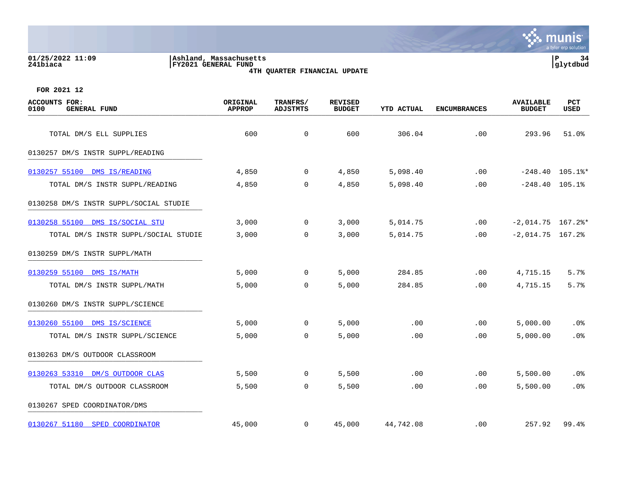#### **01/25/2022 11:09 |Ashland, Massachusetts |P 34 241biaca |FY2021 GENERAL FUND |glytdbud 4TH QUARTER FINANCIAL UPDATE**



| <b>ACCOUNTS FOR:</b><br>0100<br><b>GENERAL FUND</b>            | ORIGINAL<br><b>APPROP</b> | TRANFRS/<br><b>ADJSTMTS</b> | <b>REVISED</b><br><b>BUDGET</b> | YTD ACTUAL           | <b>ENCUMBRANCES</b> | <b>AVAILABLE</b><br><b>BUDGET</b> | PCT<br>USED       |
|----------------------------------------------------------------|---------------------------|-----------------------------|---------------------------------|----------------------|---------------------|-----------------------------------|-------------------|
| TOTAL DM/S ELL SUPPLIES                                        | 600                       | $\mathbf 0$                 | 600                             | 306.04               | .00                 | 293.96                            | 51.0%             |
| 0130257 DM/S INSTR SUPPL/READING                               |                           |                             |                                 |                      |                     |                                   |                   |
|                                                                |                           | $\overline{0}$              |                                 |                      |                     |                                   | $-248.40$ 105.1%* |
| 0130257 55100 DMS IS/READING<br>TOTAL DM/S INSTR SUPPL/READING | 4,850<br>4,850            | $\mathbf 0$                 | 4,850<br>4,850                  | 5,098.40<br>5,098.40 | .00<br>.00          | $-248.40$ 105.1%                  |                   |
| 0130258 DM/S INSTR SUPPL/SOCIAL STUDIE                         |                           |                             |                                 |                      |                     |                                   |                   |
| 0130258 55100 DMS IS/SOCIAL STU                                | 3,000                     | $\mathbf 0$                 | 3,000                           | 5,014.75             | .00                 | $-2,014.75$ 167.2%*               |                   |
| TOTAL DM/S INSTR SUPPL/SOCIAL STUDIE                           | 3,000                     | 0                           | 3,000                           | 5,014.75             | .00                 | $-2,014.75$ 167.2%                |                   |
| 0130259 DM/S INSTR SUPPL/MATH                                  |                           |                             |                                 |                      |                     |                                   |                   |
| 0130259 55100 DMS IS/MATH                                      | 5,000                     | $\overline{0}$              | 5,000                           | 284.85               | .00                 | 4,715.15                          | 5.7%              |
| TOTAL DM/S INSTR SUPPL/MATH                                    | 5,000                     | $\overline{0}$              | 5,000                           | 284.85               | .00.                | 4,715.15                          | 5.7%              |
| 0130260 DM/S INSTR SUPPL/SCIENCE                               |                           |                             |                                 |                      |                     |                                   |                   |
| 0130260 55100 DMS IS/SCIENCE                                   | 5,000                     | $\Omega$                    | 5,000                           | .00                  | .00                 | 5,000.00                          | .0%               |
| TOTAL DM/S INSTR SUPPL/SCIENCE                                 | 5,000                     | $\mathbf 0$                 | 5,000                           | .00                  | .00                 | 5,000.00                          | .0%               |
| 0130263 DM/S OUTDOOR CLASSROOM                                 |                           |                             |                                 |                      |                     |                                   |                   |
| 0130263 53310 DM/S OUTDOOR CLAS                                | 5,500                     | $\mathbf 0$                 | 5,500                           | .00                  | .00                 | 5,500.00                          | $.0\%$            |
| TOTAL DM/S OUTDOOR CLASSROOM                                   | 5,500                     | $\overline{0}$              | 5,500                           | .00                  | .00                 | 5,500.00                          | .0%               |
| 0130267 SPED COORDINATOR/DMS                                   |                           |                             |                                 |                      |                     |                                   |                   |
| 0130267 51180 SPED COORDINATOR                                 | 45,000                    | $\mathbf{0}$                | 45,000                          | 44,742.08            | $.00 \,$            | 257.92                            | 99.4%             |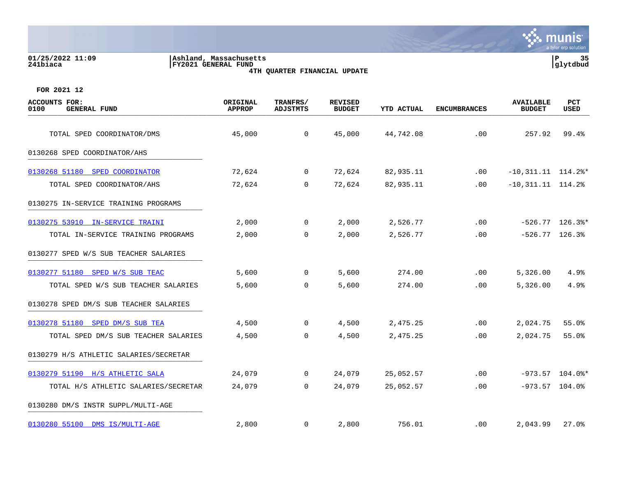|                                              |                                                                                | $\alpha$ cyrcle or production                                                                                                                 |    |
|----------------------------------------------|--------------------------------------------------------------------------------|-----------------------------------------------------------------------------------------------------------------------------------------------|----|
| 01/25/2022 11:09<br>241biaca                 | Ashland, Massachusetts <br>FY2021 GENERAL FUND<br>4TH QUARTER FINANCIAL UPDATE | Р<br> glytdbud                                                                                                                                | 35 |
| FOR 2021 12                                  |                                                                                |                                                                                                                                               |    |
| ACCOUNTS FOR:<br>0100<br><b>GENERAL FUND</b> | TRANFRS/<br>ORIGINAL<br><b>APPROP</b><br>ADJSTMTS                              | <b>PCT</b><br><b>REVISED</b><br><b>AVAILABLE</b><br><b>USED</b><br><b>YTD ACTUAL</b><br><b>BUDGET</b><br><b>ENCUMBRANCES</b><br><b>BUDGET</b> |    |

| 0100<br><b>GENERAL FUND</b>            | <b>APPROP</b> | <b>ADJSTMTS</b> | <b>BUDGET</b> | YTD ACTUAL | <b>ENCUMBRANCES</b> | <b>BUDGET</b>          | USED              |
|----------------------------------------|---------------|-----------------|---------------|------------|---------------------|------------------------|-------------------|
| TOTAL SPED COORDINATOR/DMS             | 45,000        | $\overline{0}$  | 45,000        | 44,742.08  | .00                 | 257.92                 | 99.4%             |
| 0130268 SPED COORDINATOR/AHS           |               |                 |               |            |                     |                        |                   |
| 0130268 51180 SPED COORDINATOR         | 72,624        | $\overline{0}$  | 72,624        | 82,935.11  | .00                 | $-10,311.11$ $114.2$ * |                   |
| TOTAL SPED COORDINATOR/AHS             | 72,624        | $\overline{0}$  | 72,624        | 82,935.11  | .00                 | $-10,311.11$ $114.2%$  |                   |
| 0130275 IN-SERVICE TRAINING PROGRAMS   |               |                 |               |            |                     |                        |                   |
| 0130275 53910 IN-SERVICE TRAINI        | 2,000         | $\mathsf{O}$    | 2,000         | 2,526.77   | $.00 \,$            |                        | $-526.77$ 126.3%* |
| TOTAL IN-SERVICE TRAINING PROGRAMS     | 2,000         | $\mathbf 0$     | 2,000         | 2,526.77   | .00                 | $-526.77$ 126.3%       |                   |
| 0130277 SPED W/S SUB TEACHER SALARIES  |               |                 |               |            |                     |                        |                   |
| 0130277 51180 SPED W/S SUB TEAC        | 5,600         | $\overline{0}$  | 5,600         | 274.00     | $.00 \ \rm$         | 5,326.00               | 4.9%              |
| TOTAL SPED W/S SUB TEACHER SALARIES    | 5,600         | $\Omega$        | 5,600         | 274.00     | .00                 | 5,326.00               | 4.9%              |
| 0130278 SPED DM/S SUB TEACHER SALARIES |               |                 |               |            |                     |                        |                   |
| 0130278 51180 SPED DM/S SUB TEA        | 4,500         | $\overline{0}$  | 4,500         | 2,475.25   | .00                 | 2,024.75               | 55.0%             |
| TOTAL SPED DM/S SUB TEACHER SALARIES   | 4,500         | $\overline{0}$  | 4,500         | 2,475.25   | .00                 | 2,024.75               | 55.0%             |
| 0130279 H/S ATHLETIC SALARIES/SECRETAR |               |                 |               |            |                     |                        |                   |
| 0130279 51190 H/S ATHLETIC SALA        | 24,079        | $\mathsf{O}$    | 24,079        | 25,052.57  | .00                 |                        | $-973.57$ 104.0%* |
| TOTAL H/S ATHLETIC SALARIES/SECRETAR   | 24,079        | $\Omega$        | 24,079        | 25,052.57  | .00                 | $-973.57$ 104.0%       |                   |
| 0130280 DM/S INSTR SUPPL/MULTI-AGE     |               |                 |               |            |                     |                        |                   |
| 0130280 55100 DMS IS/MULTI-AGE         | 2,800         | $\overline{0}$  | 2,800         | 756.01     | .00                 | 2,043.99               | 27.0%             |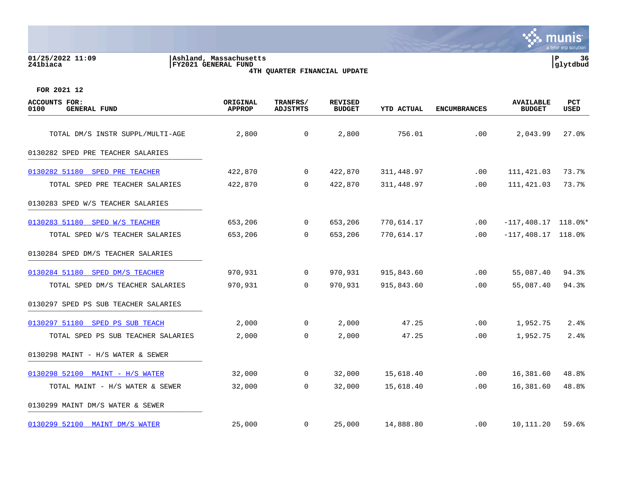**01/25/2022 11:09 |Ashland, Massachusetts |P 36**

**241biaca |FY2021 GENERAL FUND |glytdbud 4TH QUARTER FINANCIAL UPDATE**



| ACCOUNTS FOR:<br>0100<br><b>GENERAL FUND</b> | ORIGINAL<br><b>APPROP</b> | TRANFRS/<br><b>ADJSTMTS</b> | <b>REVISED</b><br><b>BUDGET</b> | <b>YTD ACTUAL</b> | <b>ENCUMBRANCES</b> | <b>AVAILABLE</b><br><b>BUDGET</b> | PCT<br>USED |
|----------------------------------------------|---------------------------|-----------------------------|---------------------------------|-------------------|---------------------|-----------------------------------|-------------|
| TOTAL DM/S INSTR SUPPL/MULTI-AGE             | 2,800                     | $\mathbf 0$                 | 2,800                           | 756.01            | .00                 | 2,043.99                          | 27.0%       |
| 0130282 SPED PRE TEACHER SALARIES            |                           |                             |                                 |                   |                     |                                   |             |
|                                              |                           |                             |                                 |                   |                     |                                   |             |
| 0130282 51180 SPED PRE TEACHER               | 422,870                   | $\mathbf 0$                 | 422,870                         | 311,448.97        | $.00 \ \rm$         | 111,421.03                        | 73.7%       |
| TOTAL SPED PRE TEACHER SALARIES              | 422,870                   | 0                           | 422,870                         | 311,448.97        | .00                 | 111,421.03                        | 73.7%       |
| 0130283 SPED W/S TEACHER SALARIES            |                           |                             |                                 |                   |                     |                                   |             |
| 0130283 51180 SPED W/S TEACHER               | 653,206                   | $\mathbf 0$                 | 653,206                         | 770,614.17        | .00                 | $-117,408.17$ 118.0%*             |             |
| TOTAL SPED W/S TEACHER SALARIES              | 653,206                   | 0                           | 653,206                         | 770,614.17        | .00                 | $-117,408.17$ 118.0%              |             |
| 0130284 SPED DM/S TEACHER SALARIES           |                           |                             |                                 |                   |                     |                                   |             |
| 0130284 51180 SPED DM/S TEACHER              | 970,931                   | 0                           | 970,931                         | 915,843.60        | .00                 | 55,087.40                         | 94.3%       |
| TOTAL SPED DM/S TEACHER SALARIES             | 970,931                   | $\mathbf 0$                 | 970,931                         | 915,843.60        | .00                 | 55,087.40                         | 94.3%       |
| 0130297 SPED PS SUB TEACHER SALARIES         |                           |                             |                                 |                   |                     |                                   |             |
| 0130297 51180 SPED PS SUB TEACH              | 2,000                     | $\overline{0}$              | 2,000                           | 47.25             | $.00 \,$            | 1,952.75                          | 2.4%        |
| TOTAL SPED PS SUB TEACHER SALARIES           | 2,000                     | 0                           | 2,000                           | 47.25             | .00                 | 1,952.75                          | 2.4%        |
| 0130298 MAINT - H/S WATER & SEWER            |                           |                             |                                 |                   |                     |                                   |             |
| 0130298 52100 MAINT - H/S WATER              | 32,000                    | $\overline{0}$              | 32,000                          | 15,618.40         | .00                 | 16,381.60                         | 48.8%       |
| TOTAL MAINT - H/S WATER & SEWER              | 32,000                    | $\mathbf 0$                 | 32,000                          | 15,618.40         | .00                 | 16,381.60                         | 48.8%       |
| 0130299 MAINT DM/S WATER & SEWER             |                           |                             |                                 |                   |                     |                                   |             |
| 0130299 52100 MAINT DM/S WATER               | 25,000                    | $\overline{0}$              | 25,000                          | 14,888.80         | $.00 \,$            | 10,111.20                         | 59.6%       |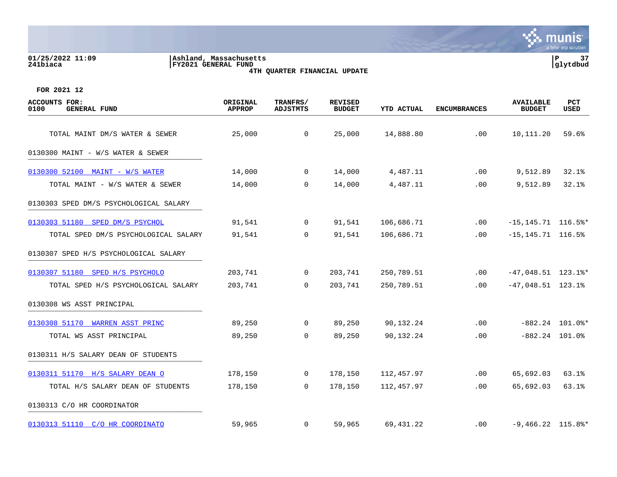## **01/25/2022 11:09 |Ashland, Massachusetts |P 37 241biaca |FY2021 GENERAL FUND |glytdbud 4TH QUARTER FINANCIAL UPDATE**



| <b>ACCOUNTS FOR:</b><br>0100<br><b>GENERAL FUND</b> | ORIGINAL<br><b>APPROP</b> | TRANFRS/<br><b>ADJSTMTS</b> | <b>REVISED</b><br><b>BUDGET</b> | <b>YTD ACTUAL</b> | <b>ENCUMBRANCES</b> | <b>AVAILABLE</b><br><b>BUDGET</b> | <b>PCT</b><br>USED |
|-----------------------------------------------------|---------------------------|-----------------------------|---------------------------------|-------------------|---------------------|-----------------------------------|--------------------|
| TOTAL MAINT DM/S WATER & SEWER                      | 25,000                    | $\overline{0}$              | 25,000                          | 14,888.80         | .00                 | 10,111.20                         | 59.6%              |
| 0130300 MAINT - W/S WATER & SEWER                   |                           |                             |                                 |                   |                     |                                   |                    |
| 0130300 52100 MAINT - W/S WATER                     | 14,000                    | $\overline{0}$              | 14,000                          | 4,487.11          | .00                 | 9,512.89                          | 32.1%              |
| TOTAL MAINT - W/S WATER & SEWER                     | 14,000                    | 0                           | 14,000                          | 4,487.11          | .00                 | 9,512.89                          | 32.1%              |
| 0130303 SPED DM/S PSYCHOLOGICAL SALARY              |                           |                             |                                 |                   |                     |                                   |                    |
| 0130303 51180 SPED DM/S PSYCHOL                     | 91,541                    | $\overline{0}$              | 91,541                          | 106,686.71        | .00                 | $-15, 145.71$ 116.5%*             |                    |
| TOTAL SPED DM/S PSYCHOLOGICAL SALARY                | 91,541                    | $\overline{0}$              | 91,541                          | 106,686.71        | $.00 \,$            | $-15, 145.71$ 116.5%              |                    |
| 0130307 SPED H/S PSYCHOLOGICAL SALARY               |                           |                             |                                 |                   |                     |                                   |                    |
| 0130307 51180 SPED H/S PSYCHOLO                     | 203,741                   | $\overline{0}$              | 203,741                         | 250,789.51        | .00                 | $-47,048.51$ 123.1%*              |                    |
| TOTAL SPED H/S PSYCHOLOGICAL SALARY                 | 203,741                   | $\Omega$                    | 203,741                         | 250,789.51        | $.00 \,$            | $-47,048.51$ 123.1%               |                    |
| 0130308 WS ASST PRINCIPAL                           |                           |                             |                                 |                   |                     |                                   |                    |
| 0130308 51170 WARREN ASST PRINC                     | 89,250                    | $\overline{0}$              | 89,250                          | 90,132.24         | .00                 |                                   | $-882.24$ 101.0%*  |
| TOTAL WS ASST PRINCIPAL                             | 89,250                    | $\overline{0}$              | 89,250                          | 90,132.24         | .00                 |                                   | $-882.24$ 101.0%   |
| 0130311 H/S SALARY DEAN OF STUDENTS                 |                           |                             |                                 |                   |                     |                                   |                    |
| 0130311 51170 H/S SALARY DEAN O                     | 178,150                   | $\mathbf 0$                 | 178,150                         | 112,457.97        | .00                 | 65,692.03                         | 63.1%              |
| TOTAL H/S SALARY DEAN OF STUDENTS                   | 178,150                   | $\overline{0}$              | 178,150                         | 112,457.97        | .00                 | 65,692.03                         | 63.1%              |
| 0130313 C/O HR COORDINATOR                          |                           |                             |                                 |                   |                     |                                   |                    |
| 0130313 51110 C/O HR COORDINATO                     | 59,965                    | $\mathbf{0}$                | 59,965                          | 69,431.22         | $.00 \,$            | $-9,466.22$ 115.8%*               |                    |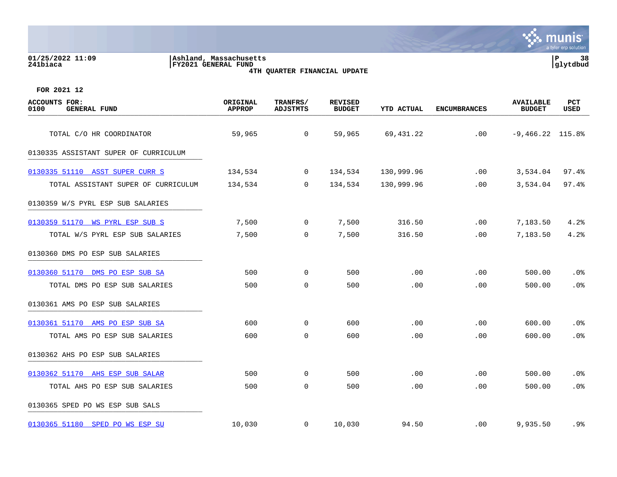| 01/25/2022 11:09<br>241biaca                        | Ashland, Massachusetts<br>FY2021 GENERAL FUND | <b>4TH QUARTER FINANCIAL UPDATE</b> |                                 |                   |                     |                                   | P<br>38<br>glytdbud |
|-----------------------------------------------------|-----------------------------------------------|-------------------------------------|---------------------------------|-------------------|---------------------|-----------------------------------|---------------------|
| FOR 2021 12                                         |                                               |                                     |                                 |                   |                     |                                   |                     |
| <b>ACCOUNTS FOR:</b><br><b>GENERAL FUND</b><br>0100 | ORIGINAL<br><b>APPROP</b>                     | TRANFRS/<br><b>ADJSTMTS</b>         | <b>REVISED</b><br><b>BUDGET</b> | <b>YTD ACTUAL</b> | <b>ENCUMBRANCES</b> | <b>AVAILABLE</b><br><b>BUDGET</b> | <b>PCT</b><br>USED  |
| TOTAL C/O HR COORDINATOR                            | 59,965                                        | 0                                   | 59,965                          | 69,431.22         | .00                 | $-9,466.22$ 115.8%                |                     |
| 0130335 ASSISTANT SUPER OF CURRICULUM               |                                               |                                     |                                 |                   |                     |                                   |                     |
| 0130335 51110 ASST SUPER CURR S                     | 134,534                                       | 0                                   | 134,534                         | 130,999.96        | .00                 | 3,534.04                          | 97.4%               |
| TOTAL ASSISTANT SUPER OF CURRICULUM                 | 134,534                                       | 0                                   | 134,534                         | 130,999.96        | .00                 | 3,534.04                          | 97.4%               |
| 0130359 W/S PYRL ESP SUB SALARIES                   |                                               |                                     |                                 |                   |                     |                                   |                     |
| 0130359 51170 WS PYRL ESP SUB S                     | 7,500                                         | 0                                   | 7,500                           | 316.50            | .00                 | 7,183.50                          | 4.2%                |
| TOTAL W/S PYRL ESP SUB SALARIES                     | 7,500                                         | 0                                   | 7,500                           | 316.50            | .00                 | 7,183.50                          | 4.2%                |
| 0130360 DMS PO ESP SUB SALARIES                     |                                               |                                     |                                 |                   |                     |                                   |                     |
| 0130360 51170 DMS PO ESP SUB SA                     | 500                                           | 0                                   | 500                             | .00               | .00                 | 500.00                            | $.0\%$              |
| TOTAL DMS PO ESP SUB SALARIES                       | 500                                           | $\mathbf 0$                         | 500                             | .00               | .00                 | 500.00                            | .0%                 |
| 0130361 AMS PO ESP SUB SALARIES                     |                                               |                                     |                                 |                   |                     |                                   |                     |
| 0130361 51170 AMS PO ESP SUB SA                     | 600                                           | 0                                   | 600                             | $.00 \,$          | .00                 | 600.00                            | $.0\%$              |
| TOTAL AMS PO ESP SUB SALARIES                       | 600                                           | $\mathbf 0$                         | 600                             | .00               | .00                 | 600.00                            | .0%                 |
| 0130362 AHS PO ESP SUB SALARIES                     |                                               |                                     |                                 |                   |                     |                                   |                     |
| 0130362 51170 AHS ESP SUB SALAR                     | 500                                           | $\mathbf 0$                         | 500                             | .00               | .00                 | 500.00                            | .0%                 |
| TOTAL AHS PO ESP SUB SALARIES                       | 500                                           | $\mathbf 0$                         | 500                             | $.00 \,$          | .00                 | 500.00                            | .0 <sub>8</sub>     |
| 0130365 SPED PO WS ESP SUB SALS                     |                                               |                                     |                                 |                   |                     |                                   |                     |
| 0130365 51180 SPED PO WS ESP SU                     | 10,030                                        | 0                                   | 10,030                          | 94.50             | .00                 | 9,935.50                          | .9%                 |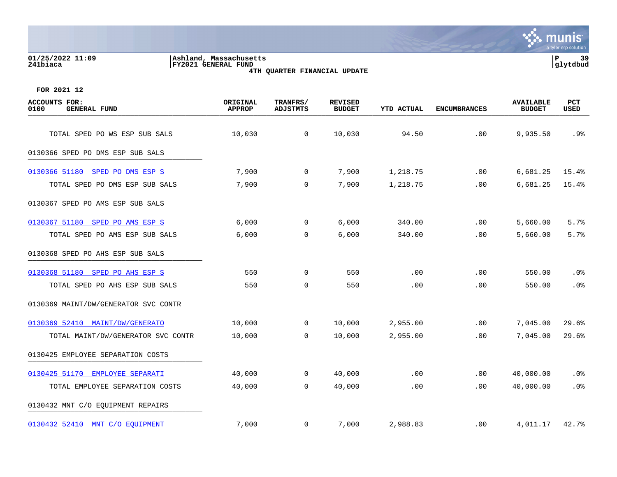# **01/25/2022 11:09 |Ashland, Massachusetts |P 39 241biaca |FY2021 GENERAL FUND |glytdbud 4TH QUARTER FINANCIAL UPDATE**



| <b>ACCOUNTS FOR:</b><br>0100<br><b>GENERAL FUND</b>               | ORIGINAL<br><b>APPROP</b> | TRANFRS/<br><b>ADJSTMTS</b> | <b>REVISED</b><br><b>BUDGET</b> | <b>YTD ACTUAL</b>    | <b>ENCUMBRANCES</b> | <b>AVAILABLE</b><br><b>BUDGET</b> | <b>PCT</b><br>USED |
|-------------------------------------------------------------------|---------------------------|-----------------------------|---------------------------------|----------------------|---------------------|-----------------------------------|--------------------|
| TOTAL SPED PO WS ESP SUB SALS                                     | 10,030                    | $\mathbf 0$                 | 10,030                          | 94.50                | .00                 | 9,935.50                          | .9%                |
| 0130366 SPED PO DMS ESP SUB SALS                                  |                           |                             |                                 |                      |                     |                                   |                    |
|                                                                   |                           |                             |                                 |                      |                     |                                   |                    |
| 0130366 51180 SPED PO DMS ESP S<br>TOTAL SPED PO DMS ESP SUB SALS | 7,900<br>7,900            | $\overline{0}$<br>0         | 7,900<br>7,900                  | 1,218.75<br>1,218.75 | .00<br>.00          | 6,681.25<br>6,681.25              | 15.4%<br>15.4%     |
|                                                                   |                           |                             |                                 |                      |                     |                                   |                    |
| 0130367 SPED PO AMS ESP SUB SALS                                  |                           |                             |                                 |                      |                     |                                   |                    |
| 0130367 51180 SPED PO AMS ESP S                                   | 6,000                     | 0                           | 6,000                           | 340.00               | .00                 | 5,660.00                          | 5.7%               |
| TOTAL SPED PO AMS ESP SUB SALS                                    | 6,000                     | $\mathbf 0$                 | 6,000                           | 340.00               | .00                 | 5,660.00                          | 5.7%               |
| 0130368 SPED PO AHS ESP SUB SALS                                  |                           |                             |                                 |                      |                     |                                   |                    |
| 0130368 51180 SPED PO AHS ESP S                                   | 550                       | 0                           | 550                             | .00                  | .00                 | 550.00                            | .0%                |
| TOTAL SPED PO AHS ESP SUB SALS                                    | 550                       | $\mathbf 0$                 | 550                             | .00                  | .00                 | 550.00                            | .0%                |
| 0130369 MAINT/DW/GENERATOR SVC CONTR                              |                           |                             |                                 |                      |                     |                                   |                    |
| 0130369 52410 MAINT/DW/GENERATO                                   | 10,000                    | $\overline{0}$              | 10,000                          | 2,955.00             | .00                 | 7,045.00                          | 29.6%              |
| TOTAL MAINT/DW/GENERATOR SVC CONTR                                | 10,000                    | 0                           | 10,000                          | 2,955.00             | .00                 | 7,045.00                          | 29.6%              |
| 0130425 EMPLOYEE SEPARATION COSTS                                 |                           |                             |                                 |                      |                     |                                   |                    |
| 0130425 51170 EMPLOYEE SEPARATI                                   | 40,000                    | $\overline{0}$              | 40,000                          | .00                  | .00                 | 40,000.00                         | .0%                |
| TOTAL EMPLOYEE SEPARATION COSTS                                   | 40,000                    | 0                           | 40,000                          | .00                  | .00                 | 40,000.00                         | .0%                |
| 0130432 MNT C/O EQUIPMENT REPAIRS                                 |                           |                             |                                 |                      |                     |                                   |                    |
| 0130432 52410 MNT C/O EQUIPMENT                                   | 7,000                     | $\mathbf 0$                 | 7,000                           | 2,988.83             | $.00 \ \rm$         | 4,011.17                          | 42.7%              |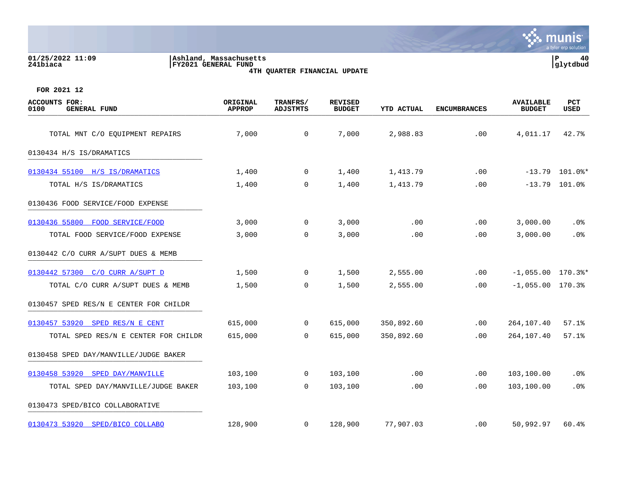| 01/25/2022 11:09<br>∣P<br>Ashland, Massachusetts<br><b>FY2021 GENERAL FUND</b><br> glytdbud<br>241biaca<br>4TH QUARTER FINANCIAL UPDATE |                           |                             |                                 |                   |                     |                                   |                 |
|-----------------------------------------------------------------------------------------------------------------------------------------|---------------------------|-----------------------------|---------------------------------|-------------------|---------------------|-----------------------------------|-----------------|
| FOR 2021 12                                                                                                                             |                           |                             |                                 |                   |                     |                                   |                 |
| <b>ACCOUNTS FOR:</b><br>0100<br><b>GENERAL FUND</b>                                                                                     | ORIGINAL<br><b>APPROP</b> | TRANFRS/<br><b>ADJSTMTS</b> | <b>REVISED</b><br><b>BUDGET</b> | <b>YTD ACTUAL</b> | <b>ENCUMBRANCES</b> | <b>AVAILABLE</b><br><b>BUDGET</b> | PCT<br>USED     |
| TOTAL MNT C/O EQUIPMENT REPAIRS                                                                                                         | 7,000                     | $\overline{0}$              | 7,000                           | 2,988.83          | .00                 | 4,011.17                          | 42.7%           |
| 0130434 H/S IS/DRAMATICS                                                                                                                |                           |                             |                                 |                   |                     |                                   |                 |
| 0130434 55100 H/S IS/DRAMATICS                                                                                                          | 1,400                     | $\overline{0}$              | 1,400                           | 1,413.79          | .00                 | $-13.79$                          | $101.0$ %*      |
| TOTAL H/S IS/DRAMATICS                                                                                                                  | 1,400                     | 0                           | 1,400                           | 1,413.79          | .00                 | $-13.79$                          | 101.0%          |
| 0130436 FOOD SERVICE/FOOD EXPENSE                                                                                                       |                           |                             |                                 |                   |                     |                                   |                 |
| 0130436 55800<br>FOOD SERVICE/FOOD                                                                                                      | 3,000                     | 0                           | 3,000                           | .00               | .00                 | 3,000.00                          | .0%             |
| TOTAL FOOD SERVICE/FOOD EXPENSE                                                                                                         | 3,000                     | 0                           | 3,000                           | .00               | .00                 | 3,000.00                          | .0 <sub>8</sub> |
| 0130442 C/O CURR A/SUPT DUES & MEMB                                                                                                     |                           |                             |                                 |                   |                     |                                   |                 |
| 0130442 57300 C/O CURR A/SUPT D                                                                                                         | 1,500                     | $\overline{0}$              | 1,500                           | 2,555.00          | .00                 | $-1,055.00$ 170.3%*               |                 |
| TOTAL C/O CURR A/SUPT DUES & MEMB                                                                                                       | 1,500                     | $\mathbf 0$                 | 1,500                           | 2,555.00          | .00                 | $-1,055.00$ 170.3%                |                 |
| 0130457 SPED RES/N E CENTER FOR CHILDR                                                                                                  |                           |                             |                                 |                   |                     |                                   |                 |
| 0130457 53920 SPED RES/N E CENT                                                                                                         | 615,000                   | 0                           | 615,000                         | 350,892.60        | .00                 | 264,107.40                        | 57.1%           |
| TOTAL SPED RES/N E CENTER FOR CHILDR                                                                                                    | 615,000                   | 0                           | 615,000                         | 350,892.60        | .00                 | 264,107.40                        | 57.1%           |
| 0130458 SPED DAY/MANVILLE/JUDGE BAKER                                                                                                   |                           |                             |                                 |                   |                     |                                   |                 |
| 0130458 53920<br>SPED DAY/MANVILLE                                                                                                      | 103,100                   | 0                           | 103,100                         | .00               | .00                 | 103,100.00                        | .0%             |
| TOTAL SPED DAY/MANVILLE/JUDGE BAKER                                                                                                     | 103,100                   | 0                           | 103,100                         | .00               | .00                 | 103,100.00                        | .0%             |

0130473 SPED/BICO COLLABORATIVE

[0130473 53920 SPED/BICO COLLABO](https://yvwlndash063.tylertech.com/sites/mu0241/LIVE/_layouts/15/DashboardMunisV6.3/PassThru.aspx?-E=tSXRHhPnFNzAToGEkGTom4ZGlFxRahjKyJ2zay1YbUnyckFRwM7MbR3rjWy9NZ9P&) 128,900 0 128,900 77,907.03 .00 50,992.97 60.4%

**∵∴** munis

a tyler erp solutio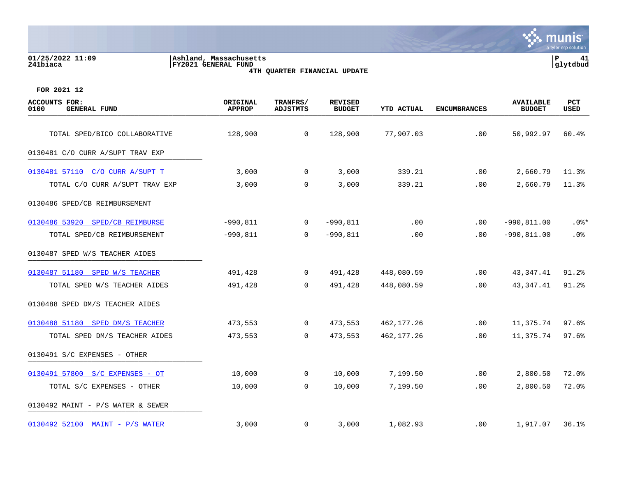# **01/25/2022 11:09 |Ashland, Massachusetts |P 41 241biaca |FY2021 GENERAL FUND |glytdbud 4TH QUARTER FINANCIAL UPDATE**



| <b>ACCOUNTS FOR:</b><br>0100<br><b>GENERAL FUND</b> | ORIGINAL<br><b>APPROP</b> | TRANFRS/<br><b>ADJSTMTS</b> | <b>REVISED</b><br><b>BUDGET</b> | YTD ACTUAL | <b>ENCUMBRANCES</b> | <b>AVAILABLE</b><br><b>BUDGET</b> | PCT<br>USED |
|-----------------------------------------------------|---------------------------|-----------------------------|---------------------------------|------------|---------------------|-----------------------------------|-------------|
| TOTAL SPED/BICO COLLABORATIVE                       | 128,900                   | $\overline{0}$              | 128,900                         | 77,907.03  | .00                 | 50,992.97                         | 60.4%       |
| 0130481 C/O CURR A/SUPT TRAV EXP                    |                           |                             |                                 |            |                     |                                   |             |
| 0130481 57110 C/O CURR A/SUPT T                     | 3,000                     | $\overline{0}$              | 3,000                           | 339.21     | .00                 | 2,660.79                          | 11.3%       |
| TOTAL C/O CURR A/SUPT TRAV EXP                      | 3,000                     | $\mathbf 0$                 | 3,000                           | 339.21     | .00                 | 2,660.79                          | 11.3%       |
| 0130486 SPED/CB REIMBURSEMENT                       |                           |                             |                                 |            |                     |                                   |             |
| 0130486 53920 SPED/CB REIMBURSE                     | $-990,811$                | $\mathbf 0$                 | $-990,811$                      | .00        | .00                 | $-990, 811.00$                    | $.0$ %*     |
| TOTAL SPED/CB REIMBURSEMENT                         | $-990,811$                | $\overline{0}$              | $-990,811$                      | .00        | .00                 | $-990, 811.00$                    | .0%         |
| 0130487 SPED W/S TEACHER AIDES                      |                           |                             |                                 |            |                     |                                   |             |
| 0130487 51180 SPED W/S TEACHER                      | 491,428                   | $\overline{0}$              | 491,428                         | 448,080.59 | .00                 | 43,347.41                         | 91.2%       |
| TOTAL SPED W/S TEACHER AIDES                        | 491,428                   | $\Omega$                    | 491,428                         | 448,080.59 | .00                 | 43, 347. 41                       | 91.2%       |
| 0130488 SPED DM/S TEACHER AIDES                     |                           |                             |                                 |            |                     |                                   |             |
| 0130488 51180 SPED DM/S TEACHER                     | 473,553                   | $\overline{0}$              | 473,553                         | 462,177.26 | .00                 | 11,375.74                         | 97.6%       |
| TOTAL SPED DM/S TEACHER AIDES                       | 473,553                   | $\mathbf 0$                 | 473,553                         | 462,177.26 | .00                 | 11,375.74                         | 97.6%       |
| 0130491 S/C EXPENSES - OTHER                        |                           |                             |                                 |            |                     |                                   |             |
| 0130491 57800 S/C EXPENSES - OT                     | 10,000                    | $\mathbf 0$                 | 10,000                          | 7,199.50   | .00                 | 2,800.50                          | 72.0%       |
| TOTAL S/C EXPENSES - OTHER                          | 10,000                    | $\overline{0}$              | 10,000                          | 7,199.50   | .00                 | 2,800.50                          | 72.0%       |
| 0130492 MAINT - P/S WATER & SEWER                   |                           |                             |                                 |            |                     |                                   |             |
| 0130492 52100 MAINT - P/S WATER                     | 3,000                     | $\mathbf{0}$                | 3,000                           | 1,082.93   | $.00 \,$            | 1,917.07                          | 36.1%       |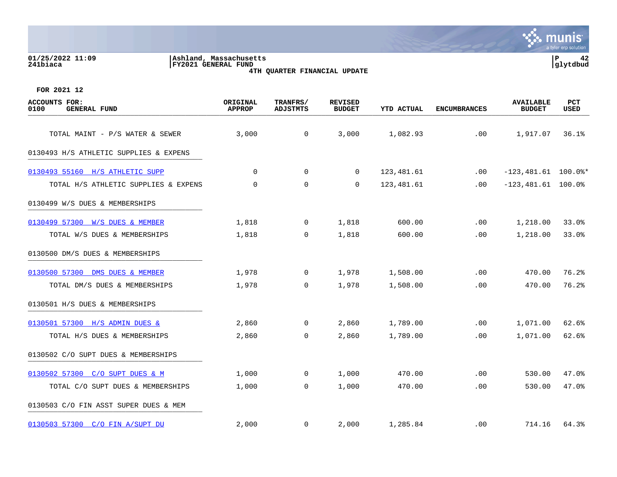## **01/25/2022 11:09 |Ashland, Massachusetts |P 42 241biaca |FY2021 GENERAL FUND |glytdbud 4TH QUARTER FINANCIAL UPDATE**



| <b>ACCOUNTS FOR:</b><br>0100<br><b>GENERAL FUND</b> | ORIGINAL<br><b>APPROP</b> | TRANFRS/<br><b>ADJSTMTS</b> | <b>REVISED</b><br><b>BUDGET</b> | <b>YTD ACTUAL</b> | <b>ENCUMBRANCES</b> | <b>AVAILABLE</b><br><b>BUDGET</b> | PCT<br>USED |
|-----------------------------------------------------|---------------------------|-----------------------------|---------------------------------|-------------------|---------------------|-----------------------------------|-------------|
| TOTAL MAINT - P/S WATER & SEWER                     | 3,000                     | $\mathsf{O}$                | 3,000                           | 1,082.93          | .00                 | 1,917.07                          | 36.1%       |
|                                                     |                           |                             |                                 |                   |                     |                                   |             |
| 0130493 H/S ATHLETIC SUPPLIES & EXPENS              |                           |                             |                                 |                   |                     |                                   |             |
| 0130493 55160 H/S ATHLETIC SUPP                     | $\Omega$                  | $\Omega$                    | $\Omega$                        | 123,481.61        | $.00 \,$            | $-123,481.61$ 100.0%*             |             |
| TOTAL H/S ATHLETIC SUPPLIES & EXPENS                | $\mathbf 0$               | $\mathbf 0$                 | $\mathbf 0$                     | 123,481.61        | .00                 | $-123,481.61$ 100.0%              |             |
| 0130499 W/S DUES & MEMBERSHIPS                      |                           |                             |                                 |                   |                     |                                   |             |
| 0130499 57300 W/S DUES & MEMBER                     | 1,818                     | 0                           | 1,818                           | 600.00            | .00                 | 1,218.00                          | 33.0%       |
| TOTAL W/S DUES & MEMBERSHIPS                        | 1,818                     | $\Omega$                    | 1,818                           | 600.00            | .00                 | 1,218.00                          | 33.0%       |
| 0130500 DM/S DUES & MEMBERSHIPS                     |                           |                             |                                 |                   |                     |                                   |             |
| 0130500 57300 DMS DUES & MEMBER                     | 1,978                     | $\mathbf 0$                 | 1,978                           | 1,508.00          | .00                 | 470.00                            | 76.2%       |
| TOTAL DM/S DUES & MEMBERSHIPS                       | 1,978                     | $\mathbf 0$                 | 1,978                           | 1,508.00          | .00                 | 470.00                            | 76.2%       |
| 0130501 H/S DUES & MEMBERSHIPS                      |                           |                             |                                 |                   |                     |                                   |             |
| 0130501 57300 H/S ADMIN DUES &                      | 2,860                     | 0                           | 2,860                           | 1,789.00          | .00                 | 1,071.00                          | 62.6%       |
| TOTAL H/S DUES & MEMBERSHIPS                        | 2,860                     | $\mathbf 0$                 | 2,860                           | 1,789.00          | .00                 | 1,071.00                          | 62.6%       |
| 0130502 C/O SUPT DUES & MEMBERSHIPS                 |                           |                             |                                 |                   |                     |                                   |             |
| 0130502 57300 C/O SUPT DUES & M                     | 1,000                     | 0                           | 1,000                           | 470.00            | .00                 | 530.00                            | 47.0%       |
| TOTAL C/O SUPT DUES & MEMBERSHIPS                   | 1,000                     | 0                           | 1,000                           | 470.00            | .00                 | 530.00                            | 47.0%       |
| 0130503 C/O FIN ASST SUPER DUES & MEM               |                           |                             |                                 |                   |                     |                                   |             |
| 0130503 57300 C/O FIN A/SUPT DU                     | 2,000                     | $\mathbf 0$                 | 2,000                           | 1,285.84          | .00                 | 714.16                            | 64.3%       |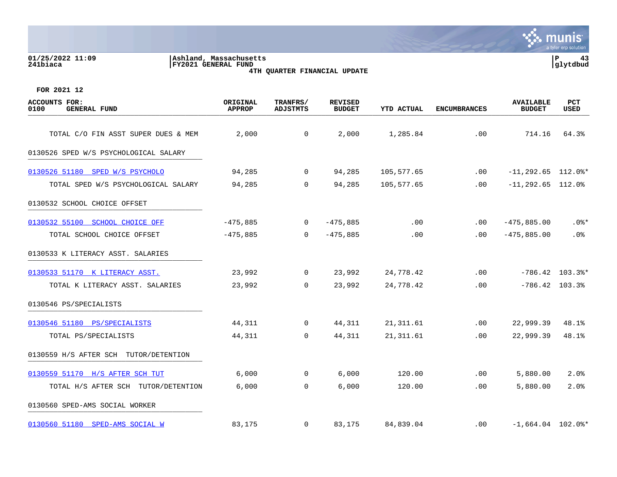## **01/25/2022 11:09 |Ashland, Massachusetts |P 43 241biaca |FY2021 GENERAL FUND |glytdbud 4TH QUARTER FINANCIAL UPDATE**



| <b>ACCOUNTS FOR:</b><br>0100<br><b>GENERAL FUND</b> | ORIGINAL<br><b>APPROP</b> | TRANFRS/<br><b>ADJSTMTS</b> | <b>REVISED</b><br><b>BUDGET</b> | <b>YTD ACTUAL</b> | <b>ENCUMBRANCES</b> | <b>AVAILABLE</b><br><b>BUDGET</b> | <b>PCT</b><br>USED |
|-----------------------------------------------------|---------------------------|-----------------------------|---------------------------------|-------------------|---------------------|-----------------------------------|--------------------|
| TOTAL C/O FIN ASST SUPER DUES & MEM                 | 2,000                     | $\mathbf 0$                 | 2,000                           | 1,285.84          | .00                 | 714.16                            | 64.3%              |
|                                                     |                           |                             |                                 |                   |                     |                                   |                    |
| 0130526 SPED W/S PSYCHOLOGICAL SALARY               |                           |                             |                                 |                   |                     |                                   |                    |
| 0130526 51180 SPED W/S PSYCHOLO                     | 94,285                    | $\overline{0}$              | 94,285                          | 105,577.65        | $.00 \,$            | $-11, 292.65$ 112.0%*             |                    |
| TOTAL SPED W/S PSYCHOLOGICAL SALARY                 | 94,285                    | 0                           | 94,285                          | 105,577.65        | .00                 | $-11, 292.65$ 112.0%              |                    |
| 0130532 SCHOOL CHOICE OFFSET                        |                           |                             |                                 |                   |                     |                                   |                    |
| 0130532 55100 SCHOOL CHOICE OFF                     | $-475,885$                | $\mathbf 0$                 | $-475,885$                      | .00               | $.00 \,$            | $-475,885.00$                     | $.0$ %*            |
| TOTAL SCHOOL CHOICE OFFSET                          | $-475,885$                | $\Omega$                    | $-475,885$                      | .00               | $.00 \,$            | $-475,885.00$                     | .0%                |
| 0130533 K LITERACY ASST. SALARIES                   |                           |                             |                                 |                   |                     |                                   |                    |
| 0130533 51170 K LITERACY ASST.                      | 23,992                    | $\overline{0}$              | 23,992                          | 24,778.42         | .00                 |                                   | $-786.42$ 103.3%*  |
| TOTAL K LITERACY ASST. SALARIES                     | 23,992                    | $\Omega$                    | 23,992                          | 24,778.42         | .00                 | $-786.42$ 103.3%                  |                    |
| 0130546 PS/SPECIALISTS                              |                           |                             |                                 |                   |                     |                                   |                    |
| 0130546 51180 PS/SPECIALISTS                        | 44,311                    | 0                           | 44,311                          | 21, 311.61        | .00                 | 22,999.39                         | 48.1%              |
| TOTAL PS/SPECIALISTS                                | 44,311                    | $\mathbf 0$                 | 44,311                          | 21, 311.61        | .00                 | 22,999.39                         | 48.1%              |
| 0130559 H/S AFTER SCH TUTOR/DETENTION               |                           |                             |                                 |                   |                     |                                   |                    |
| 0130559 51170 H/S AFTER SCH TUT                     | 6,000                     | 0                           | 6,000                           | 120.00            | .00                 | 5,880.00                          | 2.0%               |
| TOTAL H/S AFTER SCH TUTOR/DETENTION                 | 6,000                     | 0                           | 6,000                           | 120.00            | .00                 | 5,880.00                          | 2.0%               |
| 0130560 SPED-AMS SOCIAL WORKER                      |                           |                             |                                 |                   |                     |                                   |                    |
| 0130560 51180 SPED-AMS SOCIAL W                     | 83,175                    | 0                           | 83,175                          | 84,839.04         | $.00 \,$            | $-1,664.04$ 102.0%*               |                    |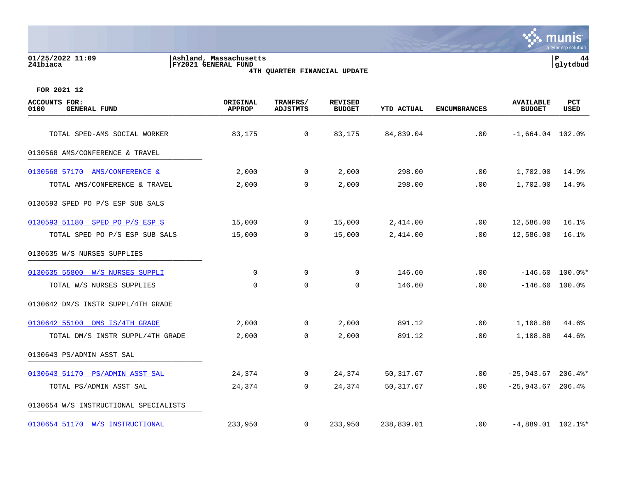| 01/25/2022 11:09<br>Ashland, Massachusetts<br>FY2021 GENERAL FUND<br>241biaca<br>4TH QUARTER FINANCIAL UPDATE |                           |                                    |                                 |                   |                     |                                   | P<br>44<br>glytdbud  |  |
|---------------------------------------------------------------------------------------------------------------|---------------------------|------------------------------------|---------------------------------|-------------------|---------------------|-----------------------------------|----------------------|--|
| FOR 2021 12                                                                                                   |                           |                                    |                                 |                   |                     |                                   |                      |  |
| <b>ACCOUNTS FOR:</b><br>0100<br><b>GENERAL FUND</b>                                                           | ORIGINAL<br><b>APPROP</b> | <b>TRANFRS/</b><br><b>ADJSTMTS</b> | <b>REVISED</b><br><b>BUDGET</b> | <b>YTD ACTUAL</b> | <b>ENCUMBRANCES</b> | <b>AVAILABLE</b><br><b>BUDGET</b> | PCT<br><b>USED</b>   |  |
| TOTAL SPED-AMS SOCIAL WORKER                                                                                  | 83,175                    | $\mathbf 0$                        | 83,175                          | 84,839.04         | .00                 | $-1,664.04$ 102.0%                |                      |  |
| 0130568 AMS/CONFERENCE & TRAVEL                                                                               |                           |                                    |                                 |                   |                     |                                   |                      |  |
| 0130568 57170 AMS/CONFERENCE &                                                                                | 2,000                     | $\mathbf 0$                        | 2,000                           | 298.00            | .00                 | 1,702.00                          | 14.9%                |  |
| TOTAL AMS/CONFERENCE & TRAVEL                                                                                 | 2,000                     | $\mathbf 0$                        | 2,000                           | 298.00            | .00                 | 1,702.00                          | 14.9%                |  |
| 0130593 SPED PO P/S ESP SUB SALS                                                                              |                           |                                    |                                 |                   |                     |                                   |                      |  |
| 0130593 51180 SPED PO P/S ESP S                                                                               | 15,000                    | $\overline{0}$                     | 15,000                          | 2,414.00          | .00                 | 12,586.00                         | 16.1%                |  |
| TOTAL SPED PO P/S ESP SUB SALS                                                                                | 15,000                    | 0                                  | 15,000                          | 2,414.00          | .00                 | 12,586.00                         | 16.1%                |  |
| 0130635 W/S NURSES SUPPLIES                                                                                   |                           |                                    |                                 |                   |                     |                                   |                      |  |
| 0130635 55800 W/S NURSES SUPPLI                                                                               | $\mathbf 0$               | $\mathbf 0$                        | $\Omega$                        | 146.60            | .00                 | $-146.60$                         | $100.0$ $*$          |  |
| TOTAL W/S NURSES SUPPLIES                                                                                     | $\mathbf 0$               | $\Omega$                           | $\Omega$                        | 146.60            | .00                 | $-146.60$                         | $100.0\%$            |  |
| 0130642 DM/S INSTR SUPPL/4TH GRADE                                                                            |                           |                                    |                                 |                   |                     |                                   |                      |  |
| 0130642 55100 DMS IS/4TH GRADE                                                                                | 2,000                     | 0                                  | 2,000                           | 891.12            | $.00 \,$            | 1,108.88                          | 44.6%                |  |
| TOTAL DM/S INSTR SUPPL/4TH GRADE                                                                              | 2,000                     | 0                                  | 2,000                           | 891.12            | .00                 | 1,108.88                          | 44.6%                |  |
| 0130643 PS/ADMIN ASST SAL                                                                                     |                           |                                    |                                 |                   |                     |                                   |                      |  |
| 0130643 51170 PS/ADMIN ASST SAL                                                                               | 24,374                    | $\overline{0}$                     | 24,374                          | 50,317.67         | $.00 \,$            | $-25,943.67$                      | $206.4$ <sup>*</sup> |  |
| TOTAL PS/ADMIN ASST SAL                                                                                       | 24,374                    | $\Omega$                           | 24,374                          | 50,317.67         | $.00 \,$            | $-25,943.67$ 206.4%               |                      |  |

0130654 W/S INSTRUCTIONAL SPECIALISTS

[0130654 51170 W/S INSTRUCTIONAL](https://yvwlndash063.tylertech.com/sites/mu0241/LIVE/_layouts/15/DashboardMunisV6.3/PassThru.aspx?-E=O/SORj15m0XLGX9RhlZTkbeozzrwHgQcxWIAQ3KgFqnWuwaYIgcI1mk9Yatac6hX&) 233,950 0 233,950 238,839.01 .00 -4,889.01 102.1%\*

 $\mathcal{C}$  . munis

a tyler erp solution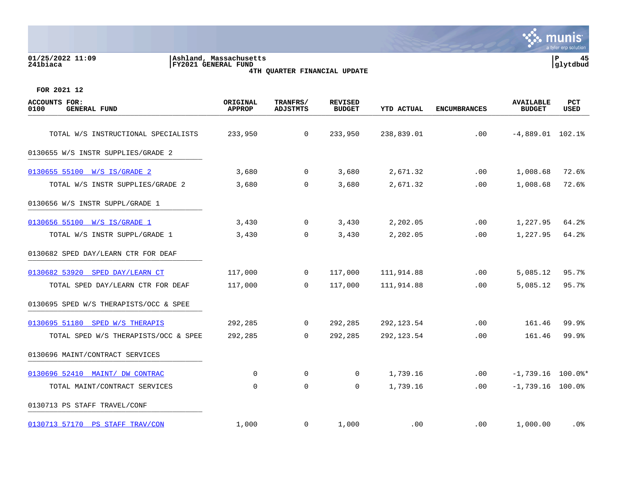## **01/25/2022 11:09 |Ashland, Massachusetts |P 45 241biaca |FY2021 GENERAL FUND |glytdbud 4TH QUARTER FINANCIAL UPDATE**



| <b>ACCOUNTS FOR:</b><br><b>GENERAL FUND</b><br>0100 | ORIGINAL<br><b>APPROP</b> | TRANFRS/<br><b>ADJSTMTS</b> | <b>REVISED</b><br><b>BUDGET</b> | <b>YTD ACTUAL</b> | <b>ENCUMBRANCES</b> | <b>AVAILABLE</b><br><b>BUDGET</b> | PCT<br>USED |
|-----------------------------------------------------|---------------------------|-----------------------------|---------------------------------|-------------------|---------------------|-----------------------------------|-------------|
| TOTAL W/S INSTRUCTIONAL SPECIALISTS                 | 233,950                   | $\mathbf 0$                 | 233,950                         | 238,839.01        | .00                 | $-4,889.01$ 102.1%                |             |
| 0130655 W/S INSTR SUPPLIES/GRADE 2                  |                           |                             |                                 |                   |                     |                                   |             |
| 0130655 55100 W/S IS/GRADE 2                        | 3,680                     | $\mathbf{0}$                | 3,680                           | 2,671.32          | .00                 | 1,008.68                          | 72.6%       |
| TOTAL W/S INSTR SUPPLIES/GRADE 2                    | 3,680                     | 0                           | 3,680                           | 2,671.32          | .00                 | 1,008.68                          | 72.6%       |
| 0130656 W/S INSTR SUPPL/GRADE 1                     |                           |                             |                                 |                   |                     |                                   |             |
| 0130656 55100 W/S IS/GRADE 1                        | 3,430                     | $\overline{0}$              | 3,430                           | 2,202.05          | .00                 | 1,227.95                          | 64.2%       |
| TOTAL W/S INSTR SUPPL/GRADE 1                       | 3,430                     | $\mathbf 0$                 | 3,430                           | 2,202.05          | .00                 | 1,227.95                          | 64.2%       |
| 0130682 SPED DAY/LEARN CTR FOR DEAF                 |                           |                             |                                 |                   |                     |                                   |             |
| 0130682 53920 SPED DAY/LEARN CT                     | 117,000                   | $\mathbf{0}$                | 117,000                         | 111,914.88        | .00                 | 5,085.12                          | 95.7%       |
| TOTAL SPED DAY/LEARN CTR FOR DEAF                   | 117,000                   | $\Omega$                    | 117,000                         | 111,914.88        | .00.                | 5,085.12                          | 95.7%       |
| 0130695 SPED W/S THERAPISTS/OCC & SPEE              |                           |                             |                                 |                   |                     |                                   |             |
| 0130695 51180 SPED W/S THERAPIS                     | 292,285                   | $\overline{0}$              | 292,285                         | 292, 123.54       | .00                 | 161.46                            | 99.9%       |
| TOTAL SPED W/S THERAPISTS/OCC & SPEE                | 292,285                   | $\mathbf 0$                 | 292,285                         | 292, 123.54       | .00                 | 161.46                            | 99.9%       |
| 0130696 MAINT/CONTRACT SERVICES                     |                           |                             |                                 |                   |                     |                                   |             |
| 0130696 52410 MAINT/ DW CONTRAC                     | 0                         | 0                           | 0                               | 1,739.16          | .00                 | $-1,739.16$ 100.0%*               |             |
| TOTAL MAINT/CONTRACT SERVICES                       | $\mathbf 0$               | $\mathbf 0$                 | 0                               | 1,739.16          | .00                 | $-1,739.16$ 100.0%                |             |
| 0130713 PS STAFF TRAVEL/CONF                        |                           |                             |                                 |                   |                     |                                   |             |
| 0130713 57170 PS STAFF TRAV/CON                     | 1,000                     | $\mathbf{0}$                | 1,000                           | .00               | $.00 \,$            | 1,000.00                          | .0%         |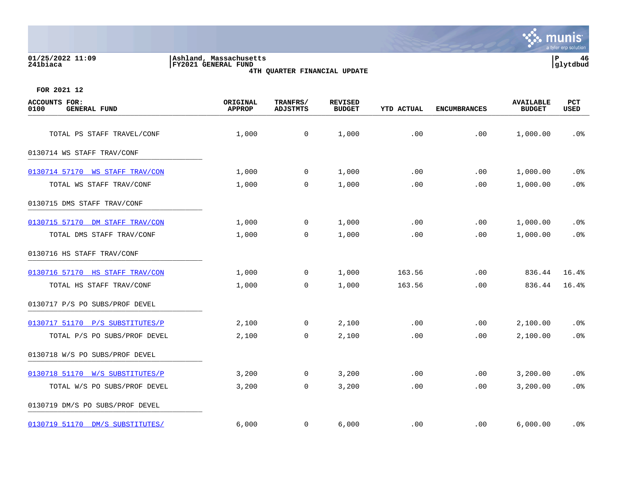## **01/25/2022 11:09 |Ashland, Massachusetts |P 46 241biaca |FY2021 GENERAL FUND |glytdbud 4TH QUARTER FINANCIAL UPDATE**



| <b>ACCOUNTS FOR:</b><br><b>GENERAL FUND</b><br>0100 | ORIGINAL<br><b>APPROP</b> | TRANFRS/<br><b>ADJSTMTS</b> | <b>REVISED</b><br><b>BUDGET</b> | <b>YTD ACTUAL</b> | <b>ENCUMBRANCES</b> | <b>AVAILABLE</b><br><b>BUDGET</b> | PCT<br>USED |
|-----------------------------------------------------|---------------------------|-----------------------------|---------------------------------|-------------------|---------------------|-----------------------------------|-------------|
| TOTAL PS STAFF TRAVEL/CONF                          | 1,000                     | 0                           | 1,000                           | .00               | .00                 | 1,000.00                          | .0%         |
| 0130714 WS STAFF TRAV/CONF                          |                           |                             |                                 |                   |                     |                                   |             |
| 0130714 57170 WS STAFF TRAV/CON                     | 1,000                     | $\mathbf 0$                 | 1,000                           | .00               | .00                 | 1,000.00                          | .0%         |
| TOTAL WS STAFF TRAV/CONF                            | 1,000                     | 0                           | 1,000                           | .00               | .00                 | 1,000.00                          | .0%         |
| 0130715 DMS STAFF TRAV/CONF                         |                           |                             |                                 |                   |                     |                                   |             |
| 0130715 57170 DM STAFF TRAV/CON                     | 1,000                     | $\mathbf 0$                 | 1,000                           | .00               | .00                 | 1,000.00                          | $.0\%$      |
| TOTAL DMS STAFF TRAV/CONF                           | 1,000                     | $\mathbf 0$                 | 1,000                           | .00               | .00                 | 1,000.00                          | .0%         |
| 0130716 HS STAFF TRAV/CONF                          |                           |                             |                                 |                   |                     |                                   |             |
| 0130716 57170 HS STAFF TRAV/CON                     | 1,000                     | 0                           | 1,000                           | 163.56            | .00                 | 836.44                            | 16.4%       |
| TOTAL HS STAFF TRAV/CONF                            | 1,000                     | $\mathbf 0$                 | 1,000                           | 163.56            | .00                 | 836.44                            | 16.4%       |
| 0130717 P/S PO SUBS/PROF DEVEL                      |                           |                             |                                 |                   |                     |                                   |             |
| 0130717 51170 P/S SUBSTITUTES/P                     | 2,100                     | $\mathbf{0}$                | 2,100                           | .00               | .00                 | 2,100.00                          | .0%         |
| TOTAL P/S PO SUBS/PROF DEVEL                        | 2,100                     | 0                           | 2,100                           | .00               | .00                 | 2,100.00                          | .0%         |
| 0130718 W/S PO SUBS/PROF DEVEL                      |                           |                             |                                 |                   |                     |                                   |             |
| 0130718 51170 W/S SUBSTITUTES/P                     | 3,200                     | $\mathbf 0$                 | 3,200                           | .00               | .00                 | 3,200.00                          | .0%         |
| TOTAL W/S PO SUBS/PROF DEVEL                        | 3,200                     | 0                           | 3,200                           | .00               | .00                 | 3,200.00                          | .0%         |
| 0130719 DM/S PO SUBS/PROF DEVEL                     |                           |                             |                                 |                   |                     |                                   |             |
| 0130719 51170 DM/S SUBSTITUTES/                     | 6,000                     | $\overline{0}$              | 6,000                           | .00               | $.00 \,$            | 6,000.00                          | . 0%        |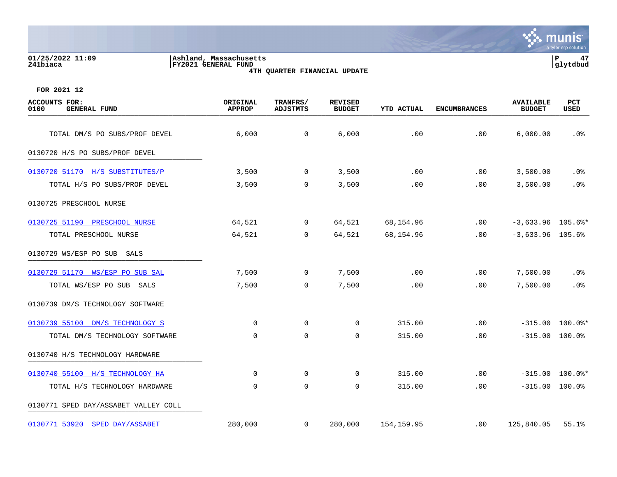# **01/25/2022 11:09 |Ashland, Massachusetts |P 47 241biaca |FY2021 GENERAL FUND |glytdbud 4TH QUARTER FINANCIAL UPDATE**



| <b>ACCOUNTS FOR:</b><br>0100<br><b>GENERAL FUND</b> | ORIGINAL<br><b>APPROP</b> | TRANFRS/<br><b>ADJSTMTS</b> | <b>REVISED</b><br><b>BUDGET</b> | <b>YTD ACTUAL</b> | <b>ENCUMBRANCES</b> | <b>AVAILABLE</b><br><b>BUDGET</b> | PCT<br>USED       |
|-----------------------------------------------------|---------------------------|-----------------------------|---------------------------------|-------------------|---------------------|-----------------------------------|-------------------|
| TOTAL DM/S PO SUBS/PROF DEVEL                       | 6,000                     | $\mathbf 0$                 | 6,000                           | .00               | .00                 | 6,000.00                          | .0%               |
| 0130720 H/S PO SUBS/PROF DEVEL                      |                           |                             |                                 |                   |                     |                                   |                   |
|                                                     |                           |                             |                                 |                   |                     |                                   |                   |
| 0130720 51170 H/S SUBSTITUTES/P                     | 3,500                     | $\overline{0}$              | 3,500                           | .00               | .00                 | 3,500.00                          | $.0\%$            |
| TOTAL H/S PO SUBS/PROF DEVEL                        | 3,500                     | 0                           | 3,500                           | .00               | .00                 | 3,500.00                          | .0%               |
| 0130725 PRESCHOOL NURSE                             |                           |                             |                                 |                   |                     |                                   |                   |
| 0130725 51190 PRESCHOOL NURSE                       | 64,521                    | $\mathbf 0$                 | 64,521                          | 68,154.96         | .00                 | $-3,633.96$ 105.6%*               |                   |
| TOTAL PRESCHOOL NURSE                               | 64,521                    | $\mathbf 0$                 | 64,521                          | 68,154.96         | .00                 | $-3,633.96$ 105.6%                |                   |
| 0130729 WS/ESP PO SUB SALS                          |                           |                             |                                 |                   |                     |                                   |                   |
| 0130729 51170 WS/ESP PO SUB SAL                     | 7,500                     | $\overline{0}$              | 7,500                           | .00               | .00                 | 7,500.00                          | $.0\%$            |
| TOTAL WS/ESP PO SUB SALS                            | 7,500                     | $\mathbf 0$                 | 7,500                           | .00               | .00                 | 7,500.00                          | .0%               |
| 0130739 DM/S TECHNOLOGY SOFTWARE                    |                           |                             |                                 |                   |                     |                                   |                   |
| 0130739 55100 DM/S TECHNOLOGY S                     | $\Omega$                  | $\Omega$                    | $\mathbf 0$                     | 315.00            | .00                 |                                   | $-315.00$ 100.0%* |
| TOTAL DM/S TECHNOLOGY SOFTWARE                      | $\mathbf 0$               | $\mathbf 0$                 | 0                               | 315.00            | .00                 | $-315.00$                         | $100.0$ %         |
| 0130740 H/S TECHNOLOGY HARDWARE                     |                           |                             |                                 |                   |                     |                                   |                   |
| 0130740 55100 H/S TECHNOLOGY HA                     | $\mathbf 0$               | 0                           | 0                               | 315.00            | .00                 | $-315.00$                         | $100.0$ *         |
| TOTAL H/S TECHNOLOGY HARDWARE                       | $\mathbf 0$               | $\mathbf 0$                 | $\mathbf 0$                     | 315.00            | .00                 | $-315.00$                         | 100.0%            |
| 0130771 SPED DAY/ASSABET VALLEY COLL                |                           |                             |                                 |                   |                     |                                   |                   |
| 0130771 53920 SPED DAY/ASSABET                      | 280,000                   | $\mathbf 0$                 | 280,000                         | 154,159.95        | $.00 \,$            | 125,840.05                        | 55.1%             |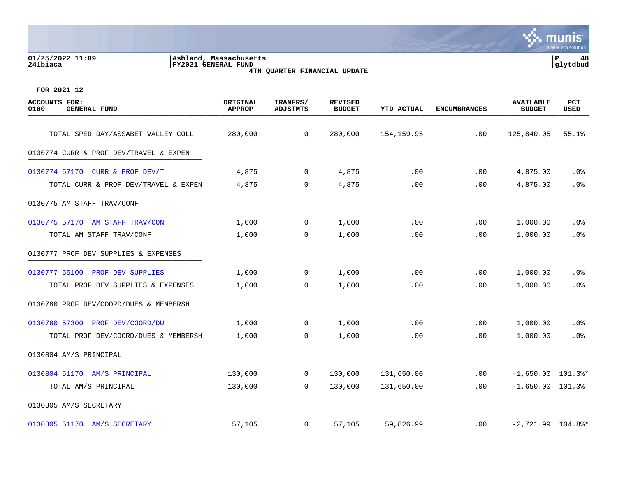|                              |                                                  | a tylur urp bulution |
|------------------------------|--------------------------------------------------|----------------------|
| 01/25/2022 11:09<br>241biaca | Ashland,<br>Massachusetts<br>FY2021 GENERAL FUND | 48<br>tdbud          |
|                              | 4TH QUARTER FINANCIAL UPDATE                     |                      |



| <b>ACCOUNTS FOR:</b><br>0100<br><b>GENERAL FUND</b> | ORIGINAL<br><b>APPROP</b> | TRANFRS/<br><b>ADJSTMTS</b> | <b>REVISED</b><br><b>BUDGET</b> | <b>YTD ACTUAL</b> | <b>ENCUMBRANCES</b> | <b>AVAILABLE</b><br><b>BUDGET</b> | PCT<br>USED |
|-----------------------------------------------------|---------------------------|-----------------------------|---------------------------------|-------------------|---------------------|-----------------------------------|-------------|
| TOTAL SPED DAY/ASSABET VALLEY COLL                  | 280,000                   | $\mathbf 0$                 | 280,000                         | 154, 159.95       | .00                 | 125,840.05                        | 55.1%       |
| 0130774 CURR & PROF DEV/TRAVEL & EXPEN              |                           |                             |                                 |                   |                     |                                   |             |
| 0130774 57170 CURR & PROF DEV/T                     | 4,875                     | $\overline{0}$              | 4,875                           | .00               | $.00 \,$            | 4,875.00                          | .0%         |
| TOTAL CURR & PROF DEV/TRAVEL & EXPEN                | 4,875                     | 0                           | 4,875                           | .00               | .00                 | 4,875.00                          | .0%         |
| 0130775 AM STAFF TRAV/CONF                          |                           |                             |                                 |                   |                     |                                   |             |
| 0130775 57170 AM STAFF TRAV/CON                     | 1,000                     | $\mathbf 0$                 | 1,000                           | .00               | .00                 | 1,000.00                          | .0%         |
| TOTAL AM STAFF TRAV/CONF                            | 1,000                     | 0                           | 1,000                           | .00               | .00                 | 1,000.00                          | .0%         |
| 0130777 PROF DEV SUPPLIES & EXPENSES                |                           |                             |                                 |                   |                     |                                   |             |
| 0130777 55100 PROF DEV SUPPLIES                     | 1,000                     | 0                           | 1,000                           | .00               | $.00 \,$            | 1,000.00                          | .0%         |
| TOTAL PROF DEV SUPPLIES & EXPENSES                  | 1,000                     | 0                           | 1,000                           | .00               | .00                 | 1,000.00                          | .0%         |
| 0130780 PROF DEV/COORD/DUES & MEMBERSH              |                           |                             |                                 |                   |                     |                                   |             |
| 0130780 57300 PROF DEV/COORD/DU                     | 1,000                     | $\overline{0}$              | 1,000                           | .00               | .00                 | 1,000.00                          | $.0\%$      |
| TOTAL PROF DEV/COORD/DUES & MEMBERSH                | 1,000                     | 0                           | 1,000                           | .00               | .00                 | 1,000.00                          | .0%         |
| 0130804 AM/S PRINCIPAL                              |                           |                             |                                 |                   |                     |                                   |             |
| 0130804 51170 AM/S PRINCIPAL                        | 130,000                   | $\mathbf 0$                 | 130,000                         | 131,650.00        | .00                 | $-1,650.00$ 101.3%*               |             |
| TOTAL AM/S PRINCIPAL                                | 130,000                   | $\mathbf 0$                 | 130,000                         | 131,650.00        | .00                 | $-1,650.00$ 101.3%                |             |
| 0130805 AM/S SECRETARY                              |                           |                             |                                 |                   |                     |                                   |             |
| 0130805 51170 AM/S SECRETARY                        | 57,105                    | 0                           | 57,105                          | 59,826.99         | $.00 \,$            | $-2,721.99$ 104.8%*               |             |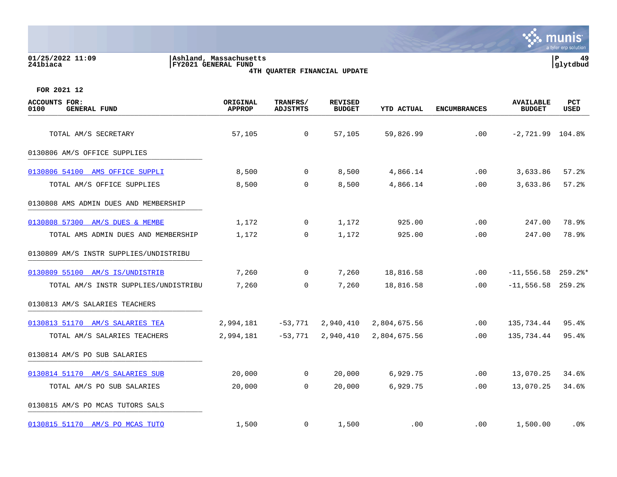| 01/25/2022 11:09<br>241biaca                        | Ashland, Massachusetts<br>FY2021 GENERAL FUND | 4TH QUARTER FINANCIAL UPDATE |                          |            |                     |                                   | lР<br>49<br> glytdbud |
|-----------------------------------------------------|-----------------------------------------------|------------------------------|--------------------------|------------|---------------------|-----------------------------------|-----------------------|
| FOR 2021 12                                         |                                               |                              |                          |            |                     |                                   |                       |
| <b>ACCOUNTS FOR:</b><br>0100<br><b>GENERAL FUND</b> | ORIGINAL<br><b>APPROP</b>                     | TRANFRS/<br>ADJSTMTS         | REVISED<br><b>BUDGET</b> | YTD ACTUAL | <b>ENCUMBRANCES</b> | <b>AVAILABLE</b><br><b>BUDGET</b> | PCT<br><b>USED</b>    |
| TOTAL AM/S SECRETARY                                | 57,105                                        | 0                            | 57,105                   | 59,826.99  | .00                 | $-2,721.99$ 104.8%                |                       |
| 0130806 AM/S OFFICE SUPPLIES                        |                                               |                              |                          |            |                     |                                   |                       |

munis

| 0130806 54100 AMS OFFICE SUPPLI        | 8,500 | 0        | 8,500 | 4,866.14 | .00 | 3,633.86 | 57.2  |
|----------------------------------------|-------|----------|-------|----------|-----|----------|-------|
| TOTAL AM/S OFFICE SUPPLIES             | 8,500 | 0        | 8,500 | 4,866.14 | .00 | 3,633.86 | 57.2% |
| 0130808 AMS ADMIN DUES AND MEMBERSHIP  |       |          |       |          |     |          |       |
| 0130808 57300 AM/S DUES & MEMBE        | 1,172 | $\Omega$ | 1,172 | 925.00   | .00 | 247.00   | 78.9% |
| TOTAL AMS ADMIN DUES AND MEMBERSHIP    | 1,172 | 0        | 1,172 | 925.00   | .00 | 247.00   | 78.9% |
| 0130809 AM/S INSTR SUPPLIES/UNDISTRIBU |       |          |       |          |     |          |       |

[0130809 55100 AM/S IS/UNDISTRIB](https://yvwlndash063.tylertech.com/sites/mu0241/LIVE/_layouts/15/DashboardMunisV6.3/PassThru.aspx?-E=sYSXdY4OWy2WUqqLVdrgDfRUp9L6KCT3vkHaO5SIP6/8ftvxqTsEhhae4CLrTXMU&) 7,260 0 7,260 18,816.58 .00 -11,556.58 259.2%\* TOTAL AM/S INSTR SUPPLIES/UNDISTRIBU 7,260 0 7,260 18,816.58 .00 -11,556.58 259.2% 0130813 AM/S SALARIES TEACHERS [0130813 51170 AM/S SALARIES TEA](https://yvwlndash063.tylertech.com/sites/mu0241/LIVE/_layouts/15/DashboardMunisV6.3/PassThru.aspx?-E=epiNvwFbzSzKdsftdzrPBInv%2B%2B9qhpEbI2OHPBthruVxPhDf2z/miphgAMNgSj2I&) 2,994,181 -53,771 2,940,410 2,804,675.56 .00 135,734.44 95.4% TOTAL AM/S SALARIES TEACHERS 2,994,181 -53,771 2,940,410 2,804,675.56 .00 135,734.44 95.4% 0130814 AM/S PO SUB SALARIES

[0130814 51170 AM/S SALARIES SUB](https://yvwlndash063.tylertech.com/sites/mu0241/LIVE/_layouts/15/DashboardMunisV6.3/PassThru.aspx?-E=2BpoNpIbmE1RjHKQKGZUMkIyeA/kux0ngaitMV/Sp831mbnTaMT40LZATN3UdxFc&) 20,000 0 20,000 6,929.75 .00 13,070.25 34.6% TOTAL AM/S PO SUB SALARIES 20,000 0 20,000 6,929.75 .00 13,070.25 34.6% 0130815 AM/S PO MCAS TUTORS SALS [0130815 51170 AM/S PO MCAS TUTO](https://yvwlndash063.tylertech.com/sites/mu0241/LIVE/_layouts/15/DashboardMunisV6.3/PassThru.aspx?-E=YrvetVHioInf6B6Rxa6vm0LtXORQUtAwmI3TvITJUBrvOLCzU20KXqhf4SpfhBOf&) 1,500 0 1,500 .00 .00 1,500.00 .0%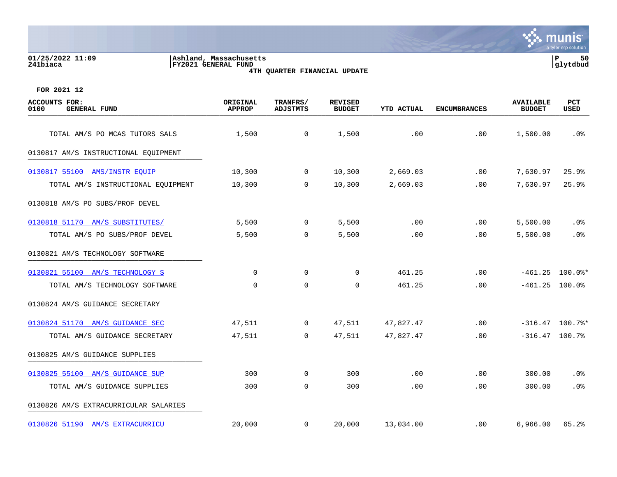| 01/25/2022 11:09<br>Ashland, Massachusetts<br>241biaca<br>FY2021 GENERAL FUND<br>4TH QUARTER FINANCIAL UPDATE |                                  |                      |                                 |                   |                     |                                   |             |  |
|---------------------------------------------------------------------------------------------------------------|----------------------------------|----------------------|---------------------------------|-------------------|---------------------|-----------------------------------|-------------|--|
| FOR 2021 12                                                                                                   |                                  |                      |                                 |                   |                     |                                   |             |  |
| ACCOUNTS FOR:<br>0100<br><b>GENERAL FUND</b>                                                                  | <b>ORIGINAL</b><br><b>APPROP</b> | TRANFRS/<br>ADJSTMTS | <b>REVISED</b><br><b>BUDGET</b> | <b>YTD ACTUAL</b> | <b>ENCUMBRANCES</b> | <b>AVAILABLE</b><br><b>BUDGET</b> | PCT<br>USED |  |
| TOTAL AM/S PO MCAS TUTORS SALS                                                                                | 1,500                            | $\overline{0}$       | 1,500                           | .00               | .00                 | 1,500.00                          | .0%         |  |
| 0130817 AM/S INSTRUCTIONAL EQUIPMENT                                                                          |                                  |                      |                                 |                   |                     |                                   |             |  |
| 0130817 55100<br>AMS/INSTR EOUIP                                                                              | 10,300                           | $\overline{0}$       | 10,300                          | 2,669.03          | .00                 | 7,630.97                          | 25.9%       |  |
| TOTAL AM/S INSTRUCTIONAL EQUIPMENT                                                                            | 10,300                           | 0                    | 10,300                          | 2,669.03          | .00                 | 7,630.97                          | 25.9%       |  |
| 0130818 AM/S PO SUBS/PROF DEVEL                                                                               |                                  |                      |                                 |                   |                     |                                   |             |  |
| 0130818 51170<br>AM/S SUBSTITUTES/                                                                            | 5,500                            | $\overline{0}$       | 5,500                           | .00               | .00                 | 5,500.00                          | .0%         |  |
| TOTAL AM/S PO SUBS/PROF DEVEL                                                                                 | 5,500                            | 0                    | 5,500                           | .00               | .00                 | 5,500.00                          | $.0\%$      |  |

0130821 AM/S TECHNOLOGY SOFTWARE

| 0130821 55100 AM/S TECHNOLOGY S | $\overline{0}$ | $\mathbf 0$ | $\mathbf 0$ | 461.25    | .00 | $-461.25$ 100.0%* |        |
|---------------------------------|----------------|-------------|-------------|-----------|-----|-------------------|--------|
| TOTAL AM/S TECHNOLOGY SOFTWARE  | $\overline{0}$ | $\mathbf 0$ | $\mathbf 0$ | 461.25    | .00 | $-461.25$ 100.0%  |        |
| 0130824 AM/S GUIDANCE SECRETARY |                |             |             |           |     |                   |        |
| 0130824 51170 AM/S GUIDANCE SEC | 47,511         | $\mathbf 0$ | 47,511      | 47,827.47 | .00 | $-316.47$ 100.7%* |        |
| TOTAL AM/S GUIDANCE SECRETARY   | 47,511         | 0           | 47,511      | 47,827.47 | .00 | $-316.47$ 100.7%  |        |
| 0130825 AM/S GUIDANCE SUPPLIES  |                |             |             |           |     |                   |        |
| 0130825 55100 AM/S GUIDANCE SUP | 300            | 0           | 300         | .00       | .00 | 300.00            | .0%    |
| TOTAL AM/S GUIDANCE SUPPLIES    | 300            | $\mathbf 0$ | 300         | .00       | .00 | 300.00            | $.0\%$ |
|                                 |                |             |             |           |     |                   |        |

0130826 AM/S EXTRACURRICULAR SALARIES

[0130826 51190 AM/S EXTRACURRICU](https://yvwlndash063.tylertech.com/sites/mu0241/LIVE/_layouts/15/DashboardMunisV6.3/PassThru.aspx?-E=ERBDtyP9%2B70FyxeS5z1Mt6AZc6Gw4dULB9dPTbZC7NplZYQykyG3kBSCnWP9eeRx&) 20,000 0 20,000 13,034.00 .00 6,966.00 65.2%

 $\mathcal{C}$  munis a tyler erp solution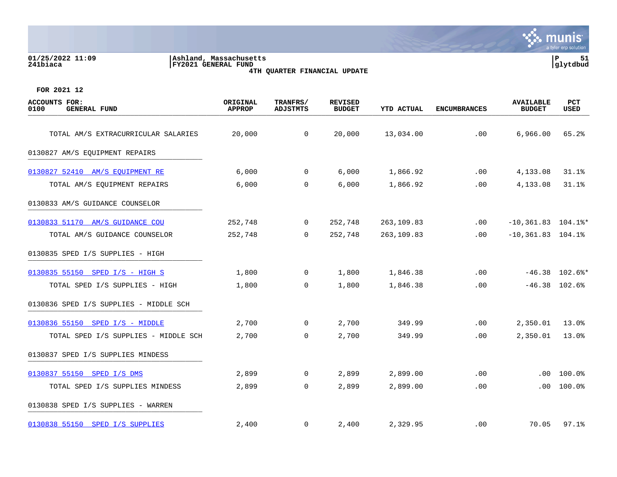# **01/25/2022 11:09 |Ashland, Massachusetts |P 51 241biaca |FY2021 GENERAL FUND |glytdbud 4TH QUARTER FINANCIAL UPDATE**



| <b>ACCOUNTS FOR:</b><br>0100<br><b>GENERAL FUND</b> | ORIGINAL<br><b>APPROP</b> | TRANFRS/<br><b>ADJSTMTS</b> | <b>REVISED</b><br><b>BUDGET</b> | YTD ACTUAL | <b>ENCUMBRANCES</b> | <b>AVAILABLE</b><br><b>BUDGET</b> | <b>PCT</b><br>USED |
|-----------------------------------------------------|---------------------------|-----------------------------|---------------------------------|------------|---------------------|-----------------------------------|--------------------|
| TOTAL AM/S EXTRACURRICULAR SALARIES                 | 20,000                    | $\mathbf 0$                 | 20,000                          | 13,034.00  | .00                 | 6,966.00                          | 65.2%              |
| 0130827 AM/S EQUIPMENT REPAIRS                      |                           |                             |                                 |            |                     |                                   |                    |
| 0130827 52410 AM/S EQUIPMENT RE                     | 6,000                     | $\mathbf 0$                 | 6,000                           | 1,866.92   | .00                 | 4,133.08                          | 31.1%              |
| TOTAL AM/S EQUIPMENT REPAIRS                        | 6,000                     | 0                           | 6,000                           | 1,866.92   | .00                 | 4,133.08                          | 31.1%              |
| 0130833 AM/S GUIDANCE COUNSELOR                     |                           |                             |                                 |            |                     |                                   |                    |
| 0130833 51170 AM/S GUIDANCE COU                     | 252,748                   | $\mathbf{0}$                | 252,748                         | 263,109.83 | $.00 \,$            | $-10,361.83$ 104.1%*              |                    |
| TOTAL AM/S GUIDANCE COUNSELOR                       | 252,748                   | $\Omega$                    | 252,748                         | 263,109.83 | .00                 | $-10,361.83$ $104.1%$             |                    |
| 0130835 SPED I/S SUPPLIES - HIGH                    |                           |                             |                                 |            |                     |                                   |                    |
| 0130835 55150 SPED I/S - HIGH S                     | 1,800                     | 0                           | 1,800                           | 1,846.38   | .00                 |                                   | $-46.38$ 102.6%*   |
| TOTAL SPED I/S SUPPLIES - HIGH                      | 1,800                     | $\overline{0}$              | 1,800                           | 1,846.38   | .00                 |                                   | $-46.38$ 102.6%    |
| 0130836 SPED I/S SUPPLIES - MIDDLE SCH              |                           |                             |                                 |            |                     |                                   |                    |
| 0130836 55150 SPED I/S - MIDDLE                     | 2,700                     | $\mathbf{0}$                | 2,700                           | 349.99     | .00                 | 2,350.01                          | 13.0%              |
| TOTAL SPED I/S SUPPLIES - MIDDLE SCH                | 2,700                     | 0                           | 2,700                           | 349.99     | .00                 | 2,350.01                          | 13.0%              |
| 0130837 SPED I/S SUPPLIES MINDESS                   |                           |                             |                                 |            |                     |                                   |                    |
| 0130837 55150 SPED I/S DMS                          | 2,899                     | $\mathbf{0}$                | 2,899                           | 2,899.00   | .00                 | .00                               | 100.0%             |
| TOTAL SPED I/S SUPPLIES MINDESS                     | 2,899                     | $\mathbf 0$                 | 2,899                           | 2,899.00   | .00                 | .00                               | 100.0%             |
| 0130838 SPED I/S SUPPLIES - WARREN                  |                           |                             |                                 |            |                     |                                   |                    |
| 0130838 55150 SPED I/S SUPPLIES                     | 2,400                     | $\mathbf 0$                 | 2,400                           | 2,329.95   | .00                 | 70.05                             | 97.1%              |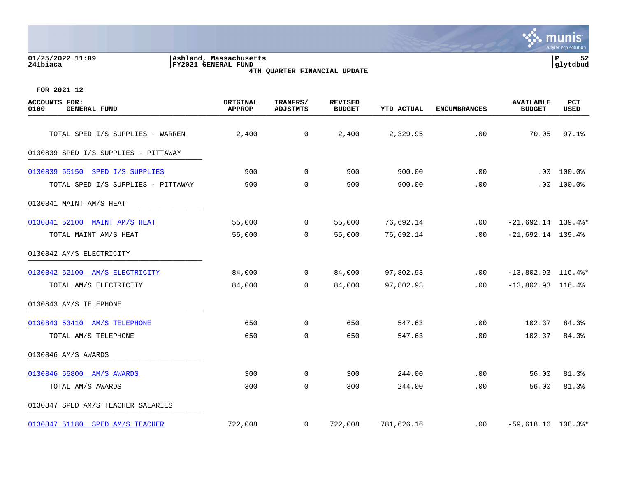| 01/25/2022 11:09<br>Ashland, Massachusetts<br>241biaca<br><b>FY2021 GENERAL FUND</b> | 4TH QUARTER FINANCIAL UPDATE     | P<br>glytdbud               |                                 |                   |                     |                                   |             |
|--------------------------------------------------------------------------------------|----------------------------------|-----------------------------|---------------------------------|-------------------|---------------------|-----------------------------------|-------------|
| FOR 2021 12                                                                          |                                  |                             |                                 |                   |                     |                                   |             |
| ACCOUNTS<br>FOR:<br>0100<br><b>GENERAL FUND</b>                                      | <b>ORIGINAL</b><br><b>APPROP</b> | TRANFRS/<br><b>ADJSTMTS</b> | <b>REVISED</b><br><b>BUDGET</b> | <b>YTD ACTUAL</b> | <b>ENCUMBRANCES</b> | <b>AVAILABLE</b><br><b>BUDGET</b> | PCT<br>USED |
| TOTAL SPED I/S SUPPLIES - WARREN                                                     | 2,400                            | $\overline{0}$              | 2,400                           | 2,329.95          | .00                 | 70.05                             | 97.1%       |
| 0130839 SPED I/S SUPPLIES - PITTAWAY                                                 |                                  |                             |                                 |                   |                     |                                   |             |
| 0130839 55150<br>SPED I/S SUPPLIES                                                   | 900                              | 0                           | 900                             | 900.00            | .00                 | .00                               | 100.0%      |
| TOTAL SPED I/S SUPPLIES - PITTAWAY                                                   | 900                              | $\mathbf 0$                 | 900                             | 900.00            | .00                 | .00.                              | 100.0%      |
| 0130841 MAINT AM/S HEAT                                                              |                                  |                             |                                 |                   |                     |                                   |             |
| 0130841 52100<br>MAINT AM/S HEAT                                                     | 55,000                           | $\overline{0}$              | 55,000                          | 76,692.14         | .00                 | $-21,692.14$ 139.4%*              |             |
| TOTAL MAINT AM/S HEAT                                                                | 55,000                           | 0                           | 55,000                          | 76,692.14         | .00                 | $-21,692.14$ 139.4%               |             |

nis<sup>.</sup>

tyler erp solution

mu

| 0130842 AM/S ELECTRICITY           |         |                |         |            |          |                                   |       |
|------------------------------------|---------|----------------|---------|------------|----------|-----------------------------------|-------|
| 0130842 52100 AM/S ELECTRICITY     | 84,000  | $\overline{0}$ | 84,000  | 97,802.93  | .00      | $-13,802.93$ 116.4%*              |       |
| TOTAL AM/S ELECTRICITY             | 84,000  | $\overline{0}$ | 84,000  | 97,802.93  | .00      | $-13,802.93$ 116.4%               |       |
| 0130843 AM/S TELEPHONE             |         |                |         |            |          |                                   |       |
| 0130843 53410 AM/S TELEPHONE       | 650     | 0              | 650     | 547.63     | .00      | 102.37                            | 84.3% |
| TOTAL AM/S TELEPHONE               | 650     | $\mathbf 0$    | 650     | 547.63     | .00      | 102.37                            | 84.3% |
| 0130846 AM/S AWARDS                |         |                |         |            |          |                                   |       |
| 0130846 55800 AM/S AWARDS          | 300     | $\mathbf{0}$   | 300     | 244.00     | .00      | 56.00                             | 81.3% |
| TOTAL AM/S AWARDS                  | 300     | 0              | 300     | 244.00     | .00      | 56.00                             | 81.3% |
| 0130847 SPED AM/S TEACHER SALARIES |         |                |         |            |          |                                   |       |
| 0130847 51180 SPED AM/S TEACHER    | 722,008 | $\mathbf{0}$   | 722,008 | 781,626.16 | $.00 \,$ | $-59,618.16$ $108.3$ <sup>*</sup> |       |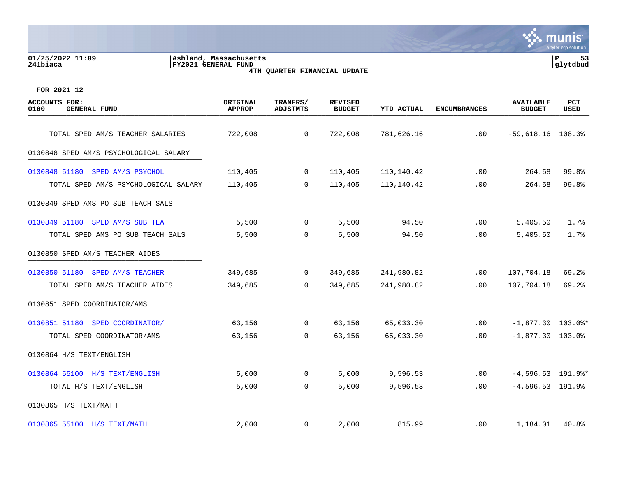# **01/25/2022 11:09 |Ashland, Massachusetts |P 53 241biaca |FY2021 GENERAL FUND |glytdbud 4TH QUARTER FINANCIAL UPDATE**



| <b>ACCOUNTS FOR:</b><br><b>GENERAL FUND</b><br>0100 | ORIGINAL<br><b>APPROP</b> | TRANFRS/<br><b>ADJSTMTS</b> | <b>REVISED</b><br><b>BUDGET</b> | YTD ACTUAL | <b>ENCUMBRANCES</b> | <b>AVAILABLE</b><br><b>BUDGET</b> | PCT<br>USED |
|-----------------------------------------------------|---------------------------|-----------------------------|---------------------------------|------------|---------------------|-----------------------------------|-------------|
| TOTAL SPED AM/S TEACHER SALARIES                    | 722,008                   | $\overline{0}$              | 722,008                         | 781,626.16 | .00                 | $-59,618.16$ 108.3%               |             |
| 0130848 SPED AM/S PSYCHOLOGICAL SALARY              |                           |                             |                                 |            |                     |                                   |             |
| 0130848 51180 SPED AM/S PSYCHOL                     | 110,405                   | $\mathbf 0$                 | 110,405                         | 110,140.42 | .00                 | 264.58                            | 99.8%       |
| TOTAL SPED AM/S PSYCHOLOGICAL SALARY                | 110,405                   | $\overline{0}$              | 110,405                         | 110,140.42 | .00                 | 264.58                            | 99.8%       |
| 0130849 SPED AMS PO SUB TEACH SALS                  |                           |                             |                                 |            |                     |                                   |             |
| 0130849 51180 SPED AM/S SUB TEA                     | 5,500                     | $\mathbf 0$                 | 5,500                           | 94.50      | .00                 | 5,405.50                          | 1.7%        |
| TOTAL SPED AMS PO SUB TEACH SALS                    | 5,500                     | $\overline{0}$              | 5,500                           | 94.50      | .00                 | 5,405.50                          | 1.7%        |
| 0130850 SPED AM/S TEACHER AIDES                     |                           |                             |                                 |            |                     |                                   |             |
| 0130850 51180 SPED AM/S TEACHER                     | 349,685                   | $\overline{0}$              | 349,685                         | 241,980.82 | .00                 | 107,704.18                        | 69.2%       |
| TOTAL SPED AM/S TEACHER AIDES                       | 349,685                   | $\Omega$                    | 349,685                         | 241,980.82 | .00                 | 107,704.18                        | 69.2%       |
| 0130851 SPED COORDINATOR/AMS                        |                           |                             |                                 |            |                     |                                   |             |
| 0130851 51180 SPED COORDINATOR/                     | 63,156                    | $\mathbf 0$                 | 63,156                          | 65,033.30  | .00                 | $-1,877.30$ 103.0%*               |             |
| TOTAL SPED COORDINATOR/AMS                          | 63,156                    | 0                           | 63,156                          | 65,033.30  | .00                 | $-1,877.30$ 103.0%                |             |
| 0130864 H/S TEXT/ENGLISH                            |                           |                             |                                 |            |                     |                                   |             |
| 0130864 55100 H/S TEXT/ENGLISH                      | 5,000                     | $\mathbf 0$                 | 5,000                           | 9,596.53   | .00                 | $-4,596.53$ 191.9%*               |             |
| TOTAL H/S TEXT/ENGLISH                              | 5,000                     | $\mathsf{O}$                | 5,000                           | 9,596.53   | .00                 | $-4,596.53$ 191.9%                |             |
| 0130865 H/S TEXT/MATH                               |                           |                             |                                 |            |                     |                                   |             |
| 0130865 55100 H/S TEXT/MATH                         | 2,000                     | $\mathbf{0}$                | 2,000                           | 815.99     | $.00 \,$            | 1,184.01                          | 40.8%       |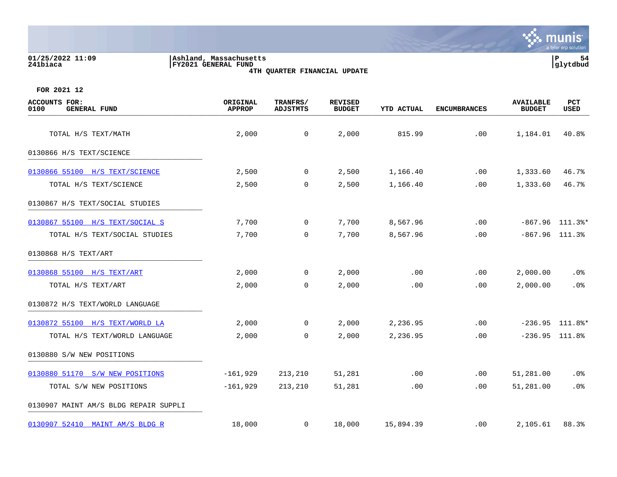## **01/25/2022 11:09 |Ashland, Massachusetts |P 54 241biaca |FY2021 GENERAL FUND |glytdbud 4TH QUARTER FINANCIAL UPDATE**



| <b>ACCOUNTS FOR:</b><br>0100<br><b>GENERAL FUND</b> | ORIGINAL<br><b>APPROP</b> | TRANFRS/<br><b>ADJSTMTS</b> | <b>REVISED</b><br><b>BUDGET</b> | <b>YTD ACTUAL</b> | <b>ENCUMBRANCES</b> | <b>AVAILABLE</b><br><b>BUDGET</b> | PCT<br>USED       |
|-----------------------------------------------------|---------------------------|-----------------------------|---------------------------------|-------------------|---------------------|-----------------------------------|-------------------|
| TOTAL H/S TEXT/MATH                                 | 2,000                     | $\mathsf{O}$                | 2,000                           | 815.99            | .00                 | 1,184.01                          | 40.8%             |
| 0130866 H/S TEXT/SCIENCE                            |                           |                             |                                 |                   |                     |                                   |                   |
| 0130866 55100 H/S TEXT/SCIENCE                      | 2,500                     | $\mathbf 0$                 | 2,500                           | 1,166.40          | .00                 | 1,333.60                          | 46.7%             |
| TOTAL H/S TEXT/SCIENCE                              | 2,500                     | $\mathbf 0$                 | 2,500                           | 1,166.40          | .00                 | 1,333.60                          | 46.7%             |
| 0130867 H/S TEXT/SOCIAL STUDIES                     |                           |                             |                                 |                   |                     |                                   |                   |
| 0130867 55100 H/S TEXT/SOCIAL S                     | 7,700                     | 0                           | 7,700                           | 8,567.96          | .00                 |                                   | $-867.96$ 111.3%* |
| TOTAL H/S TEXT/SOCIAL STUDIES                       | 7,700                     | $\mathbf 0$                 | 7,700                           | 8,567.96          | .00                 | $-867.96$ 111.3%                  |                   |
| 0130868 H/S TEXT/ART                                |                           |                             |                                 |                   |                     |                                   |                   |
| 0130868 55100 H/S TEXT/ART                          | 2,000                     | 0                           | 2,000                           | .00               | .00                 | 2,000.00                          | .0%               |
| TOTAL H/S TEXT/ART                                  | 2,000                     | $\mathbf 0$                 | 2,000                           | .00               | .00.                | 2,000.00                          | .0%               |
| 0130872 H/S TEXT/WORLD LANGUAGE                     |                           |                             |                                 |                   |                     |                                   |                   |
| 0130872 55100 H/S TEXT/WORLD LA                     | 2,000                     | 0                           | 2,000                           | 2,236.95          | .00                 |                                   | $-236.95$ 111.8%* |
| TOTAL H/S TEXT/WORLD LANGUAGE                       | 2,000                     | 0                           | 2,000                           | 2,236.95          | .00                 | $-236.95$ 111.8%                  |                   |
| 0130880 S/W NEW POSITIONS                           |                           |                             |                                 |                   |                     |                                   |                   |
| 0130880 51170 S/W NEW POSITIONS                     | $-161,929$                | 213,210                     | 51,281                          | .00               | .00                 | 51,281.00                         | $.0\%$            |
| TOTAL S/W NEW POSITIONS                             | $-161,929$                | 213,210                     | 51,281                          | .00               | .00                 | 51,281.00                         | .0%               |
| 0130907 MAINT AM/S BLDG REPAIR SUPPLI               |                           |                             |                                 |                   |                     |                                   |                   |
| 0130907 52410 MAINT AM/S BLDG R                     | 18,000                    | 0                           | 18,000                          | 15,894.39         | $.00 \,$            | 2,105.61                          | 88.3%             |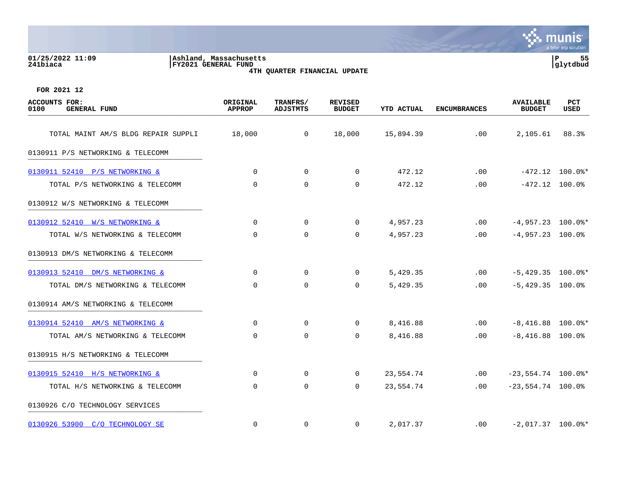| 01/25/2022 11:09 |  |
|------------------|--|
| 241biaca         |  |

**01/25/2022 11:09 |Ashland, Massachusetts |P 55 241biaca |FY2021 GENERAL FUND |glytdbud 4TH QUARTER FINANCIAL UPDATE**



| <b>ACCOUNTS FOR:</b><br>0100<br><b>GENERAL FUND</b> | ORIGINAL<br><b>APPROP</b> | TRANFRS/<br><b>ADJSTMTS</b> | <b>REVISED</b><br><b>BUDGET</b> | <b>YTD ACTUAL</b> | <b>ENCUMBRANCES</b> | <b>AVAILABLE</b><br><b>BUDGET</b> | <b>PCT</b><br>USED |
|-----------------------------------------------------|---------------------------|-----------------------------|---------------------------------|-------------------|---------------------|-----------------------------------|--------------------|
| TOTAL MAINT AM/S BLDG REPAIR SUPPLI                 | 18,000                    | $\overline{0}$              | 18,000                          | 15,894.39         | .00                 | 2,105.61                          | 88.3%              |
| 0130911 P/S NETWORKING & TELECOMM                   |                           |                             |                                 |                   |                     |                                   |                    |
| 0130911 52410 P/S NETWORKING &                      | $\mathbf 0$               | 0                           | 0                               | 472.12            | .00                 |                                   | $-472.12$ 100.0%*  |
| TOTAL P/S NETWORKING & TELECOMM                     | 0                         | $\mathbf 0$                 | 0                               | 472.12            | .00                 | $-472.12$ 100.0%                  |                    |
| 0130912 W/S NETWORKING & TELECOMM                   |                           |                             |                                 |                   |                     |                                   |                    |
| 0130912 52410 W/S NETWORKING &                      | $\Omega$                  | 0                           | $\Omega$                        | 4,957.23          | .00                 | $-4,957.23$ 100.0%*               |                    |
| TOTAL W/S NETWORKING & TELECOMM                     | $\Omega$                  | $\mathbf 0$                 | $\mathbf 0$                     | 4,957.23          | .00                 | $-4,957.23$ 100.0%                |                    |
| 0130913 DM/S NETWORKING & TELECOMM                  |                           |                             |                                 |                   |                     |                                   |                    |
| 0130913 52410 DM/S NETWORKING &                     | $\mathbf 0$               | 0                           | 0                               | 5,429.35          | .00                 | $-5,429.35$ 100.0%*               |                    |
| TOTAL DM/S NETWORKING & TELECOMM                    | $\mathbf 0$               | $\mathbf 0$                 | $\mathbf 0$                     | 5,429.35          | $.00 \,$            | $-5,429.35$ 100.0%                |                    |
| 0130914 AM/S NETWORKING & TELECOMM                  |                           |                             |                                 |                   |                     |                                   |                    |
| 0130914 52410 AM/S NETWORKING &                     | $\Omega$                  | $\Omega$                    | 0                               | 8,416.88          | .00                 | $-8,416.88$ 100.0%*               |                    |
| TOTAL AM/S NETWORKING & TELECOMM                    | 0                         | $\mathbf 0$                 | 0                               | 8,416.88          | $.00 \,$            | $-8,416.88$ 100.0%                |                    |
| 0130915 H/S NETWORKING & TELECOMM                   |                           |                             |                                 |                   |                     |                                   |                    |
| 0130915 52410 H/S NETWORKING &                      | $\mathbf 0$               | 0                           | $\overline{0}$                  | 23,554.74         | .00                 | $-23,554.74$ 100.0%*              |                    |
| TOTAL H/S NETWORKING & TELECOMM                     | $\mathbf 0$               | $\mathbf 0$                 | 0                               | 23,554.74         | .00                 | $-23,554.74$ 100.0%               |                    |
| 0130926 C/O TECHNOLOGY SERVICES                     |                           |                             |                                 |                   |                     |                                   |                    |
| 0130926 53900 C/O TECHNOLOGY SE                     | $\mathbf 0$               | $\mathbf 0$                 | $\mathbf 0$                     | 2,017.37          | .00                 | $-2,017.37$ 100.0%*               |                    |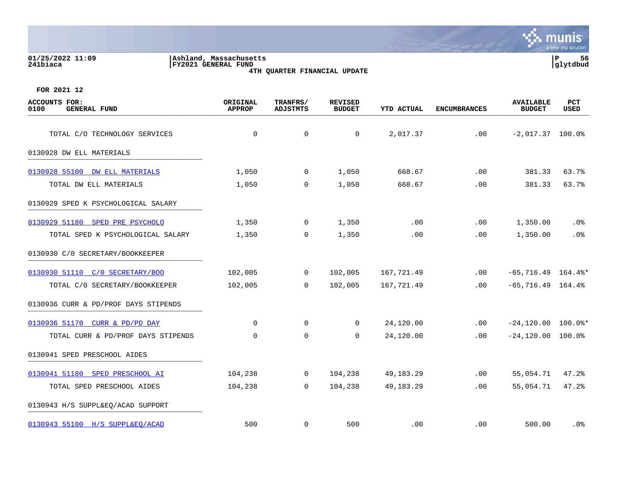| 01/25/2022 11:09<br>241biaca                                | Ashland, Massachusetts<br>FY2021 GENERAL FUND | 4TH QUARTER FINANCIAL UPDATE |                          |                   |                     |                                   | a cyfeir ei problacion.<br>56<br>P<br>glytdbud |
|-------------------------------------------------------------|-----------------------------------------------|------------------------------|--------------------------|-------------------|---------------------|-----------------------------------|------------------------------------------------|
| FOR 2021 12<br>ACCOUNTS FOR:<br>0100<br><b>GENERAL FUND</b> | ORIGINAL<br><b>APPROP</b>                     | TRANFRS/<br>ADJSTMTS         | REVISED<br><b>BUDGET</b> | <b>YTD ACTUAL</b> | <b>ENCUMBRANCES</b> | <b>AVAILABLE</b><br><b>BUDGET</b> | PCT<br>USED                                    |
| TOTAL C/O TECHNOLOGY SERVICES                               |                                               | 0                            |                          | 2,017.37          | .00                 | $-2,017.37$ 100.0%                |                                                |

# 0130928 DW ELL MATERIALS \_\_\_\_\_\_\_\_\_\_\_\_\_\_\_\_\_\_\_\_\_\_\_\_\_\_\_\_\_\_\_\_\_\_\_\_\_\_\_\_\_

| 0130928 55100 DW ELL MATERIALS       | 1,050   | $\overline{0}$ | 1,050   | 668.67     | .00      | 381.33               | 63.7%  |
|--------------------------------------|---------|----------------|---------|------------|----------|----------------------|--------|
| TOTAL DW ELL MATERIALS               | 1,050   | $\overline{0}$ | 1,050   | 668.67     | .00      | 381.33               | 63.7%  |
| 0130929 SPED K PSYCHOLOGICAL SALARY  |         |                |         |            |          |                      |        |
| 0130929 51180 SPED PRE PSYCHOLO      | 1,350   | $\overline{0}$ | 1,350   | .00        | $.00 \,$ | 1,350.00             | $.0\%$ |
| TOTAL SPED K PSYCHOLOGICAL SALARY    | 1,350   | $\overline{0}$ | 1,350   | .00        | .00      | 1,350.00             | $.0\%$ |
| 0130930 C/O SECRETARY/BOOKKEEPER     |         |                |         |            |          |                      |        |
| 0130930 51110 C/O SECRETARY/BOO      | 102,005 | $\overline{0}$ | 102,005 | 167,721.49 | .00      | $-65,716.49$ 164.4%* |        |
| TOTAL C/0 SECRETARY/BOOKKEEPER       | 102,005 | $\overline{0}$ | 102,005 | 167,721.49 | .00      | $-65, 716.49$ 164.4% |        |
| 0130936 CURR & PD/PROF DAYS STIPENDS |         |                |         |            |          |                      |        |

munis tyler erp solution

[0130936 51170 CURR & PD/PD DAY](https://yvwlndash063.tylertech.com/sites/mu0241/LIVE/_layouts/15/DashboardMunisV6.3/PassThru.aspx?-E=K/bcxKYZfBUv1rrz4UZ7o7QzIr/2rTYv2J%2BmX/iv7r2SA7Fzq0%2BMxjhi8uq74Fgn&) 0 0 0 24,120.00 .00 -24,120.00 100.0%\* TOTAL CURR & PD/PROF DAYS STIPENDS 0 0 0 24,120.00 .00 -24,120.00 100.0% 0130941 SPED PRESCHOOL AIDES [0130941 51180 SPED PRESCHOOL AI](https://yvwlndash063.tylertech.com/sites/mu0241/LIVE/_layouts/15/DashboardMunisV6.3/PassThru.aspx?-E=ytKGV2c1V9j7/8zfnVFV0MvvhfplKgeqkUyoUY3Gd4/qWLKj4ly10DlxmgoEWVIc&) 104,238 0 104,238 49,183.29 .00 55,054.71 47.2% TOTAL SPED PRESCHOOL AIDES 104,238 0 104,238 49,183.29 .00 55,054.71 47.2% 0130943 H/S SUPPL&EQ/ACAD SUPPORT [0130943 55100 H/S SUPPL&EQ/ACAD](https://yvwlndash063.tylertech.com/sites/mu0241/LIVE/_layouts/15/DashboardMunisV6.3/PassThru.aspx?-E=b2mP/vfbURhqP4XxL6O5NfIf3lx02FI9s8bnbaZkA5K76q993D1PGg9HcMlQT2rq&) 500 0 500 .00 .00 500.00 .0%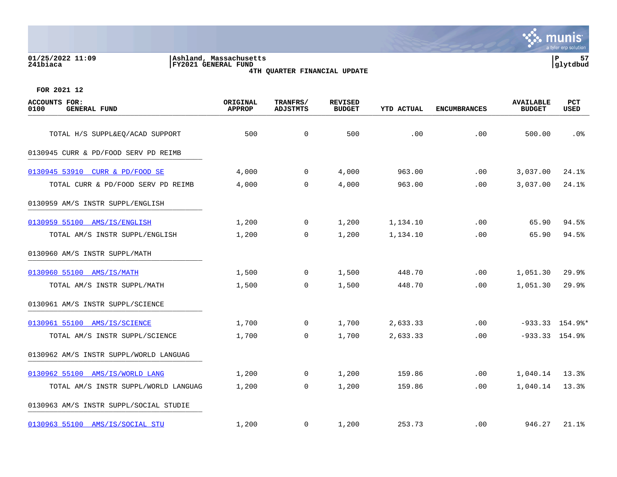# **01/25/2022 11:09 |Ashland, Massachusetts |P 57 241biaca |FY2021 GENERAL FUND |glytdbud 4TH QUARTER FINANCIAL UPDATE**



| <b>ACCOUNTS FOR:</b><br>0100<br><b>GENERAL FUND</b> | ORIGINAL<br><b>APPROP</b> | TRANFRS/<br><b>ADJSTMTS</b> | <b>REVISED</b><br><b>BUDGET</b> | <b>YTD ACTUAL</b> | <b>ENCUMBRANCES</b> | <b>AVAILABLE</b><br><b>BUDGET</b> | <b>PCT</b><br>USED  |
|-----------------------------------------------------|---------------------------|-----------------------------|---------------------------------|-------------------|---------------------|-----------------------------------|---------------------|
| TOTAL H/S SUPPL&EQ/ACAD SUPPORT                     | 500                       | $\mathbf 0$                 | 500                             | .00               | .00                 | 500.00                            | .0%                 |
| 0130945 CURR & PD/FOOD SERV PD REIMB                |                           |                             |                                 |                   |                     |                                   |                     |
|                                                     |                           |                             |                                 |                   |                     |                                   |                     |
| 0130945 53910 CURR & PD/FOOD SE                     | 4,000                     | $\mathbf 0$                 | 4,000                           | 963.00            | .00                 | 3,037.00                          | 24.1%               |
| TOTAL CURR & PD/FOOD SERV PD REIMB                  | 4,000                     | $\mathbf 0$                 | 4,000                           | 963.00            | .00                 | 3,037.00                          | 24.1%               |
| 0130959 AM/S INSTR SUPPL/ENGLISH                    |                           |                             |                                 |                   |                     |                                   |                     |
| 0130959 55100 AMS/IS/ENGLISH                        | 1,200                     | $\mathbf 0$                 | 1,200                           | 1,134.10          | .00                 | 65.90                             | 94.5%               |
| TOTAL AM/S INSTR SUPPL/ENGLISH                      | 1,200                     | $\mathbf 0$                 | 1,200                           | 1,134.10          | .00                 | 65.90                             | 94.5%               |
| 0130960 AM/S INSTR SUPPL/MATH                       |                           |                             |                                 |                   |                     |                                   |                     |
| 0130960 55100 AMS/IS/MATH                           | 1,500                     | $\mathsf{O}$                | 1,500                           | 448.70            | .00                 | 1,051.30                          | 29.9%               |
| TOTAL AM/S INSTR SUPPL/MATH                         | 1,500                     | $\Omega$                    | 1,500                           | 448.70            | .00                 | 1,051.30                          | 29.9%               |
| 0130961 AM/S INSTR SUPPL/SCIENCE                    |                           |                             |                                 |                   |                     |                                   |                     |
| 0130961 55100 AMS/IS/SCIENCE                        | 1,700                     | $\mathbf 0$                 | 1,700                           | 2,633.33          | .00                 |                                   | $-933.33$ $154.9$ * |
| TOTAL AM/S INSTR SUPPL/SCIENCE                      | 1,700                     | $\mathbf 0$                 | 1,700                           | 2,633.33          | .00                 | $-933.33$ $154.9$                 |                     |
| 0130962 AM/S INSTR SUPPL/WORLD LANGUAG              |                           |                             |                                 |                   |                     |                                   |                     |
| 0130962 55100 AMS/IS/WORLD LANG                     | 1,200                     | 0                           | 1,200                           | 159.86            | .00                 | 1,040.14                          | 13.3%               |
| TOTAL AM/S INSTR SUPPL/WORLD LANGUAG                | 1,200                     | $\mathbf 0$                 | 1,200                           | 159.86            | .00                 | 1,040.14                          | 13.3%               |
| 0130963 AM/S INSTR SUPPL/SOCIAL STUDIE              |                           |                             |                                 |                   |                     |                                   |                     |
| 0130963 55100 AMS/IS/SOCIAL STU                     | 1,200                     | $\mathbf 0$                 | 1,200                           | 253.73            | $.00 \,$            | 946.27                            | 21.1%               |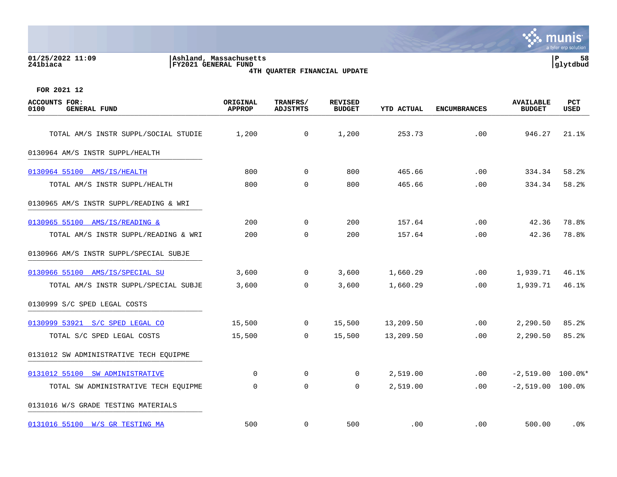|                              |                                                                                   | a tyler erp solution                |
|------------------------------|-----------------------------------------------------------------------------------|-------------------------------------|
| 01/25/2022 11:09<br>241biaca | Ashland, Massachusetts<br>FY2021 GENERAL FUND<br>4TH QUARTER FINANCIAL UPDATE     | 58<br>l P<br>lytdbud                |
| FOR 2021 12                  |                                                                                   |                                     |
| <b><i>SAMAINTER BAR.</i></b> | $m$ n a arme d $l$<br>$\sim$ $\sim$ $\sim$ $\sim$ $\sim$ $\sim$<br><b>DEVILOR</b> | $F_{\rm{max}}$<br><b>3773773777</b> |

| <b>ACCOUNTS FOR:</b><br>0100<br><b>GENERAL FUND</b> | ORIGINAL<br><b>APPROP</b> | TRANFRS/<br><b>ADJSTMTS</b> | <b>REVISED</b><br><b>BUDGET</b> | YTD ACTUAL | <b>ENCUMBRANCES</b> | <b>AVAILABLE</b><br><b>BUDGET</b> | <b>PCT</b><br>USED |
|-----------------------------------------------------|---------------------------|-----------------------------|---------------------------------|------------|---------------------|-----------------------------------|--------------------|
| TOTAL AM/S INSTR SUPPL/SOCIAL STUDIE                | 1,200                     | $\mathbf 0$                 | 1,200                           | 253.73     | .00                 | 946.27                            | 21.1%              |
| 0130964 AM/S INSTR SUPPL/HEALTH                     |                           |                             |                                 |            |                     |                                   |                    |
| 0130964 55100 AMS/IS/HEALTH                         | 800                       | $\overline{0}$              | 800                             | 465.66     | .00                 | 334.34                            | 58.2%              |
| TOTAL AM/S INSTR SUPPL/HEALTH                       | 800                       | $\Omega$                    | 800                             | 465.66     | .00                 | 334.34                            | 58.2%              |
| 0130965 AM/S INSTR SUPPL/READING & WRI              |                           |                             |                                 |            |                     |                                   |                    |
| 0130965 55100 AMS/IS/READING &                      | 200                       | $\mathbf 0$                 | 200                             | 157.64     | .00                 | 42.36                             | 78.8%              |
| TOTAL AM/S INSTR SUPPL/READING & WRI                | 200                       | $\Omega$                    | 200                             | 157.64     | .00                 | 42.36                             | 78.8%              |
| 0130966 AM/S INSTR SUPPL/SPECIAL SUBJE              |                           |                             |                                 |            |                     |                                   |                    |
| 0130966 55100 AMS/IS/SPECIAL SU                     | 3,600                     | $\mathbf{0}$                | 3,600                           | 1,660.29   | $.00 \,$            | 1,939.71                          | 46.1%              |
| TOTAL AM/S INSTR SUPPL/SPECIAL SUBJE                | 3,600                     | $\mathbf 0$                 | 3,600                           | 1,660.29   | .00                 | 1,939.71                          | 46.1%              |
| 0130999 S/C SPED LEGAL COSTS                        |                           |                             |                                 |            |                     |                                   |                    |
| 0130999 53921 S/C SPED LEGAL CO                     | 15,500                    | $\overline{0}$              | 15,500                          | 13,209.50  | $.00 \,$            | 2,290.50                          | 85.2%              |
| TOTAL S/C SPED LEGAL COSTS                          | 15,500                    | $\overline{0}$              | 15,500                          | 13,209.50  | .00                 | 2,290.50                          | 85.2%              |
| 0131012 SW ADMINISTRATIVE TECH EOUIPME              |                           |                             |                                 |            |                     |                                   |                    |
| 0131012 55100 SW ADMINISTRATIVE                     | $\Omega$                  | $\mathbf 0$                 | 0                               | 2,519.00   | $.00 \,$            | $-2,519.00$ 100.0%*               |                    |
| TOTAL SW ADMINISTRATIVE TECH EQUIPME                | $\Omega$                  | $\mathbf 0$                 | $\mathbf 0$                     | 2,519.00   | .00                 | $-2,519.00$ 100.0%                |                    |
| 0131016 W/S GRADE TESTING MATERIALS                 |                           |                             |                                 |            |                     |                                   |                    |
| 0131016 55100 W/S GR TESTING MA                     | 500                       | $\mathbf 0$                 | 500                             | .00        | .00                 | 500.00                            | .0%                |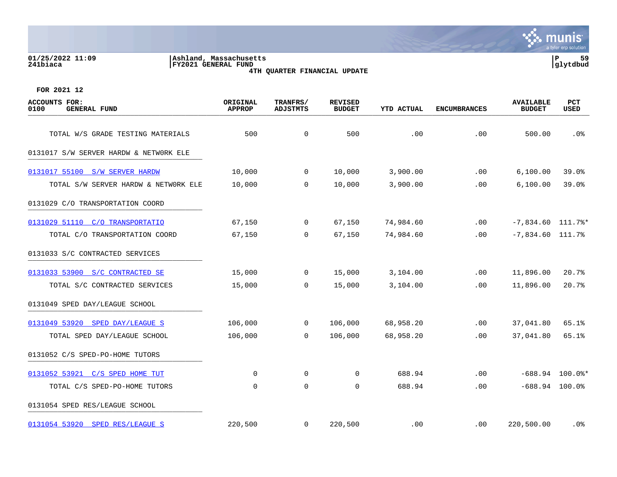# **01/25/2022 11:09 |Ashland, Massachusetts |P 59 241biaca |FY2021 GENERAL FUND |glytdbud 4TH QUARTER FINANCIAL UPDATE**



| <b>ACCOUNTS FOR:</b><br>0100<br><b>GENERAL FUND</b> | ORIGINAL<br><b>APPROP</b> | TRANFRS/<br><b>ADJSTMTS</b> | <b>REVISED</b><br><b>BUDGET</b> | <b>YTD ACTUAL</b> | <b>ENCUMBRANCES</b> | <b>AVAILABLE</b><br><b>BUDGET</b> | PCT<br>USED       |
|-----------------------------------------------------|---------------------------|-----------------------------|---------------------------------|-------------------|---------------------|-----------------------------------|-------------------|
| TOTAL W/S GRADE TESTING MATERIALS                   | 500                       | $\mathsf{O}$                | 500                             | .00               | .00                 | 500.00                            | .0%               |
| 0131017 S/W SERVER HARDW & NETWORK ELE              |                           |                             |                                 |                   |                     |                                   |                   |
| 0131017 55100 S/W SERVER HARDW                      | 10,000                    | $\mathbf 0$                 | 10,000                          | 3,900.00          | .00                 | 6,100.00                          | 39.0%             |
| TOTAL S/W SERVER HARDW & NETWORK ELE                | 10,000                    | $\mathbf 0$                 | 10,000                          | 3,900.00          | .00                 | 6,100.00                          | 39.0%             |
| 0131029 C/O TRANSPORTATION COORD                    |                           |                             |                                 |                   |                     |                                   |                   |
| 0131029 51110 C/O TRANSPORTATIO                     | 67,150                    | 0                           | 67,150                          | 74,984.60         | .00                 | $-7,834.60$ 111.7%*               |                   |
| TOTAL C/O TRANSPORTATION COORD                      | 67,150                    | 0                           | 67,150                          | 74,984.60         | .00                 | $-7,834.60$ 111.7%                |                   |
| 0131033 S/C CONTRACTED SERVICES                     |                           |                             |                                 |                   |                     |                                   |                   |
| 0131033 53900 S/C CONTRACTED SE                     | 15,000                    | $\mathbf 0$                 | 15,000                          | 3,104.00          | .00                 | 11,896.00                         | 20.7%             |
| TOTAL S/C CONTRACTED SERVICES                       | 15,000                    | $\Omega$                    | 15,000                          | 3,104.00          | .00                 | 11,896.00                         | 20.7%             |
| 0131049 SPED DAY/LEAGUE SCHOOL                      |                           |                             |                                 |                   |                     |                                   |                   |
| 0131049 53920 SPED DAY/LEAGUE S                     | 106,000                   | $\mathbf 0$                 | 106,000                         | 68,958.20         | .00                 | 37,041.80                         | 65.1%             |
| TOTAL SPED DAY/LEAGUE SCHOOL                        | 106,000                   | $\mathbf 0$                 | 106,000                         | 68,958.20         | .00                 | 37,041.80                         | 65.1%             |
| 0131052 C/S SPED-PO-HOME TUTORS                     |                           |                             |                                 |                   |                     |                                   |                   |
| 0131052 53921 C/S SPED HOME TUT                     | 0                         | 0                           | 0                               | 688.94            | .00                 |                                   | $-688.94$ 100.0%* |
| TOTAL C/S SPED-PO-HOME TUTORS                       | 0                         | $\mathbf 0$                 | 0                               | 688.94            | .00                 | $-688.94$ 100.0%                  |                   |
| 0131054 SPED RES/LEAGUE SCHOOL                      |                           |                             |                                 |                   |                     |                                   |                   |
| 0131054 53920 SPED RES/LEAGUE S                     | 220,500                   | 0                           | 220,500                         | .00               | .00                 | 220,500.00                        | . 0%              |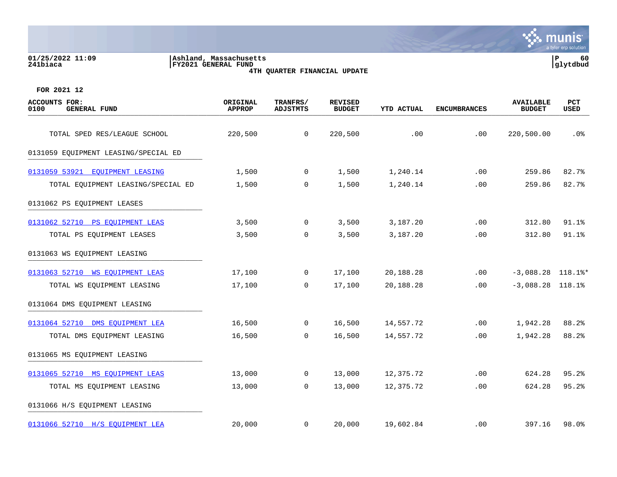| 01/25/2022 11:09<br>241biaca                 | Ashland, Massachusetts<br>FY2021 GENERAL FUND |                      | 4TH QUARTER FINANCIAL UPDATE    |                   |                     |                                   | 60<br>l P<br> glytdbud |
|----------------------------------------------|-----------------------------------------------|----------------------|---------------------------------|-------------------|---------------------|-----------------------------------|------------------------|
| FOR 2021 12                                  |                                               |                      |                                 |                   |                     |                                   |                        |
| ACCOUNTS FOR:<br>0100<br><b>GENERAL FUND</b> | ORIGINAL<br><b>APPROP</b>                     | TRANFRS/<br>ADJSTMTS | <b>REVISED</b><br><b>BUDGET</b> | <b>YTD ACTUAL</b> | <b>ENCUMBRANCES</b> | <b>AVAILABLE</b><br><b>BUDGET</b> | <b>PCT</b><br>USED     |
| TOTAL SPED RES/LEAGUE SCHOOL                 | 220,500                                       | 0                    | 220,500                         | .00               | .00                 | 220,500.00                        | $.0\%$                 |
| 0101050 BOUTDMENTE IBACTIC (CRECIAI BR       |                                               |                      |                                 |                   |                     |                                   |                        |

|  | 0131059 EQUIPMENT LEASING/SPECIAL ED |  |
|--|--------------------------------------|--|
|  |                                      |  |

| 0131059 53921<br><b>EQUIPMENT LEASING</b> | 1,500  | 0            | 1,500  | 1,240.14  | .00 | 259.86              | 82.7% |
|-------------------------------------------|--------|--------------|--------|-----------|-----|---------------------|-------|
| TOTAL EQUIPMENT LEASING/SPECIAL ED        | 1,500  | 0            | 1,500  | 1,240.14  | .00 | 259.86              | 82.7% |
| 0131062 PS EQUIPMENT LEASES               |        |              |        |           |     |                     |       |
| 0131062 52710 PS EQUIPMENT LEAS           | 3,500  | $\mathbf 0$  | 3,500  | 3,187.20  | .00 | 312.80              | 91.1% |
| TOTAL PS EQUIPMENT LEASES                 | 3,500  | 0            | 3,500  | 3,187.20  | .00 | 312.80              | 91.1% |
| 0131063 WS EQUIPMENT LEASING              |        |              |        |           |     |                     |       |
| 0131063 52710 WS EOUIPMENT LEAS           | 17,100 | $\mathbf 0$  | 17,100 | 20,188.28 | .00 | $-3,088.28$ 118.1%* |       |
| TOTAL WS EQUIPMENT LEASING                | 17,100 | 0            | 17,100 | 20,188.28 | .00 | $-3,088.28$ 118.1%  |       |
| 0131064 DMS EQUIPMENT LEASING             |        |              |        |           |     |                     |       |
| 0131064 52710<br>DMS EOUIPMENT LEA        | 16,500 | $\mathbf 0$  | 16,500 | 14,557.72 | .00 | 1,942.28            | 88.2% |
| TOTAL DMS EQUIPMENT LEASING               | 16,500 | 0            | 16,500 | 14,557.72 | .00 | 1,942.28            | 88.2% |
| 0131065 MS EQUIPMENT LEASING              |        |              |        |           |     |                     |       |
| 0131065 52710 MS EQUIPMENT LEAS           | 13,000 | $\mathbf{0}$ | 13,000 | 12,375.72 | .00 | 624.28              | 95.2% |

0131066 H/S EQUIPMENT LEASING \_\_\_\_\_\_\_\_\_\_\_\_\_\_\_\_\_\_\_\_\_\_\_\_\_\_\_\_\_\_\_\_\_\_\_\_\_\_\_\_\_

[0131066 52710 H/S EQUIPMENT LEA](https://yvwlndash063.tylertech.com/sites/mu0241/LIVE/_layouts/15/DashboardMunisV6.3/PassThru.aspx?-E=0J9o%2B1qWCZv4hbZvf3mARoXYoc1veuyElf8Qfc1tlnAGvL1IJB8dbg8qqzKbIXSy&) 20,000 0 20,000 19,602.84 .00 397.16 98.0%

**∵ munis** 

r erp solution

TOTAL MS EQUIPMENT LEASING  $13,000$  0  $13,000$  12,375.72 .00 624.28 95.2%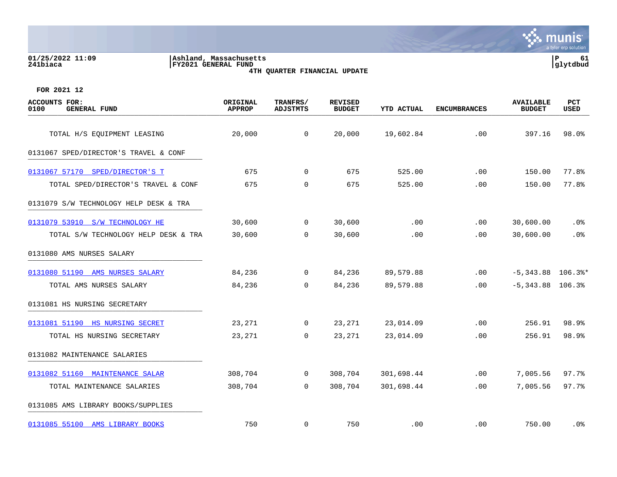**01/25/2022 11:09 |Ashland, Massachusetts |P 61 241biaca |FY2021 GENERAL FUND |glytdbud 4TH QUARTER FINANCIAL UPDATE**



| <b>ACCOUNTS FOR:</b><br>0100<br><b>GENERAL FUND</b> | ORIGINAL<br><b>APPROP</b> | TRANFRS/<br><b>ADJSTMTS</b> | <b>REVISED</b><br><b>BUDGET</b> | YTD ACTUAL | <b>ENCUMBRANCES</b> | <b>AVAILABLE</b><br><b>BUDGET</b> | PCT<br><b>USED</b> |
|-----------------------------------------------------|---------------------------|-----------------------------|---------------------------------|------------|---------------------|-----------------------------------|--------------------|
| TOTAL H/S EQUIPMENT LEASING                         | 20,000                    | $\mathbf 0$                 | 20,000                          | 19,602.84  | .00                 | 397.16                            | 98.0%              |
| 0131067 SPED/DIRECTOR'S TRAVEL & CONF               |                           |                             |                                 |            |                     |                                   |                    |
| 0131067 57170 SPED/DIRECTOR'S T                     | 675                       | $\Omega$                    | 675                             | 525.00     | .00                 | 150.00                            | 77.8%              |
| TOTAL SPED/DIRECTOR'S TRAVEL & CONF                 | 675                       | $\mathbf 0$                 | 675                             | 525.00     | .00                 | 150.00                            | 77.8%              |
| 0131079 S/W TECHNOLOGY HELP DESK & TRA              |                           |                             |                                 |            |                     |                                   |                    |
| 0131079 53910 S/W TECHNOLOGY HE                     | 30,600                    | $\overline{0}$              | 30,600                          | .00        | .00                 | 30,600.00                         | $.0\%$             |
| TOTAL S/W TECHNOLOGY HELP DESK & TRA                | 30,600                    | $\Omega$                    | 30,600                          | .00        | .00                 | 30,600.00                         | .0%                |
| 0131080 AMS NURSES SALARY                           |                           |                             |                                 |            |                     |                                   |                    |
| 0131080 51190 AMS NURSES SALARY                     | 84,236                    | $\mathsf{O}$                | 84,236                          | 89,579.88  | .00                 | $-5,343.88$ 106.3%*               |                    |
| TOTAL AMS NURSES SALARY                             | 84,236                    | $\Omega$                    | 84,236                          | 89,579.88  | .00.                | $-5,343.88$ 106.3%                |                    |
| 0131081 HS NURSING SECRETARY                        |                           |                             |                                 |            |                     |                                   |                    |
| 0131081 51190 HS NURSING SECRET                     | 23,271                    | $\overline{0}$              | 23,271                          | 23,014.09  | .00                 | 256.91                            | 98.9%              |
| TOTAL HS NURSING SECRETARY                          | 23,271                    | $\mathbf 0$                 | 23,271                          | 23,014.09  | .00                 | 256.91                            | 98.9%              |
| 0131082 MAINTENANCE SALARIES                        |                           |                             |                                 |            |                     |                                   |                    |
| 0131082 51160 MAINTENANCE SALAR                     | 308,704                   | $\mathbf 0$                 | 308,704                         | 301,698.44 | .00                 | 7,005.56                          | 97.7%              |
| TOTAL MAINTENANCE SALARIES                          | 308,704                   | $\Omega$                    | 308,704                         | 301,698.44 | .00                 | 7,005.56                          | 97.7%              |
| 0131085 AMS LIBRARY BOOKS/SUPPLIES                  |                           |                             |                                 |            |                     |                                   |                    |
| 0131085 55100 AMS LIBRARY BOOKS                     | 750                       | $\mathbf 0$                 | 750                             | .00        | .00                 | 750.00                            | .0%                |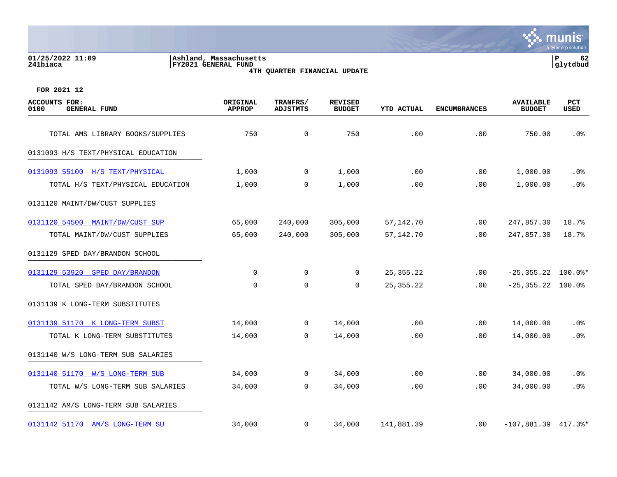# **01/25/2022 11:09 |Ashland, Massachusetts |P 62 241biaca |FY2021 GENERAL FUND |glytdbud 4TH QUARTER FINANCIAL UPDATE**



| <b>ACCOUNTS FOR:</b><br>0100<br><b>GENERAL FUND</b> | ORIGINAL<br><b>APPROP</b> | TRANFRS/<br><b>ADJSTMTS</b> | <b>REVISED</b><br><b>BUDGET</b> | YTD ACTUAL  | <b>ENCUMBRANCES</b> | <b>AVAILABLE</b><br><b>BUDGET</b> | PCT<br>USED |
|-----------------------------------------------------|---------------------------|-----------------------------|---------------------------------|-------------|---------------------|-----------------------------------|-------------|
| TOTAL AMS LIBRARY BOOKS/SUPPLIES                    | 750                       | $\mathsf{O}$                | 750                             | .00         | .00                 | 750.00                            | $.0\%$      |
| 0131093 H/S TEXT/PHYSICAL EDUCATION                 |                           |                             |                                 |             |                     |                                   |             |
| 0131093 55100 H/S TEXT/PHYSICAL                     | 1,000                     | $\mathbf 0$                 | 1,000                           | .00         | .00                 | 1,000.00                          | . 0%        |
| TOTAL H/S TEXT/PHYSICAL EDUCATION                   | 1,000                     | 0                           | 1,000                           | .00         | .00                 | 1,000.00                          | .0%         |
| 0131120 MAINT/DW/CUST SUPPLIES                      |                           |                             |                                 |             |                     |                                   |             |
| 0131120 54500 MAINT/DW/CUST SUP                     | 65,000                    | 240,000                     | 305,000                         | 57,142.70   | $.00 \,$            | 247,857.30                        | 18.7%       |
| TOTAL MAINT/DW/CUST SUPPLIES                        | 65,000                    | 240,000                     | 305,000                         | 57,142.70   | .00                 | 247,857.30                        | 18.7%       |
| 0131129 SPED DAY/BRANDON SCHOOL                     |                           |                             |                                 |             |                     |                                   |             |
| 0131129 53920 SPED DAY/BRANDON                      | 0                         | 0                           | 0                               | 25, 355. 22 | $.00 \,$            | $-25, 355.22$ 100.0%*             |             |
| TOTAL SPED DAY/BRANDON SCHOOL                       | 0                         | 0                           | 0                               | 25, 355. 22 | $.00 \,$            | $-25, 355.22$ 100.0%              |             |
| 0131139 K LONG-TERM SUBSTITUTES                     |                           |                             |                                 |             |                     |                                   |             |
| 0131139 51170 K LONG-TERM SUBST                     | 14,000                    | $\mathbf{0}$                | 14,000                          | .00         | .00                 | 14,000.00                         | .0%         |
| TOTAL K LONG-TERM SUBSTITUTES                       | 14,000                    | $\mathbf 0$                 | 14,000                          | .00         | .00                 | 14,000.00                         | .0%         |
| 0131140 W/S LONG-TERM SUB SALARIES                  |                           |                             |                                 |             |                     |                                   |             |
| 0131140 51170 W/S LONG-TERM SUB                     | 34,000                    | $\mathbf{0}$                | 34,000                          | .00         | .00                 | 34,000.00                         | $.0\%$      |
| TOTAL W/S LONG-TERM SUB SALARIES                    | 34,000                    | $\overline{0}$              | 34,000                          | .00         | .00                 | 34,000.00                         | .0%         |
| 0131142 AM/S LONG-TERM SUB SALARIES                 |                           |                             |                                 |             |                     |                                   |             |
| 0131142 51170 AM/S LONG-TERM SU                     | 34,000                    | $\overline{0}$              | 34,000                          | 141,881.39  | $.00 \,$            | $-107,881.39$ 417.3%*             |             |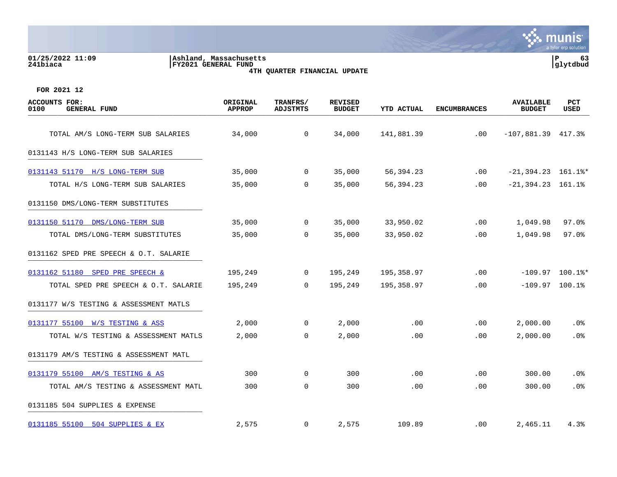# **01/25/2022 11:09 |Ashland, Massachusetts |P 63 241biaca |FY2021 GENERAL FUND |glytdbud 4TH QUARTER FINANCIAL UPDATE**



| <b>ACCOUNTS FOR:</b><br>0100<br><b>GENERAL FUND</b> | ORIGINAL<br><b>APPROP</b> | TRANFRS/<br><b>ADJSTMTS</b> | <b>REVISED</b><br><b>BUDGET</b> | <b>YTD ACTUAL</b> | <b>ENCUMBRANCES</b> | <b>AVAILABLE</b><br><b>BUDGET</b> | <b>PCT</b><br>USED |
|-----------------------------------------------------|---------------------------|-----------------------------|---------------------------------|-------------------|---------------------|-----------------------------------|--------------------|
| TOTAL AM/S LONG-TERM SUB SALARIES                   | 34,000                    | $\mathbf 0$                 | 34,000                          | 141,881.39        | .00                 | $-107,881.39$ 417.3%              |                    |
| 0131143 H/S LONG-TERM SUB SALARIES                  |                           |                             |                                 |                   |                     |                                   |                    |
| 0131143 51170 H/S LONG-TERM SUB                     | 35,000                    | 0                           | 35,000                          | 56,394.23         | $.00 \,$            | $-21, 394.23$ 161.1%*             |                    |
| TOTAL H/S LONG-TERM SUB SALARIES                    | 35,000                    | 0                           | 35,000                          | 56,394.23         | .00                 | $-21,394.23$ 161.1%               |                    |
| 0131150 DMS/LONG-TERM SUBSTITUTES                   |                           |                             |                                 |                   |                     |                                   |                    |
| 0131150 51170 DMS/LONG-TERM SUB                     | 35,000                    | 0                           | 35,000                          | 33,950.02         | .00                 | 1,049.98                          | $97.0$ $%$         |
| TOTAL DMS/LONG-TERM SUBSTITUTES                     | 35,000                    | $\Omega$                    | 35,000                          | 33,950.02         | .00                 | 1,049.98                          | 97.0%              |
| 0131162 SPED PRE SPEECH & O.T. SALARIE              |                           |                             |                                 |                   |                     |                                   |                    |
| 0131162 51180 SPED PRE SPEECH &                     | 195,249                   | 0                           | 195,249                         | 195,358.97        | .00                 |                                   | $-109.97$ 100.1%*  |
| TOTAL SPED PRE SPEECH & O.T. SALARIE                | 195,249                   | $\Omega$                    | 195,249                         | 195,358.97        | .00                 | $-109.97$ 100.1%                  |                    |
| 0131177 W/S TESTING & ASSESSMENT MATLS              |                           |                             |                                 |                   |                     |                                   |                    |
| 0131177 55100 W/S TESTING & ASS                     | 2,000                     | 0                           | 2,000                           | .00               | .00                 | 2,000.00                          | .0%                |
| TOTAL W/S TESTING & ASSESSMENT MATLS                | 2,000                     | $\mathbf 0$                 | 2,000                           | .00               | .00                 | 2,000.00                          | .0%                |
| 0131179 AM/S TESTING & ASSESSMENT MATL              |                           |                             |                                 |                   |                     |                                   |                    |
| 0131179 55100 AM/S TESTING & AS                     | 300                       | $\mathbf 0$                 | 300                             | .00               | .00                 | 300.00                            | .0%                |
| TOTAL AM/S TESTING & ASSESSMENT MATL                | 300                       | $\mathbf 0$                 | 300                             | .00               | .00                 | 300.00                            | .0%                |
| 0131185 504 SUPPLIES & EXPENSE                      |                           |                             |                                 |                   |                     |                                   |                    |
| 0131185 55100 504 SUPPLIES & EX                     | 2,575                     | 0                           | 2,575                           | 109.89            | $.00 \,$            | 2,465.11                          | 4.3%               |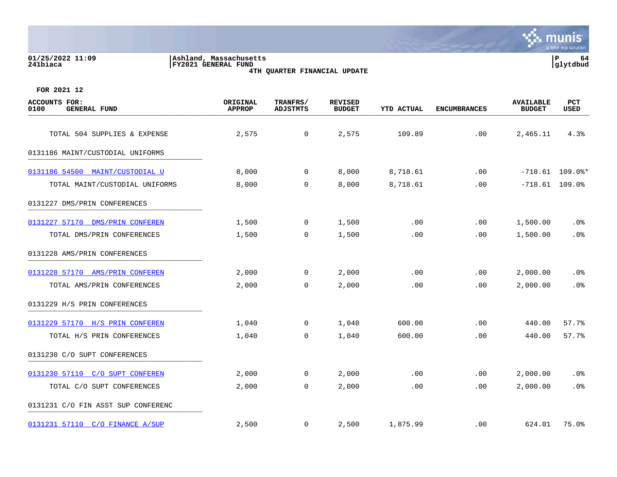| 01/25/2022 11:09<br>241biaca                        | Ashland, Massachusetts<br>FY2021 GENERAL FUND | 4TH OUARTER FINANCIAL UPDATE |                                 |            |                     |                                   |                    |  |
|-----------------------------------------------------|-----------------------------------------------|------------------------------|---------------------------------|------------|---------------------|-----------------------------------|--------------------|--|
| FOR 2021 12                                         |                                               |                              |                                 |            |                     |                                   |                    |  |
| <b>ACCOUNTS FOR:</b><br><b>GENERAL FUND</b><br>0100 | ORIGINAL<br><b>APPROP</b>                     | TRANFRS/<br><b>ADJSTMTS</b>  | <b>REVISED</b><br><b>BUDGET</b> | YTD ACTUAL | <b>ENCUMBRANCES</b> | <b>AVAILABLE</b><br><b>BUDGET</b> | <b>PCT</b><br>USED |  |
| TOTAL 504 SUPPLIES & EXPENSE                        | 2,575                                         | $\mathbf 0$                  | 2,575                           | 109.89     | .00                 | 2,465.11                          | 4.3%               |  |
| 0131186 MAINT/CUSTODIAL UNIFORMS                    |                                               |                              |                                 |            |                     |                                   |                    |  |
| 0131186 54500 MAINT/CUSTODIAL U                     | 8,000                                         | 0                            | 8,000                           | 8,718.61   | .00                 |                                   | $-718.61$ 109.0%*  |  |
| TOTAL MAINT/CUSTODIAL UNIFORMS                      | 8,000                                         | $\mathbf 0$                  | 8,000                           | 8,718.61   | .00                 |                                   | $-718.61$ 109.0%   |  |
| 0131227 DMS/PRIN CONFERENCES                        |                                               |                              |                                 |            |                     |                                   |                    |  |
| 0131227 57170 DMS/PRIN CONFEREN                     | 1,500                                         | 0                            | 1,500                           | .00        | .00                 | 1,500.00                          | .0%                |  |
| TOTAL DMS/PRIN CONFERENCES                          | 1,500                                         | 0                            | 1,500                           | .00        | .00                 | 1,500.00                          | .0%                |  |
| 0131228 AMS/PRIN CONFERENCES                        |                                               |                              |                                 |            |                     |                                   |                    |  |
| 0131228 57170 AMS/PRIN CONFEREN                     | 2,000                                         | 0                            | 2,000                           | .00        | .00                 | 2,000.00                          | .0 <sub>8</sub>    |  |
| TOTAL AMS/PRIN CONFERENCES                          | 2,000                                         | $\mathbf 0$                  | 2,000                           | .00        | .00                 | 2,000.00                          | .0%                |  |
| 0131229 H/S PRIN CONFERENCES                        |                                               |                              |                                 |            |                     |                                   |                    |  |
| 0131229 57170 H/S PRIN CONFEREN                     | 1,040                                         | 0                            | 1,040                           | 600.00     | .00                 | 440.00                            | 57.7%              |  |
| TOTAL H/S PRIN CONFERENCES                          | 1,040                                         | $\mathbf 0$                  | 1,040                           | 600.00     | .00                 | 440.00                            | 57.7%              |  |
| 0131230 C/O SUPT CONFERENCES                        |                                               |                              |                                 |            |                     |                                   |                    |  |
| 0131230 57110 C/O SUPT CONFEREN                     | 2,000                                         | 0                            | 2,000                           | .00        | .00                 | 2,000.00                          | .0 <sub>8</sub>    |  |
| TOTAL C/O SUPT CONFERENCES                          | 2,000                                         | 0                            | 2,000                           | .00        | .00                 | 2,000.00                          | .0%                |  |

0131231 C/O FIN ASST SUP CONFERENC

|  | 0131231 57110 C/O FINANCE A/SUP |  |
|--|---------------------------------|--|
|  |                                 |  |

[0131231 57110 C/O FINANCE A/SUP](https://yvwlndash063.tylertech.com/sites/mu0241/LIVE/_layouts/15/DashboardMunisV6.3/PassThru.aspx?-E=T88oHG6d4dLJDiBUYU1B%2BOBH0A8kszWo0pnBhfnNRQlagWonXfTrrucS1mssm4A5&) 2,500 0 2,500 1,875.99 .00 624.01 75.0%

**∵ munis** 

a tyler erp solution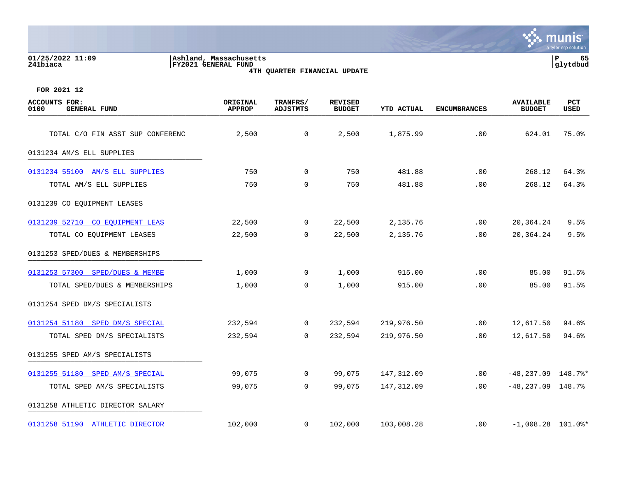| 01/25/2022 11:09<br>241biaca                        | Ashland, Massachusetts<br>FY2021 GENERAL FUND<br>4TH QUARTER FINANCIAL UPDATE |                             |                                 |                   |                     |                                   |                           |
|-----------------------------------------------------|-------------------------------------------------------------------------------|-----------------------------|---------------------------------|-------------------|---------------------|-----------------------------------|---------------------------|
| FOR 2021 12                                         |                                                                               |                             |                                 |                   |                     |                                   |                           |
| <b>ACCOUNTS FOR:</b><br><b>GENERAL FUND</b><br>0100 | ORIGINAL<br><b>APPROP</b>                                                     | TRANFRS/<br><b>ADJSTMTS</b> | <b>REVISED</b><br><b>BUDGET</b> | <b>YTD ACTUAL</b> | <b>ENCUMBRANCES</b> | <b>AVAILABLE</b><br><b>BUDGET</b> | <b>PCT</b><br><b>USED</b> |
| TOTAL C/O FIN ASST SUP CONFERENC                    | 2,500                                                                         | $\overline{0}$              | 2,500                           | 1,875.99          | .00                 | 624.01                            | 75.0%                     |
| 0131234 AM/S ELL SUPPLIES                           |                                                                               |                             |                                 |                   |                     |                                   |                           |
| 0131234 55100 AM/S ELL SUPPLIES                     | 750                                                                           | $\Omega$                    | 750                             | 481.88            | .00                 | 268.12                            | 64.3%                     |
| TOTAL AM/S ELL SUPPLIES                             | 750                                                                           | $\mathbf 0$                 | 750                             | 481.88            | .00                 | 268.12                            | 64.3%                     |
| 0131239 CO EQUIPMENT LEASES                         |                                                                               |                             |                                 |                   |                     |                                   |                           |
| 0131239 52710 CO EQUIPMENT LEAS                     | 22,500                                                                        | $\overline{0}$              | 22,500                          | 2,135.76          | .00                 | 20,364.24                         | 9.5%                      |
| TOTAL CO EQUIPMENT LEASES                           | 22,500                                                                        | $\mathbf 0$                 | 22,500                          | 2,135.76          | .00                 | 20,364.24                         | 9.5%                      |
| 0131253 SPED/DUES & MEMBERSHIPS                     |                                                                               |                             |                                 |                   |                     |                                   |                           |
| 0131253 57300 SPED/DUES & MEMBE                     | 1,000                                                                         | $\mathbf 0$                 | 1,000                           | 915.00            | .00                 | 85.00                             | 91.5%                     |

 $\mathbf{\mathcal{C}}$ . mu

0131254 SPED DM/S SPECIALISTS \_\_\_\_\_\_\_\_\_\_\_\_\_\_\_\_\_\_\_\_\_\_\_\_\_\_\_\_\_\_\_\_\_\_\_\_\_\_\_\_\_ [0131254 51180 SPED DM/S SPECIAL](https://yvwlndash063.tylertech.com/sites/mu0241/LIVE/_layouts/15/DashboardMunisV6.3/PassThru.aspx?-E=%2BE0KzE52G5dqXUrZYIGF1HeyuPu2N9nb8wM5nfGrAnBkWemS7PF6glYxhh5TClm5&) 232,594 0 232,594 219,976.50 .00 12,617.50 94.6%

TOTAL SPED DM/S SPECIALISTS 232,594 0 232,594 219,976.50 .00 12,617.50 94.6% 0131255 SPED AM/S SPECIALISTS \_\_\_\_\_\_\_\_\_\_\_\_\_\_\_\_\_\_\_\_\_\_\_\_\_\_\_\_\_\_\_\_\_\_\_\_\_\_\_\_\_ [0131255 51180 SPED AM/S SPECIAL](https://yvwlndash063.tylertech.com/sites/mu0241/LIVE/_layouts/15/DashboardMunisV6.3/PassThru.aspx?-E=ickcUvczfwiT6/a6Mu4XfmK4uDsc5surQ0L5Kql6RDfY5GMZBRVYQWC0kE5nLs0/&) 0 99,075 0 99,075 99,075 147,312.09 148.7%\* TOTAL SPED AM/S SPECIALISTS 99,075 0 99,075 147,312.09 .00 -48,237.09 148.7% 0131258 ATHLETIC DIRECTOR SALARY \_\_\_\_\_\_\_\_\_\_\_\_\_\_\_\_\_\_\_\_\_\_\_\_\_\_\_\_\_\_\_\_\_\_\_\_\_\_\_\_\_ [0131258 51190 ATHLETIC DIRECTOR](https://yvwlndash063.tylertech.com/sites/mu0241/LIVE/_layouts/15/DashboardMunisV6.3/PassThru.aspx?-E=6bkhT/HFrDMBsxM0xsrwphgKivIQSNQcXuEZn/LBTq9sPzOyokQHJcltal/YMBFv&) 102,000 0 102,000 103,008.28 .00 -1,008.28 101.0%\*

TOTAL SPED/DUES & MEMBERSHIPS 1,000 0 1,000 915.00 .00 85.00 91.5%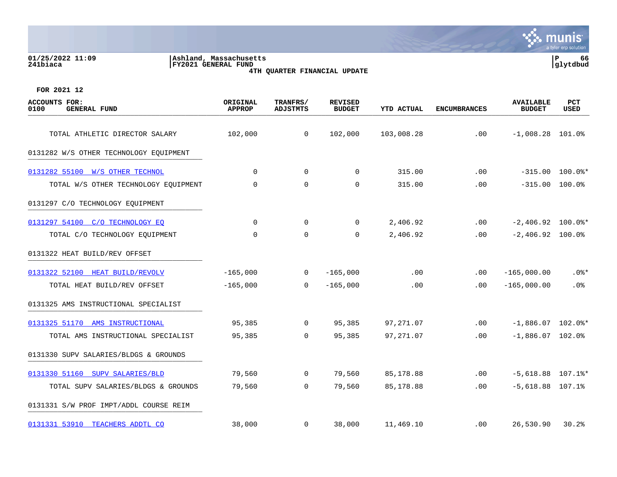**01/25/2022 11:09 |Ashland, Massachusetts |P 66 241biaca |FY2021 GENERAL FUND |glytdbud**





| <b>ACCOUNTS FOR:</b><br>0100<br><b>GENERAL FUND</b> | ORIGINAL<br><b>APPROP</b> | TRANFRS/<br><b>ADJSTMTS</b> | <b>REVISED</b><br><b>BUDGET</b> | <b>YTD ACTUAL</b> | <b>ENCUMBRANCES</b> | <b>AVAILABLE</b><br><b>BUDGET</b> | <b>PCT</b><br><b>USED</b> |
|-----------------------------------------------------|---------------------------|-----------------------------|---------------------------------|-------------------|---------------------|-----------------------------------|---------------------------|
| TOTAL ATHLETIC DIRECTOR SALARY                      | 102,000                   | $\mathbf 0$                 | 102,000                         | 103,008.28        | .00                 | $-1,008.28$ 101.0%                |                           |
| 0131282 W/S OTHER TECHNOLOGY EQUIPMENT              |                           |                             |                                 |                   |                     |                                   |                           |
| 0131282 55100 W/S OTHER TECHNOL                     | $\Omega$                  | $\Omega$                    | $\Omega$                        | 315.00            | .00                 |                                   | $-315.00$ 100.0%*         |
| TOTAL W/S OTHER TECHNOLOGY EQUIPMENT                | 0                         | $\mathbf 0$                 | 0                               | 315.00            | .00                 | $-315.00$ 100.0%                  |                           |
| 0131297 C/O TECHNOLOGY EQUIPMENT                    |                           |                             |                                 |                   |                     |                                   |                           |
| 0131297 54100 C/O TECHNOLOGY EO                     | $\mathbf 0$               | $\mathbf 0$                 | $\mathbf 0$                     | 2,406.92          | .00                 | $-2,406.92$ 100.0%*               |                           |
| TOTAL C/O TECHNOLOGY EQUIPMENT                      | $\Omega$                  | $\Omega$                    | $\Omega$                        | 2,406.92          | .00                 | $-2,406.92$ 100.0%                |                           |
| 0131322 HEAT BUILD/REV OFFSET                       |                           |                             |                                 |                   |                     |                                   |                           |
| 0131322 52100 HEAT BUILD/REVOLV                     | $-165,000$                | $\overline{0}$              | $-165,000$                      | .00               | .00                 | $-165,000.00$                     | $.0$ %*                   |
| TOTAL HEAT BUILD/REV OFFSET                         | $-165,000$                | $\Omega$                    | $-165,000$                      | .00               | .00                 | $-165,000.00$                     | $.0\%$                    |
| 0131325 AMS INSTRUCTIONAL SPECIALIST                |                           |                             |                                 |                   |                     |                                   |                           |
| 0131325 51170 AMS INSTRUCTIONAL                     | 95,385                    | $\overline{0}$              | 95,385                          | 97,271.07         | .00                 | $-1,886.07$ 102.0%*               |                           |
| TOTAL AMS INSTRUCTIONAL SPECIALIST                  | 95,385                    | $\mathbf 0$                 | 95,385                          | 97,271.07         | .00                 | $-1,886.07$ 102.0%                |                           |
| 0131330 SUPV SALARIES/BLDGS & GROUNDS               |                           |                             |                                 |                   |                     |                                   |                           |
| 0131330 51160 SUPV SALARIES/BLD                     | 79,560                    | $\mathbf 0$                 | 79,560                          | 85,178.88         | .00                 | $-5,618.88$ 107.1%*               |                           |
| TOTAL SUPV SALARIES/BLDGS & GROUNDS                 | 79,560                    | $\mathbf 0$                 | 79,560                          | 85, 178.88        | .00                 | $-5,618.88$ 107.1%                |                           |
| 0131331 S/W PROF IMPT/ADDL COURSE REIM              |                           |                             |                                 |                   |                     |                                   |                           |
| 0131331 53910 TEACHERS ADDTL CO                     | 38,000                    | $\mathbf{0}$                | 38,000                          | 11,469.10         | $.00 \,$            | 26,530.90                         | 30.2%                     |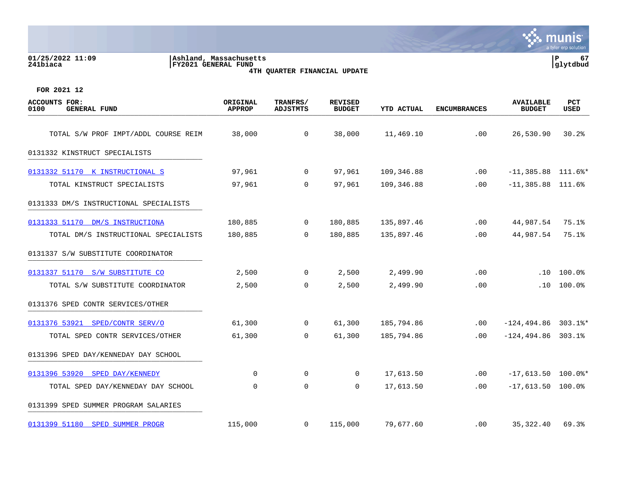| 01/25/2022 11:09<br>241biaca                 | Ashland, Massachusetts<br>FY2021 GENERAL FUND |                      |                              |                   | 67<br>P<br> glytdbud |                                   |             |
|----------------------------------------------|-----------------------------------------------|----------------------|------------------------------|-------------------|----------------------|-----------------------------------|-------------|
| FOR 2021 12                                  |                                               |                      | 4TH QUARTER FINANCIAL UPDATE |                   |                      |                                   |             |
| ACCOUNTS FOR:<br>0100<br><b>GENERAL FUND</b> | ORIGINAL<br><b>APPROP</b>                     | TRANFRS/<br>ADJSTMTS | REVISED<br><b>BUDGET</b>     | <b>YTD ACTUAL</b> | <b>ENCUMBRANCES</b>  | <b>AVAILABLE</b><br><b>BUDGET</b> | PCT<br>USED |

| TOTAL S/W PROF IMPT/ADDL COURSE REIM   | 38,000      | $\overline{0}$ | 38,000         | 11,469.10  | .00      | 26,530.90              | 30.2%      |
|----------------------------------------|-------------|----------------|----------------|------------|----------|------------------------|------------|
| 0131332 KINSTRUCT SPECIALISTS          |             |                |                |            |          |                        |            |
| 0131332 51170 K INSTRUCTIONAL S        | 97,961      | $\overline{0}$ | 97,961         | 109,346.88 | .00      | $-11,385.88$ 111.6%*   |            |
| TOTAL KINSTRUCT SPECIALISTS            | 97,961      | $\overline{0}$ | 97,961         | 109,346.88 | .00      | $-11,385.88$ 111.6%    |            |
| 0131333 DM/S INSTRUCTIONAL SPECIALISTS |             |                |                |            |          |                        |            |
| 0131333 51170 DM/S INSTRUCTIONA        | 180,885     | $\overline{0}$ | 180,885        | 135,897.46 | .00      | 44,987.54              | 75.1%      |
| TOTAL DM/S INSTRUCTIONAL SPECIALISTS   | 180,885     | $\overline{0}$ | 180,885        | 135,897.46 | .00      | 44,987.54 75.1%        |            |
| 0131337 S/W SUBSTITUTE COORDINATOR     |             |                |                |            |          |                        |            |
| 0131337 51170 S/W SUBSTITUTE CO        | 2,500       | $\overline{0}$ | 2,500          | 2,499.90   | .00      |                        | .10 100.08 |
| TOTAL S/W SUBSTITUTE COORDINATOR       | 2,500       | $\overline{0}$ | 2,500          | 2,499.90   | .00      |                        | .10 100.0% |
| 0131376 SPED CONTR SERVICES/OTHER      |             |                |                |            |          |                        |            |
| 0131376 53921 SPED/CONTR SERV/O        | 61,300      | $\overline{0}$ | 61,300         | 185,794.86 | .00      | $-124, 494.86$ 303.1%* |            |
| TOTAL SPED CONTR SERVICES/OTHER        | 61,300      | $\overline{0}$ | 61,300         | 185,794.86 | .00      | $-124, 494.86$ 303.1%  |            |
| 0131396 SPED DAY/KENNEDAY DAY SCHOOL   |             |                |                |            |          |                        |            |
| 0131396 53920 SPED DAY/KENNEDY         | $\mathbf 0$ | $\overline{0}$ | $\overline{0}$ | 17,613.50  | .00      | $-17,613.50$ 100.0%*   |            |
| TOTAL SPED DAY/KENNEDAY DAY SCHOOL     | 0           | 0              | $\overline{0}$ | 17,613.50  | .00      | $-17,613.50$ 100.0%    |            |
| 0131399 SPED SUMMER PROGRAM SALARIES   |             |                |                |            |          |                        |            |
| 0131399 51180 SPED SUMMER PROGR        | 115,000     | $\overline{0}$ | 115,000        | 79,677.60  | $.00 \,$ | 35, 322.40             | 69.3%      |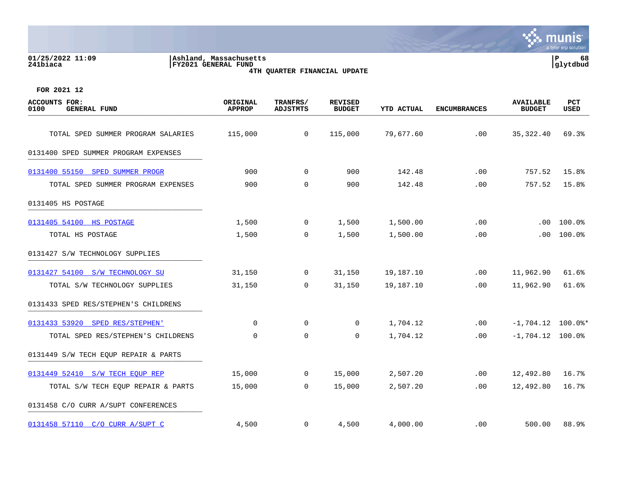| 01/25/2022 11:09<br>Ashland, Massachusetts<br>241biaca<br>FY2021 GENERAL FUND<br>4TH QUARTER FINANCIAL UPDATE |                           |                             |                                 |                   |                     |                                   | P<br>68<br>glytdbud |  |  |
|---------------------------------------------------------------------------------------------------------------|---------------------------|-----------------------------|---------------------------------|-------------------|---------------------|-----------------------------------|---------------------|--|--|
| FOR 2021 12                                                                                                   |                           |                             |                                 |                   |                     |                                   |                     |  |  |
| <b>ACCOUNTS FOR:</b><br>0100<br><b>GENERAL FUND</b>                                                           | ORIGINAL<br><b>APPROP</b> | TRANFRS/<br><b>ADJSTMTS</b> | <b>REVISED</b><br><b>BUDGET</b> | <b>YTD ACTUAL</b> | <b>ENCUMBRANCES</b> | <b>AVAILABLE</b><br><b>BUDGET</b> | <b>PCT</b><br>USED  |  |  |
| TOTAL SPED SUMMER PROGRAM SALARIES                                                                            | 115,000                   | 0                           | 115,000                         | 79,677.60         | .00                 | 35, 322.40                        | 69.3%               |  |  |
| 0131400 SPED SUMMER PROGRAM EXPENSES                                                                          |                           |                             |                                 |                   |                     |                                   |                     |  |  |
| 0131400 55150 SPED SUMMER PROGR                                                                               | 900                       | 0                           | 900                             | 142.48            | .00                 | 757.52                            | 15.8%               |  |  |
| TOTAL SPED SUMMER PROGRAM EXPENSES                                                                            | 900                       | 0                           | 900                             | 142.48            | .00                 | 757.52                            | 15.8%               |  |  |
| 0131405 HS POSTAGE                                                                                            |                           |                             |                                 |                   |                     |                                   |                     |  |  |
| 0131405 54100<br>HS POSTAGE                                                                                   | 1,500                     | 0                           | 1,500                           | 1,500.00          | .00                 | .00                               | 100.0%              |  |  |
| TOTAL HS POSTAGE                                                                                              | 1,500                     | 0                           | 1,500                           | 1,500.00          | .00                 | .00                               | 100.0%              |  |  |
| 0131427 S/W TECHNOLOGY SUPPLIES                                                                               |                           |                             |                                 |                   |                     |                                   |                     |  |  |
| 0131427 54100 S/W TECHNOLOGY SU                                                                               | 31,150                    | 0                           | 31,150                          | 19,187.10         | .00                 | 11,962.90                         | 61.6%               |  |  |

TOTAL S/W TECHNOLOGY SUPPLIES 31,150 0 31,150 19,187.10 .00 11,962.90 61.6%

[0131433 53920 SPED RES/STEPHEN'](https://yvwlndash063.tylertech.com/sites/mu0241/LIVE/_layouts/15/DashboardMunisV6.3/PassThru.aspx?-E=cxOA2e3fJxrTUKV4CMBFiU8kO4/v3YUkJtdLwG0kndvMZ21IaEiGySk8KDFiqSyt&) 0 0 0 1,704.12 .00 -1,704.12 100.0%\* TOTAL SPED RES/STEPHEN'S CHILDRENS 0 0 0 1,704.12 .00 -1,704.12 100.0%

[0131449 52410 S/W TECH EQUP REP](https://yvwlndash063.tylertech.com/sites/mu0241/LIVE/_layouts/15/DashboardMunisV6.3/PassThru.aspx?-E=fCNa9IfRHl9wM7oiAXjb2Hoz4dgX/8eGePdFkl7YZprCQb0ijwYIuYagtERUauaX&) 15,000 0 15,000 2,507.20 .00 12,492.80 16.7%

[0131458 57110 C/O CURR A/SUPT C](https://yvwlndash063.tylertech.com/sites/mu0241/LIVE/_layouts/15/DashboardMunisV6.3/PassThru.aspx?-E=NRafTDY7XYzYQtC7avRaoRLGnEdzd%2BbashcwoWOTLP3u%2BpmC%2BJeFxoegA1cWfDQj&) 4,500 0 4,500 4,000.00 .00 500.00 88.9%

TOTAL S/W TECH EQUP REPAIR & PARTS 15,000 0 15,000 2,507.20 .00 12,492.80 16.7%

0131433 SPED RES/STEPHEN'S CHILDRENS

0131449 S/W TECH EQUP REPAIR & PARTS

0131458 C/O CURR A/SUPT CONFERENCES \_\_\_\_\_\_\_\_\_\_\_\_\_\_\_\_\_\_\_\_\_\_\_\_\_\_\_\_\_\_\_\_\_\_\_\_\_\_\_\_\_

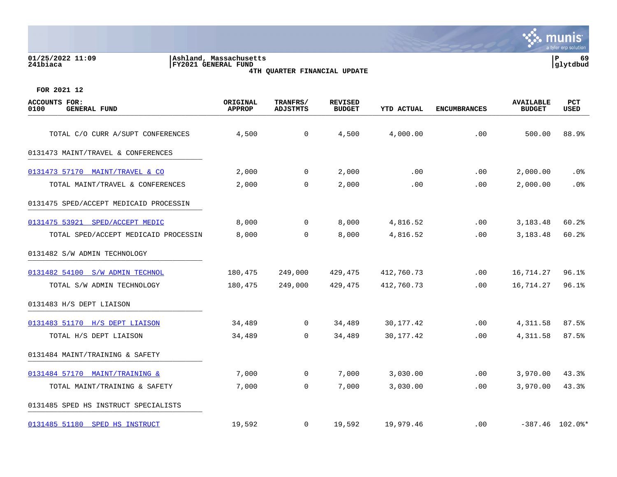## **01/25/2022 11:09 |Ashland, Massachusetts |P 69 241biaca |FY2021 GENERAL FUND |glytdbud 4TH QUARTER FINANCIAL UPDATE**



| <b>ACCOUNTS FOR:</b><br>0100<br><b>GENERAL FUND</b> | ORIGINAL<br><b>APPROP</b> | TRANFRS/<br><b>ADJSTMTS</b> | <b>REVISED</b><br><b>BUDGET</b> | <b>YTD ACTUAL</b> | <b>ENCUMBRANCES</b> | <b>AVAILABLE</b><br><b>BUDGET</b> | PCT<br><b>USED</b> |
|-----------------------------------------------------|---------------------------|-----------------------------|---------------------------------|-------------------|---------------------|-----------------------------------|--------------------|
| TOTAL C/O CURR A/SUPT CONFERENCES                   | 4,500                     | $\mathsf{O}$                | 4,500                           | 4,000.00          | .00                 | 500.00                            | 88.9%              |
| 0131473 MAINT/TRAVEL & CONFERENCES                  |                           |                             |                                 |                   |                     |                                   |                    |
|                                                     |                           |                             |                                 |                   |                     |                                   |                    |
| 0131473 57170 MAINT/TRAVEL & CO                     | 2,000                     | $\mathbf 0$                 | 2,000                           | .00               | .00                 | 2,000.00                          | .0%                |
| TOTAL MAINT/TRAVEL & CONFERENCES                    | 2,000                     | $\mathbf 0$                 | 2,000                           | .00               | .00                 | 2,000.00                          | .0%                |
| 0131475 SPED/ACCEPT MEDICAID PROCESSIN              |                           |                             |                                 |                   |                     |                                   |                    |
| 0131475 53921 SPED/ACCEPT MEDIC                     | 8,000                     | $\mathbf 0$                 | 8,000                           | 4,816.52          | .00                 | 3,183.48                          | 60.2%              |
| TOTAL SPED/ACCEPT MEDICAID PROCESSIN                | 8,000                     | $\mathbf 0$                 | 8,000                           | 4,816.52          | .00                 | 3,183.48                          | 60.2%              |
| 0131482 S/W ADMIN TECHNOLOGY                        |                           |                             |                                 |                   |                     |                                   |                    |
| 0131482 54100 S/W ADMIN TECHNOL                     | 180,475                   | 249,000                     | 429,475                         | 412,760.73        | .00                 | 16,714.27                         | 96.1%              |
| TOTAL S/W ADMIN TECHNOLOGY                          | 180,475                   | 249,000                     | 429,475                         | 412,760.73        | .00.                | 16,714.27                         | 96.1%              |
| 0131483 H/S DEPT LIAISON                            |                           |                             |                                 |                   |                     |                                   |                    |
| 0131483 51170 H/S DEPT LIAISON                      | 34,489                    | $\mathbf 0$                 | 34,489                          | 30, 177. 42       | .00                 | 4,311.58                          | 87.5%              |
| TOTAL H/S DEPT LIAISON                              | 34,489                    | $\mathbf 0$                 | 34,489                          | 30, 177. 42       | .00                 | 4,311.58                          | 87.5%              |
| 0131484 MAINT/TRAINING & SAFETY                     |                           |                             |                                 |                   |                     |                                   |                    |
| 0131484 57170 MAINT/TRAINING &                      | 7,000                     | 0                           | 7,000                           | 3,030.00          | .00                 | 3,970.00                          | 43.3%              |
| TOTAL MAINT/TRAINING & SAFETY                       | 7,000                     | $\mathbf 0$                 | 7,000                           | 3,030.00          | .00                 | 3,970.00                          | 43.3%              |
| 0131485 SPED HS INSTRUCT SPECIALISTS                |                           |                             |                                 |                   |                     |                                   |                    |
| 0131485 51180 SPED HS INSTRUCT                      | 19,592                    | 0                           | 19,592                          | 19,979.46         | .00.                |                                   | $-387.46$ 102.0%*  |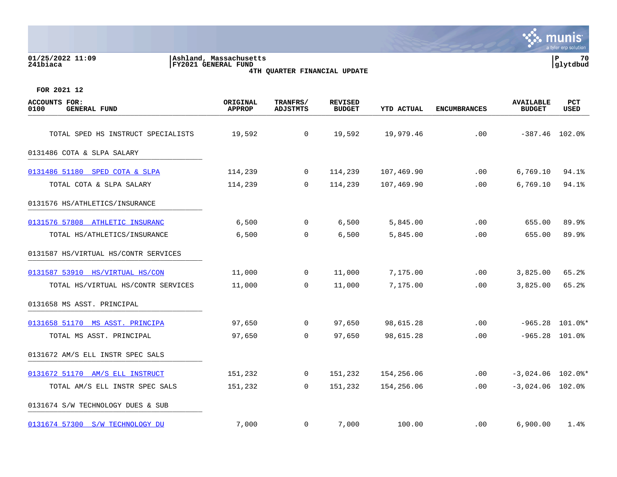| Ashland, Massachusetts<br>01/25/2022 11:09<br>FY2021 GENERAL FUND<br>241biaca<br>4TH QUARTER FINANCIAL UPDATE |                                  |                             |                                 |                   |                     | $\mathbf P$<br>glytdbud           |                   |  |
|---------------------------------------------------------------------------------------------------------------|----------------------------------|-----------------------------|---------------------------------|-------------------|---------------------|-----------------------------------|-------------------|--|
| FOR 2021 12                                                                                                   |                                  |                             |                                 |                   |                     |                                   |                   |  |
| <b>ACCOUNTS FOR:</b><br><b>GENERAL FUND</b><br>0100                                                           | <b>ORIGINAL</b><br><b>APPROP</b> | TRANFRS/<br><b>ADJSTMTS</b> | <b>REVISED</b><br><b>BUDGET</b> | <b>YTD ACTUAL</b> | <b>ENCUMBRANCES</b> | <b>AVAILABLE</b><br><b>BUDGET</b> | PCT<br>USED       |  |
| TOTAL SPED HS INSTRUCT SPECIALISTS                                                                            | 19,592                           | $\overline{0}$              | 19,592                          | 19,979.46         | .00                 | $-387.46$ 102.0%                  |                   |  |
| 0131486 COTA & SLPA SALARY                                                                                    |                                  |                             |                                 |                   |                     |                                   |                   |  |
| 0131486 51180 SPED COTA & SLPA                                                                                | 114,239                          | $\mathbf 0$                 | 114,239                         | 107,469.90        | .00                 | 6,769.10                          | 94.1%             |  |
| TOTAL COTA & SLPA SALARY                                                                                      | 114,239                          | $\mathbf 0$                 | 114,239                         | 107,469.90        | .00                 | 6,769.10                          | 94.1%             |  |
| 0131576 HS/ATHLETICS/INSURANCE                                                                                |                                  |                             |                                 |                   |                     |                                   |                   |  |
| 0131576 57808 ATHLETIC INSURANC                                                                               | 6,500                            | $\mathbf 0$                 | 6,500                           | 5,845.00          | .00                 | 655.00                            | 89.9%             |  |
| TOTAL HS/ATHLETICS/INSURANCE                                                                                  | 6,500                            | 0                           | 6,500                           | 5,845.00          | .00                 | 655.00                            | 89.9%             |  |
| 0131587 HS/VIRTUAL HS/CONTR SERVICES                                                                          |                                  |                             |                                 |                   |                     |                                   |                   |  |
| 0131587 53910 HS/VIRTUAL HS/CON                                                                               | 11,000                           | 0                           | 11,000                          | 7,175.00          | .00                 | 3,825.00                          | 65.2%             |  |
| TOTAL HS/VIRTUAL HS/CONTR SERVICES                                                                            | 11,000                           | $\mathbf 0$                 | 11,000                          | 7,175.00          | .00                 | 3,825.00                          | 65.2%             |  |
| 0131658 MS ASST. PRINCIPAL                                                                                    |                                  |                             |                                 |                   |                     |                                   |                   |  |
| 0131658 51170 MS ASST. PRINCIPA                                                                               | 97,650                           | $\overline{0}$              | 97,650                          | 98,615.28         | .00                 |                                   | $-965.28$ 101.0%* |  |
| TOTAL MS ASST. PRINCIPAL                                                                                      | 97,650                           | $\mathbf 0$                 | 97,650                          | 98,615.28         | .00                 |                                   | $-965.28$ 101.0%  |  |
| 0131672 AM/S ELL INSTR SPEC SALS                                                                              |                                  |                             |                                 |                   |                     |                                   |                   |  |
|                                                                                                               |                                  |                             |                                 |                   |                     |                                   |                   |  |

**∵∴** munis

a tyler erp solutio

[0131672 51170 AM/S ELL INSTRUCT](https://yvwlndash063.tylertech.com/sites/mu0241/LIVE/_layouts/15/DashboardMunisV6.3/PassThru.aspx?-E=S2mLFI7V/o%2B6tg8ZrApDvXn/5WJ/ASDO0CsAtI3RM70O1qGesADcn/w9sorutevf&) 151,232 0 151,232 154,256.06 .00 -3,024.06 102.0%\* TOTAL AM/S ELL INSTR SPEC SALS 151,232 0 151,232 154,256.06 .00 -3,024.06 102.0%

[0131674 57300 S/W TECHNOLOGY DU](https://yvwlndash063.tylertech.com/sites/mu0241/LIVE/_layouts/15/DashboardMunisV6.3/PassThru.aspx?-E=BnNur7xAYE1Ycgd%2BcgQXqfOFzidw30E7Wx/%2BbGU8RwBEVHPzSZLYfEZ5o2iSr4Xo&) 7,000 0 7,000 100.00 .00 6,900.00 1.4%

0131674 S/W TECHNOLOGY DUES & SUB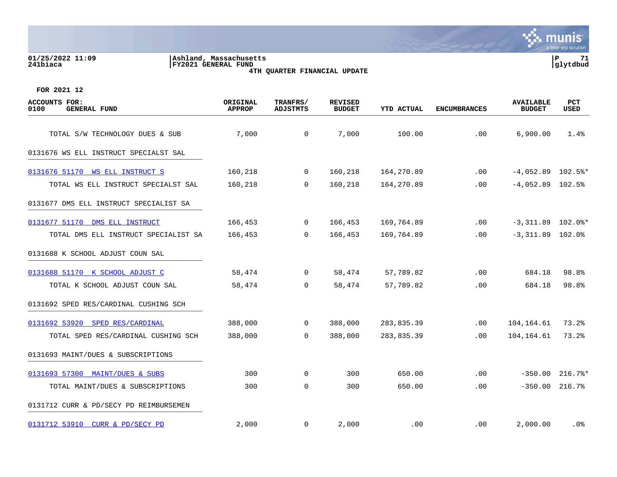## **01/25/2022 11:09 |Ashland, Massachusetts |P 71 241biaca |FY2021 GENERAL FUND |glytdbud 4TH QUARTER FINANCIAL UPDATE**



| <b>ACCOUNTS FOR:</b><br>0100<br><b>GENERAL FUND</b> | ORIGINAL<br><b>APPROP</b> | TRANFRS/<br><b>ADJSTMTS</b> | <b>REVISED</b><br><b>BUDGET</b> | <b>YTD ACTUAL</b> | <b>ENCUMBRANCES</b> | <b>AVAILABLE</b><br><b>BUDGET</b> | PCT<br>USED |
|-----------------------------------------------------|---------------------------|-----------------------------|---------------------------------|-------------------|---------------------|-----------------------------------|-------------|
| TOTAL S/W TECHNOLOGY DUES & SUB                     | 7,000                     | $\mathbf 0$                 | 7,000                           | 100.00            | .00                 | 6,900.00                          | 1.4%        |
| 0131676 WS ELL INSTRUCT SPECIALST SAL               |                           |                             |                                 |                   |                     |                                   |             |
| 0131676 51170 WS ELL INSTRUCT S                     | 160,218                   | $\mathbf{0}$                | 160,218                         | 164,270.89        | $.00 \,$            | $-4,052.89$ 102.5%*               |             |
| TOTAL WS ELL INSTRUCT SPECIALST SAL                 | 160,218                   | 0                           | 160,218                         | 164,270.89        | .00                 | $-4,052.89$ 102.5%                |             |
| 0131677 DMS ELL INSTRUCT SPECIALIST SA              |                           |                             |                                 |                   |                     |                                   |             |
| 0131677 51170 DMS ELL INSTRUCT                      | 166,453                   | $\overline{0}$              | 166,453                         | 169,764.89        | .00                 | $-3,311.89$ 102.0%*               |             |
| TOTAL DMS ELL INSTRUCT SPECIALIST SA                | 166,453                   | $\overline{0}$              | 166,453                         | 169,764.89        | .00                 | $-3,311.89$ 102.0%                |             |
| 0131688 K SCHOOL ADJUST COUN SAL                    |                           |                             |                                 |                   |                     |                                   |             |
| 0131688 51170 K SCHOOL ADJUST C                     | 58,474                    | $\overline{0}$              | 58,474                          | 57,789.82         | .00                 | 684.18                            | 98.8%       |
| TOTAL K SCHOOL ADJUST COUN SAL                      | 58,474                    | $\Omega$                    | 58,474                          | 57,789.82         | .00                 | 684.18                            | 98.8%       |
| 0131692 SPED RES/CARDINAL CUSHING SCH               |                           |                             |                                 |                   |                     |                                   |             |
| 0131692 53920 SPED RES/CARDINAL                     | 388,000                   | $\overline{0}$              | 388,000                         | 283,835.39        | .00                 | 104,164.61                        | 73.2%       |
| TOTAL SPED RES/CARDINAL CUSHING SCH                 | 388,000                   | $\mathbf 0$                 | 388,000                         | 283,835.39        | .00                 | 104,164.61                        | 73.2%       |
| 0131693 MAINT/DUES & SUBSCRIPTIONS                  |                           |                             |                                 |                   |                     |                                   |             |
| 0131693 57300 MAINT/DUES & SUBS                     | 300                       | $\overline{0}$              | 300                             | 650.00            | .00                 | $-350.00$                         | $216.7$ %*  |
| TOTAL MAINT/DUES & SUBSCRIPTIONS                    | 300                       | 0                           | 300                             | 650.00            | .00                 | $-350.00$                         | 216.7%      |
| 0131712 CURR & PD/SECY PD REIMBURSEMEN              |                           |                             |                                 |                   |                     |                                   |             |
| 0131712 53910 CURR & PD/SECY PD                     | 2,000                     | $\mathbf{0}$                | 2,000                           | .00               | $.00 \,$            | 2,000.00                          | .0%         |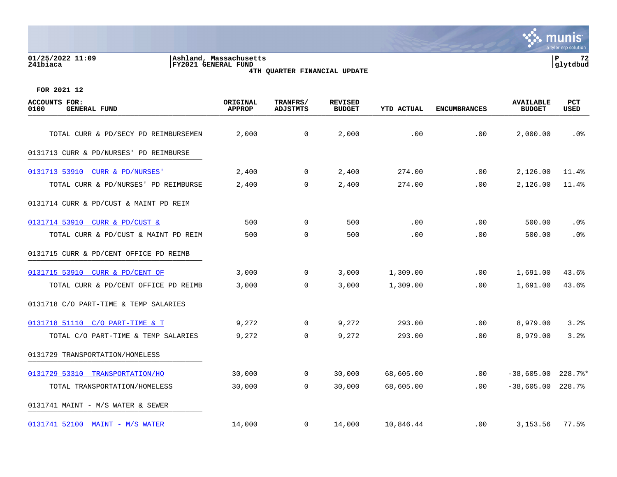# **01/25/2022 11:09 |Ashland, Massachusetts |P 72 241biaca |FY2021 GENERAL FUND |glytdbud 4TH QUARTER FINANCIAL UPDATE**



| <b>ACCOUNTS FOR:</b><br><b>GENERAL FUND</b><br>0100 | ORIGINAL<br><b>APPROP</b> | TRANFRS/<br><b>ADJSTMTS</b> | <b>REVISED</b><br><b>BUDGET</b> | YTD ACTUAL | <b>ENCUMBRANCES</b> | <b>AVAILABLE</b><br><b>BUDGET</b> | PCT<br>USED |
|-----------------------------------------------------|---------------------------|-----------------------------|---------------------------------|------------|---------------------|-----------------------------------|-------------|
| TOTAL CURR & PD/SECY PD REIMBURSEMEN                | 2,000                     | $\mathsf{O}$                | 2,000                           | .00        | .00                 | 2,000.00                          | .0%         |
| 0131713 CURR & PD/NURSES' PD REIMBURSE              |                           |                             |                                 |            |                     |                                   |             |
| 0131713 53910 CURR & PD/NURSES'                     | 2,400                     | $\overline{0}$              | 2,400                           | 274.00     | .00                 | 2,126.00                          | 11.4%       |
| TOTAL CURR & PD/NURSES' PD REIMBURSE                | 2,400                     | 0                           | 2,400                           | 274.00     | .00                 | 2,126.00                          | 11.4%       |
| 0131714 CURR & PD/CUST & MAINT PD REIM              |                           |                             |                                 |            |                     |                                   |             |
| 0131714 53910 CURR & PD/CUST &                      | 500                       | $\overline{0}$              | 500                             | .00        | .00                 | 500.00                            | .0%         |
| TOTAL CURR & PD/CUST & MAINT PD REIM                | 500                       | $\Omega$                    | 500                             | .00        | .00                 | 500.00                            | .0%         |
| 0131715 CURR & PD/CENT OFFICE PD REIMB              |                           |                             |                                 |            |                     |                                   |             |
| 0131715 53910 CURR & PD/CENT OF                     | 3,000                     | $\overline{0}$              | 3,000                           | 1,309.00   | .00                 | 1,691.00                          | 43.6%       |
| TOTAL CURR & PD/CENT OFFICE PD REIMB                | 3,000                     | $\Omega$                    | 3,000                           | 1,309.00   | .00.                | 1,691.00                          | 43.6%       |
| 0131718 C/O PART-TIME & TEMP SALARIES               |                           |                             |                                 |            |                     |                                   |             |
| 0131718 51110 C/O PART-TIME & T                     | 9,272                     | $\mathbf{0}$                | 9,272                           | 293.00     | .00.                | 8,979.00                          | 3.2%        |
| TOTAL C/O PART-TIME & TEMP SALARIES                 | 9,272                     | $\mathbf 0$                 | 9,272                           | 293.00     | .00                 | 8,979.00                          | 3.2%        |
| 0131729 TRANSPORTATION/HOMELESS                     |                           |                             |                                 |            |                     |                                   |             |
| 0131729 53310 TRANSPORTATION/HO                     | 30,000                    | $\mathbf{0}$                | 30,000                          | 68,605.00  | $.00 \,$            | $-38,605.00$                      | $228.7$ *   |
| TOTAL TRANSPORTATION/HOMELESS                       | 30,000                    | $\overline{0}$              | 30,000                          | 68,605.00  | $.00 \,$            | $-38,605.00$                      | 228.7%      |
| 0131741 MAINT - M/S WATER & SEWER                   |                           |                             |                                 |            |                     |                                   |             |
| 0131741 52100 MAINT - M/S WATER                     | 14,000                    | $\mathbf 0$                 | 14,000                          | 10,846.44  | .00                 | 3,153.56                          | 77.5%       |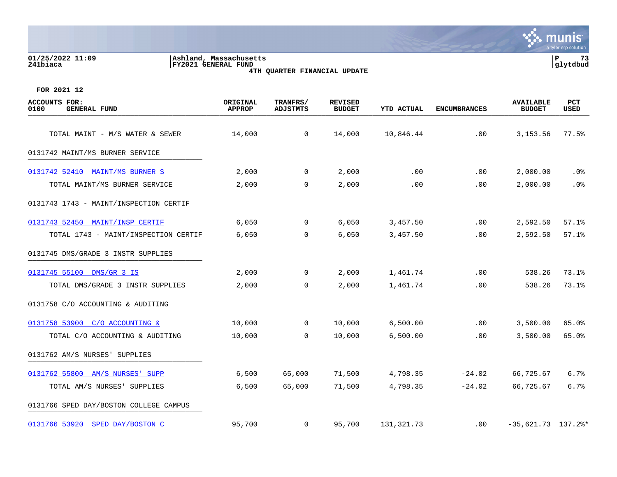### **01/25/2022 11:09 |Ashland, Massachusetts |P 73 241biaca |FY2021 GENERAL FUND |glytdbud 4TH QUARTER FINANCIAL UPDATE**



| <b>ACCOUNTS FOR:</b><br>0100<br><b>GENERAL FUND</b> | ORIGINAL<br><b>APPROP</b> | TRANFRS/<br><b>ADJSTMTS</b> | <b>REVISED</b><br><b>BUDGET</b> | <b>YTD ACTUAL</b> | <b>ENCUMBRANCES</b> | <b>AVAILABLE</b><br><b>BUDGET</b> | PCT<br>USED |
|-----------------------------------------------------|---------------------------|-----------------------------|---------------------------------|-------------------|---------------------|-----------------------------------|-------------|
| TOTAL MAINT - M/S WATER & SEWER                     | 14,000                    | $\mathbf 0$                 | 14,000                          | 10,846.44         | .00                 | 3,153.56                          | 77.5%       |
| 0131742 MAINT/MS BURNER SERVICE                     |                           |                             |                                 |                   |                     |                                   |             |
|                                                     |                           |                             |                                 |                   |                     |                                   |             |
| 0131742 52410 MAINT/MS BURNER S                     | 2,000                     | $\mathbf 0$                 | 2,000                           | .00               | .00                 | 2,000.00                          | $.0\%$      |
| TOTAL MAINT/MS BURNER SERVICE                       | 2,000                     | $\mathbf 0$                 | 2,000                           | .00               | .00                 | 2,000.00                          | .0%         |
| 0131743 1743 - MAINT/INSPECTION CERTIF              |                           |                             |                                 |                   |                     |                                   |             |
| 0131743 52450 MAINT/INSP CERTIF                     | 6,050                     | 0                           | 6,050                           | 3,457.50          | .00                 | 2,592.50                          | 57.1%       |
| TOTAL 1743 - MAINT/INSPECTION CERTIF                | 6,050                     | $\mathbf 0$                 | 6,050                           | 3,457.50          | .00                 | 2,592.50                          | 57.1%       |
| 0131745 DMS/GRADE 3 INSTR SUPPLIES                  |                           |                             |                                 |                   |                     |                                   |             |
| 0131745 55100 DMS/GR 3 IS                           | 2,000                     | $\mathbf 0$                 | 2,000                           | 1,461.74          | .00                 | 538.26                            | 73.1%       |
| TOTAL DMS/GRADE 3 INSTR SUPPLIES                    | 2,000                     | 0                           | 2,000                           | 1,461.74          | .00                 | 538.26                            | 73.1%       |
| 0131758 C/O ACCOUNTING & AUDITING                   |                           |                             |                                 |                   |                     |                                   |             |
| 0131758 53900 C/O ACCOUNTING &                      | 10,000                    | $\mathbf 0$                 | 10,000                          | 6,500.00          | .00                 | 3,500.00                          | 65.0%       |
| TOTAL C/O ACCOUNTING & AUDITING                     | 10,000                    | $\mathbf 0$                 | 10,000                          | 6,500.00          | .00                 | 3,500.00                          | 65.0%       |
| 0131762 AM/S NURSES' SUPPLIES                       |                           |                             |                                 |                   |                     |                                   |             |
| 0131762 55800 AM/S NURSES' SUPP                     | 6,500                     | 65,000                      | 71,500                          | 4,798.35          | $-24.02$            | 66,725.67                         | 6.7%        |
| TOTAL AM/S NURSES' SUPPLIES                         | 6,500                     | 65,000                      | 71,500                          | 4,798.35          | $-24.02$            | 66,725.67                         | 6.7%        |
| 0131766 SPED DAY/BOSTON COLLEGE CAMPUS              |                           |                             |                                 |                   |                     |                                   |             |
| 0131766 53920 SPED DAY/BOSTON C                     | 95,700                    | 0                           | 95,700                          | 131,321.73        | $.00 \,$            | $-35,621.73$ 137.2%*              |             |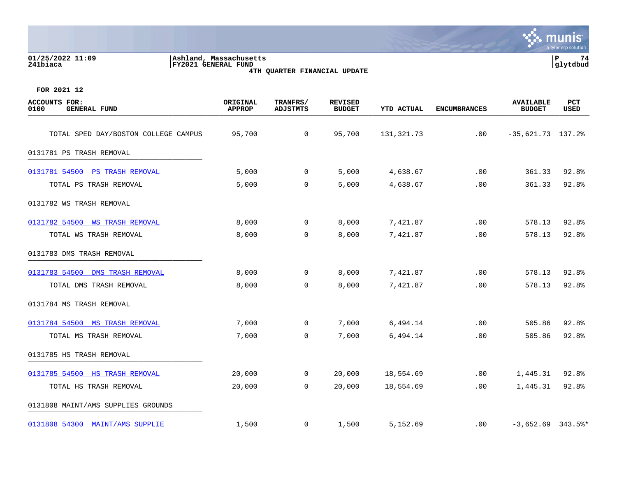| 01/25/2022 11:09<br>Ashland, Massachusetts<br>241biaca<br>FY2021 GENERAL FUND<br>4TH QUARTER FINANCIAL UPDATE |                           |                             |                                 |                   |                     |                                   |                           |
|---------------------------------------------------------------------------------------------------------------|---------------------------|-----------------------------|---------------------------------|-------------------|---------------------|-----------------------------------|---------------------------|
| FOR 2021 12                                                                                                   |                           |                             |                                 |                   |                     |                                   |                           |
| <b>ACCOUNTS FOR:</b><br>0100<br><b>GENERAL FUND</b>                                                           | ORIGINAL<br><b>APPROP</b> | TRANFRS/<br><b>ADJSTMTS</b> | <b>REVISED</b><br><b>BUDGET</b> | <b>YTD ACTUAL</b> | <b>ENCUMBRANCES</b> | <b>AVAILABLE</b><br><b>BUDGET</b> | <b>PCT</b><br><b>USED</b> |
| TOTAL SPED DAY/BOSTON COLLEGE CAMPUS                                                                          | 95,700                    | 0                           | 95,700                          | 131,321.73        | .00                 | $-35,621.73$ 137.2%               |                           |
| 0131781 PS TRASH REMOVAL                                                                                      |                           |                             |                                 |                   |                     |                                   |                           |
| 0131781 54500<br><b>PS TRASH REMOVAL</b>                                                                      | 5,000                     | 0                           | 5,000                           | 4,638.67          | .00                 | 361.33                            | 92.8%                     |
| TOTAL PS TRASH REMOVAL                                                                                        | 5,000                     | 0                           | 5,000                           | 4,638.67          | .00                 | 361.33                            | 92.8%                     |
| 0131782 WS TRASH REMOVAL                                                                                      |                           |                             |                                 |                   |                     |                                   |                           |
| 0131782 54500<br><b>WS TRASH REMOVAL</b>                                                                      | 8,000                     | 0                           | 8,000                           | 7,421.87          | .00                 | 578.13                            | 92.8%                     |
| TOTAL WS TRASH REMOVAL                                                                                        | 8,000                     | $\Omega$                    | 8,000                           | 7,421.87          | .00                 | 578.13                            | 92.8%                     |
| 0131783 DMS TRASH REMOVAL                                                                                     |                           |                             |                                 |                   |                     |                                   |                           |
| 0131783 54500<br>DMS TRASH REMOVAL                                                                            | 8,000                     | $\Omega$                    | 8,000                           | 7,421.87          | .00                 | 578.13                            | 92.8%                     |
| TOTAL DMS TRASH REMOVAL                                                                                       | 8,000                     | $\Omega$                    | 8,000                           | 7,421.87          | .00                 | 578.13                            | 92.8%                     |
| 0131784 MS TRASH REMOVAL                                                                                      |                           |                             |                                 |                   |                     |                                   |                           |

[0131784 54500 MS TRASH REMOVAL](https://yvwlndash063.tylertech.com/sites/mu0241/LIVE/_layouts/15/DashboardMunisV6.3/PassThru.aspx?-E=YBrI1FZ8hSsAsh/8uZpcHyH2osH3/w/1wyQ%2BgtEL49w6GP399XCuh8xTLeAXRF7/&) **7,000** 0 7,000 6,494.14 .00 505.86 92.8%

TOTAL MS TRASH REMOVAL **1.14** 7,000 0 7,000 0 7,000 6,494.14 .00 505.86 92.8% 0131785 HS TRASH REMOVAL \_\_\_\_\_\_\_\_\_\_\_\_\_\_\_\_\_\_\_\_\_\_\_\_\_\_\_\_\_\_\_\_\_\_\_\_\_\_\_\_\_ [0131785 54500 HS TRASH REMOVAL](https://yvwlndash063.tylertech.com/sites/mu0241/LIVE/_layouts/15/DashboardMunisV6.3/PassThru.aspx?-E=ZiE9moVMcki%2BGWa7vDRZBz/7gyLSnyfFXN76%2BqK1JPYgCZkDjc1AKzbKU8ELxTb4&) 20,000 0 20,000 18,554.69 .00 1,445.31 92.8% TOTAL HS TRASH REMOVAL 20,000 0 20,000 18,554.69 .00 1,445.31 92.8% 0131808 MAINT/AMS SUPPLIES GROUNDS

[0131808 54300 MAINT/AMS SUPPLIE](https://yvwlndash063.tylertech.com/sites/mu0241/LIVE/_layouts/15/DashboardMunisV6.3/PassThru.aspx?-E=ZzqPrNQ/KCfCwKInT4FuixHdH96mBL5quecaakDlHh5uw7TlAfOEh2cj5gkacU0C&) 1,500 0 1,500 5,152.69 .00 -3,652.69 343.5%\*

 $\mathbf{\ddot{\cdot}}$ : munis

a tyler erp solutic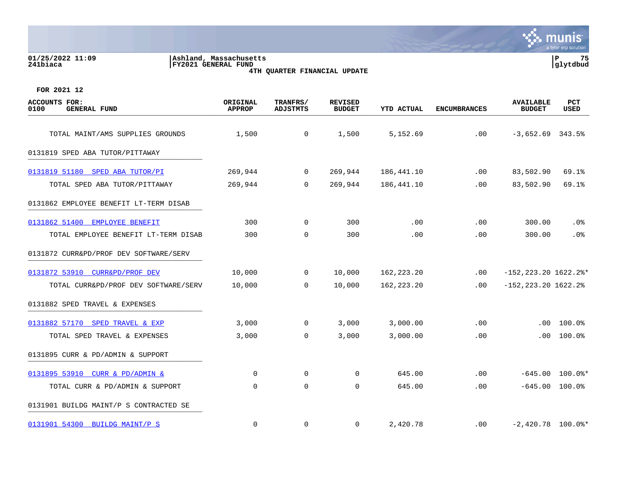| 01/25/2022 11:09<br>241biaca                        | Ashland, Massachusetts<br>FY2021 GENERAL FUND | 4TH QUARTER FINANCIAL UPDATE |                                 |                   |                     |                                   | ${\bf P}$<br>75<br>glytdbud |
|-----------------------------------------------------|-----------------------------------------------|------------------------------|---------------------------------|-------------------|---------------------|-----------------------------------|-----------------------------|
| FOR 2021 12                                         |                                               |                              |                                 |                   |                     |                                   |                             |
| <b>ACCOUNTS FOR:</b><br>0100<br><b>GENERAL FUND</b> | ORIGINAL<br><b>APPROP</b>                     | TRANFRS/<br><b>ADJSTMTS</b>  | <b>REVISED</b><br><b>BUDGET</b> | <b>YTD ACTUAL</b> | <b>ENCUMBRANCES</b> | <b>AVAILABLE</b><br><b>BUDGET</b> | <b>PCT</b><br>USED          |
| TOTAL MAINT/AMS SUPPLIES GROUNDS                    | 1,500                                         | 0                            | 1,500                           | 5,152.69          | .00                 | $-3,652.69$ 343.5%                |                             |
| 0131819 SPED ABA TUTOR/PITTAWAY                     |                                               |                              |                                 |                   |                     |                                   |                             |
| 0131819 51180<br>SPED ABA TUTOR/PI                  | 269,944                                       | 0                            | 269,944                         | 186,441.10        | .00                 | 83,502.90                         | 69.1%                       |
| TOTAL SPED ABA TUTOR/PITTAWAY                       | 269,944                                       | 0                            | 269,944                         | 186,441.10        | .00                 | 83,502.90                         | 69.1%                       |
| 0131862 EMPLOYEE BENEFIT LT-TERM DISAB              |                                               |                              |                                 |                   |                     |                                   |                             |
| 0131862 51400 EMPLOYEE BENEFIT                      | 300                                           | 0                            | 300                             | .00               | .00                 | 300.00                            | .0%                         |
| TOTAL EMPLOYEE BENEFIT LT-TERM DISAB                | 300                                           | $\mathbf 0$                  | 300                             | .00               | .00                 | 300.00                            | $.0\%$                      |
| 0131872 CURR&PD/PROF DEV SOFTWARE/SERV              |                                               |                              |                                 |                   |                     |                                   |                             |
| 0131872 53910 CURR&PD/PROF DEV                      | 10,000                                        | 0                            | 10,000                          | 162, 223. 20      | .00                 | $-152, 223.20$ 1622.2%*           |                             |
| TOTAL CURR&PD/PROF DEV SOFTWARE/SERV                | 10,000                                        | 0                            | 10,000                          | 162,223.20        | .00                 | $-152, 223.20$ 1622.2%            |                             |
| 0131882 SPED TRAVEL & EXPENSES                      |                                               |                              |                                 |                   |                     |                                   |                             |
| 0131882 57170 SPED TRAVEL & EXP                     | 3,000                                         | $\mathbf 0$                  | 3,000                           | 3,000.00          | .00                 | .00                               | 100.0%                      |
| TOTAL SPED TRAVEL & EXPENSES                        | 3,000                                         | 0                            | 3,000                           | 3,000.00          | .00                 | $.00 \,$                          | $100.0$ %                   |
| 0131895 CURR & PD/ADMIN & SUPPORT                   |                                               |                              |                                 |                   |                     |                                   |                             |
| 0131895 53910 CURR & PD/ADMIN &                     | $\mathbf 0$                                   | $\mathbf 0$                  | $\mathbf 0$                     | 645.00            | .00                 | $-645.00$                         | $100.0$ $\ast$              |
| TOTAL CURR & PD/ADMIN & SUPPORT                     | 0                                             | $\mathbf 0$                  | 0                               | 645.00            | .00                 |                                   | $-645.00$ 100.0%            |
| 0131901 BUILDG MAINT/P S CONTRACTED SE              |                                               |                              |                                 |                   |                     |                                   |                             |
| 0131901 54300 BUILDG MAINT/P S                      | $\mathbf 0$                                   | 0                            | $\mathbf 0$                     | 2,420.78          | .00                 | $-2,420.78$ 100.0%*               |                             |

 $\mathcal{L}(\mathcal{L})$ 

a tyler erp solution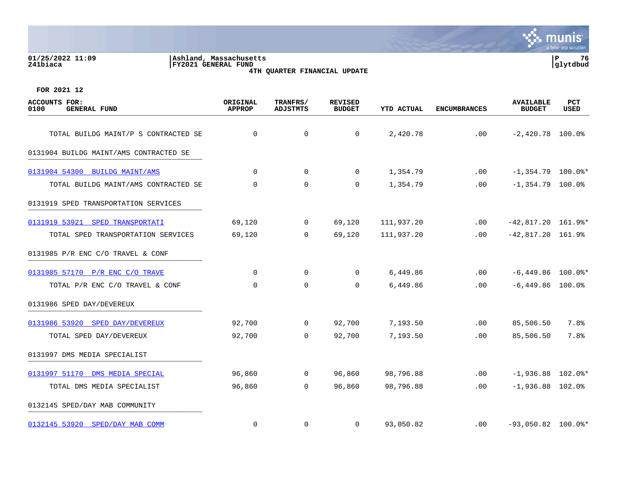#### **01/25/2022 11:09 |Ashland, Massachusetts |P 76 241biaca |FY2021 GENERAL FUND |glytdbud 4TH QUARTER FINANCIAL UPDATE**



| <b>ACCOUNTS FOR:</b><br>0100<br><b>GENERAL FUND</b> | ORIGINAL<br><b>APPROP</b> | TRANFRS/<br><b>ADJSTMTS</b> | <b>REVISED</b><br><b>BUDGET</b> | <b>YTD ACTUAL</b> | <b>ENCUMBRANCES</b> | <b>AVAILABLE</b><br><b>BUDGET</b> | <b>PCT</b><br>USED |
|-----------------------------------------------------|---------------------------|-----------------------------|---------------------------------|-------------------|---------------------|-----------------------------------|--------------------|
| TOTAL BUILDG MAINT/P S CONTRACTED SE                | $\mathbf 0$               | $\mathbf 0$                 | $\mathbf 0$                     | 2,420.78          | .00                 | $-2,420.78$ 100.0%                |                    |
| 0131904 BUILDG MAINT/AMS CONTRACTED SE              |                           |                             |                                 |                   |                     |                                   |                    |
| 0131904 54300 BUILDG MAINT/AMS                      | $\Omega$                  | 0                           | $\mathbf 0$                     | 1,354.79          | .00                 | $-1,354.79$ 100.0%*               |                    |
| TOTAL BUILDG MAINT/AMS CONTRACTED SE                | 0                         | $\mathbf 0$                 | 0                               | 1,354.79          | .00                 | $-1,354.79$ 100.0%                |                    |
| 0131919 SPED TRANSPORTATION SERVICES                |                           |                             |                                 |                   |                     |                                   |                    |
| 0131919 53921<br>SPED TRANSPORTATI                  | 69,120                    | $\overline{0}$              | 69,120                          | 111,937.20        | .00                 | $-42,817.20$ 161.9%*              |                    |
| TOTAL SPED TRANSPORTATION SERVICES                  | 69,120                    | $\Omega$                    | 69,120                          | 111,937.20        | .00                 | $-42,817.20$ 161.9%               |                    |
| 0131985 $P/R$ ENC C/O TRAVEL & CONF                 |                           |                             |                                 |                   |                     |                                   |                    |
| 0131985 57170 P/R ENC C/O TRAVE                     | $\mathbf 0$               | $\mathbf 0$                 | $\Omega$                        | 6,449.86          | .00                 | $-6,449.86$ 100.0%*               |                    |
| TOTAL P/R ENC C/O TRAVEL & CONF                     | $\Omega$                  | $\Omega$                    | $\Omega$                        | 6,449.86          | .00                 | $-6,449.86$ 100.0%                |                    |
| 0131986 SPED DAY/DEVEREUX                           |                           |                             |                                 |                   |                     |                                   |                    |
| 0131986 53920 SPED DAY/DEVEREUX                     | 92,700                    | $\mathbf 0$                 | 92,700                          | 7,193.50          | .00                 | 85,506.50                         | 7.8%               |
| TOTAL SPED DAY/DEVEREUX                             | 92,700                    | 0                           | 92,700                          | 7,193.50          | .00                 | 85,506.50                         | 7.8%               |
| 0131997 DMS MEDIA SPECIALIST                        |                           |                             |                                 |                   |                     |                                   |                    |
| 0131997 51170 DMS MEDIA SPECIAL                     | 96,860                    | $\mathbf 0$                 | 96,860                          | 98,796.88         | .00                 | $-1,936.88$ 102.0%*               |                    |
| TOTAL DMS MEDIA SPECIALIST                          | 96,860                    | 0                           | 96,860                          | 98,796.88         | .00                 | $-1,936.88$ 102.0%                |                    |
| 0132145 SPED/DAY MAB COMMUNITY                      |                           |                             |                                 |                   |                     |                                   |                    |
| 0132145 53920 SPED/DAY MAB COMM                     | $\mathbf 0$               | $\mathbf 0$                 | 0                               | 93,050.82         | .00                 | $-93,050.82$ 100.0%*              |                    |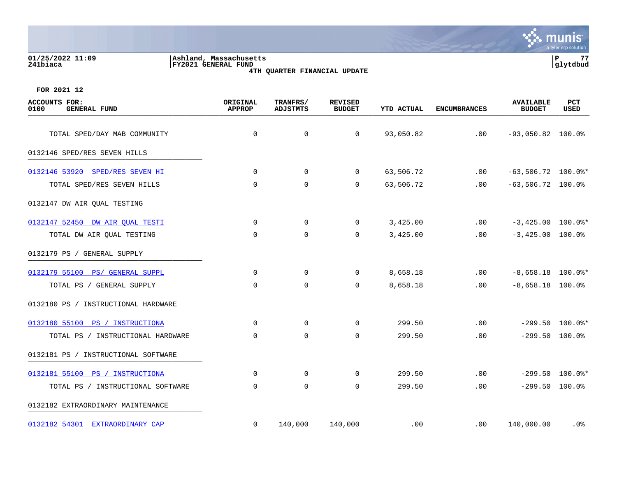#### **01/25/2022 11:09 |Ashland, Massachusetts |P 77 241biaca |FY2021 GENERAL FUND |glytdbud 4TH QUARTER FINANCIAL UPDATE**



| <b>ACCOUNTS FOR:</b><br>0100<br><b>GENERAL FUND</b> | ORIGINAL<br><b>APPROP</b> | TRANFRS/<br><b>ADJSTMTS</b> | <b>REVISED</b><br><b>BUDGET</b> | YTD ACTUAL | <b>ENCUMBRANCES</b> | <b>AVAILABLE</b><br><b>BUDGET</b> | PCT<br>USED       |
|-----------------------------------------------------|---------------------------|-----------------------------|---------------------------------|------------|---------------------|-----------------------------------|-------------------|
|                                                     |                           |                             |                                 |            |                     |                                   |                   |
| TOTAL SPED/DAY MAB COMMUNITY                        | $\mathbf 0$               | 0                           | $\mathbf 0$                     | 93,050.82  | .00                 | $-93,050.82$ 100.0%               |                   |
| 0132146 SPED/RES SEVEN HILLS                        |                           |                             |                                 |            |                     |                                   |                   |
| 0132146 53920 SPED/RES SEVEN HI                     | $\mathbf 0$               | $\overline{0}$              | 0                               | 63,506.72  | .00                 | $-63,506.72$ 100.0%*              |                   |
| TOTAL SPED/RES SEVEN HILLS                          | $\mathbf 0$               | $\mathbf 0$                 | $\mathbf 0$                     | 63,506.72  | .00                 | $-63,506.72$ 100.0%               |                   |
| 0132147 DW AIR QUAL TESTING                         |                           |                             |                                 |            |                     |                                   |                   |
| 0132147 52450 DW AIR OUAL TESTI                     | 0                         | 0                           | $\overline{0}$                  | 3,425.00   | .00                 | $-3,425.00$ 100.0%*               |                   |
| TOTAL DW AIR QUAL TESTING                           | 0                         | $\mathbf 0$                 | $\mathbf 0$                     | 3,425.00   | .00                 | $-3,425.00$ 100.0%                |                   |
| 0132179 PS / GENERAL SUPPLY                         |                           |                             |                                 |            |                     |                                   |                   |
| 0132179 55100 PS/ GENERAL SUPPL                     | $\mathbf 0$               | $\mathbf 0$                 | $\mathbf 0$                     | 8,658.18   | .00                 | $-8,658.18$ 100.0%*               |                   |
| TOTAL PS / GENERAL SUPPLY                           | 0                         | $\mathbf 0$                 | 0                               | 8,658.18   | $.00 \,$            | $-8,658.18$ 100.0%                |                   |
| 0132180 PS / INSTRUCTIONAL HARDWARE                 |                           |                             |                                 |            |                     |                                   |                   |
| 0132180 55100 PS / INSTRUCTIONA                     | $\Omega$                  | $\Omega$                    | $\Omega$                        | 299.50     | .00                 |                                   | $-299.50$ 100.0%* |
| TOTAL PS / INSTRUCTIONAL HARDWARE                   | 0                         | $\mathbf 0$                 | $\mathbf 0$                     | 299.50     | .00                 | $-299.50$ 100.0%                  |                   |
| 0132181 PS / INSTRUCTIONAL SOFTWARE                 |                           |                             |                                 |            |                     |                                   |                   |
| 0132181 55100 PS / INSTRUCTIONA                     | $\mathbf 0$               | 0                           | 0                               | 299.50     | .00                 |                                   | $-299.50$ 100.0%* |
| TOTAL PS / INSTRUCTIONAL SOFTWARE                   | 0                         | $\mathbf 0$                 | $\mathbf 0$                     | 299.50     | .00                 | $-299.50$ 100.0%                  |                   |
| 0132182 EXTRAORDINARY MAINTENANCE                   |                           |                             |                                 |            |                     |                                   |                   |
| 0132182 54301 EXTRAORDINARY CAP                     | 0                         | 140,000                     | 140,000                         | .00        | $.00 \,$            | 140,000.00                        | . 0%              |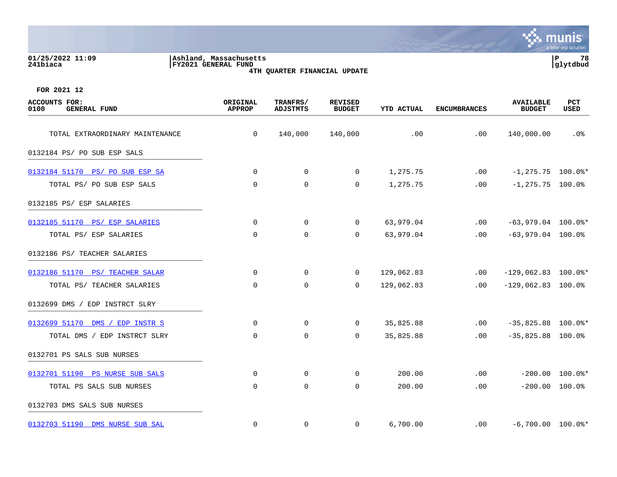| 01/25/2022 11:09<br>241biaca                        | Ashland, Massachusetts<br><b>FY2021 GENERAL FUND</b> | 4TH QUARTER FINANCIAL UPDATE |                                 |                   |                     |                                   | P<br>78<br>glytdbud  |
|-----------------------------------------------------|------------------------------------------------------|------------------------------|---------------------------------|-------------------|---------------------|-----------------------------------|----------------------|
| FOR 2021 12                                         |                                                      |                              |                                 |                   |                     |                                   |                      |
| <b>ACCOUNTS FOR:</b><br>0100<br><b>GENERAL FUND</b> | ORIGINAL<br><b>APPROP</b>                            | TRANFRS/<br><b>ADJSTMTS</b>  | <b>REVISED</b><br><b>BUDGET</b> | <b>YTD ACTUAL</b> | <b>ENCUMBRANCES</b> | <b>AVAILABLE</b><br><b>BUDGET</b> | PCT<br>USED          |
| TOTAL EXTRAORDINARY MAINTENANCE                     | $\mathbf 0$                                          | 140,000                      | 140,000                         | .00               | .00                 | 140,000.00                        | .0%                  |
| 0132184 PS/ PO SUB ESP SALS                         |                                                      |                              |                                 |                   |                     |                                   |                      |
| 0132184 51170 PS/ PO SUB ESP SA                     | $\mathbf 0$                                          | $\mathbf 0$                  | 0                               | 1,275.75          | .00                 |                                   | $-1, 275.75$ 100.0%* |
| TOTAL PS/ PO SUB ESP SALS                           | 0                                                    | $\mathbf 0$                  | 0                               | 1,275.75          | .00                 | $-1, 275.75$ 100.0%               |                      |
| 0132185 PS/ ESP SALARIES                            |                                                      |                              |                                 |                   |                     |                                   |                      |
| 0132185 51170 PS/ ESP SALARIES                      | 0                                                    | 0                            | 0                               | 63,979.04         | $.00 \,$            | $-63,979.04$ 100.0%*              |                      |
| TOTAL PS/ ESP SALARIES                              | $\mathbf 0$                                          | $\mathbf 0$                  | 0                               | 63,979.04         | .00                 | $-63,979.04$ 100.0%               |                      |
| 0132186 PS/ TEACHER SALARIES                        |                                                      |                              |                                 |                   |                     |                                   |                      |
| 0132186 51170 PS/ TEACHER SALAR                     | 0                                                    | 0                            | 0                               | 129,062.83        | $.00 \,$            | $-129,062.83$ 100.0%*             |                      |
| TOTAL PS/ TEACHER SALARIES                          | 0                                                    | 0                            | 0                               | 129,062.83        | $.00 \,$            | $-129,062.83$ 100.0%              |                      |
| 0132699 DMS / EDP INSTRCT SLRY                      |                                                      |                              |                                 |                   |                     |                                   |                      |
| 0132699 51170 DMS / EDP INSTR S                     | $\mathbf 0$                                          | $\mathbf 0$                  | $\Omega$                        | 35,825.88         | .00                 | $-35,825.88$ 100.0%*              |                      |
| TOTAL DMS / EDP INSTRCT SLRY                        | $\mathbf 0$                                          | $\mathbf 0$                  | 0                               | 35,825.88         | .00                 | $-35,825.88$ 100.0%               |                      |
| 0132701 PS SALS SUB NURSES                          |                                                      |                              |                                 |                   |                     |                                   |                      |
| 0132701 51190 PS NURSE SUB SALS                     | 0                                                    | $\mathbf 0$                  | 0                               | 200.00            | .00                 | $-200.00$                         | $100.0$ $\ast$       |
| TOTAL PS SALS SUB NURSES                            | $\mathbf 0$                                          | $\mathbf 0$                  | 0                               | 200.00            | .00                 |                                   | $-200.00$ 100.0%     |
| 0132703 DMS SALS SUB NURSES                         |                                                      |                              |                                 |                   |                     |                                   |                      |
| 0132703 51190 DMS NURSE SUB SAL                     | $\mathbf 0$                                          | $\mathbf 0$                  | 0                               | 6,700.00          | .00                 |                                   | $-6,700.00$ 100.0%*  |

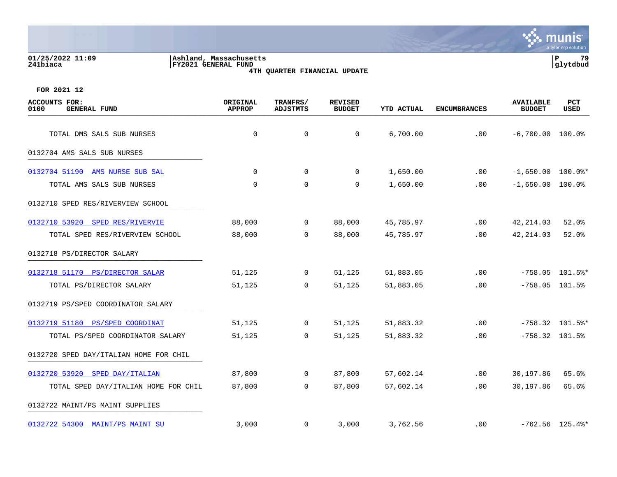#### **01/25/2022 11:09 |Ashland, Massachusetts |P 79 241biaca |FY2021 GENERAL FUND |glytdbud 4TH QUARTER FINANCIAL UPDATE**



| <b>ACCOUNTS FOR:</b><br>0100<br><b>GENERAL FUND</b> | ORIGINAL<br><b>APPROP</b> | TRANFRS/<br><b>ADJSTMTS</b> | <b>REVISED</b><br><b>BUDGET</b> | <b>YTD ACTUAL</b> | <b>ENCUMBRANCES</b> | <b>AVAILABLE</b><br><b>BUDGET</b> | PCT<br>USED       |
|-----------------------------------------------------|---------------------------|-----------------------------|---------------------------------|-------------------|---------------------|-----------------------------------|-------------------|
| TOTAL DMS SALS SUB NURSES                           | $\mathbf 0$               | $\mathbf 0$                 | $\mathbf 0$                     | 6,700.00          | .00                 | $-6,700.00$ 100.0%                |                   |
| 0132704 AMS SALS SUB NURSES                         |                           |                             |                                 |                   |                     |                                   |                   |
| 0132704 51190 AMS NURSE SUB SAL                     | $\Omega$                  | $\mathbf 0$                 | $\Omega$                        | 1,650.00          | .00                 | $-1,650.00$ 100.0%*               |                   |
| TOTAL AMS SALS SUB NURSES                           | $\overline{0}$            | $\mathbf 0$                 | 0                               | 1,650.00          | .00                 | $-1,650.00$ 100.0%                |                   |
| 0132710 SPED RES/RIVERVIEW SCHOOL                   |                           |                             |                                 |                   |                     |                                   |                   |
| 0132710 53920 SPED RES/RIVERVIE                     | 88,000                    | 0                           | 88,000                          | 45,785.97         | .00                 | 42, 214.03                        | 52.0%             |
| TOTAL SPED RES/RIVERVIEW SCHOOL                     | 88,000                    | $\mathbf 0$                 | 88,000                          | 45,785.97         | .00                 | 42, 214.03                        | 52.0%             |
| 0132718 PS/DIRECTOR SALARY                          |                           |                             |                                 |                   |                     |                                   |                   |
| 0132718 51170 PS/DIRECTOR SALAR                     | 51,125                    | 0                           | 51,125                          | 51,883.05         | .00                 |                                   | $-758.05$ 101.5%* |
| TOTAL PS/DIRECTOR SALARY                            | 51,125                    | $\Omega$                    | 51,125                          | 51,883.05         | .00                 | $-758.05$ 101.5%                  |                   |
| 0132719 PS/SPED COORDINATOR SALARY                  |                           |                             |                                 |                   |                     |                                   |                   |
| 0132719 51180 PS/SPED COORDINAT                     | 51,125                    | $\mathbf 0$                 | 51,125                          | 51,883.32         | .00                 |                                   | $-758.32$ 101.5%* |
| TOTAL PS/SPED COORDINATOR SALARY                    | 51,125                    | $\mathsf{O}$                | 51,125                          | 51,883.32         | .00                 | $-758.32$ 101.5%                  |                   |
| 0132720 SPED DAY/ITALIAN HOME FOR CHIL              |                           |                             |                                 |                   |                     |                                   |                   |
| 0132720 53920 SPED DAY/ITALIAN                      | 87,800                    | $\mathbf 0$                 | 87,800                          | 57,602.14         | .00                 | 30,197.86                         | 65.6%             |
| TOTAL SPED DAY/ITALIAN HOME FOR CHIL                | 87,800                    | 0                           | 87,800                          | 57,602.14         | .00                 | 30,197.86                         | 65.6%             |
| 0132722 MAINT/PS MAINT SUPPLIES                     |                           |                             |                                 |                   |                     |                                   |                   |
| 0132722 54300 MAINT/PS MAINT SU                     | 3,000                     | 0                           | 3,000                           | 3,762.56          | $.00 \,$            |                                   | $-762.56$ 125.4%* |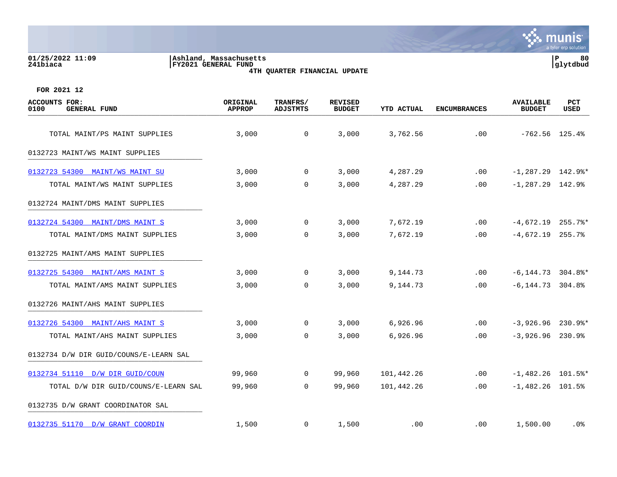#### **01/25/2022 11:09 |Ashland, Massachusetts |P 80 241biaca |FY2021 GENERAL FUND |glytdbud 4TH QUARTER FINANCIAL UPDATE**



| <b>ACCOUNTS FOR:</b><br>0100<br><b>GENERAL FUND</b> | ORIGINAL<br><b>APPROP</b> | TRANFRS/<br><b>ADJSTMTS</b> | <b>REVISED</b><br><b>BUDGET</b> | <b>YTD ACTUAL</b> | <b>ENCUMBRANCES</b> | <b>AVAILABLE</b><br><b>BUDGET</b> | <b>PCT</b><br><b>USED</b> |
|-----------------------------------------------------|---------------------------|-----------------------------|---------------------------------|-------------------|---------------------|-----------------------------------|---------------------------|
| TOTAL MAINT/PS MAINT SUPPLIES                       | 3,000                     | $\mathbf 0$                 | 3,000                           | 3,762.56          | .00                 | $-762.56$ 125.4%                  |                           |
| 0132723 MAINT/WS MAINT SUPPLIES                     |                           |                             |                                 |                   |                     |                                   |                           |
| 0132723 54300 MAINT/WS MAINT SU                     | 3,000                     | $\mathbf 0$                 | 3,000                           | 4,287.29          | $.00 \,$            | $-1, 287.29$ 142.9%*              |                           |
| TOTAL MAINT/WS MAINT SUPPLIES                       | 3,000                     | 0                           | 3,000                           | 4,287.29          | .00                 | $-1, 287.29$ 142.9%               |                           |
| 0132724 MAINT/DMS MAINT SUPPLIES                    |                           |                             |                                 |                   |                     |                                   |                           |
| 0132724 54300 MAINT/DMS MAINT S                     | 3,000                     | $\mathbf 0$                 | 3,000                           | 7,672.19          | .00                 | $-4,672.19$ 255.7%*               |                           |
| TOTAL MAINT/DMS MAINT SUPPLIES                      | 3,000                     | $\overline{0}$              | 3,000                           | 7,672.19          | .00                 | $-4,672.19$ 255.7%                |                           |
| 0132725 MAINT/AMS MAINT SUPPLIES                    |                           |                             |                                 |                   |                     |                                   |                           |
| 0132725 54300 MAINT/AMS MAINT S                     | 3,000                     | 0                           | 3,000                           | 9,144.73          | .00                 | $-6, 144.73$ 304.8%*              |                           |
| TOTAL MAINT/AMS MAINT SUPPLIES                      | 3,000                     | $\Omega$                    | 3,000                           | 9,144.73          | .00.                | $-6, 144.73$ 304.8%               |                           |
| 0132726 MAINT/AHS MAINT SUPPLIES                    |                           |                             |                                 |                   |                     |                                   |                           |
| 0132726 54300 MAINT/AHS MAINT S                     | 3,000                     | $\overline{0}$              | 3,000                           | 6,926.96          | .00                 | $-3,926.96$ 230.9%*               |                           |
| TOTAL MAINT/AHS MAINT SUPPLIES                      | 3,000                     | $\mathbf 0$                 | 3,000                           | 6,926.96          | .00                 | $-3,926.96$ 230.9%                |                           |
| 0132734 D/W DIR GUID/COUNS/E-LEARN SAL              |                           |                             |                                 |                   |                     |                                   |                           |
| 0132734 51110 D/W DIR GUID/COUN                     | 99,960                    | $\mathbf 0$                 | 99,960                          | 101,442.26        | .00                 | $-1,482.26$ 101.5%*               |                           |
| TOTAL D/W DIR GUID/COUNS/E-LEARN SAL                | 99,960                    | $\overline{0}$              | 99,960                          | 101,442.26        | .00                 | $-1,482.26$ 101.5%                |                           |
| 0132735 D/W GRANT COORDINATOR SAL                   |                           |                             |                                 |                   |                     |                                   |                           |
| 0132735 51170 D/W GRANT COORDIN                     | 1,500                     | $\mathbf{0}$                | 1,500                           | .00               | $.00 \,$            | 1,500.00                          | . 0%                      |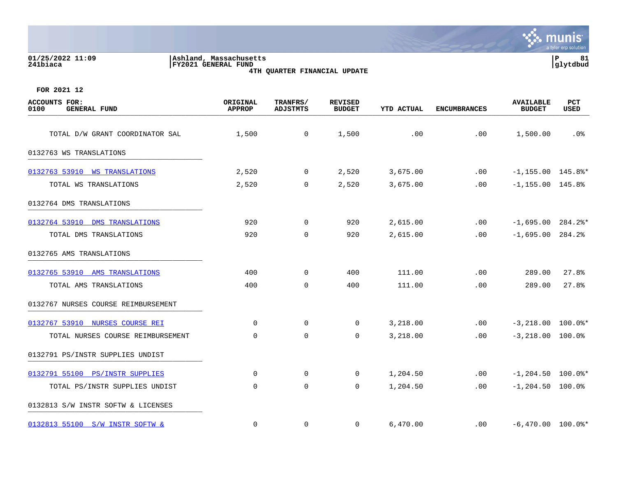| 01/25/2022 11:09<br>241biaca                        | Ashland, Massachusetts<br><b>FY2021 GENERAL FUND</b> |                             | 4TH QUARTER FINANCIAL UPDATE    |                   |                     |                                   | $\mathbf P$<br>81<br>glytdbud |
|-----------------------------------------------------|------------------------------------------------------|-----------------------------|---------------------------------|-------------------|---------------------|-----------------------------------|-------------------------------|
| FOR 2021 12                                         |                                                      |                             |                                 |                   |                     |                                   |                               |
| <b>ACCOUNTS FOR:</b><br>0100<br><b>GENERAL FUND</b> | ORIGINAL<br><b>APPROP</b>                            | TRANFRS/<br><b>ADJSTMTS</b> | <b>REVISED</b><br><b>BUDGET</b> | <b>YTD ACTUAL</b> | <b>ENCUMBRANCES</b> | <b>AVAILABLE</b><br><b>BUDGET</b> | <b>PCT</b><br><b>USED</b>     |
| TOTAL D/W GRANT COORDINATOR SAL                     | 1,500                                                | 0                           | 1,500                           | .00               | .00                 | 1,500.00                          | .0%                           |
| 0132763 WS TRANSLATIONS                             |                                                      |                             |                                 |                   |                     |                                   |                               |
| 0132763 53910 WS TRANSLATIONS                       | 2,520                                                | 0                           | 2,520                           | 3,675.00          | .00                 | $-1, 155.00$ 145.8%*              |                               |
| TOTAL WS TRANSLATIONS                               | 2,520                                                | $\mathbf 0$                 | 2,520                           | 3,675.00          | .00                 | $-1, 155.00$ 145.8%               |                               |
| 0132764 DMS TRANSLATIONS                            |                                                      |                             |                                 |                   |                     |                                   |                               |
| 0132764 53910 DMS TRANSLATIONS                      | 920                                                  | $\mathbf 0$                 | 920                             | 2,615.00          | .00                 | $-1,695.00$ 284.2%*               |                               |
| TOTAL DMS TRANSLATIONS                              | 920                                                  | $\mathbf 0$                 | 920                             | 2,615.00          | .00                 | $-1,695.00$                       | 284.2%                        |
| 0132765 AMS TRANSLATIONS                            |                                                      |                             |                                 |                   |                     |                                   |                               |
| 0132765 53910 AMS TRANSLATIONS                      | 400                                                  | $\mathbf 0$                 | 400                             | 111.00            | .00                 | 289.00                            | 27.8%                         |
| TOTAL AMS TRANSLATIONS                              | 400                                                  | $\mathbf 0$                 | 400                             | 111.00            | .00                 | 289.00                            | 27.8%                         |
| 0132767 NURSES COURSE REIMBURSEMENT                 |                                                      |                             |                                 |                   |                     |                                   |                               |
| 0132767 53910 NURSES COURSE REI                     |                                                      | 0<br>$\mathbf 0$            | $\mathbf 0$                     | 3,218.00          | .00                 | $-3,218.00$ 100.0%*               |                               |
| TOTAL NURSES COURSE REIMBURSEMENT                   |                                                      | 0<br>$\mathbf 0$            | 0                               | 3,218.00          | .00                 | $-3,218.00$ 100.0%                |                               |
| 0132791 PS/INSTR SUPPLIES UNDIST                    |                                                      |                             |                                 |                   |                     |                                   |                               |
| 0132791 55100 PS/INSTR SUPPLIES                     |                                                      | 0<br>$\mathbf 0$            | $\mathbf 0$                     | 1,204.50          | .00                 | $-1, 204.50$ 100.0%*              |                               |
| TOTAL PS/INSTR SUPPLIES UNDIST                      |                                                      | 0<br>$\mathbf 0$            | $\Omega$                        | 1,204.50          | .00                 | $-1, 204.50$ 100.0%               |                               |
| 0132813 S/W INSTR SOFTW & LICENSES                  |                                                      |                             |                                 |                   |                     |                                   |                               |

[0132813 55100 S/W INSTR SOFTW &](https://yvwlndash063.tylertech.com/sites/mu0241/LIVE/_layouts/15/DashboardMunisV6.3/PassThru.aspx?-E=4kRxaiSwqOsBPEtMmP3BUTnrnRdVSJRXYvEGcEUg65ikIif/mTxojX6c3GtM9MwZ&) 0 0 0 6,470.00 .00 -6,470.00 100.0%\*

munis a tyler erp solution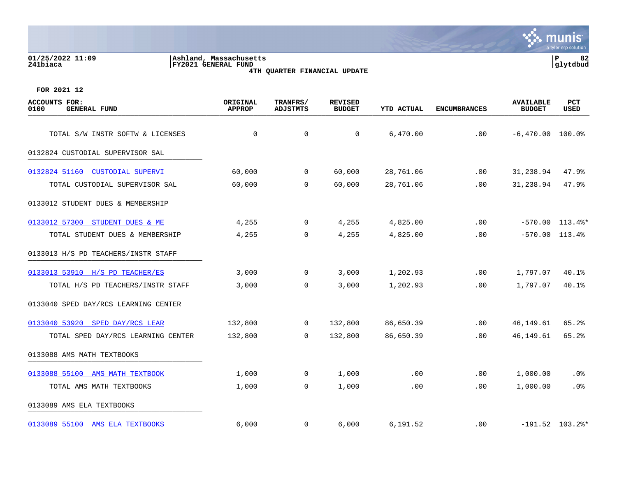#### **01/25/2022 11:09 |Ashland, Massachusetts |P 82 241biaca |FY2021 GENERAL FUND |glytdbud 4TH QUARTER FINANCIAL UPDATE**



| <b>ACCOUNTS FOR:</b><br>0100<br><b>GENERAL FUND</b> | ORIGINAL<br><b>APPROP</b> | TRANFRS/<br><b>ADJSTMTS</b> | <b>REVISED</b><br><b>BUDGET</b> | <b>YTD ACTUAL</b> | <b>ENCUMBRANCES</b> | <b>AVAILABLE</b><br><b>BUDGET</b> | PCT<br><b>USED</b>  |
|-----------------------------------------------------|---------------------------|-----------------------------|---------------------------------|-------------------|---------------------|-----------------------------------|---------------------|
| TOTAL S/W INSTR SOFTW & LICENSES                    | $\mathbf 0$               | $\mathbf 0$                 | $\Omega$                        | 6,470.00          | .00                 | $-6,470.00$ 100.0%                |                     |
| 0132824 CUSTODIAL SUPERVISOR SAL                    |                           |                             |                                 |                   |                     |                                   |                     |
| 0132824 51160 CUSTODIAL SUPERVI                     | 60,000                    | $\mathbf{0}$                | 60,000                          | 28,761.06         | .00                 | 31,238.94                         | 47.9%               |
| TOTAL CUSTODIAL SUPERVISOR SAL                      | 60,000                    | 0                           | 60,000                          | 28,761.06         | .00                 | 31,238.94                         | 47.9%               |
| 0133012 STUDENT DUES & MEMBERSHIP                   |                           |                             |                                 |                   |                     |                                   |                     |
| 0133012 57300 STUDENT DUES & ME                     | 4,255                     | $\mathbf 0$                 | 4,255                           | 4,825.00          | .00                 |                                   | $-570.00$ 113.4%*   |
| TOTAL STUDENT DUES & MEMBERSHIP                     | 4,255                     | $\overline{0}$              | 4,255                           | 4,825.00          | .00                 | $-570.00$ 113.4%                  |                     |
| 0133013 H/S PD TEACHERS/INSTR STAFF                 |                           |                             |                                 |                   |                     |                                   |                     |
| 0133013 53910 H/S PD TEACHER/ES                     | 3,000                     | 0                           | 3,000                           | 1,202.93          | .00                 | 1,797.07                          | 40.1%               |
| TOTAL H/S PD TEACHERS/INSTR STAFF                   | 3,000                     | $\Omega$                    | 3,000                           | 1,202.93          | .00.                | 1,797.07                          | 40.1%               |
| 0133040 SPED DAY/RCS LEARNING CENTER                |                           |                             |                                 |                   |                     |                                   |                     |
| 0133040 53920 SPED DAY/RCS LEAR                     | 132,800                   | $\mathbf{0}$                | 132,800                         | 86,650.39         | .00                 | 46,149.61                         | 65.2%               |
| TOTAL SPED DAY/RCS LEARNING CENTER                  | 132,800                   | $\overline{0}$              | 132,800                         | 86,650.39         | .00                 | 46,149.61                         | 65.2%               |
| 0133088 AMS MATH TEXTBOOKS                          |                           |                             |                                 |                   |                     |                                   |                     |
| 0133088 55100 AMS MATH TEXTBOOK                     | 1,000                     | $\mathbf{0}$                | 1,000                           | .00               | .00                 | 1,000.00                          | $.0\%$              |
| TOTAL AMS MATH TEXTBOOKS                            | 1,000                     | $\overline{0}$              | 1,000                           | .00               | .00                 | 1,000.00                          | .0%                 |
| 0133089 AMS ELA TEXTBOOKS                           |                           |                             |                                 |                   |                     |                                   |                     |
| 0133089 55100 AMS ELA TEXTBOOKS                     | 6,000                     | $\mathbf{0}$                | 6,000                           | 6,191.52          | .00                 |                                   | $-191.52$ $103.2$ * |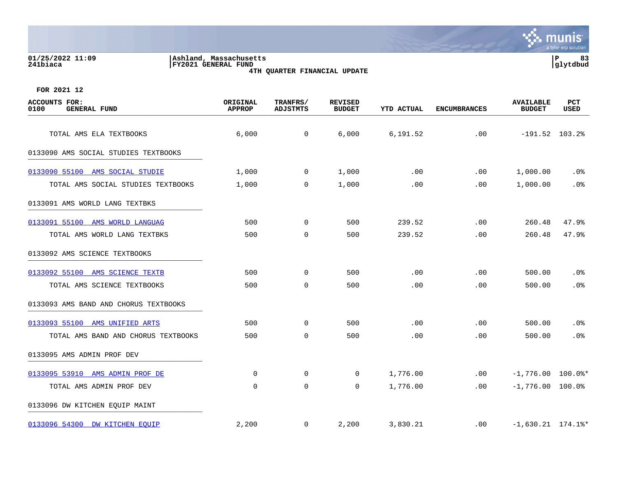**01/25/2022 11:09 |Ashland, Massachusetts |P 83**

**241biaca |FY2021 GENERAL FUND |glytdbud 4TH QUARTER FINANCIAL UPDATE**



| ACCOUNTS FOR:<br>0100<br><b>GENERAL FUND</b> | ORIGINAL<br><b>APPROP</b> | TRANFRS/<br><b>ADJSTMTS</b> | <b>REVISED</b><br><b>BUDGET</b> | <b>YTD ACTUAL</b> | <b>ENCUMBRANCES</b> | <b>AVAILABLE</b><br><b>BUDGET</b> | PCT<br><b>USED</b> |
|----------------------------------------------|---------------------------|-----------------------------|---------------------------------|-------------------|---------------------|-----------------------------------|--------------------|
| TOTAL AMS ELA TEXTBOOKS                      | 6,000                     | $\mathsf{O}$                | 6,000                           | 6,191.52          | .00                 | $-191.52$ 103.2%                  |                    |
| 0133090 AMS SOCIAL STUDIES TEXTBOOKS         |                           |                             |                                 |                   |                     |                                   |                    |
| 0133090 55100 AMS SOCIAL STUDIE              | 1,000                     | $\overline{0}$              | 1,000                           | .00               | .00                 | 1,000.00                          | $.0\%$             |
| TOTAL AMS SOCIAL STUDIES TEXTBOOKS           | 1,000                     | 0                           | 1,000                           | .00               | .00                 | 1,000.00                          | .0%                |
| 0133091 AMS WORLD LANG TEXTBKS               |                           |                             |                                 |                   |                     |                                   |                    |
| 0133091 55100 AMS WORLD LANGUAG              | 500                       | 0                           | 500                             | 239.52            | .00                 | 260.48                            | 47.9%              |
| TOTAL AMS WORLD LANG TEXTBKS                 | 500                       | $\mathbf 0$                 | 500                             | 239.52            | .00                 | 260.48                            | 47.9%              |
| 0133092 AMS SCIENCE TEXTBOOKS                |                           |                             |                                 |                   |                     |                                   |                    |
| 0133092 55100 AMS SCIENCE TEXTB              | 500                       | $\mathbf 0$                 | 500                             | .00               | .00                 | 500.00                            | .0%                |
| TOTAL AMS SCIENCE TEXTBOOKS                  | 500                       | $\mathbf 0$                 | 500                             | .00               | .00                 | 500.00                            | .0%                |
| 0133093 AMS BAND AND CHORUS TEXTBOOKS        |                           |                             |                                 |                   |                     |                                   |                    |
| 0133093 55100 AMS UNIFIED ARTS               | 500                       | 0                           | 500                             | .00               | .00                 | 500.00                            | .0%                |
| TOTAL AMS BAND AND CHORUS TEXTBOOKS          | 500                       | $\mathbf 0$                 | 500                             | .00               | .00                 | 500.00                            | .0%                |
| 0133095 AMS ADMIN PROF DEV                   |                           |                             |                                 |                   |                     |                                   |                    |
| 0133095 53910 AMS ADMIN PROF DE              | $\Omega$                  | 0                           | $\Omega$                        | 1,776.00          | .00                 | $-1,776.00$ 100.0%*               |                    |
| TOTAL AMS ADMIN PROF DEV                     | $\mathbf 0$               | $\mathbf 0$                 | $\mathbf 0$                     | 1,776.00          | .00                 | $-1,776.00$ 100.0%                |                    |
| 0133096 DW KITCHEN EQUIP MAINT               |                           |                             |                                 |                   |                     |                                   |                    |
| 0133096 54300 DW KITCHEN EQUIP               | 2,200                     | 0                           | 2,200                           | 3,830.21          | .00                 | $-1,630.21$ 174.1%*               |                    |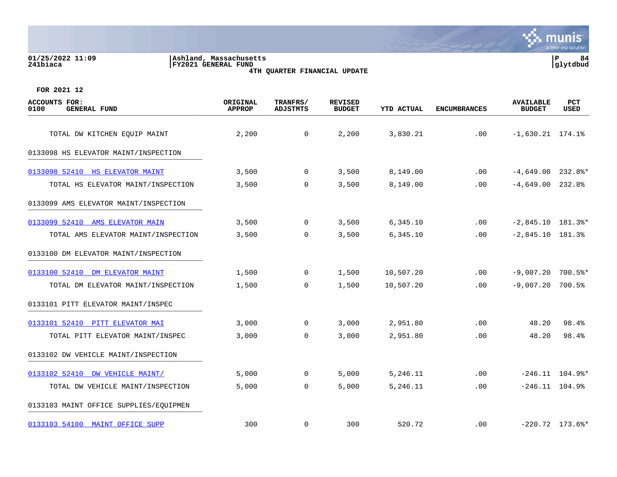#### **01/25/2022 11:09 |Ashland, Massachusetts |P 84 241biaca |FY2021 GENERAL FUND |glytdbud 4TH QUARTER FINANCIAL UPDATE**



| <b>ACCOUNTS FOR:</b><br>0100<br><b>GENERAL FUND</b> | ORIGINAL<br><b>APPROP</b> | TRANFRS/<br><b>ADJSTMTS</b> | <b>REVISED</b><br><b>BUDGET</b> | <b>YTD ACTUAL</b> | <b>ENCUMBRANCES</b> | <b>AVAILABLE</b><br><b>BUDGET</b> | PCT<br><b>USED</b>             |
|-----------------------------------------------------|---------------------------|-----------------------------|---------------------------------|-------------------|---------------------|-----------------------------------|--------------------------------|
| TOTAL DW KITCHEN EQUIP MAINT                        | 2,200                     | $\mathbf 0$                 | 2,200                           | 3,830.21          | .00                 | $-1,630.21$ 174.1%                |                                |
| 0133098 HS ELEVATOR MAINT/INSPECTION                |                           |                             |                                 |                   |                     |                                   |                                |
| 0133098 52410 HS ELEVATOR MAINT                     | 3,500                     | $\mathbf{0}$                | 3,500                           | 8,149.00          | .00                 | $-4,649.00$ 232.8%*               |                                |
| TOTAL HS ELEVATOR MAINT/INSPECTION                  | 3,500                     | 0                           | 3,500                           | 8,149.00          | .00                 | $-4,649.00$ 232.8%                |                                |
| 0133099 AMS ELEVATOR MAINT/INSPECTION               |                           |                             |                                 |                   |                     |                                   |                                |
| 0133099 52410 AMS ELEVATOR MAIN                     | 3,500                     | $\mathbf 0$                 | 3,500                           | 6,345.10          | .00                 | $-2,845.10$ 181.3%*               |                                |
| TOTAL AMS ELEVATOR MAINT/INSPECTION                 | 3,500                     | $\overline{0}$              | 3,500                           | 6,345.10          | .00                 | $-2,845.10$ 181.3%                |                                |
| 0133100 DM ELEVATOR MAINT/INSPECTION                |                           |                             |                                 |                   |                     |                                   |                                |
| 0133100 52410 DM ELEVATOR MAINT                     | 1,500                     | 0                           | 1,500                           | 10,507.20         | .00                 | $-9,007.20$                       | 700.5%*                        |
| TOTAL DM ELEVATOR MAINT/INSPECTION                  | 1,500                     | $\Omega$                    | 1,500                           | 10,507.20         | .00.                | $-9.007.20$                       | 700.5%                         |
| 0133101 PITT ELEVATOR MAINT/INSPEC                  |                           |                             |                                 |                   |                     |                                   |                                |
| 0133101 52410 PITT ELEVATOR MAI                     | 3,000                     | $\overline{0}$              | 3,000                           | 2,951.80          | .00                 | 48.20                             | 98.4%                          |
| TOTAL PITT ELEVATOR MAINT/INSPEC                    | 3,000                     | 0                           | 3,000                           | 2,951.80          | .00                 | 48.20                             | 98.4%                          |
| 0133102 DW VEHICLE MAINT/INSPECTION                 |                           |                             |                                 |                   |                     |                                   |                                |
| 0133102 52410 DW VEHICLE MAINT/                     | 5,000                     | $\mathbf{0}$                | 5,000                           | 5,246.11          | .00                 |                                   | $-246.11$ $104.9$ <sup>*</sup> |
| TOTAL DW VEHICLE MAINT/INSPECTION                   | 5,000                     | $\mathbf 0$                 | 5,000                           | 5,246.11          | .00                 | $-246.11$ $104.9%$                |                                |
| 0133103 MAINT OFFICE SUPPLIES/EQUIPMEN              |                           |                             |                                 |                   |                     |                                   |                                |
| 0133103 54100 MAINT OFFICE SUPP                     | 300                       | $\mathbf 0$                 | 300                             | 520.72            | .00                 |                                   | $-220.72$ 173.6%*              |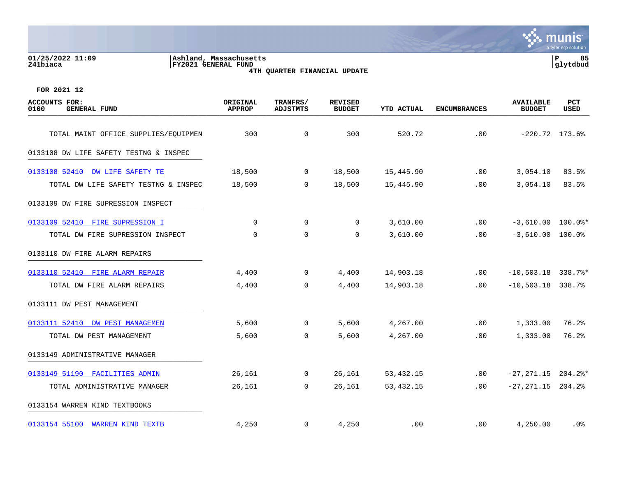# **01/25/2022 11:09 |Ashland, Massachusetts |P 85 241biaca |FY2021 GENERAL FUND |glytdbud 4TH QUARTER FINANCIAL UPDATE**



| <b>ACCOUNTS FOR:</b><br>0100<br><b>GENERAL FUND</b> | ORIGINAL<br><b>APPROP</b> | TRANFRS/<br><b>ADJSTMTS</b> | <b>REVISED</b><br><b>BUDGET</b> | <b>YTD ACTUAL</b> | <b>ENCUMBRANCES</b> | <b>AVAILABLE</b><br><b>BUDGET</b> | PCT<br>USED |
|-----------------------------------------------------|---------------------------|-----------------------------|---------------------------------|-------------------|---------------------|-----------------------------------|-------------|
| TOTAL MAINT OFFICE SUPPLIES/EQUIPMEN                | 300                       | $\mathbf 0$                 | 300                             | 520.72            | .00                 | $-220.72$ 173.6%                  |             |
| 0133108 DW LIFE SAFETY TESTNG & INSPEC              |                           |                             |                                 |                   |                     |                                   |             |
| 0133108 52410 DW LIFE SAFETY TE                     | 18,500                    | 0                           | 18,500                          | 15,445.90         | .00                 | 3,054.10                          | 83.5%       |
| TOTAL DW LIFE SAFETY TESTNG & INSPEC                | 18,500                    | 0                           | 18,500                          | 15,445.90         | .00                 | 3,054.10                          | 83.5%       |
| 0133109 DW FIRE SUPRESSION INSPECT                  |                           |                             |                                 |                   |                     |                                   |             |
| 0133109 52410 FIRE SUPRESSION I                     | $\mathbf 0$               | 0                           | $\mathbf 0$                     | 3,610.00          | .00                 | $-3,610.00$ 100.0%*               |             |
| TOTAL DW FIRE SUPRESSION INSPECT                    | $\mathbf 0$               | $\mathbf 0$                 | $\mathbf 0$                     | 3,610.00          | .00                 | $-3,610.00$ 100.0%                |             |
| 0133110 DW FIRE ALARM REPAIRS                       |                           |                             |                                 |                   |                     |                                   |             |
| 0133110 52410 FIRE ALARM REPAIR                     | 4,400                     | $\mathbf 0$                 | 4,400                           | 14,903.18         | $.00 \,$            | $-10,503.18$ 338.7%*              |             |
| TOTAL DW FIRE ALARM REPAIRS                         | 4,400                     | $\mathbf 0$                 | 4,400                           | 14,903.18         | .00                 | $-10,503.18$ 338.7%               |             |
| 0133111 DW PEST MANAGEMENT                          |                           |                             |                                 |                   |                     |                                   |             |
| 0133111 52410 DW PEST MANAGEMEN                     | 5,600                     | $\mathbf 0$                 | 5,600                           | 4,267.00          | .00                 | 1,333.00                          | 76.2%       |
| TOTAL DW PEST MANAGEMENT                            | 5,600                     | $\mathbf 0$                 | 5,600                           | 4,267.00          | .00                 | 1,333.00                          | 76.2%       |
| 0133149 ADMINISTRATIVE MANAGER                      |                           |                             |                                 |                   |                     |                                   |             |
| 0133149 51190 FACILITIES ADMIN                      | 26,161                    | 0                           | 26,161                          | 53,432.15         | $.00 \,$            | $-27, 271.15$ 204.2%*             |             |
| TOTAL ADMINISTRATIVE MANAGER                        | 26,161                    | 0                           | 26,161                          | 53, 432. 15       | $.00 \,$            | $-27, 271.15$ 204.2%              |             |
| 0133154 WARREN KIND TEXTBOOKS                       |                           |                             |                                 |                   |                     |                                   |             |
| 0133154 55100 WARREN KIND TEXTB                     | 4,250                     | 0                           | 4,250                           | .00               | $.00 \,$            | 4,250.00                          | .0%         |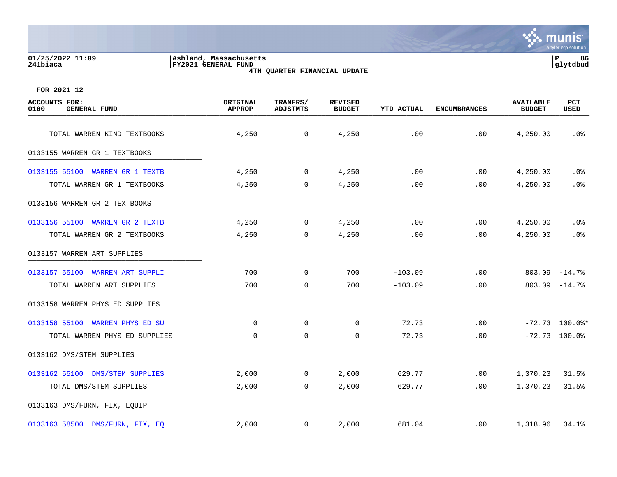#### **01/25/2022 11:09 |Ashland, Massachusetts |P 86 241biaca |FY2021 GENERAL FUND |glytdbud 4TH QUARTER FINANCIAL UPDATE**



| <b>ACCOUNTS FOR:</b><br>0100<br><b>GENERAL FUND</b> | ORIGINAL<br><b>APPROP</b> | TRANFRS/<br><b>ADJSTMTS</b> | <b>REVISED</b><br><b>BUDGET</b> | <b>YTD ACTUAL</b> | <b>ENCUMBRANCES</b> | <b>AVAILABLE</b><br><b>BUDGET</b> | PCT<br><b>USED</b> |
|-----------------------------------------------------|---------------------------|-----------------------------|---------------------------------|-------------------|---------------------|-----------------------------------|--------------------|
| TOTAL WARREN KIND TEXTBOOKS                         | 4,250                     | $\overline{0}$              | 4,250                           | .00               | .00                 | 4,250.00                          | $.0\%$             |
| 0133155 WARREN GR 1 TEXTBOOKS                       |                           |                             |                                 |                   |                     |                                   |                    |
|                                                     |                           |                             |                                 |                   |                     |                                   |                    |
| 0133155 55100 WARREN GR 1 TEXTB                     | 4,250                     | $\overline{0}$              | 4,250                           | .00               | .00                 | 4,250.00                          | .0%                |
| TOTAL WARREN GR 1 TEXTBOOKS                         | 4,250                     | $\mathsf{O}$                | 4,250                           | .00               | .00                 | 4,250.00                          | .0%                |
| 0133156 WARREN GR 2 TEXTBOOKS                       |                           |                             |                                 |                   |                     |                                   |                    |
| 0133156 55100 WARREN GR 2 TEXTB                     | 4,250                     | $\overline{0}$              | 4,250                           | .00               | .00                 | 4,250.00                          | $.0\%$             |
| TOTAL WARREN GR 2 TEXTBOOKS                         | 4,250                     | $\mathbf 0$                 | 4,250                           | .00               | .00                 | 4,250.00                          | .0%                |
| 0133157 WARREN ART SUPPLIES                         |                           |                             |                                 |                   |                     |                                   |                    |
| 0133157 55100 WARREN ART SUPPLI                     | 700                       | $\mathsf{O}$                | 700                             | $-103.09$         | .00                 |                                   | $803.09 - 14.7$    |
| TOTAL WARREN ART SUPPLIES                           | 700                       | $\Omega$                    | 700                             | $-103.09$         | .00                 |                                   | $803.09 - 14.78$   |
| 0133158 WARREN PHYS ED SUPPLIES                     |                           |                             |                                 |                   |                     |                                   |                    |
| 0133158 55100 WARREN PHYS ED SU                     | $\mathbf 0$               | $\mathbf 0$                 | $\mathbf 0$                     | 72.73             | .00                 |                                   | $-72.73$ 100.0%*   |
| TOTAL WARREN PHYS ED SUPPLIES                       | $\mathbf 0$               | $\mathbf 0$                 | $\mathbf 0$                     | 72.73             | .00                 |                                   | $-72.73$ 100.0%    |
| 0133162 DMS/STEM SUPPLIES                           |                           |                             |                                 |                   |                     |                                   |                    |
| 0133162 55100 DMS/STEM SUPPLIES                     | 2,000                     | $\mathbf 0$                 | 2,000                           | 629.77            | .00                 | 1,370.23                          | 31.5%              |
| TOTAL DMS/STEM SUPPLIES                             | 2,000                     | $\mathbf 0$                 | 2,000                           | 629.77            | .00                 | 1,370.23                          | 31.5%              |
| 0133163 DMS/FURN, FIX, EQUIP                        |                           |                             |                                 |                   |                     |                                   |                    |
| 0133163 58500 DMS/FURN, FIX, EQ                     | 2,000                     | $\overline{0}$              | 2,000                           | 681.04            | $.00 \,$            | 1,318.96                          | 34.1%              |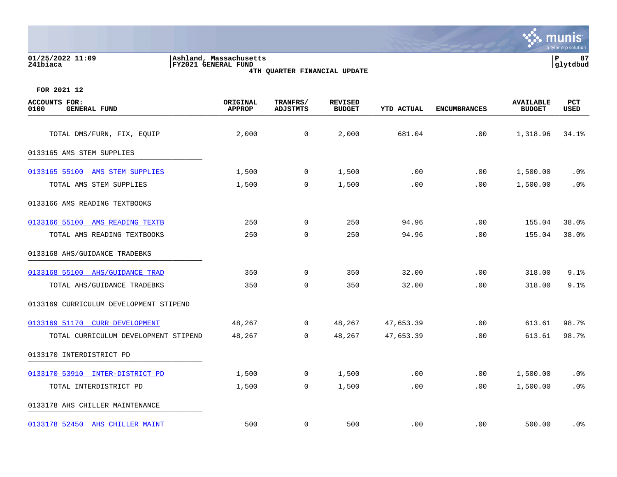| 5/2022 11:09<br>. |  |  |
|-------------------|--|--|

**01/25/2022 11:09 |Ashland, Massachusetts |P 87 241biaca |FY2021 GENERAL FUND |glytdbud 4TH QUARTER FINANCIAL UPDATE**



| <b>ACCOUNTS FOR:</b><br>0100<br><b>GENERAL FUND</b> | ORIGINAL<br><b>APPROP</b> | TRANFRS/<br><b>ADJSTMTS</b> | <b>REVISED</b><br><b>BUDGET</b> | YTD ACTUAL | <b>ENCUMBRANCES</b> | <b>AVAILABLE</b><br><b>BUDGET</b> | <b>PCT</b><br>USED |
|-----------------------------------------------------|---------------------------|-----------------------------|---------------------------------|------------|---------------------|-----------------------------------|--------------------|
| TOTAL DMS/FURN, FIX, EQUIP                          | 2,000                     | $\overline{0}$              | 2,000                           | 681.04     | .00                 | 1,318.96                          | 34.1%              |
| 0133165 AMS STEM SUPPLIES                           |                           |                             |                                 |            |                     |                                   |                    |
| 0133165 55100 AMS STEM SUPPLIES                     | 1,500                     | $\mathbf 0$                 | 1,500                           | .00        | .00                 | 1,500.00                          | $.0\%$             |
| TOTAL AMS STEM SUPPLIES                             | 1,500                     | 0                           | 1,500                           | .00        | .00                 | 1,500.00                          | .0%                |
| 0133166 AMS READING TEXTBOOKS                       |                           |                             |                                 |            |                     |                                   |                    |
| 0133166 55100 AMS READING TEXTB                     | 250                       | $\overline{0}$              | 250                             | 94.96      | .00                 | 155.04                            | 38.0%              |
| TOTAL AMS READING TEXTBOOKS                         | 250                       | $\mathbf 0$                 | 250                             | 94.96      | .00                 | 155.04                            | 38.0%              |
| 0133168 AHS/GUIDANCE TRADEBKS                       |                           |                             |                                 |            |                     |                                   |                    |
| 0133168 55100 AHS/GUIDANCE TRAD                     | 350                       | $\mathbf 0$                 | 350                             | 32.00      | .00                 | 318.00                            | 9.1%               |
| TOTAL AHS/GUIDANCE TRADEBKS                         | 350                       | $\mathbf 0$                 | 350                             | 32.00      | .00                 | 318.00                            | 9.1%               |
| 0133169 CURRICULUM DEVELOPMENT STIPEND              |                           |                             |                                 |            |                     |                                   |                    |
| 0133169 51170 CURR DEVELOPMENT                      | 48,267                    | $\mathbf{0}$                | 48,267                          | 47,653.39  | .00                 | 613.61                            | 98.7%              |
| TOTAL CURRICULUM DEVELOPMENT STIPEND                | 48,267                    | 0                           | 48,267                          | 47,653.39  | .00                 | 613.61                            | 98.7%              |
| 0133170 INTERDISTRICT PD                            |                           |                             |                                 |            |                     |                                   |                    |
| 0133170 53910 INTER-DISTRICT PD                     | 1,500                     | $\mathbf 0$                 | 1,500                           | .00        | .00                 | 1,500.00                          | $.0\%$             |
| TOTAL INTERDISTRICT PD                              | 1,500                     | $\mathsf{O}$                | 1,500                           | .00        | .00                 | 1,500.00                          | .0%                |
| 0133178 AHS CHILLER MAINTENANCE                     |                           |                             |                                 |            |                     |                                   |                    |
| 0133178 52450 AHS CHILLER MAINT                     | 500                       | $\mathbf 0$                 | 500                             | .00        | $.00 \,$            | 500.00                            | . 0%               |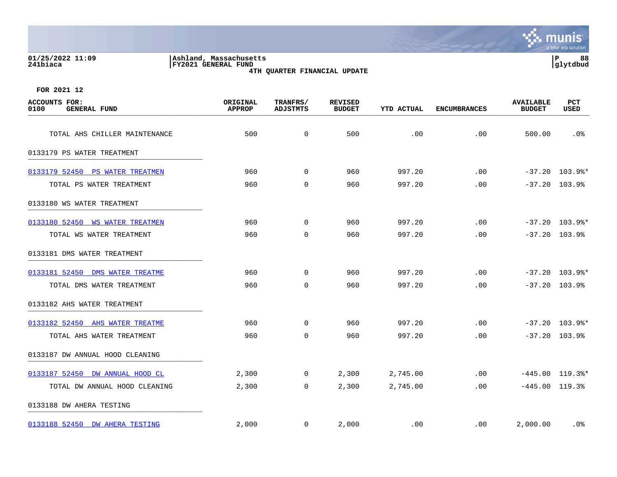| 01/25/2022 11:09<br>241biaca                        | Ashland, Massachusetts<br>FY2021 GENERAL FUND | 4TH QUARTER FINANCIAL UPDATE |                                 |                   |                     |                                   | $\, {\bf P}$<br>88<br>glytdbud |
|-----------------------------------------------------|-----------------------------------------------|------------------------------|---------------------------------|-------------------|---------------------|-----------------------------------|--------------------------------|
| FOR 2021 12                                         |                                               |                              |                                 |                   |                     |                                   |                                |
| <b>ACCOUNTS FOR:</b><br><b>GENERAL FUND</b><br>0100 | ORIGINAL<br><b>APPROP</b>                     | TRANFRS/<br><b>ADJSTMTS</b>  | <b>REVISED</b><br><b>BUDGET</b> | <b>YTD ACTUAL</b> | <b>ENCUMBRANCES</b> | <b>AVAILABLE</b><br><b>BUDGET</b> | PCT<br>USED                    |
| TOTAL AHS CHILLER MAINTENANCE                       | 500                                           | $\mathbf 0$                  | 500                             | .00               | .00                 | 500.00                            | .0%                            |
| 0133179 PS WATER TREATMENT                          |                                               |                              |                                 |                   |                     |                                   |                                |
| 0133179 52450<br>PS WATER TREATMEN                  | 960                                           | 0                            | 960                             | 997.20            | .00                 |                                   | $-37.20$ 103.9%*               |
| TOTAL PS WATER TREATMENT                            | 960                                           | $\Omega$                     | 960                             | 997.20            | .00                 |                                   | $-37.20$ 103.9%                |
| 0133180 WS WATER TREATMENT                          |                                               |                              |                                 |                   |                     |                                   |                                |
| 0133180 52450<br><b>WS WATER TREATMEN</b>           | 960                                           | $\Omega$                     | 960                             | 997.20            | .00                 |                                   | $-37.20$ 103.9%*               |
| TOTAL WS WATER TREATMENT                            | 960                                           | $\Omega$                     | 960                             | 997.20            | .00                 |                                   | $-37.20$ 103.9%                |
| 0133181 DMS WATER TREATMENT                         |                                               |                              |                                 |                   |                     |                                   |                                |
| 0133181 52450 DMS WATER TREATME                     | 960                                           | 0                            | 960                             | 997.20            | .00                 |                                   | $-37.20$ 103.9%*               |
| TOTAL DMS WATER TREATMENT                           | 960                                           | 0                            | 960                             | 997.20            | .00                 |                                   | $-37.20$ 103.9%                |
| 0133182 AHS WATER TREATMENT                         |                                               |                              |                                 |                   |                     |                                   |                                |

 $\mathbf{\ddot{\cdot}}$  . munis

a tyler erp solutio

[0133182 52450 AHS WATER TREATME](https://yvwlndash063.tylertech.com/sites/mu0241/LIVE/_layouts/15/DashboardMunisV6.3/PassThru.aspx?-E=dDtlldsjcfvCbzzQ1B7JfBiLci%2Bgm2mVlQ62DNC/1U%2BfZ1rM%2BO02JRnXXHtvIU2h&) 960 0 960 997.20 .00 -37.20 103.9%\* TOTAL AHS WATER TREATMENT 960 0 960 997.20 .00 -37.20 103.9% 0133187 DW ANNUAL HOOD CLEANING [0133187 52450 DW ANNUAL HOOD CL](https://yvwlndash063.tylertech.com/sites/mu0241/LIVE/_layouts/15/DashboardMunisV6.3/PassThru.aspx?-E=R4ImqYYvDZz61K%2B03NQeDQKLD4pF6lK2UA4Au/1hfWo2eegL5ByaQFu%2B8JfbUkB6&) 2,300 0 2,300 2,745.00 .00 -445.00 119.3%\* TOTAL DW ANNUAL HOOD CLEANING 2,300 0 2,300 2,745.00 .00 -445.00 119.3% 0133188 DW AHERA TESTING \_\_\_\_\_\_\_\_\_\_\_\_\_\_\_\_\_\_\_\_\_\_\_\_\_\_\_\_\_\_\_\_\_\_\_\_\_\_\_\_\_ [0133188 52450 DW AHERA TESTING](https://yvwlndash063.tylertech.com/sites/mu0241/LIVE/_layouts/15/DashboardMunisV6.3/PassThru.aspx?-E=H1mx20WYaHoykYpzIqAfTQLL1w7Xsjtjva6vfuWT24445OAeZhkmg/RZ1NgENpCj&) 2,000 0 2,000 .00 .00 2,000.00 .0%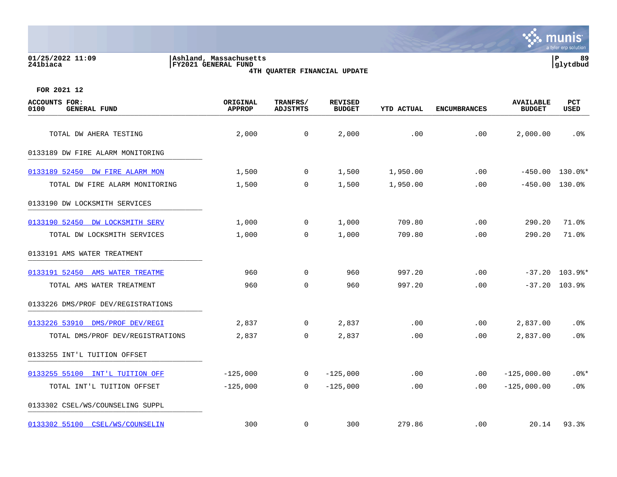## **01/25/2022 11:09 |Ashland, Massachusetts |P 89 241biaca |FY2021 GENERAL FUND |glytdbud 4TH QUARTER FINANCIAL UPDATE**



| <b>ACCOUNTS FOR:</b><br>0100<br><b>GENERAL FUND</b> | ORIGINAL<br><b>APPROP</b> | TRANFRS/<br><b>ADJSTMTS</b> | <b>REVISED</b><br><b>BUDGET</b> | YTD ACTUAL | <b>ENCUMBRANCES</b> | <b>AVAILABLE</b><br><b>BUDGET</b> | PCT<br><b>USED</b> |
|-----------------------------------------------------|---------------------------|-----------------------------|---------------------------------|------------|---------------------|-----------------------------------|--------------------|
| TOTAL DW AHERA TESTING                              | 2,000                     | 0                           | 2,000                           | .00        | .00                 | 2,000.00                          | .0%                |
| 0133189 DW FIRE ALARM MONITORING                    |                           |                             |                                 |            |                     |                                   |                    |
| 0133189 52450 DW FIRE ALARM MON                     | 1,500                     | $\mathbf 0$                 | 1,500                           | 1,950.00   | .00                 |                                   | $-450.00$ 130.0%*  |
| TOTAL DW FIRE ALARM MONITORING                      | 1,500                     | 0                           | 1,500                           | 1,950.00   | .00                 | $-450.00$                         | 130.0%             |
| 0133190 DW LOCKSMITH SERVICES                       |                           |                             |                                 |            |                     |                                   |                    |
| 0133190 52450 DW LOCKSMITH SERV                     | 1,000                     | $\overline{0}$              | 1,000                           | 709.80     | .00                 | 290.20                            | 71.0%              |
| TOTAL DW LOCKSMITH SERVICES                         | 1,000                     | $\mathbf 0$                 | 1,000                           | 709.80     | .00                 | 290.20                            | 71.0%              |
| 0133191 AMS WATER TREATMENT                         |                           |                             |                                 |            |                     |                                   |                    |
| 0133191 52450 AMS WATER TREATME                     | 960                       | $\mathsf{O}$                | 960                             | 997.20     | .00                 |                                   | $-37.20$ 103.9%*   |
| TOTAL AMS WATER TREATMENT                           | 960                       | $\Omega$                    | 960                             | 997.20     | .00                 |                                   | $-37.20$ 103.9%    |
| 0133226 DMS/PROF DEV/REGISTRATIONS                  |                           |                             |                                 |            |                     |                                   |                    |
| 0133226 53910 DMS/PROF DEV/REGI                     | 2,837                     | $\overline{0}$              | 2,837                           | .00        | .00                 | 2,837.00                          | .0%                |
| TOTAL DMS/PROF DEV/REGISTRATIONS                    | 2,837                     | $\mathbf 0$                 | 2,837                           | .00        | .00                 | 2,837.00                          | .0%                |
| 0133255 INT'L TUITION OFFSET                        |                           |                             |                                 |            |                     |                                   |                    |
| 0133255 55100 INT'L TUITION OFF                     | $-125,000$                | $\mathbf 0$                 | $-125,000$                      | .00        | .00                 | $-125,000.00$                     | $.0$ %*            |
| TOTAL INT'L TUITION OFFSET                          | $-125,000$                | $\Omega$                    | $-125,000$                      | .00        | .00                 | $-125,000.00$                     | .0%                |
| 0133302 CSEL/WS/COUNSELING SUPPL                    |                           |                             |                                 |            |                     |                                   |                    |
| 0133302 55100 CSEL/WS/COUNSELIN                     | 300                       | $\mathbf 0$                 | 300                             | 279.86     | .00                 | 20.14                             | 93.3%              |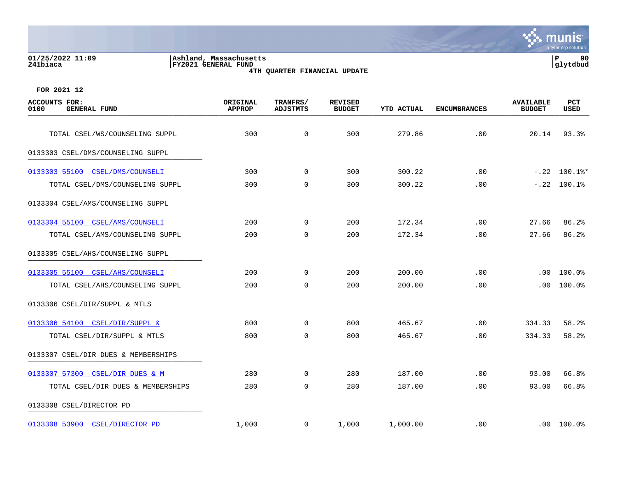#### **01/25/2022 11:09 |Ashland, Massachusetts |P 90 241biaca |FY2021 GENERAL FUND |glytdbud 4TH QUARTER FINANCIAL UPDATE**



| <b>ACCOUNTS FOR:</b><br>0100<br><b>GENERAL FUND</b> | ORIGINAL<br><b>APPROP</b> | TRANFRS/<br><b>ADJSTMTS</b> | <b>REVISED</b><br><b>BUDGET</b> | YTD ACTUAL | <b>ENCUMBRANCES</b> | <b>AVAILABLE</b><br><b>BUDGET</b> | PCT<br><b>USED</b>       |
|-----------------------------------------------------|---------------------------|-----------------------------|---------------------------------|------------|---------------------|-----------------------------------|--------------------------|
| TOTAL CSEL/WS/COUNSELING SUPPL                      | 300                       | $\mathbf 0$                 | 300                             | 279.86     | .00                 | 20.14                             | 93.3%                    |
| 0133303 CSEL/DMS/COUNSELING SUPPL                   |                           |                             |                                 |            |                     |                                   |                          |
| 0133303 55100 CSEL/DMS/COUNSELI                     | 300                       | $\mathbf{0}$                | 300                             | 300.22     | .00                 |                                   | $-.22$ 100.1%*           |
| TOTAL CSEL/DMS/COUNSELING SUPPL                     | 300                       | $\mathbf 0$                 | 300                             | 300.22     | .00                 |                                   | $-.22$ 100.1%            |
| 0133304 CSEL/AMS/COUNSELING SUPPL                   |                           |                             |                                 |            |                     |                                   |                          |
| 0133304 55100 CSEL/AMS/COUNSELI                     | 200                       | $\overline{0}$              | 200                             | 172.34     | .00                 | 27.66                             | 86.2%                    |
| TOTAL CSEL/AMS/COUNSELING SUPPL                     | 200                       | $\mathbf 0$                 | 200                             | 172.34     | .00                 | 27.66                             | 86.2%                    |
| 0133305 CSEL/AHS/COUNSELING SUPPL                   |                           |                             |                                 |            |                     |                                   |                          |
| 0133305 55100 CSEL/AHS/COUNSELI                     | 200                       | $\mathsf{O}$                | 200                             | 200.00     | .00                 | $.00 \,$                          | $100.0$ $^{\circ}$       |
| TOTAL CSEL/AHS/COUNSELING SUPPL                     | 200                       | $\mathbf 0$                 | 200                             | 200.00     | .00                 | .00                               | 100.0%                   |
| 0133306 CSEL/DIR/SUPPL & MTLS                       |                           |                             |                                 |            |                     |                                   |                          |
| 0133306 54100 CSEL/DIR/SUPPL &                      | 800                       | $\overline{0}$              | 800                             | 465.67     | .00                 | 334.33                            | 58.2%                    |
| TOTAL CSEL/DIR/SUPPL & MTLS                         | 800                       | $\mathbf 0$                 | 800                             | 465.67     | .00                 | 334.33                            | 58.2%                    |
| 0133307 CSEL/DIR DUES & MEMBERSHIPS                 |                           |                             |                                 |            |                     |                                   |                          |
| 0133307 57300 CSEL/DIR DUES & M                     | 280                       | $\Omega$                    | 280                             | 187.00     | .00                 | 93.00                             | 66.8%                    |
| TOTAL CSEL/DIR DUES & MEMBERSHIPS                   | 280                       | $\mathbf 0$                 | 280                             | 187.00     | .00                 | 93.00                             | 66.8%                    |
| 0133308 CSEL/DIRECTOR PD                            |                           |                             |                                 |            |                     |                                   |                          |
| 0133308 53900 CSEL/DIRECTOR PD                      | 1,000                     | $\overline{0}$              | 1,000                           | 1,000.00   | .00                 |                                   | $.00 100.0$ <sup>8</sup> |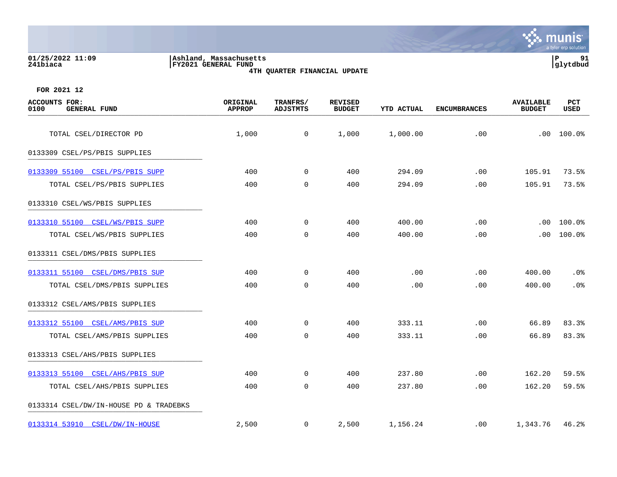|                                              |                                                                                      | a tyler erp solution                                                                         |
|----------------------------------------------|--------------------------------------------------------------------------------------|----------------------------------------------------------------------------------------------|
| 01/25/2022 11:09<br>241biaca                 | Ashland, Massachusetts<br><b>FY2021 GENERAL FUND</b><br>4TH QUARTER FINANCIAL UPDATE | 91<br>ΙP<br> glytdbud                                                                        |
| FOR 2021 12                                  |                                                                                      |                                                                                              |
| ACCOUNTS FOR:<br>0100<br><b>GENERAL FUND</b> | TRANFRS/<br>ORIGINAL<br>REVISED<br><b>BUDGET</b><br><b>APPROP</b><br>ADJSTMTS        | PCT<br><b>AVAILABLE</b><br><b>YTD ACTUAL</b><br><b>ENCUMBRANCES</b><br>USED<br><b>BUDGET</b> |

| 0100<br><b>GENERAL FUND</b>            | <b>APPROP</b> | <b>ADJSTMTS</b> | <b>BUDGET</b> | YTD ACTUAL | <b>ENCUMBRANCES</b> | <b>BUDGET</b> | USED   |
|----------------------------------------|---------------|-----------------|---------------|------------|---------------------|---------------|--------|
| TOTAL CSEL/DIRECTOR PD                 | 1,000         | $\mathsf{O}$    | 1,000         | 1,000.00   | .00                 | .00           | 100.0% |
| 0133309 CSEL/PS/PBIS SUPPLIES          |               |                 |               |            |                     |               |        |
| 0133309 55100 CSEL/PS/PBIS SUPP        | 400           | $\Omega$        | 400           | 294.09     | .00                 | 105.91        | 73.5%  |
| TOTAL CSEL/PS/PBIS SUPPLIES            | 400           | $\overline{0}$  | 400           | 294.09     | .00                 | 105.91        | 73.5%  |
| 0133310 CSEL/WS/PBIS SUPPLIES          |               |                 |               |            |                     |               |        |
| 0133310 55100 CSEL/WS/PBIS SUPP        | 400           | $\mathbf 0$     | 400           | 400.00     | .00                 | .00           | 100.0% |
| TOTAL CSEL/WS/PBIS SUPPLIES            | 400           | $\overline{0}$  | 400           | 400.00     | .00                 | $.00 \,$      | 100.0% |
| 0133311 CSEL/DMS/PBIS SUPPLIES         |               |                 |               |            |                     |               |        |
| 0133311 55100 CSEL/DMS/PBIS SUP        | 400           | $\mathbf 0$     | 400           | .00        | .00                 | 400.00        | .0%    |
| TOTAL CSEL/DMS/PBIS SUPPLIES           | 400           | $\Omega$        | 400           | .00        | .00                 | 400.00        | .0%    |
| 0133312 CSEL/AMS/PBIS SUPPLIES         |               |                 |               |            |                     |               |        |
| 0133312 55100 CSEL/AMS/PBIS SUP        | 400           | $\mathbf 0$     | 400           | 333.11     | .00                 | 66.89         | 83.3%  |
| TOTAL CSEL/AMS/PBIS SUPPLIES           | 400           | $\mathbf 0$     | 400           | 333.11     | .00                 | 66.89         | 83.3%  |
| 0133313 CSEL/AHS/PBIS SUPPLIES         |               |                 |               |            |                     |               |        |
| 0133313 55100 CSEL/AHS/PBIS SUP        | 400           | $\mathbf 0$     | 400           | 237.80     | .00                 | 162.20        | 59.5%  |
| TOTAL CSEL/AHS/PBIS SUPPLIES           | 400           | $\overline{0}$  | 400           | 237.80     | .00                 | 162.20        | 59.5%  |
| 0133314 CSEL/DW/IN-HOUSE PD & TRADEBKS |               |                 |               |            |                     |               |        |
| 0133314 53910 CSEL/DW/IN-HOUSE         | 2,500         | $\overline{0}$  | 2,500         | 1,156.24   | $.00 \,$            | 1,343.76      | 46.2%  |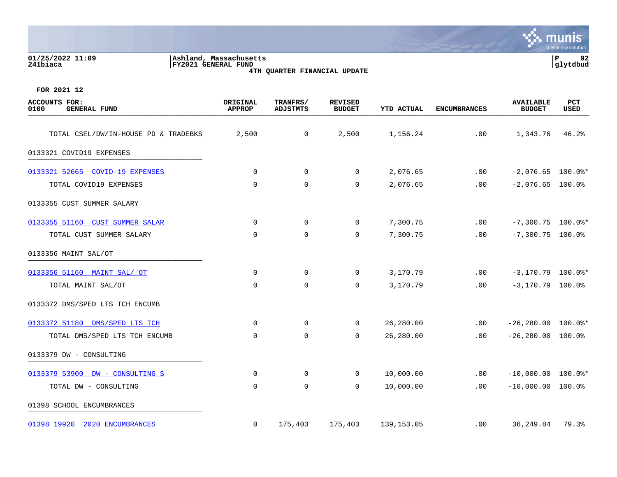| 01/25/2022 11:09<br>241biaca                        | Ashland, Massachusetts<br><b>FY2021 GENERAL FUND</b> | 4TH QUARTER FINANCIAL UPDATE |                                 |                   |                     |                                   | $\, {\bf P}$<br>92<br>glytdbud |
|-----------------------------------------------------|------------------------------------------------------|------------------------------|---------------------------------|-------------------|---------------------|-----------------------------------|--------------------------------|
| FOR 2021 12                                         |                                                      |                              |                                 |                   |                     |                                   |                                |
| <b>ACCOUNTS FOR:</b><br>0100<br><b>GENERAL FUND</b> | ORIGINAL<br><b>APPROP</b>                            | TRANFRS/<br><b>ADJSTMTS</b>  | <b>REVISED</b><br><b>BUDGET</b> | <b>YTD ACTUAL</b> | <b>ENCUMBRANCES</b> | <b>AVAILABLE</b><br><b>BUDGET</b> | PCT<br><b>USED</b>             |
| TOTAL CSEL/DW/IN-HOUSE PD & TRADEBKS                | 2,500                                                | 0                            | 2,500                           | 1,156.24          | .00                 | 1,343.76                          | 46.2%                          |
| 0133321 COVID19 EXPENSES                            |                                                      |                              |                                 |                   |                     |                                   |                                |
| 0133321 52665<br><b>COVID-19 EXPENSES</b>           | 0                                                    | 0                            | $\Omega$                        | 2,076.65          | .00                 | $-2,076.65$ 100.0%*               |                                |
| TOTAL COVID19 EXPENSES                              | $\mathbf 0$                                          | $\mathbf 0$                  | $\mathbf 0$                     | 2,076.65          | .00                 | $-2,076.65$ 100.0%                |                                |
| 0133355 CUST SUMMER SALARY                          |                                                      |                              |                                 |                   |                     |                                   |                                |
| 0133355 51160 CUST SUMMER SALAR                     | 0                                                    | $\Omega$                     | $\Omega$                        | 7,300.75          | .00                 | $-7,300.75$ 100.0%*               |                                |
| TOTAL CUST SUMMER SALARY                            | $\mathbf 0$                                          | $\mathbf 0$                  | 0                               | 7,300.75          | .00                 | $-7,300.75$ 100.0%                |                                |
| 0133356 MAINT SAL/OT                                |                                                      |                              |                                 |                   |                     |                                   |                                |
| 0133356 51160 MAINT SAL/ OT                         | 0                                                    | $\mathbf 0$                  | $\Omega$                        | 3,170.79          | .00                 | $-3,170.79$ 100.0%*               |                                |
| TOTAL MAINT SAL/OT                                  | 0                                                    | $\mathbf 0$                  | 0                               | 3,170.79          | .00                 | $-3,170.79$ 100.0%                |                                |
| 0133372 DMS/SPED LTS TCH ENCUMB                     |                                                      |                              |                                 |                   |                     |                                   |                                |
| 0133372 51180 DMS/SPED LTS TCH                      | 0                                                    | $\mathbf 0$                  | $\Omega$                        | 26,280.00         | .00                 | $-26, 280.00$ 100.0%*             |                                |
| TOTAL DMS/SPED LTS TCH ENCUMB                       | 0                                                    | $\mathbf 0$                  | 0                               | 26,280.00         | .00                 | $-26, 280.00$ 100.0%              |                                |

**∵ munis** 

a tyler erp solutio

[0133379 53900 DW - CONSULTING S](https://yvwlndash063.tylertech.com/sites/mu0241/LIVE/_layouts/15/DashboardMunisV6.3/PassThru.aspx?-E=9h8DD%2BmdFi6YWeuLnuOCcnypqK5zCKhMIZsAuRIIi4eSevmDm/NQx0a79ibVA3j4&) 0 0 0 0 0 10,000.00 0 0 100.00 .00 -10,000.00 100.0%\* TOTAL DW - CONSULTING 0 0 0 10,000.00 .00 -10,000.00 100.0%

[01398 19920 2020 ENCUMBRANCES](https://yvwlndash063.tylertech.com/sites/mu0241/LIVE/_layouts/15/DashboardMunisV6.3/PassThru.aspx?-E=h90kuNI2JLZlyLWkCv0aKXlsrj257y85QEEzYsnW6pJe3Al7sJ/9I/OGOiYfDwbU&) 0 175,403 175,403 139,153.05 .00 36,249.84 79.3%

0133379 DW - CONSULTING \_\_\_\_\_\_\_\_\_\_\_\_\_\_\_\_\_\_\_\_\_\_\_\_\_\_\_\_\_\_\_\_\_\_\_\_\_\_\_\_\_

01398 SCHOOL ENCUMBRANCES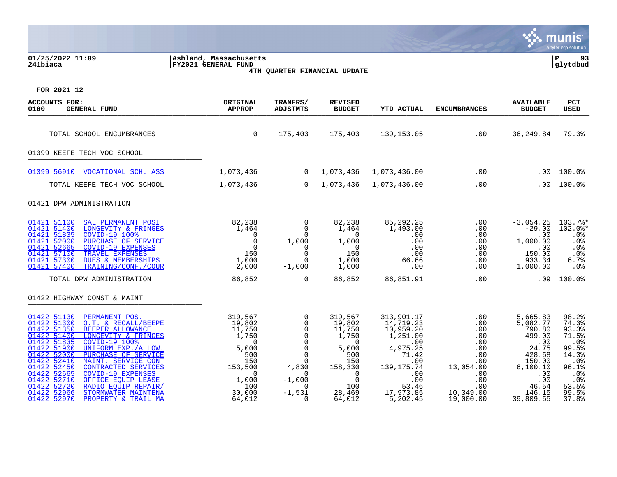|                                                                                                                                              |                                               |                                                 |                                           |                                                  |                                  |                                          | munis<br>a tyler erp solution     |
|----------------------------------------------------------------------------------------------------------------------------------------------|-----------------------------------------------|-------------------------------------------------|-------------------------------------------|--------------------------------------------------|----------------------------------|------------------------------------------|-----------------------------------|
| 01/25/2022 11:09<br>241biaca                                                                                                                 | Ashland, Massachusetts<br>FY2021 GENERAL FUND |                                                 | 4TH QUARTER FINANCIAL UPDATE              |                                                  |                                  |                                          | l P<br>93<br> glytdbud            |
| FOR 2021 12                                                                                                                                  |                                               |                                                 |                                           |                                                  |                                  |                                          |                                   |
| <b>ACCOUNTS FOR:</b><br>0100<br><b>GENERAL FUND</b>                                                                                          | ORIGINAL<br><b>APPROP</b>                     | TRANFRS/<br><b>ADJSTMTS</b>                     | <b>REVISED</b><br><b>BUDGET</b>           | <b>YTD ACTUAL</b>                                | <b>ENCUMBRANCES</b>              | <b>AVAILABLE</b><br><b>BUDGET</b>        | <b>PCT</b><br><b>USED</b>         |
| TOTAL SCHOOL ENCUMBRANCES                                                                                                                    | $\mathbf 0$                                   | 175,403                                         | 175,403                                   | 139,153.05                                       | $\sim$ 00                        | 36,249.84                                | 79.3%                             |
| 01399 KEEFE TECH VOC SCHOOL                                                                                                                  |                                               |                                                 |                                           |                                                  |                                  |                                          |                                   |
| 01399 56910 VOCATIONAL SCH. ASS                                                                                                              | 1,073,436                                     | $\overline{0}$                                  | 1,073,436                                 | 1,073,436.00                                     | .00                              | .00                                      | 100.0%                            |
| TOTAL KEEFE TECH VOC SCHOOL                                                                                                                  | 1,073,436                                     | $\overline{0}$                                  | 1,073,436                                 | 1,073,436.00                                     | .00                              | .00                                      | 100.0%                            |
| 01421 DPW ADMINISTRATION                                                                                                                     |                                               |                                                 |                                           |                                                  |                                  |                                          |                                   |
| 01421 51100<br>SAL PERMANENT POSIT<br>01421 51400<br>LONGEVITY & FRINGES                                                                     | 82,238<br>1,464                               | $\Omega$<br>$\Omega$                            | 82,238<br>1,464                           | 85,292.25<br>1,493.00                            | .00<br>.00                       | $-3,054.25$<br>$-29.00$                  | 103.7%*<br>$102.0$ *              |
| 01421 51835<br>COVID-19 100%<br>01421 52000<br>PURCHASE OF SERVICE<br>01421 52665<br>COVID-19 EXPENSES                                       | $\overline{0}$<br>$\Omega$<br>$\overline{0}$  | $\Omega$<br>1,000<br>$\Omega$                   | $\overline{0}$<br>1,000<br>$\overline{0}$ | .00<br>.00<br>.00                                | .00<br>.00<br>.00                | .00<br>1,000.00<br>.00                   | .0%<br>.0%<br>.0%                 |
| 01421 57100<br>TRAVEL EXPENSES<br>01421 57300<br>DUES & MEMBERSHIPS                                                                          | 150<br>1,000                                  | $\Omega$<br>$\Omega$                            | 150<br>1,000                              | .00<br>66.66                                     | .00<br>.00                       | 150.00<br>933.34                         | .0%<br>6.7%                       |
| 01421 57400<br>TRAINING/CONF./COUR<br>TOTAL DPW ADMINISTRATION                                                                               | 2,000<br>86,852                               | $-1,000$<br>$\mathbf 0$                         | 1,000<br>86,852                           | .00<br>86,851.91                                 | $.00 \,$<br>.00                  | 1,000.00<br>.09                          | $.0\%$<br>100.0%                  |
|                                                                                                                                              |                                               |                                                 |                                           |                                                  |                                  |                                          |                                   |
| 01422 HIGHWAY CONST & MAINT                                                                                                                  |                                               |                                                 |                                           |                                                  |                                  |                                          |                                   |
| 01422 51130<br>PERMANENT POS.<br>01422 51300<br>O.T. & RECALL/BEEPE<br>01422 51350<br>BEEPER ALLOWANCE<br>01422 51400<br>LONGEVITY & FRINGES | 319,567<br>19,802<br>11,750<br>1,750          | $\mathbf 0$<br>$\Omega$<br>$\Omega$<br>$\Omega$ | 319,567<br>19,802<br>11,750<br>1,750      | 313,901.17<br>14,719.23<br>10,959.20<br>1,251.00 | .00<br>.00<br>$.00 \ \rm$<br>.00 | 5,665.83<br>5,082.77<br>790.80<br>499.00 | 98.2%<br>74.3%<br>93.3%<br>71.5%  |
| 01422 51835<br>COVID-19 100%<br>01422 51900<br>UNIFORM EXP./ALLOW.<br>01422 52000<br>PURCHASE OF SERVICE<br>01422 52410                      | $\Omega$<br>5,000<br>500                      | $\Omega$<br>$\Omega$<br>$\Omega$                | $\overline{0}$<br>5,000<br>500            | .00<br>4,975.25<br>71.42                         | .00<br>.00<br>$.00 \,$           | .00<br>24.75<br>428.58                   | .0 <sup>8</sup><br>99.5%<br>14.3% |
| MAINT. SERVICE CONT<br>01422 52450<br>CONTRACTED SERVICES<br>01422 52665<br>COVID-19 EXPENSES                                                | 150<br>153,500<br>$\Omega$                    | $\Omega$<br>4,830<br>$\Omega$                   | 150<br>158,330<br>$\overline{0}$          | .00<br>139, 175. 74<br>.00                       | $.00 \,$<br>13,054.00<br>.00     | 150.00<br>6, 100.10<br>.00               | .0%<br>96.1%<br>.0%               |
| 01422 52710<br>OFFICE EQUIP LEASE<br>01422 52720<br>RADIO EQUIP REPAIR/                                                                      | 1,000<br>100                                  | $-1,000$<br>$\Omega$                            | $\overline{0}$<br>100                     | .00<br>53.46                                     | .00<br>.00                       | .00<br>46.54                             | .0%<br>53.5%                      |
| 01422 52966<br>STORMWATER MAINTENA<br>01422 52970<br>PROPERTY & TRAIL MA                                                                     | 30,000<br>64,012                              | $-1,531$<br>$\Omega$                            | 28,469<br>64,012                          | 17,973.85<br>5,202.45                            | 10,349.00<br>19,000.00           | 146.15<br>39,809.55                      | 99.5%<br>37.8%                    |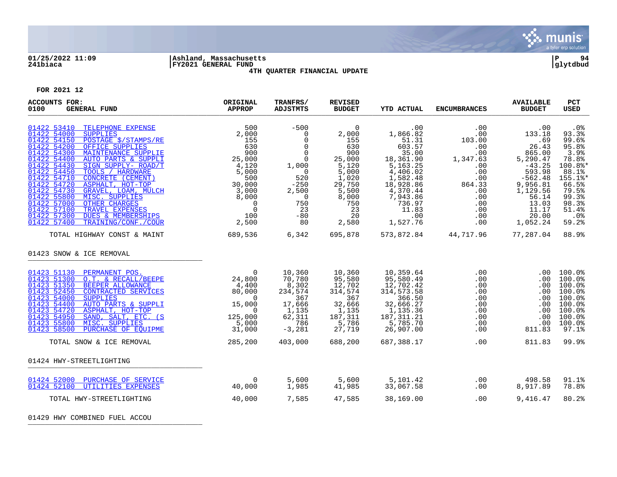

# **01/25/2022 11:09 |Ashland, Massachusetts |P 94 241biaca |FY2021 GENERAL FUND |glytdbud 4TH QUARTER FINANCIAL UPDATE**



**FOR 2021 12**

| <b>ACCOUNTS FOR:</b><br>0100<br><b>GENERAL FUND</b>                                                                                                                                                                                                                                                                                                                                                                                                                                                                                                                                                                      | ORIGINAL<br><b>APPROP</b>                                                                                                                                                                          | TRANFRS/<br><b>ADJSTMTS</b>                                                                                                                                                              | <b>REVISED</b><br><b>BUDGET</b>                                                                                                        | <b>YTD ACTUAL</b>                                                                                                                                                         | <b>ENCUMBRANCES</b>                                                                                                     | <b>AVAILABLE</b><br><b>BUDGET</b>                                                                                                                              | PCT<br><b>USED</b>                                                                                                                          |
|--------------------------------------------------------------------------------------------------------------------------------------------------------------------------------------------------------------------------------------------------------------------------------------------------------------------------------------------------------------------------------------------------------------------------------------------------------------------------------------------------------------------------------------------------------------------------------------------------------------------------|----------------------------------------------------------------------------------------------------------------------------------------------------------------------------------------------------|------------------------------------------------------------------------------------------------------------------------------------------------------------------------------------------|----------------------------------------------------------------------------------------------------------------------------------------|---------------------------------------------------------------------------------------------------------------------------------------------------------------------------|-------------------------------------------------------------------------------------------------------------------------|----------------------------------------------------------------------------------------------------------------------------------------------------------------|---------------------------------------------------------------------------------------------------------------------------------------------|
| 01422 53410<br>TELEPHONE EXPENSE<br>01422 54000<br><b>SUPPLIES</b><br>01422 54150<br>POSTAGE \$/STAMPS/RE<br>01422 54200<br>OFFICE SUPPLIES<br>01422 54300<br>MAINTENANCE SUPPLIE<br>01422 54400<br><b>AUTO PARTS &amp; SUPPLI</b><br>01422 54430<br>SIGN SUPPLY- ROAD/T<br>01422 54450<br>TOOLS / HARDWARE<br>01422 54710<br>CONCRETE (CEMENT)<br>01422 54720<br>ASPHALT, HOT-TOP<br>01422 54730<br>GRAVEL, LOAM, MULCH<br>01422 55800<br>MISC. SUPPLIES<br><b>OTHER CHARGES</b><br>01422 57000<br>01422 57100<br>TRAVEL EXPENSES<br>01422 57300<br><b>DUES &amp; MEMBERSHIPS</b><br>01422 57400<br>TRAINING/CONF./COUR | 500<br>2,000<br>$\begin{array}{r} 2\, ,000\, \ 155\, \ 630\, \ 900\, \ 25\, ,000\, \end{array}$<br>4,120<br>5,000<br>500<br>30,000<br>3,000<br>8,000<br>$\overline{0}$<br>$\Omega$<br>100<br>2,500 | $-500$<br>$\mathbf 0$<br>$\mathbf 0$<br>$\Omega$<br>$\mathbf 0$<br>$\Omega$<br>1,000<br>$\overline{\phantom{0}}$<br>520<br>$-250$<br>2,500<br>$\overline{0}$<br>750<br>23<br>$-80$<br>80 | $\mathbf 0$<br>2,000<br>155<br>630<br>900<br>25,000<br>5,120<br>5,000<br>1,020<br>29,750<br>5,500<br>8,000<br>750<br>23<br>20<br>2,580 | .00<br>1,866.82<br>51.31<br>603.57<br>35.00<br>18,361.90<br>5,163.25<br>4,406.02<br>1,582.48<br>18,928.86<br>$4,370.44$<br>7,943.86<br>736.97<br>11.83<br>.00<br>1,527.76 | .00<br>.00<br>103.00<br>.00<br>.00<br>1,347.63<br>.00<br>.00<br>.00<br>864.33<br>.00<br>.00<br>.00<br>.00<br>.00<br>.00 | .00<br>133.18<br>.69<br>26.43<br>865.00<br>5,290.47<br>$-43.25$<br>593.98<br>$-562.48$<br>9,956.81<br>1,129.56<br>56.14<br>13.03<br>11.17<br>20.00<br>1,052.24 | .0%<br>93.3%<br>99.6%<br>95.8%<br>3.9%<br>78.8%<br>100.8%*<br>88.1%<br>155.1%*<br>66.5%<br>79.5%<br>99.3%<br>98.3%<br>51.4%<br>.0%<br>59.2% |
| TOTAL HIGHWAY CONST & MAINT                                                                                                                                                                                                                                                                                                                                                                                                                                                                                                                                                                                              | 689,536                                                                                                                                                                                            | 6,342                                                                                                                                                                                    | 695,878                                                                                                                                |                                                                                                                                                                           | 573,872.84 44,717.96 77,287.04                                                                                          |                                                                                                                                                                | 88.9%                                                                                                                                       |
| 01423 SNOW & ICE REMOVAL                                                                                                                                                                                                                                                                                                                                                                                                                                                                                                                                                                                                 |                                                                                                                                                                                                    |                                                                                                                                                                                          |                                                                                                                                        |                                                                                                                                                                           |                                                                                                                         |                                                                                                                                                                |                                                                                                                                             |
| 01423 51130<br>PERMANENT POS.<br>01423 51300<br>O.T. & RECALL/BEEPE<br>01423 51350<br>BEEPER ALLOWANCE<br>01423 52450<br>CONTRACTED SERVICES<br>01423 54000<br><b>SUPPLIES</b><br>01423 54400<br>AUTO PARTS & SUPPLI<br>01423 54720<br>ASPHALT, HOT-TOP<br>01423 54950<br>SAND, SALT, ETC. (S<br>01423 55800<br>MISC. SUPPLIES<br>01423 58500<br>PURCHASE OF EQUIPME<br>TOTAL SNOW & ICE REMOVAL                                                                                                                                                                                                                         | $\Omega$<br>24,800<br>4,400<br>80,000<br>$\Omega$<br>15,000<br>$\Omega$<br>125,000<br>5,000<br>31,000<br>285, 200                                                                                  | 10,360<br>70,780<br>8,302<br>234,574<br>367<br>17,666<br>1,135<br>62,311<br>786<br>$-3,281$<br>403,000                                                                                   | 10,360<br>95,580<br>12,702<br>314,574<br>367<br>32,666<br>$\frac{1}{1}$ , 135<br>187,311<br>5,786<br>27,719<br>688,200                 | 10,359.64<br>95,580.49<br>12,702.42<br>314, 573. 58<br>366.50<br>32,666.27<br>1,135.36<br>187, 311.21<br>5,785.70<br>26,907.00<br>687,388.17                              | .00<br>.00<br>.00<br>.00<br>.00<br>.00<br>.00<br>.00<br>.00<br>.00<br>.00                                               | .00<br>$.00 \,$<br>.00<br>.00<br>.00<br>.00<br>.00<br>.00<br>.00<br>811.83<br>811.83                                                                           | $100.0$ <sup>8</sup><br>100.0%<br>100.0%<br>100.0%<br>100.0%<br>100.0%<br>100.0%<br>100.0%<br>100.0%<br>97.1%<br>99.9%                      |
| 01424 HWY-STREETLIGHTING                                                                                                                                                                                                                                                                                                                                                                                                                                                                                                                                                                                                 |                                                                                                                                                                                                    |                                                                                                                                                                                          |                                                                                                                                        |                                                                                                                                                                           |                                                                                                                         |                                                                                                                                                                |                                                                                                                                             |
|                                                                                                                                                                                                                                                                                                                                                                                                                                                                                                                                                                                                                          |                                                                                                                                                                                                    |                                                                                                                                                                                          |                                                                                                                                        |                                                                                                                                                                           |                                                                                                                         |                                                                                                                                                                |                                                                                                                                             |
| 01424 52000 PURCHASE OF SERVICE<br>01424 52100<br>UTILITIES EXPENSES                                                                                                                                                                                                                                                                                                                                                                                                                                                                                                                                                     | 0<br>40,000                                                                                                                                                                                        | 5,600<br>1,985                                                                                                                                                                           | 5,600<br>41,985                                                                                                                        | 5,101.42<br>33,067.58                                                                                                                                                     | .00<br>.00                                                                                                              | 498.58<br>8,917.89                                                                                                                                             | 91.1%<br>78.8%                                                                                                                              |
| TOTAL HWY-STREETLIGHTING                                                                                                                                                                                                                                                                                                                                                                                                                                                                                                                                                                                                 | 40,000                                                                                                                                                                                             | 7,585                                                                                                                                                                                    | 47,585                                                                                                                                 | 38,169.00                                                                                                                                                                 | .00                                                                                                                     | 9,416.47                                                                                                                                                       | 80.2%                                                                                                                                       |

01429 HWY COMBINED FUEL ACCOU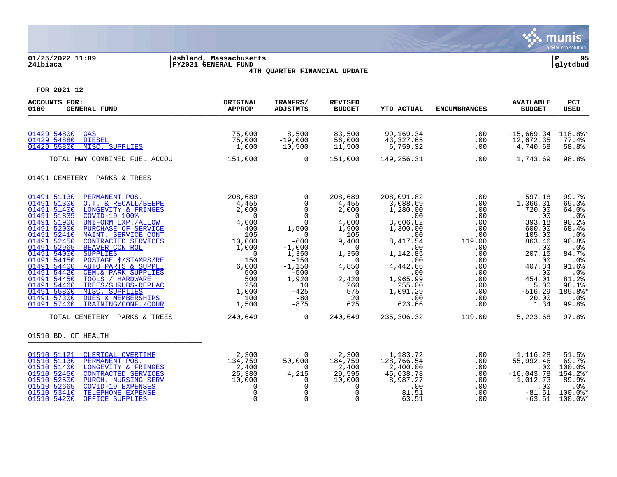

# **01/25/2022 11:09 |Ashland, Massachusetts |P 95 241biaca |FY2021 GENERAL FUND |glytdbud 4TH QUARTER FINANCIAL UPDATE**



| <b>ACCOUNTS FOR:</b><br>0100<br><b>GENERAL FUND</b>                                                                                                                                                                                                                                                                                                                                                                                                                                                                                                                                                                                                                                                                                     | ORIGINAL<br><b>APPROP</b>                                                                                                                                                  | TRANFRS/<br><b>ADJSTMTS</b>                                                                                                                                                                                                     | <b>REVISED</b><br><b>BUDGET</b>                                                                                                                                                                      | <b>YTD ACTUAL</b>                                                                                                                                                                                  | <b>ENCUMBRANCES</b>                                                                                                                                       | <b>AVAILABLE</b><br><b>BUDGET</b>                                                                                                                                                | <b>PCT</b><br><b>USED</b>                                                                                                                                        |
|-----------------------------------------------------------------------------------------------------------------------------------------------------------------------------------------------------------------------------------------------------------------------------------------------------------------------------------------------------------------------------------------------------------------------------------------------------------------------------------------------------------------------------------------------------------------------------------------------------------------------------------------------------------------------------------------------------------------------------------------|----------------------------------------------------------------------------------------------------------------------------------------------------------------------------|---------------------------------------------------------------------------------------------------------------------------------------------------------------------------------------------------------------------------------|------------------------------------------------------------------------------------------------------------------------------------------------------------------------------------------------------|----------------------------------------------------------------------------------------------------------------------------------------------------------------------------------------------------|-----------------------------------------------------------------------------------------------------------------------------------------------------------|----------------------------------------------------------------------------------------------------------------------------------------------------------------------------------|------------------------------------------------------------------------------------------------------------------------------------------------------------------|
| 01429 54800<br>GAS<br>01429 54880<br><b>DIESEL</b><br>01429 55800<br>MISC. SUPPLIES                                                                                                                                                                                                                                                                                                                                                                                                                                                                                                                                                                                                                                                     | 75,000<br>75,000<br>1,000                                                                                                                                                  | 8,500<br>$-19,000$<br>10,500                                                                                                                                                                                                    | 83,500<br>56,000<br>11,500                                                                                                                                                                           | 99,169.34<br>43,327.65<br>6,759.32                                                                                                                                                                 | .00<br>.00<br>.00                                                                                                                                         | $-15,669.34$<br>12,672.35<br>4,740.68                                                                                                                                            | 118.8%*<br>77.4%<br>58.8%                                                                                                                                        |
| TOTAL HWY COMBINED FUEL ACCOU                                                                                                                                                                                                                                                                                                                                                                                                                                                                                                                                                                                                                                                                                                           | 151,000                                                                                                                                                                    | $\Omega$                                                                                                                                                                                                                        | 151,000                                                                                                                                                                                              | 149,256.31                                                                                                                                                                                         | .00                                                                                                                                                       | 1,743.69                                                                                                                                                                         | 98.8%                                                                                                                                                            |
| 01491 CEMETERY_ PARKS & TREES                                                                                                                                                                                                                                                                                                                                                                                                                                                                                                                                                                                                                                                                                                           |                                                                                                                                                                            |                                                                                                                                                                                                                                 |                                                                                                                                                                                                      |                                                                                                                                                                                                    |                                                                                                                                                           |                                                                                                                                                                                  |                                                                                                                                                                  |
| 01491 51130<br>PERMANENT POS.<br>O.T. & RECALL/BEEPE<br>01491 51300<br>LONGEVITY & FRINGES<br>01491 51400<br>01491 51835<br>COVID-19 100%<br>01491 51900<br>UNIFORM EXP. / ALLOW.<br>01491 52000<br>PURCHASE OF SERVICE<br>01491 52410<br>MAINT. SERVICE CONT<br>01491 52450<br><b>CONTRACTED SERVICES</b><br>01491 52965<br><b>BEAVER CONTROL</b><br>01491 54000<br><b>SUPPLIES</b><br>01491 54150<br>POSTAGE \$/STAMPS/RE<br>01491 54400<br>AUTO PARTS & SUPPLI<br>01491 54420<br>CEM.& PARK SUPPLIES<br>01491 54450<br>TOOLS / HARDWARE<br>TREES/SHRUBS-REPLAC<br>01491 54460<br>01491 55800<br>MISC. SUPPLIES<br>01491 57300<br><b>DUES &amp; MEMBERSHIPS</b><br>01491 57400<br>TRAINING/CONF./COUR<br>TOTAL CEMETERY PARKS & TREES | 208,689<br>4,455<br>2,000<br>$\overline{0}$<br>4,000<br>400<br>105<br>10,000<br>1,000<br>$\Omega$<br>150<br>6,000<br>500<br>500<br>250<br>1,000<br>100<br>1,500<br>240,649 | $\overline{0}$<br>$\overline{0}$<br>$\Omega$<br>$\Omega$<br>$\mathbf 0$<br>1,500<br>$\overline{0}$<br>$-600$<br>$-1,000$<br>1,350<br>$-150$<br>$-1,150$<br>$-500$<br>1,920<br>10<br>$-425$<br>$-80$<br>$-875$<br>$\overline{0}$ | 208,689<br>4,455<br>2,000<br>$\overline{0}$<br>4,000<br>1,900<br>105<br>9,400<br>$\overline{0}$<br>1,350<br>$\overline{0}$<br>4,850<br>$\overline{0}$<br>2,420<br>260<br>575<br>20<br>625<br>240,649 | 208,091.82<br>3,088.69<br>1,280.00<br>.00<br>3,606.82<br>1,300.00<br>.00<br>8,417.54<br>.00<br>1,142.85<br>.00<br>4,442.66<br>.00<br>1,965.99<br>255.00<br>1,091.29<br>.00<br>623.66<br>235,306.32 | $.00 \,$<br>.00<br>.00<br>$.00\,$<br>.00<br>$.00 \,$<br>.00<br>119.00<br>.00<br>.00<br>.00<br>.00<br>.00<br>.00<br>.00<br>.00<br>$.00\,$<br>.00<br>119.00 | 597.18<br>1,366.31<br>720.00<br>.00<br>393.18<br>600.00<br>105.00<br>863.46<br>.00<br>207.15<br>.00<br>407.34<br>.00<br>454.01<br>5.00<br>$-516.29$<br>20.00<br>1.34<br>5,223.68 | 99.7%<br>69.3%<br>64.0%<br>.0%<br>90.2%<br>68.4%<br>.0%<br>90.8%<br>.0%<br>84.7%<br>$.0\%$<br>91.6%<br>.0%<br>81.2%<br>98.1%<br>189.8%*<br>.0%<br>99.8%<br>97.8% |
| 01510 BD. OF HEALTH                                                                                                                                                                                                                                                                                                                                                                                                                                                                                                                                                                                                                                                                                                                     |                                                                                                                                                                            |                                                                                                                                                                                                                                 |                                                                                                                                                                                                      |                                                                                                                                                                                                    |                                                                                                                                                           |                                                                                                                                                                                  |                                                                                                                                                                  |
| 01510 51121<br>CLERICAL OVERTIME<br>01510 51130<br>PERMANENT POS.<br>01510 51400<br>LONGEVITY & FRINGES<br>01510 52450<br>CONTRACTED SERVICES<br>01510 52500<br>PURCH. NURSING SERV<br><b>COVID-19 EXPENSES</b><br>01510 52665<br>01510 53410<br>TELEPHONE EXPENSE<br>01510 54200<br>OFFICE SUPPLIES                                                                                                                                                                                                                                                                                                                                                                                                                                    | 2,300<br>134,759<br>2,400<br>25,380<br>10,000<br>$\mathbf 0$<br>$\mathbf 0$<br>$\mathbf 0$                                                                                 | $\Omega$<br>50,000<br>$\Omega$<br>4,215<br>$\Omega$<br>$\mathbf 0$<br>$\Omega$<br>$\Omega$                                                                                                                                      | 2,300<br>184,759<br>2,400<br>29,595<br>10,000<br>$\mathbf 0$<br>$\mathbf 0$<br>$\Omega$                                                                                                              | 1,183.72<br>128,766.54<br>2,400.00<br>45,638.78<br>8,987.27<br>.00<br>81.51<br>63.51                                                                                                               | .00<br>.00<br>.00<br>$.00 \,$<br>.00<br>.00<br>.00<br>.00                                                                                                 | 1,116.28<br>55,992.46<br>$.00\,$<br>$-16,043.78$<br>1,012.73<br>.00<br>$-81.51$<br>$-63.51$                                                                                      | 51.5%<br>69.7%<br>100.0%<br>154.2%*<br>89.9%<br>.0%<br>$100.0$ *<br>$100.0$ *                                                                                    |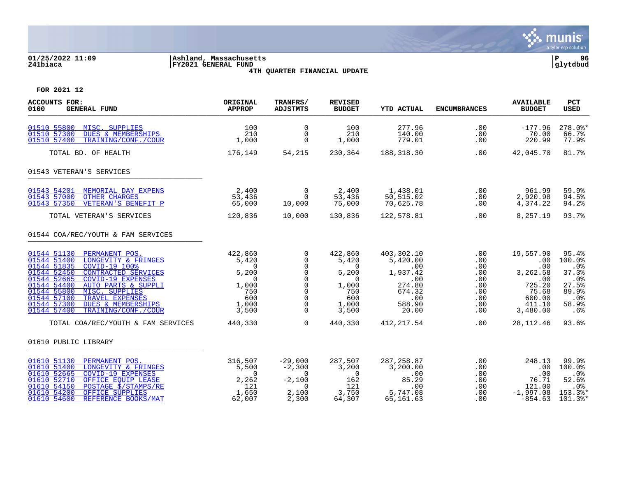

# **01/25/2022 11:09 |Ashland, Massachusetts |P 96 241biaca |FY2021 GENERAL FUND |glytdbud 4TH QUARTER FINANCIAL UPDATE**



| <b>ACCOUNTS FOR:</b><br>0100<br><b>GENERAL FUND</b>                                                                                                                                                                                                                                                                                                                                      | ORIGINAL<br><b>APPROP</b>                                                                              | TRANFRS/<br><b>ADJSTMTS</b>                                                                                               | <b>REVISED</b><br><b>BUDGET</b>                                                                        | <b>YTD ACTUAL</b>                                                                              | <b>ENCUMBRANCES</b>                                                | <b>AVAILABLE</b><br><b>BUDGET</b>                                                             | <b>PCT</b><br><b>USED</b>                                                             |
|------------------------------------------------------------------------------------------------------------------------------------------------------------------------------------------------------------------------------------------------------------------------------------------------------------------------------------------------------------------------------------------|--------------------------------------------------------------------------------------------------------|---------------------------------------------------------------------------------------------------------------------------|--------------------------------------------------------------------------------------------------------|------------------------------------------------------------------------------------------------|--------------------------------------------------------------------|-----------------------------------------------------------------------------------------------|---------------------------------------------------------------------------------------|
| 01510 55800 MISC. SUPPLIES<br><b>DUES &amp; MEMBERSHIPS</b><br>01510 57300<br>TRAINING/CONF./COUR<br>01510 57400                                                                                                                                                                                                                                                                         | 100<br>210<br>1,000                                                                                    | $\Omega$<br>$\overline{0}$<br>$\Omega$                                                                                    | 100<br>210<br>1,000                                                                                    | 277.96<br>140.00<br>779.01                                                                     | .00<br>.00<br>.00                                                  | $-177.96$<br>70.00<br>220.99                                                                  | $278.0$ *<br>66.7%<br>77.9%                                                           |
| TOTAL BD. OF HEALTH                                                                                                                                                                                                                                                                                                                                                                      | 176,149                                                                                                | 54,215                                                                                                                    | 230,364                                                                                                | 188,318.30                                                                                     | .00                                                                | 42,045.70                                                                                     | 81.7%                                                                                 |
| 01543 VETERAN'S SERVICES                                                                                                                                                                                                                                                                                                                                                                 |                                                                                                        |                                                                                                                           |                                                                                                        |                                                                                                |                                                                    |                                                                                               |                                                                                       |
| 01543 54201 MEMORIAL DAY EXPENS<br>01543 57000 OTHER CHARGES<br>VETERAN'S BENEFIT P<br>01543 57350                                                                                                                                                                                                                                                                                       | 2,400<br>53,436<br>65,000                                                                              | $\begin{matrix} 0 \\ 0 \end{matrix}$<br>10,000                                                                            | 2,400<br>53,436<br>75,000                                                                              | 1,438.01<br>50,515.02<br>70,625.78                                                             | .00<br>.00<br>.00                                                  | 961.99<br>2,920.98<br>4,374.22                                                                | 59.9%<br>94.5%<br>94.2%                                                               |
| TOTAL VETERAN'S SERVICES                                                                                                                                                                                                                                                                                                                                                                 | 120,836                                                                                                | 10,000                                                                                                                    | 130,836                                                                                                | 122,578.81                                                                                     | .00                                                                | 8,257.19                                                                                      | 93.7%                                                                                 |
| 01544 COA/REC/YOUTH & FAM SERVICES                                                                                                                                                                                                                                                                                                                                                       |                                                                                                        |                                                                                                                           |                                                                                                        |                                                                                                |                                                                    |                                                                                               |                                                                                       |
| 01544 51130 PERMANENT POS.<br>01544 51400 LONGEVITY & FRINGES<br>COVID-19 100%<br>01544 51835<br>01544 52450<br>CONTRACTED SERVICES<br><b>COVID-19 EXPENSES</b><br>01544 52665<br>01544 54400<br><b>AUTO PARTS &amp; SUPPLI</b><br>01544 55800<br>MISC. SUPPLIES<br>TRAVEL EXPENSES<br>01544 57100<br>01544 57300<br><b>DUES &amp; MEMBERSHIPS</b><br>01544 57400<br>TRAINING/CONF./COUR | 422,860<br>5,420<br>$\overline{0}$<br>5,200<br>$\overline{0}$<br>1,000<br>750<br>600<br>1,000<br>3,500 | $\mathbf 0$<br>0<br>$\Omega$<br>$\mathbf 0$<br>$\Omega$<br>$\mathbf 0$<br>$\Omega$<br>$\Omega$<br>$\mathbf 0$<br>$\Omega$ | 422,860<br>5,420<br>$\overline{0}$<br>5,200<br>$\overline{0}$<br>1,000<br>750<br>600<br>1,000<br>3,500 | 403,302.10<br>5,420.00<br>.00<br>1,937.42<br>.00<br>274.80<br>674.32<br>.00<br>588.90<br>20.00 | .00<br>.00<br>.00<br>.00<br>.00<br>.00<br>.00<br>.00<br>.00<br>.00 | 19,557.90<br>.00<br>.00<br>3,262.58<br>.00<br>725.20<br>75.68<br>600.00<br>411.10<br>3,480.00 | 95.4%<br>100.0%<br>.0%<br>37.3%<br>$.0\%$<br>27.5%<br>89.9%<br>$.0\%$<br>58.9%<br>.6% |
| TOTAL COA/REC/YOUTH & FAM SERVICES                                                                                                                                                                                                                                                                                                                                                       | 440,330                                                                                                | $\Omega$                                                                                                                  | 440,330                                                                                                | 412,217.54                                                                                     | .00                                                                | 28, 112. 46                                                                                   | 93.6%                                                                                 |
| 01610 PUBLIC LIBRARY                                                                                                                                                                                                                                                                                                                                                                     |                                                                                                        |                                                                                                                           |                                                                                                        |                                                                                                |                                                                    |                                                                                               |                                                                                       |
| 01610 51130 PERMANENT POS.<br>01610 51400<br>LONGEVITY & FRINGES<br>01610 52665<br><b>COVID-19 EXPENSES</b><br>01610 52710<br>OFFICE EQUIP LEASE<br>POSTAGE <i>Š</i> /STAMPS/RE<br>01610 54150<br>01610 54200<br>OFFICE SUPPLIES<br>01610 54600<br>REFERENCE BOOKS/MAT                                                                                                                   | 316,507<br>5,500<br>$\overline{0}$<br>2,262<br>121<br>1,650<br>62,007                                  | $-29,000$<br>$-2,300$<br>$\sim$ 0<br>$-2,100$<br>$\Omega$<br>2,100<br>2,300                                               | 287,507<br>3,200<br>$\overline{0}$<br>162<br>121<br>3,750<br>64,307                                    | 287, 258.87<br>3,200.00<br>.00<br>85.29<br>.00<br>5,747.08<br>65,161.63                        | .00<br>.00<br>.00<br>.00<br>.00<br>.00<br>.00                      | 248.13<br>.00<br>.00<br>76.71<br>121.00<br>$-1,997.08$<br>$-854.63$                           | 99.9%<br>100.0%<br>.0%<br>52.6%<br>.0%<br>153.3%*<br>101.3%*                          |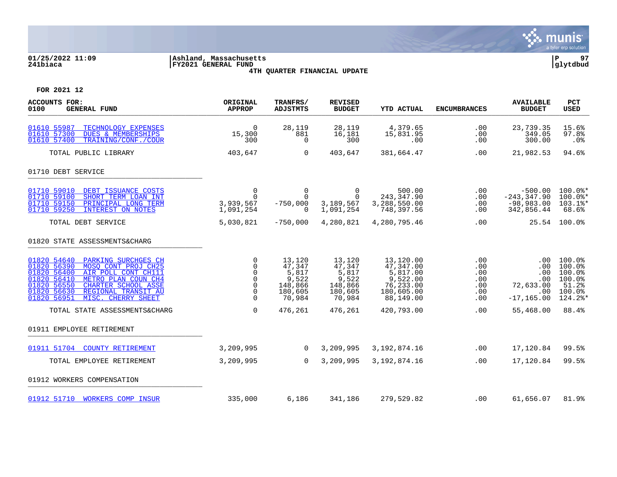

# **01/25/2022 11:09 |Ashland, Massachusetts |P 97 241biaca |FY2021 GENERAL FUND |glytdbud 4TH QUARTER FINANCIAL UPDATE**

| <b>ACCOUNTS FOR:</b><br>0100<br><b>GENERAL FUND</b>                                                                                                                                                                                                                   | ORIGINAL<br><b>APPROP</b>                                                | TRANFRS/<br><b>ADJSTMTS</b>                                        | <b>REVISED</b><br><b>BUDGET</b>                                    | <b>YTD ACTUAL</b>                                                                      | <b>ENCUMBRANCES</b>                           | <b>AVAILABLE</b><br><b>BUDGET</b>                                  | <b>PCT</b><br><b>USED</b>                                          |
|-----------------------------------------------------------------------------------------------------------------------------------------------------------------------------------------------------------------------------------------------------------------------|--------------------------------------------------------------------------|--------------------------------------------------------------------|--------------------------------------------------------------------|----------------------------------------------------------------------------------------|-----------------------------------------------|--------------------------------------------------------------------|--------------------------------------------------------------------|
| 01610 55987<br>TECHNOLOGY EXPENSES<br>01610 57300<br><b>DUES &amp; MEMBERSHIPS</b><br>TRAINING/CONF./COUR<br>01610 57400                                                                                                                                              | $\overline{0}$<br>15,300<br>300                                          | 28,119<br>881<br>$\Omega$                                          | 28,119<br>16,181<br>300                                            | 4,379.65<br>15,831.95<br>.00                                                           | .00<br>.00<br>.00                             | 23,739.35<br>349.05<br>300.00                                      | 15.6%<br>97.8%<br>$.0\%$                                           |
| TOTAL PUBLIC LIBRARY                                                                                                                                                                                                                                                  | 403,647                                                                  | $\Omega$                                                           | 403,647                                                            | 381,664.47                                                                             | .00                                           | 21,982.53                                                          | 94.6%                                                              |
| 01710 DEBT SERVICE                                                                                                                                                                                                                                                    |                                                                          |                                                                    |                                                                    |                                                                                        |                                               |                                                                    |                                                                    |
| 01710 59010<br>DEBT ISSUANCE COSTS<br>01710 59100<br>SHORT TERM LOAN INT<br>01710 59150<br>PRINCIPAL LONG TERM<br>01710 59250<br><b>INTEREST ON NOTES</b>                                                                                                             | $\mathbf 0$<br>$\Omega$<br>3,939,567<br>1,091,254                        | $\overline{0}$<br>$\Omega$<br>$-750,000$<br>$\Omega$               | $\overline{0}$<br>$\Omega$<br>3,189,567<br>1,091,254               | 500.00<br>243,347.90<br>3,288,550.00<br>748,397.56                                     | .00<br>.00<br>.00<br>.00                      | $-500.00$<br>$-243, 347.90$<br>$-98,983.00$<br>342,856.44          | 100.0%*<br>$100.0$ *<br>103.1%*<br>68.6%                           |
| TOTAL DEBT SERVICE                                                                                                                                                                                                                                                    | 5,030,821                                                                | $-750,000$                                                         | 4,280,821                                                          | 4,280,795.46                                                                           | .00                                           |                                                                    | 25.54 100.0%                                                       |
| 01820 STATE ASSESSMENTS&CHARG                                                                                                                                                                                                                                         |                                                                          |                                                                    |                                                                    |                                                                                        |                                               |                                                                    |                                                                    |
| 01820 54640<br>PARKING SURCHGES CH<br>01820 56390<br>MOSO CONT PROJ CH25<br>AIR POLL CONT CH111<br>01820 56400<br>METRO PLAN COUN CH4<br>01820 56410<br>01820 56550<br>CHARTER SCHOOL ASSE<br>01820 56630<br>REGIONAL TRANSIT AU<br>01820 56951<br>MISC. CHERRY SHEET | $\mathbf 0$<br>$\mathbf 0$<br>0<br>$\Omega$<br>0<br>$\Omega$<br>$\Omega$ | 13,120<br>47,347<br>5,817<br>9,522<br>148,866<br>180,605<br>70,984 | 13,120<br>47,347<br>5,817<br>9,522<br>148,866<br>180,605<br>70,984 | 13,120.00<br>47,347.00<br>5,817.00<br>9,522.00<br>76,233.00<br>180,605.00<br>88,149.00 | .00<br>.00<br>.00<br>.00<br>.00<br>.00<br>.00 | .00<br>.00<br>.00<br>.00<br>72,633.00<br>$.00 \,$<br>$-17, 165.00$ | 100.0%<br>100.0%<br>100.0%<br>100.0%<br>51.2%<br>100.0%<br>124.2%* |
| TOTAL STATE ASSESSMENTS&CHARG                                                                                                                                                                                                                                         | $\mathbf 0$                                                              | 476,261                                                            | 476,261                                                            | 420,793.00                                                                             | .00                                           | 55,468.00                                                          | 88.4%                                                              |
| 01911 EMPLOYEE RETIREMENT                                                                                                                                                                                                                                             |                                                                          |                                                                    |                                                                    |                                                                                        |                                               |                                                                    |                                                                    |
| 01911 51704 COUNTY RETIREMENT                                                                                                                                                                                                                                         | 3,209,995                                                                | $\overline{0}$                                                     | 3,209,995                                                          | 3, 192, 874. 16                                                                        | .00                                           | 17,120.84                                                          | 99.5%                                                              |
| TOTAL EMPLOYEE RETIREMENT                                                                                                                                                                                                                                             | 3,209,995                                                                | $\Omega$                                                           | 3,209,995                                                          | 3, 192, 874. 16                                                                        | .00                                           | 17,120.84                                                          | 99.5%                                                              |
| 01912 WORKERS COMPENSATION                                                                                                                                                                                                                                            |                                                                          |                                                                    |                                                                    |                                                                                        |                                               |                                                                    |                                                                    |
| 01912 51710 WORKERS COMP INSUR                                                                                                                                                                                                                                        | 335,000                                                                  | 6,186                                                              | 341,186                                                            | 279,529.82                                                                             | .00                                           | 61,656.07                                                          | 81.9%                                                              |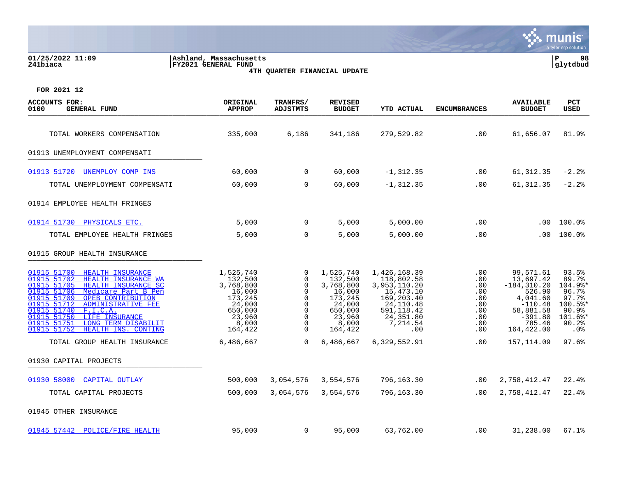| 01/25/2022 11:09<br>241biaca                                                                                                                                                                                                                                                                                                                                              | Ashland, Massachusetts<br>FY2021 GENERAL FUND                                                             | 4TH QUARTER FINANCIAL UPDATE                                     |                                                                                                           |                                                                                                                                    |                                                                                             |                                                                                                                                | 98<br>P<br>glytdbud                                                                        |
|---------------------------------------------------------------------------------------------------------------------------------------------------------------------------------------------------------------------------------------------------------------------------------------------------------------------------------------------------------------------------|-----------------------------------------------------------------------------------------------------------|------------------------------------------------------------------|-----------------------------------------------------------------------------------------------------------|------------------------------------------------------------------------------------------------------------------------------------|---------------------------------------------------------------------------------------------|--------------------------------------------------------------------------------------------------------------------------------|--------------------------------------------------------------------------------------------|
| FOR 2021 12                                                                                                                                                                                                                                                                                                                                                               |                                                                                                           |                                                                  |                                                                                                           |                                                                                                                                    |                                                                                             |                                                                                                                                |                                                                                            |
| <b>ACCOUNTS FOR:</b><br><b>GENERAL FUND</b><br>0100                                                                                                                                                                                                                                                                                                                       | ORIGINAL<br><b>APPROP</b>                                                                                 | TRANFRS/<br><b>ADJSTMTS</b>                                      | <b>REVISED</b><br><b>BUDGET</b>                                                                           | <b>YTD ACTUAL</b>                                                                                                                  | <b>ENCUMBRANCES</b>                                                                         | <b>AVAILABLE</b><br><b>BUDGET</b>                                                                                              | PCT<br>USED                                                                                |
| TOTAL WORKERS COMPENSATION                                                                                                                                                                                                                                                                                                                                                | 335,000                                                                                                   | 6,186                                                            | 341,186                                                                                                   | 279,529.82                                                                                                                         | .00                                                                                         | 61,656.07                                                                                                                      | 81.9%                                                                                      |
| 01913 UNEMPLOYMENT COMPENSATI                                                                                                                                                                                                                                                                                                                                             |                                                                                                           |                                                                  |                                                                                                           |                                                                                                                                    |                                                                                             |                                                                                                                                |                                                                                            |
| 01913 51720 UNEMPLOY COMP INS                                                                                                                                                                                                                                                                                                                                             | 60,000                                                                                                    | $\mathbf 0$                                                      | 60,000                                                                                                    | $-1, 312.35$                                                                                                                       | $.00 \,$                                                                                    | 61, 312.35                                                                                                                     | $-2.2$                                                                                     |
| TOTAL UNEMPLOYMENT COMPENSATI                                                                                                                                                                                                                                                                                                                                             | 60,000                                                                                                    | $\Omega$                                                         | 60,000                                                                                                    | $-1, 312.35$                                                                                                                       | $.00 \,$                                                                                    | 61, 312.35                                                                                                                     | $-2.2$                                                                                     |
| 01914 EMPLOYEE HEALTH FRINGES                                                                                                                                                                                                                                                                                                                                             |                                                                                                           |                                                                  |                                                                                                           |                                                                                                                                    |                                                                                             |                                                                                                                                |                                                                                            |
| 01914 51730<br>PHYSICALS ETC.                                                                                                                                                                                                                                                                                                                                             | 5,000                                                                                                     | $\mathbf 0$                                                      | 5,000                                                                                                     | 5,000.00                                                                                                                           | .00                                                                                         | $.00 \,$                                                                                                                       | 100.0%                                                                                     |
| TOTAL EMPLOYEE HEALTH FRINGES                                                                                                                                                                                                                                                                                                                                             | 5,000                                                                                                     | $\Omega$                                                         | 5,000                                                                                                     | 5,000.00                                                                                                                           | .00                                                                                         | $.00 \,$                                                                                                                       | 100.0%                                                                                     |
| 01915 GROUP HEALTH INSURANCE                                                                                                                                                                                                                                                                                                                                              |                                                                                                           |                                                                  |                                                                                                           |                                                                                                                                    |                                                                                             |                                                                                                                                |                                                                                            |
| 01915 51700<br>HEALTH INSURANCE<br>01915 51702<br>HEALTH INSURANCE WA<br>01915 51705<br>HEALTH INSURANCE SC<br>01915 51706<br>Medicare Part B Pen<br>01915 51709<br>OPEB CONTRIBUTION<br>01915 51712<br><b>ADMINISTRATIVE FEE</b><br>01915 51740<br>F.I.C.A.<br>01915 51750<br>LIFE INSURANCE<br>01915 51751<br>LONG TERM DISABILIT<br>01915 51752<br>HEALTH INS. CONTING | 1,525,740<br>132,500<br>3,768,800<br>16,000<br>173,245<br>24,000<br>650,000<br>23,960<br>8,000<br>164,422 | 0<br>0<br>$\Omega$<br>$\Omega$<br>0<br>$\Omega$<br>0<br>$\Omega$ | 1,525,740<br>132,500<br>3,768,800<br>16,000<br>173,245<br>24,000<br>650,000<br>23,960<br>8,000<br>164,422 | 1,426,168.39<br>118,802.58<br>3,953,110.20<br>15,473.10<br>169,203.40<br>24, 110.48<br>591, 118.42<br>24,351.80<br>7,214.54<br>.00 | .00<br>.00<br>.00<br>.00<br>$.00 \,$<br>$.00 \,$<br>$.00 \,$<br>.00<br>$.00 \,$<br>$.00 \,$ | 99,571.61<br>13,697.42<br>$-184, 310.20$<br>526.90<br>4,041.60<br>$-110.48$<br>58,881.58<br>$-391.80$<br>785.46<br>164, 422.00 | 93.5%<br>89.7%<br>104.9%*<br>96.7%<br>97.7%<br>100.5%*<br>90.9%<br>101.6%*<br>90.2%<br>.0% |
| TOTAL GROUP HEALTH INSURANCE                                                                                                                                                                                                                                                                                                                                              | 6,486,667                                                                                                 | $\Omega$                                                         | 6,486,667                                                                                                 | 6,329,552.91                                                                                                                       | $.00 \,$                                                                                    | 157,114.09                                                                                                                     | 97.6%                                                                                      |
| 01930 CAPITAL PROJECTS                                                                                                                                                                                                                                                                                                                                                    |                                                                                                           |                                                                  |                                                                                                           |                                                                                                                                    |                                                                                             |                                                                                                                                |                                                                                            |

[01930 58000 CAPITAL OUTLAY](https://yvwlndash063.tylertech.com/sites/mu0241/LIVE/_layouts/15/DashboardMunisV6.3/PassThru.aspx?-E=qKGrR5sDj2K8LLE0EWIFWRTKDNg2MKfxyuYjRnLEo5E3sFDWuHoJ8S8Nd5p5H4qG&) 500,000 3,054,576 3,554,576 796,163.30 .00 2,758,412.47 22.4%

TOTAL CAPITAL PROJECTS 500,000 3,054,576 3,554,576 796,163.30 .00 2,758,412.47 22.4%

01945 OTHER INSURANCE \_\_\_\_\_\_\_\_\_\_\_\_\_\_\_\_\_\_\_\_\_\_\_\_\_\_\_\_\_\_\_\_\_\_\_\_\_\_\_\_\_

[01945 57442 POLICE/FIRE HEALTH](https://yvwlndash063.tylertech.com/sites/mu0241/LIVE/_layouts/15/DashboardMunisV6.3/PassThru.aspx?-E=2ea6J1TlO4u/POOhlja8YzLmFy3LADgGuOXTHGFEWmoeNk1iGeJ1z7yBYMUwZ909&) 95,000 0 95,000 63,762.00 .00 31,238.00 67.1%

 $m<sub>l</sub>$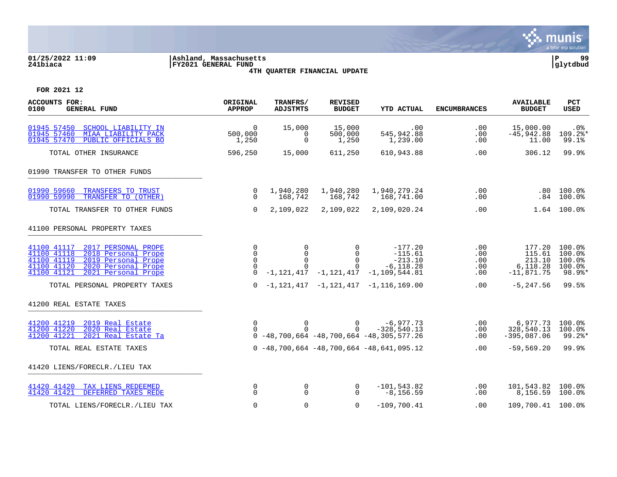

# **01/25/2022 11:09 |Ashland, Massachusetts |P 99 241biaca |FY2021 GENERAL FUND |glytdbud 4TH QUARTER FINANCIAL UPDATE**

| <b>ACCOUNTS FOR:</b><br>0100<br><b>GENERAL FUND</b>                                                                                                                                        | ORIGINAL<br><b>APPROP</b>                | TRANFRS/<br><b>ADJSTMTS</b>                     | <b>REVISED</b><br><b>BUDGET</b>              | <b>YTD ACTUAL</b>                                                                                  | <b>ENCUMBRANCES</b>             | <b>AVAILABLE</b><br><b>BUDGET</b>                      | PCT<br><b>USED</b>                             |
|--------------------------------------------------------------------------------------------------------------------------------------------------------------------------------------------|------------------------------------------|-------------------------------------------------|----------------------------------------------|----------------------------------------------------------------------------------------------------|---------------------------------|--------------------------------------------------------|------------------------------------------------|
| 01945 57450<br><b>SCHOOL LIABILITY IN</b><br>01945 57460<br>MIAA LIABILITY PACK<br>PUBLIC OFFICIALS BO<br>01945 57470                                                                      | $\Omega$<br>500,000<br>1,250             | 15,000<br>0<br>$\Omega$                         | 15,000<br>500,000<br>1,250                   | .00<br>545,942.88<br>1,239.00                                                                      | .00<br>.00<br>.00               | 15,000.00<br>$-45,942.88$<br>11.00                     | .0 <sub>8</sub><br>109.2%*<br>99.1%            |
| TOTAL OTHER INSURANCE                                                                                                                                                                      | 596,250                                  | 15,000                                          | 611,250                                      | 610,943.88                                                                                         | .00                             | 306.12                                                 | 99.9%                                          |
| 01990 TRANSFER TO OTHER FUNDS                                                                                                                                                              |                                          |                                                 |                                              |                                                                                                    |                                 |                                                        |                                                |
| 01990 59660<br>TRANSFERS TO TRUST<br>01990 59990<br>TRANSFER TO (OTHER)                                                                                                                    | 0<br>$\Omega$                            | 1,940,280<br>168,742                            | 1,940,280<br>168,742                         | 1,940,279.24<br>168,741.00                                                                         | .00<br>.00                      | .84                                                    | $.80$ 100.0%<br>$100.0\%$                      |
| TOTAL TRANSFER TO OTHER FUNDS                                                                                                                                                              | $\Omega$                                 | 2,109,022                                       | 2,109,022                                    | 2,109,020.24                                                                                       | .00                             |                                                        | $1.64$ 100.0%                                  |
| 41100 PERSONAL PROPERTY TAXES                                                                                                                                                              |                                          |                                                 |                                              |                                                                                                    |                                 |                                                        |                                                |
| 41100 41117<br>2017 PERSONAL PROPE<br>2018 Personal Prope<br>41100 41118<br>2019 Personal Prope<br>41100 41119<br>2020 Personal Prope<br>41100 41120<br>2021 Personal Prope<br>41100 41121 | $\Omega$<br>0<br>$\Omega$<br>$\mathbf 0$ | $\mathbf 0$<br>$\Omega$<br>$\Omega$<br>$\Omega$ | $\Omega$<br>$\Omega$<br>$\Omega$<br>$\Omega$ | $-177.20$<br>$-115.61$<br>$-213.10$<br>$-6, 118.28$<br>$-1, 121, 417 -1, 121, 417 -1, 109, 544.81$ | .00<br>.00<br>.00<br>.00<br>.00 | 177.20<br>115.61<br>213.10<br>6,118.28<br>$-11,871.75$ | 100.0%<br>100.0%<br>100.0%<br>100.0%<br>98.9%* |
| TOTAL PERSONAL PROPERTY TAXES                                                                                                                                                              | $\Omega$                                 |                                                 |                                              | $-1,121,417$ $-1,121,417$ $-1,116,169.00$                                                          | .00                             | $-5, 247.56$                                           | 99.5%                                          |
| 41200 REAL ESTATE TAXES                                                                                                                                                                    |                                          |                                                 |                                              |                                                                                                    |                                 |                                                        |                                                |
| 41200 41219 2019 Real Estate<br>41200 41220<br>2020 Real Estate<br>2021 Real Estate Ta<br>41200 41221                                                                                      | 0                                        | $\mathbf 0$<br>$\Omega$                         | $\overline{0}$<br>$\Omega$                   | $-6,977.73$<br>$-328,540.13$<br>$0 -48, 700, 664 -48, 700, 664 -48, 305, 577.26$                   | .00<br>.00<br>$.00 \,$          | 6,977.73<br>328,540.13<br>$-395,087.06$                | 100.0%<br>100.0%<br>99.2%*                     |
| TOTAL REAL ESTATE TAXES                                                                                                                                                                    |                                          |                                                 |                                              | $0 - 48,700,664 - 48,700,664 - 48,641,095.12$                                                      | $.00 \,$                        | $-59,569.20$                                           | 99.9%                                          |
| 41420 LIENS/FORECLR./LIEU TAX                                                                                                                                                              |                                          |                                                 |                                              |                                                                                                    |                                 |                                                        |                                                |
| 41420 41420<br>TAX LIENS REDEEMED<br>DEFERRED TAXES REDE<br>41420 41421                                                                                                                    | 0<br>$\Omega$                            | $\mathbf 0$<br>$\Omega$                         | 0<br>$\Omega$                                | $-101, 543.82$<br>$-8, 156.59$                                                                     | .00<br>.00                      | 101,543.82 100.0%<br>8,156.59 100.0%                   |                                                |
| TOTAL LIENS/FORECLR./LIEU TAX                                                                                                                                                              | 0                                        | 0                                               | 0                                            | $-109,700.41$                                                                                      | .00                             | 109,700.41 100.0%                                      |                                                |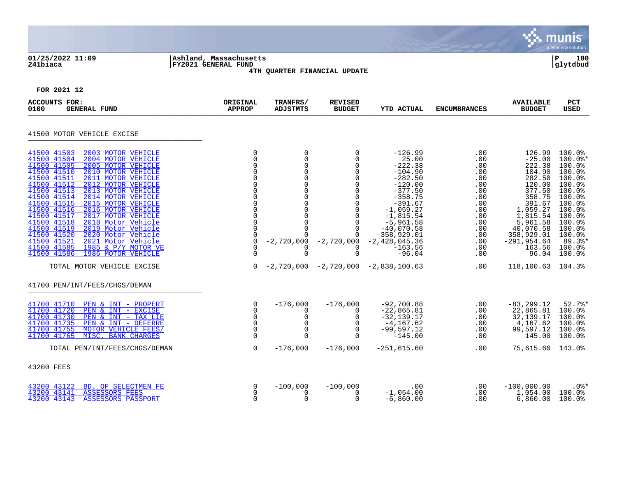| 01/25/2022 11:09<br>241biaca                                                                                                                                                                                                                                                                                                                                                                                                                                                                                                                                                                                                                       | Ashland, Massachusetts<br><b>FY2021 GENERAL FUND</b>                                                   |                                                                                                                                                                                                                           | 4TH QUARTER FINANCIAL UPDATE                                                                                                                                                                      |                                                                                                                                                                                                                                                               |                                                                                                                                                        |                                                                                                                                                                                     | a tyler erp solution<br>100<br>∣P<br> qlytdbud                                                                                                                                                                              |
|----------------------------------------------------------------------------------------------------------------------------------------------------------------------------------------------------------------------------------------------------------------------------------------------------------------------------------------------------------------------------------------------------------------------------------------------------------------------------------------------------------------------------------------------------------------------------------------------------------------------------------------------------|--------------------------------------------------------------------------------------------------------|---------------------------------------------------------------------------------------------------------------------------------------------------------------------------------------------------------------------------|---------------------------------------------------------------------------------------------------------------------------------------------------------------------------------------------------|---------------------------------------------------------------------------------------------------------------------------------------------------------------------------------------------------------------------------------------------------------------|--------------------------------------------------------------------------------------------------------------------------------------------------------|-------------------------------------------------------------------------------------------------------------------------------------------------------------------------------------|-----------------------------------------------------------------------------------------------------------------------------------------------------------------------------------------------------------------------------|
| FOR 2021 12                                                                                                                                                                                                                                                                                                                                                                                                                                                                                                                                                                                                                                        |                                                                                                        |                                                                                                                                                                                                                           |                                                                                                                                                                                                   |                                                                                                                                                                                                                                                               |                                                                                                                                                        |                                                                                                                                                                                     |                                                                                                                                                                                                                             |
| <b>ACCOUNTS FOR:</b><br><b>GENERAL FUND</b><br>0100                                                                                                                                                                                                                                                                                                                                                                                                                                                                                                                                                                                                | ORIGINAL<br><b>APPROP</b>                                                                              | TRANFRS/<br><b>ADJSTMTS</b>                                                                                                                                                                                               | <b>REVISED</b><br><b>BUDGET</b>                                                                                                                                                                   | <b>YTD ACTUAL</b>                                                                                                                                                                                                                                             | <b>ENCUMBRANCES</b>                                                                                                                                    | <b>AVAILABLE</b><br><b>BUDGET</b>                                                                                                                                                   | <b>PCT</b><br>USED                                                                                                                                                                                                          |
| 41500 MOTOR VEHICLE EXCISE                                                                                                                                                                                                                                                                                                                                                                                                                                                                                                                                                                                                                         |                                                                                                        |                                                                                                                                                                                                                           |                                                                                                                                                                                                   |                                                                                                                                                                                                                                                               |                                                                                                                                                        |                                                                                                                                                                                     |                                                                                                                                                                                                                             |
| 41500 41503<br>2003 MOTOR VEHICLE<br>41500 41504<br>2004 MOTOR VEHICLE<br>41500 41505<br>2005 MOTOR VEHICLE<br>41500 41510<br>2010 MOTOR VEHICLE<br>41500 41511<br>2011 MOTOR VEHICLE<br>41500 41512<br>2012 MOTOR VEHICLE<br>41500 41513<br>2013 MOTOR VEHICLE<br>41500 41514<br>2014 MOTOR VEHICLE<br>41500 41515<br>2015 MOTOR VEHICLE<br>41500 41516<br>2016 MOTOR VEHICLE<br>41500 41517<br>2017 MOTOR VEHICLE<br>41500 41518<br>2018 Motor Vehicle<br>41500 41519<br>2019 Motor Vehicle<br>41500 41520<br>2020 Motor Vehicle<br>41500 41521<br>2021 Motor Vehicle<br>41500 41585<br>1985 & P/Y MOTOR VE<br>41500 41586<br>1986 MOTOR VEHICLE | $\mathbf 0$<br>$\mathbf 0$<br>$\mathbf 0$<br>$\mathbf 0$<br>$\Omega$<br>0<br>0<br>$\Omega$<br>$\Omega$ | 0<br>$\mathbf 0$<br>$\mathbf 0$<br>$\mathsf 0$<br>$\mathbf 0$<br>$\mathbf 0$<br>$\mathbf 0$<br>$\mathbf 0$<br>$\mathbf 0$<br>$\mathbf 0$<br>$\mathsf 0$<br>$\overline{0}$<br>$\Omega$<br>$\Omega$<br>$\Omega$<br>$\Omega$ | 0<br>0<br>0<br>0<br>$\mathbf 0$<br>$\mathbf 0$<br>$\mathbf 0$<br>$\mathbf 0$<br>$\mathbf 0$<br>$\mathbf 0$<br>$\mathbf 0$<br>$\overline{0}$<br>$\mathbf 0$<br>$\Omega$<br>$\mathbf 0$<br>$\Omega$ | $-126.99$<br>25.00<br>$-222.38$<br>$-104.90$<br>$-282.50$<br>$-120.00$<br>$-377.50$<br>$-358.75$<br>$-391.67$<br>$-1,059.27$<br>$-1,815.54$<br>$-5,961.58$<br>$-40,070.58$<br>$-358,929.01$<br>$-2,720,000 -2,720,000 -2,428,045.36$<br>$-163.56$<br>$-96.04$ | .00<br>$.00 \,$<br>.00<br>$.00 \,$<br>$.00 \,$<br>.00<br>.00<br>.00<br>.00<br>$.00 \,$<br>.00<br>.00<br>.00<br>$.00 \,$<br>.00<br>$.00 \,$<br>$.00 \,$ | 126.99<br>$-25.00$<br>222.38<br>104.90<br>282.50<br>120.00<br>377.50<br>358.75<br>391.67<br>1,059.27<br>1,815.54<br>5,961.58<br>40,070.58<br>358,929.01<br>$-291, 954.64$<br>163.56 | 100.0%<br>$100.0$ *<br>100.0%<br>100.0%<br>100.0%<br>100.0%<br>100.0%<br>100.0%<br>100.0%<br>100.0%<br>100.0%<br>$100.0$ <sup>8</sup><br>$100.0$ <sup>8</sup><br>100.0%<br>$89.3$ <sup>*</sup><br>$100.0$ %<br>96.04 100.0% |
| TOTAL MOTOR VEHICLE EXCISE                                                                                                                                                                                                                                                                                                                                                                                                                                                                                                                                                                                                                         | $\Omega$                                                                                               |                                                                                                                                                                                                                           |                                                                                                                                                                                                   | $-2,720,000 -2,720,000 -2,838,100.63$                                                                                                                                                                                                                         | .00                                                                                                                                                    | 118,100.63 104.3%                                                                                                                                                                   |                                                                                                                                                                                                                             |
| 41700 PEN/INT/FEES/CHGS/DEMAN                                                                                                                                                                                                                                                                                                                                                                                                                                                                                                                                                                                                                      |                                                                                                        |                                                                                                                                                                                                                           |                                                                                                                                                                                                   |                                                                                                                                                                                                                                                               |                                                                                                                                                        |                                                                                                                                                                                     |                                                                                                                                                                                                                             |
| 41700 41710<br>PEN & INT - PROPERT<br>41700 41720<br>PEN & INT - EXCISE<br>41700 41730<br>PEN & INT - TAX LIE<br>41700 41735<br>PEN & INT - DEFERRE<br>41700 41755<br>MOTOR VEHICLE FEES/<br>41700 41765<br>MISC. BANK CHARGES                                                                                                                                                                                                                                                                                                                                                                                                                     | 0<br>$\Omega$<br>$\mathsf{O}$<br>$\mathbf 0$<br>$\mathbf 0$<br>$\Omega$                                | $-176,000$<br>$\Omega$<br>0<br>$\mathbf 0$<br>$\mathbf 0$<br>$\Omega$                                                                                                                                                     | $-176,000$<br>$\Omega$<br>$\mathbf 0$<br>$\mathbf 0$<br>$\Omega$<br>$\Omega$                                                                                                                      | $-92,700.88$<br>$-22,865.81$<br>$-32, 139.17$<br>$-4, 167.62$<br>$-99,597.12$<br>$-145.00$                                                                                                                                                                    | .00<br>$.00 \,$<br>.00<br>.00<br>$.00 \,$<br>.00                                                                                                       | $-83, 299.12$<br>22,865.81<br>32,139.17<br>4,167.62<br>99,597.12<br>145.00                                                                                                          | 52.7%<br>100.0%<br>100.0%<br>100.0%<br>100.0%<br>100.0%                                                                                                                                                                     |
| TOTAL PEN/INT/FEES/CHGS/DEMAN                                                                                                                                                                                                                                                                                                                                                                                                                                                                                                                                                                                                                      | $\mathbf 0$                                                                                            | $-176,000$                                                                                                                                                                                                                | $-176,000$                                                                                                                                                                                        | $-251,615.60$                                                                                                                                                                                                                                                 | .00                                                                                                                                                    | 75,615.60 143.0%                                                                                                                                                                    |                                                                                                                                                                                                                             |
| 43200 FEES                                                                                                                                                                                                                                                                                                                                                                                                                                                                                                                                                                                                                                         |                                                                                                        |                                                                                                                                                                                                                           |                                                                                                                                                                                                   |                                                                                                                                                                                                                                                               |                                                                                                                                                        |                                                                                                                                                                                     |                                                                                                                                                                                                                             |
| 43200 43122<br>BD. OF SELECTMEN FE<br>43200 43141<br><b>ASSESSORS FEES</b><br>43200 43143<br>ASSESSORS PASSPORT                                                                                                                                                                                                                                                                                                                                                                                                                                                                                                                                    | $\mathbf 0$<br>0<br>$\Omega$                                                                           | $-100,000$<br>0<br>$\Omega$                                                                                                                                                                                               | $-100,000$<br>0<br>$\Omega$                                                                                                                                                                       | $.00 \,$<br>$-1,054.00$<br>$-6,860.00$                                                                                                                                                                                                                        | $.00 \,$<br>$.00 \,$<br>.00                                                                                                                            | $-100,000.00$<br>1,054.00 100.0%<br>6,860.00                                                                                                                                        | $.0$ %*<br>100.0%                                                                                                                                                                                                           |

 $\ddot{\ddot{\mathbf{u}}}$  munis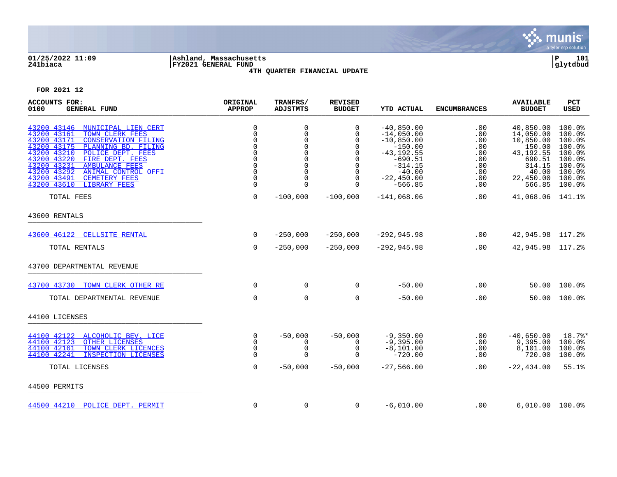

# **01/25/2022 11:09 |Ashland, Massachusetts |P 101 241biaca |FY2021 GENERAL FUND |glytdbud 4TH QUARTER FINANCIAL UPDATE**



| <b>ACCOUNTS FOR:</b><br>0100<br><b>GENERAL FUND</b>                                                                                                                                                                                                                                                                                                                                      | ORIGINAL<br><b>APPROP</b>                                                                                       | TRANFRS/<br><b>ADJSTMTS</b>                                                       | <b>REVISED</b><br><b>BUDGET</b>                                                                       | <b>YTD ACTUAL</b>                                                                                                                             | <b>ENCUMBRANCES</b>                                                | <b>AVAILABLE</b><br><b>BUDGET</b>                                                                                | PCT<br><b>USED</b>                                                                               |
|------------------------------------------------------------------------------------------------------------------------------------------------------------------------------------------------------------------------------------------------------------------------------------------------------------------------------------------------------------------------------------------|-----------------------------------------------------------------------------------------------------------------|-----------------------------------------------------------------------------------|-------------------------------------------------------------------------------------------------------|-----------------------------------------------------------------------------------------------------------------------------------------------|--------------------------------------------------------------------|------------------------------------------------------------------------------------------------------------------|--------------------------------------------------------------------------------------------------|
| 43200 43146<br>MUNICIPAL LIEN CERT<br>43200 43161<br>TOWN CLERK FEES<br>43200 43171<br><b>CONSERVATION FILING</b><br>43200 43175<br>PLANNING BD. FILING<br>43200 43210<br>POLICE DEPT. FEES<br>43200 43220<br>FIRE DEPT. FEES<br>43200 43231<br><b>AMBULANCE FEES</b><br>43200 43292<br><b>ANIMAL CONTROL OFFI</b><br>43200 43491<br><b>CEMETERY FEES</b><br>43200 43610<br>LIBRARY FEES | $\mathsf 0$<br>$\overline{0}$<br>0<br>$\Omega$<br>$\Omega$<br>$\Omega$<br>$\Omega$<br>$\Omega$<br>0<br>$\Omega$ | 0<br>$\Omega$<br>0<br>$\Omega$<br>0<br>$\Omega$<br>0<br>$\Omega$<br>0<br>$\Omega$ | 0<br>$\Omega$<br>$\Omega$<br>$\Omega$<br>$\mathbf 0$<br>$\Omega$<br>$\mathbf 0$<br>0<br>0<br>$\Omega$ | $-40,850.00$<br>$-14,050.00$<br>$-10,850.00$<br>$-150.00$<br>$-43, 192.55$<br>$-690.51$<br>$-314.15$<br>$-40.00$<br>$-22,450.00$<br>$-566.85$ | .00<br>.00<br>.00<br>.00<br>.00<br>.00<br>.00<br>.00<br>.00<br>.00 | 40,850.00<br>14,050.00<br>10,850.00<br>150.00<br>43, 192. 55<br>690.51<br>314.15<br>40.00<br>22,450.00<br>566.85 | 100.0%<br>100.0%<br>100.0%<br>100.0%<br>100.0%<br>100.0%<br>100.0%<br>100.0%<br>100.0%<br>100.0% |
| TOTAL FEES                                                                                                                                                                                                                                                                                                                                                                               | $\mathbf 0$                                                                                                     | $-100,000$                                                                        | $-100,000$                                                                                            | $-141,068.06$                                                                                                                                 | .00                                                                | 41,068.06                                                                                                        | 141.1%                                                                                           |
| 43600 RENTALS                                                                                                                                                                                                                                                                                                                                                                            |                                                                                                                 |                                                                                   |                                                                                                       |                                                                                                                                               |                                                                    |                                                                                                                  |                                                                                                  |
| 43600 46122<br><b>CELLSITE RENTAL</b>                                                                                                                                                                                                                                                                                                                                                    | $\mathbf 0$                                                                                                     | $-250,000$                                                                        | $-250,000$                                                                                            | $-292, 945.98$                                                                                                                                | .00                                                                | 42,945.98 117.2%                                                                                                 |                                                                                                  |
| TOTAL RENTALS                                                                                                                                                                                                                                                                                                                                                                            | $\mathbf 0$                                                                                                     | $-250,000$                                                                        | $-250,000$                                                                                            | $-292, 945.98$                                                                                                                                | .00                                                                | 42,945.98 117.2%                                                                                                 |                                                                                                  |
| 43700 DEPARTMENTAL REVENUE                                                                                                                                                                                                                                                                                                                                                               |                                                                                                                 |                                                                                   |                                                                                                       |                                                                                                                                               |                                                                    |                                                                                                                  |                                                                                                  |
| 43700 43730<br>TOWN CLERK OTHER RE                                                                                                                                                                                                                                                                                                                                                       | 0                                                                                                               | $\mathbf 0$                                                                       | 0                                                                                                     | $-50.00$                                                                                                                                      | .00                                                                | 50.00                                                                                                            | 100.0%                                                                                           |
| TOTAL DEPARTMENTAL REVENUE                                                                                                                                                                                                                                                                                                                                                               | $\mathbf 0$                                                                                                     | $\mathbf 0$                                                                       | 0                                                                                                     | $-50.00$                                                                                                                                      | .00                                                                | 50.00                                                                                                            | 100.0%                                                                                           |
| 44100 LICENSES                                                                                                                                                                                                                                                                                                                                                                           |                                                                                                                 |                                                                                   |                                                                                                       |                                                                                                                                               |                                                                    |                                                                                                                  |                                                                                                  |
| 44100 42122<br>ALCOHOLIC BEV. LICE<br>44100 42123<br>OTHER LICENSES<br>44100 42161<br>TOWN CLERK LICENCES<br>44100 42241<br>INSPECTION LICENSES                                                                                                                                                                                                                                          | 0<br>$\Omega$<br>0<br>$\Omega$                                                                                  | $-50,000$<br>$\Omega$<br>$\mathbf 0$<br>$\Omega$                                  | $-50,000$<br>$\Omega$<br>$\mathbf 0$<br>$\cap$                                                        | $-9,350.00$<br>$-9,395.00$<br>$-8,101.00$<br>$-720.00$                                                                                        | .00<br>.00<br>.00<br>.00                                           | $-40,650.00$<br>9,395.00<br>8,101.00<br>720.00                                                                   | 18.7%*<br>100.0%<br>100.0%<br>100.0%                                                             |
| TOTAL LICENSES                                                                                                                                                                                                                                                                                                                                                                           | $\mathbf 0$                                                                                                     | $-50,000$                                                                         | $-50,000$                                                                                             | $-27,566.00$                                                                                                                                  | $.00 \,$                                                           | $-22, 434.00$                                                                                                    | 55.1%                                                                                            |
| 44500 PERMITS                                                                                                                                                                                                                                                                                                                                                                            |                                                                                                                 |                                                                                   |                                                                                                       |                                                                                                                                               |                                                                    |                                                                                                                  |                                                                                                  |
| 44500 44210 POLICE DEPT. PERMIT                                                                                                                                                                                                                                                                                                                                                          | $\mathbf 0$                                                                                                     | $\mathbf 0$                                                                       | $\Omega$                                                                                              | $-6,010.00$                                                                                                                                   | .00                                                                | $6,010.00$ $100.0$                                                                                               |                                                                                                  |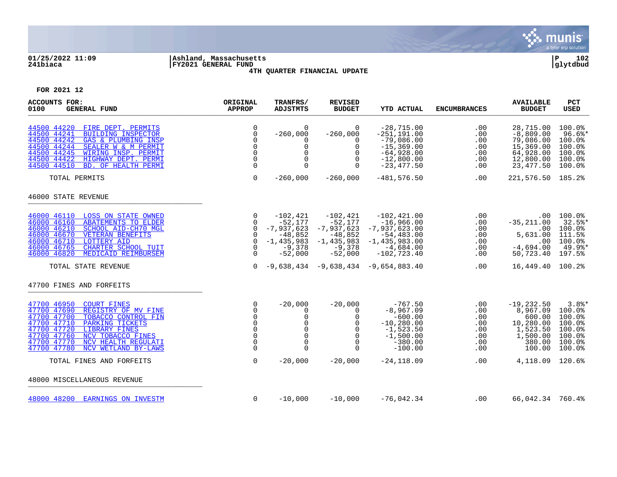

# **01/25/2022 11:09 |Ashland, Massachusetts |P 102 241biaca |FY2021 GENERAL FUND |glytdbud 4TH QUARTER FINANCIAL UPDATE**



| <b>ACCOUNTS FOR:</b><br>0100<br><b>GENERAL FUND</b>                                                                                                                                                                                                                                                     | ORIGINAL<br><b>APPROP</b>                                                                               | TRANFRS/<br><b>ADJSTMTS</b>                                                                                   | <b>REVISED</b><br><b>BUDGET</b>                                                               | <b>YTD ACTUAL</b>                                                                                                                                            | <b>ENCUMBRANCES</b>                                  | <b>AVAILABLE</b><br><b>BUDGET</b>                                                                    | <b>PCT</b><br><b>USED</b>                                                  |
|---------------------------------------------------------------------------------------------------------------------------------------------------------------------------------------------------------------------------------------------------------------------------------------------------------|---------------------------------------------------------------------------------------------------------|---------------------------------------------------------------------------------------------------------------|-----------------------------------------------------------------------------------------------|--------------------------------------------------------------------------------------------------------------------------------------------------------------|------------------------------------------------------|------------------------------------------------------------------------------------------------------|----------------------------------------------------------------------------|
| 44500 44220<br>FIRE DEPT. PERMITS<br>44500 44241<br><b>BUILDING INSPECTOR</b><br>44500 44242<br>GAS & PLUMBING INSP<br>44500 44244<br>SEALER W & M PERMIT<br>44500 44245<br>WIRING INSP. PERMIT<br>44500 44422<br>HIGHWAY DEPT. PERMI<br>44500 44510<br>BD. OF HEALTH PERMI                             | $\mathbf 0$<br>$\mathbf 0$<br>$\Omega$<br>$\mathbf 0$<br>$\Omega$<br>$\mathbf 0$<br>$\Omega$            | $\mathbf 0$<br>$-260,000$<br>$\Omega$<br>$\Omega$<br>$\Omega$<br>$\mathbf 0$<br>$\Omega$                      | 0<br>$-260,000$<br>$\Omega$<br>$\Omega$<br>$\Omega$<br>$\mathbf 0$<br>$\Omega$                | $-28,715.00$<br>$-251, 191.00$<br>$-79,086.00$<br>$-15, 369.00$<br>$-64,928.00$<br>$-12,800.00$<br>$-23,477.50$                                              | .00<br>.00<br>.00<br>.00<br>.00<br>.00<br>.00        | 28,715.00<br>$-8,809.00$<br>79,086.00<br>15,369.00<br>64,928.00<br>12,800.00<br>23, 477.50           | 100.0%<br>$96.6$ *<br>100.0%<br>100.0%<br>100.0%<br>100.0%<br>100.0%       |
| TOTAL PERMITS                                                                                                                                                                                                                                                                                           | $\mathbf 0$                                                                                             | $-260,000$                                                                                                    | $-260,000$                                                                                    | $-481, 576.50$                                                                                                                                               | .00                                                  | 221,576.50 185.2%                                                                                    |                                                                            |
| 46000 STATE REVENUE                                                                                                                                                                                                                                                                                     |                                                                                                         |                                                                                                               |                                                                                               |                                                                                                                                                              |                                                      |                                                                                                      |                                                                            |
| 46000 46110<br>LOSS ON STATE OWNED<br>46000 46160<br><b>ABATEMENTS TO ELDER</b><br>46000 46210<br>SCHOOL AID-CH70 MGL<br>46000 46670<br><b>VETERAN BENEFITS</b><br>46000 46710<br><b>LOTTERY AID</b><br>CHARTER SCHOOL TUIT<br>46000 46765<br>46000 46820<br>MEDICAID REIMBURSEM<br>TOTAL STATE REVENUE | 0<br>$\overline{0}$<br>$\Omega$<br>$\overline{0}$<br>$\overline{0}$<br>$\Omega$<br>$\Omega$<br>$\Omega$ | $-102,421$<br>$-52,177$<br>$-7,937,623$<br>$-48,852$<br>$-1,435,983$<br>$-9,378$<br>$-52,000$                 | $-102,421$<br>$-52,177$<br>$-7,937,623$<br>$-48,852$<br>$-1,435,983$<br>$-9,378$<br>$-52,000$ | $-102, 421.00$<br>$-16,966.00$<br>$-7,937,623.00$<br>$-54,483.00$<br>$-1,435,983.00$<br>$-4,684.00$<br>$-102, 723.40$<br>-9,638,434 -9,638,434 -9,654,883.40 | .00<br>.00<br>.00<br>.00<br>.00<br>.00<br>.00<br>.00 | $.00 \,$<br>$-35, 211, 00$<br>.00<br>5,631.00<br>.00<br>$-4,694.00$<br>50,723.40<br>16,449.40 100.2% | 100.0%<br>$32.5$ *<br>100.0%<br>111.5%<br>100.0%<br>49.9%*<br>197.5%       |
| 47700 FINES AND FORFEITS                                                                                                                                                                                                                                                                                |                                                                                                         |                                                                                                               |                                                                                               |                                                                                                                                                              |                                                      |                                                                                                      |                                                                            |
| 47700 46950<br><b>COURT FINES</b><br>47700 47690<br>REGISTRY OF MV FINE<br>47700 47700<br>TOBACCO CONTROL FIN<br>47700 47710<br>PARKING TICKETS<br>47700 47720<br><b>LIBRARY FINES</b><br>47700 47760<br>NCV TOBACCO FINES<br>47700 47770<br>NCV HEALTH REGULATI<br>47700 47780<br>NCV WETLAND BY-LAWS  | 0<br>$\Omega$<br>$\Omega$<br>$\mathbf 0$<br>$\Omega$<br>$\mathsf 0$<br>0<br>$\Omega$                    | $-20,000$<br>$\Omega$<br>$\mathbf 0$<br>$\mathbf 0$<br>$\mathbf 0$<br>$\mathsf{O}$<br>$\mathbf 0$<br>$\Omega$ | $-20,000$<br>$\Omega$<br>$\Omega$<br>$\mathbf 0$<br>$\Omega$<br>$\mathbf 0$<br>0<br>$\Omega$  | $-767.50$<br>$-8,967.09$<br>$-600.00$<br>$-10, 280.00$<br>$-1,523.50$<br>$-1,500.00$<br>$-380.00$<br>$-100.00$                                               | .00<br>.00<br>.00<br>.00<br>.00<br>.00<br>.00<br>.00 | $-19, 232.50$<br>8,967.09<br>600.00<br>10,280.00<br>1,523.50<br>1,500.00<br>380.00<br>100.00         | 3.8%<br>100.0%<br>100.0%<br>100.0%<br>100.0%<br>100.0%<br>100.0%<br>100.0% |
| TOTAL FINES AND FORFEITS                                                                                                                                                                                                                                                                                | $\mathbf 0$                                                                                             | $-20,000$                                                                                                     | $-20,000$                                                                                     | $-24, 118.09$                                                                                                                                                | .00                                                  | 4,118.09                                                                                             | 120.6%                                                                     |
| 48000 MISCELLANEOUS REVENUE                                                                                                                                                                                                                                                                             |                                                                                                         |                                                                                                               |                                                                                               |                                                                                                                                                              |                                                      |                                                                                                      |                                                                            |
| 48000 48200 EARNINGS ON INVESTM                                                                                                                                                                                                                                                                         | 0                                                                                                       | $-10,000$                                                                                                     | $-10,000$                                                                                     | $-76,042.34$                                                                                                                                                 | .00                                                  | 66,042.34 760.4%                                                                                     |                                                                            |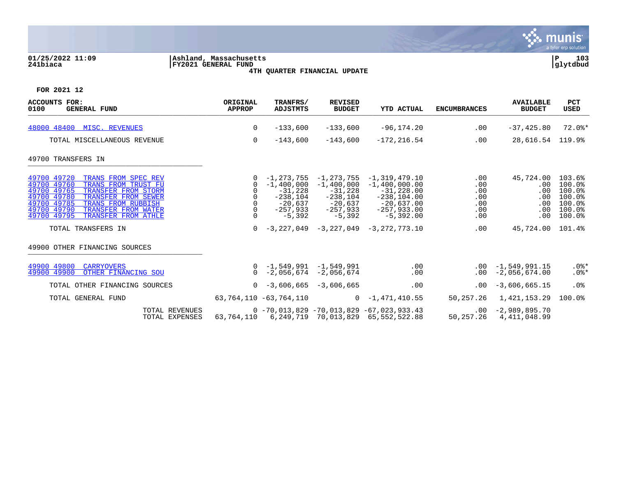

## **01/25/2022 11:09 |Ashland, Massachusetts |P 103 241biaca |FY2021 GENERAL FUND |glytdbud 4TH QUARTER FINANCIAL UPDATE**



| <b>ACCOUNTS FOR:</b><br>0100<br><b>GENERAL FUND</b>                                                                                                                                                                                                                   | ORIGINAL<br><b>APPROP</b> | TRANFRS/<br><b>ADJSTMTS</b>                                                                  | <b>REVISED</b><br><b>BUDGET</b>                                                                  | <b>YTD ACTUAL</b>                                                                                                      | <b>ENCUMBRANCES</b>                           | <b>AVAILABLE</b><br><b>BUDGET</b>                        | <b>PCT</b><br><b>USED</b>                                          |
|-----------------------------------------------------------------------------------------------------------------------------------------------------------------------------------------------------------------------------------------------------------------------|---------------------------|----------------------------------------------------------------------------------------------|--------------------------------------------------------------------------------------------------|------------------------------------------------------------------------------------------------------------------------|-----------------------------------------------|----------------------------------------------------------|--------------------------------------------------------------------|
| 48000 48400 MISC. REVENUES                                                                                                                                                                                                                                            | 0                         | $-133,600$                                                                                   | $-133,600$                                                                                       | $-96, 174.20$                                                                                                          | .00                                           | $-37, 425.80$                                            | $72.0$ $*$                                                         |
| TOTAL MISCELLANEOUS REVENUE                                                                                                                                                                                                                                           | $\overline{0}$            | $-143,600$                                                                                   | $-143,600$                                                                                       | $-172, 216.54$                                                                                                         | .00                                           | 28,616.54 119.9%                                         |                                                                    |
| 49700 TRANSFERS IN                                                                                                                                                                                                                                                    |                           |                                                                                              |                                                                                                  |                                                                                                                        |                                               |                                                          |                                                                    |
| 49700 49720<br>TRANS FROM SPEC REV<br>49700 49760<br>TRANS FROM TRUST FU<br>49700 49765<br>TRANSFER FROM STORM<br>49700 49780<br>TRANSFER FROM SEWER<br>49700 49785<br>TRANS FROM RUBBISH<br>49700 49790<br>TRANSFER FROM WATER<br>49700 49795<br>TRANSFER FROM ATHLE | 0<br>0<br>0<br>$\Omega$   | -1,273,755<br>$-1,400,000$<br>$-31,228$<br>$-238,104$<br>$-20,637$<br>$-257,933$<br>$-5,392$ | $-1, 273, 755$<br>$-1,400,000$<br>$-31,228$<br>$-238,104$<br>$-20,637$<br>$-257,933$<br>$-5,392$ | $-1, 319, 479.10$<br>$-1,400,000.00$<br>$-31,228.00$<br>$-238, 104.00$<br>$-20,637.00$<br>$-257,933.00$<br>$-5,392.00$ | .00<br>.00<br>.00<br>.00<br>.00<br>.00<br>.00 | 45,724.00<br>$.00 \,$<br>.00<br>.00<br>.00<br>.00<br>.00 | 103.6%<br>100.0%<br>100.0%<br>100.0%<br>100.0%<br>100.0%<br>100.0% |
| TOTAL TRANSFERS IN                                                                                                                                                                                                                                                    | $\Omega$                  | $-3,227,049$                                                                                 | $-3,227,049$                                                                                     | $-3.272.773.10$                                                                                                        | .00                                           | 45,724.00                                                | 101.4%                                                             |
| 49900 OTHER FINANCING SOURCES                                                                                                                                                                                                                                         |                           |                                                                                              |                                                                                                  |                                                                                                                        |                                               |                                                          |                                                                    |
| 49900 49800<br><b>CARRYOVERS</b><br>49900 49900<br>OTHER FINANCING SOU                                                                                                                                                                                                |                           | $0 - 1,549,991 - 1,549,991$<br>$0 -2,056,674 -2,056,674$                                     |                                                                                                  | .00<br>.00                                                                                                             |                                               | $.00 - 1.549.991.15$<br>$.00 - 2.056.674.00$             | $.0$ %*<br>$.0$ %*                                                 |
| TOTAL OTHER FINANCING SOURCES                                                                                                                                                                                                                                         |                           | $0 -3,606,665 -3,606,665$                                                                    |                                                                                                  | .00                                                                                                                    | .00                                           | $-3,606,665.15$                                          | .0%                                                                |
| TOTAL GENERAL FUND                                                                                                                                                                                                                                                    |                           | 63,764,110 -63,764,110                                                                       |                                                                                                  | $0 - 1,471,410.55$                                                                                                     | 50,257.26                                     | 1,421,153.29                                             | 100.0%                                                             |
| TOTAL REVENUES<br>TOTAL EXPENSES                                                                                                                                                                                                                                      | 63,764,110                |                                                                                              |                                                                                                  | $0 - 70,013,829 - 70,013,829 - 67,023,933.43$<br>6, 249, 719 70, 013, 829 65, 552, 522. 88                             | 50,257.26                                     | $.00 -2,989,895.70$<br>4,411,048.99                      |                                                                    |